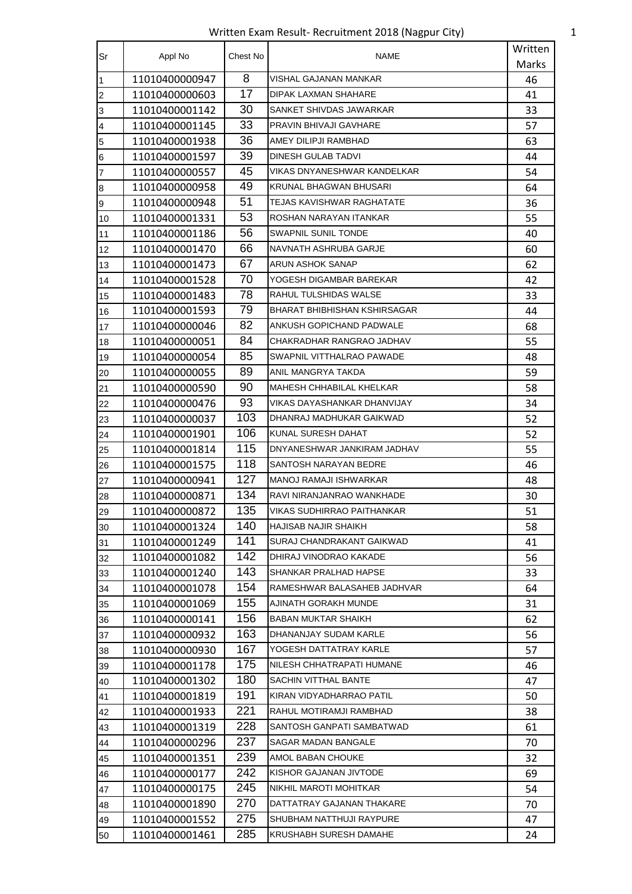Written Exam Result- Recruitment 2018 (Nagpur City) 1

| <b>Sr</b>               | Appl No        | Chest No | NAME                         | Written |
|-------------------------|----------------|----------|------------------------------|---------|
|                         |                |          |                              | Marks   |
| $\mathbf{1}$            | 11010400000947 | 8        | VISHAL GAJANAN MANKAR        | 46      |
| $\overline{2}$          | 11010400000603 | 17       | DIPAK LAXMAN SHAHARE         | 41      |
| $\overline{3}$          | 11010400001142 | 30       | SANKET SHIVDAS JAWARKAR      | 33      |
| $\overline{\mathbf{4}}$ | 11010400001145 | 33       | PRAVIN BHIVAJI GAVHARE       | 57      |
| $\overline{5}$          | 11010400001938 | 36       | AMEY DILIPJI RAMBHAD         | 63      |
| $\,$ 6                  | 11010400001597 | 39       | <b>DINESH GULAB TADVI</b>    | 44      |
| $\overline{7}$          | 11010400000557 | 45       | VIKAS DNYANESHWAR KANDELKAR  | 54      |
| $\boldsymbol{8}$        | 11010400000958 | 49       | KRUNAL BHAGWAN BHUSARI       | 64      |
| $\overline{9}$          | 11010400000948 | 51       | TEJAS KAVISHWAR RAGHATATE    | 36      |
| 10                      | 11010400001331 | 53       | ROSHAN NARAYAN ITANKAR       | 55      |
| 11                      | 11010400001186 | 56       | <b>SWAPNIL SUNIL TONDE</b>   | 40      |
| 12                      | 11010400001470 | 66       | NAVNATH ASHRUBA GARJE        | 60      |
| 13                      | 11010400001473 | 67       | <b>ARUN ASHOK SANAP</b>      | 62      |
| 14                      | 11010400001528 | 70       | YOGESH DIGAMBAR BAREKAR      | 42      |
| 15                      | 11010400001483 | 78       | RAHUL TULSHIDAS WALSE        | 33      |
| 16                      | 11010400001593 | 79       | BHARAT BHIBHISHAN KSHIRSAGAR | 44      |
| 17                      | 11010400000046 | 82       | ANKUSH GOPICHAND PADWALE     | 68      |
| 18                      | 11010400000051 | 84       | CHAKRADHAR RANGRAO JADHAV    | 55      |
| 19                      | 11010400000054 | 85       | SWAPNIL VITTHALRAO PAWADE    | 48      |
| 20                      | 11010400000055 | 89       | ANIL MANGRYA TAKDA           | 59      |
| 21                      | 11010400000590 | 90       | MAHESH CHHABILAL KHELKAR     | 58      |
| 22                      | 11010400000476 | 93       | VIKAS DAYASHANKAR DHANVIJAY  | 34      |
| 23                      | 11010400000037 | 103      | DHANRAJ MADHUKAR GAIKWAD     | 52      |
| 24                      | 11010400001901 | 106      | KUNAL SURESH DAHAT           | 52      |
| 25                      | 11010400001814 | 115      | DNYANESHWAR JANKIRAM JADHAV  | 55      |
| 26                      | 11010400001575 | 118      | SANTOSH NARAYAN BEDRE        | 46      |
| 27                      | 11010400000941 | 127      | MANOJ RAMAJI ISHWARKAR       | 48      |
| 28                      | 11010400000871 | 134      | RAVI NIRANJANRAO WANKHADE    | 30      |
| 29                      | 11010400000872 | 135      | VIKAS SUDHIRRAO PAITHANKAR   | 51      |
| 30                      | 11010400001324 | 140      | HAJISAB NAJIR SHAIKH         | 58      |
| 31                      | 11010400001249 | 141      | SURAJ CHANDRAKANT GAIKWAD    | 41      |
| 32                      | 11010400001082 | 142      | DHIRAJ VINODRAO KAKADE       | 56      |
| 33                      | 11010400001240 | 143      | SHANKAR PRALHAD HAPSE        | 33      |
| 34                      | 11010400001078 | 154      | RAMESHWAR BALASAHEB JADHVAR  | 64      |
| 35                      | 11010400001069 | 155      | AJINATH GORAKH MUNDE         | 31      |
| 36                      | 11010400000141 | 156      | BABAN MUKTAR SHAIKH          | 62      |
| 37                      | 11010400000932 | 163      | DHANANJAY SUDAM KARLE        | 56      |
| 38                      | 11010400000930 | 167      | YOGESH DATTATRAY KARLE       | 57      |
| 39                      | 11010400001178 | 175      | NILESH CHHATRAPATI HUMANE    | 46      |
| 40                      | 11010400001302 | 180      | SACHIN VITTHAL BANTE         | 47      |
| 41                      | 11010400001819 | 191      | KIRAN VIDYADHARRAO PATIL     | 50      |
| 42                      | 11010400001933 | 221      | RAHUL MOTIRAMJI RAMBHAD      | 38      |
| 43                      | 11010400001319 | 228      | SANTOSH GANPATI SAMBATWAD    | 61      |
| 44                      | 11010400000296 | 237      | SAGAR MADAN BANGALE          | 70      |
| 45                      | 11010400001351 | 239      | AMOL BABAN CHOUKE            | 32      |
| 46                      | 11010400000177 | 242      | KISHOR GAJANAN JIVTODE       | 69      |
| 47                      | 11010400000175 | 245      | NIKHIL MAROTI MOHITKAR       | 54      |
| 48                      | 11010400001890 | 270      | DATTATRAY GAJANAN THAKARE    | 70      |
| 49                      | 11010400001552 | 275      | SHUBHAM NATTHUJI RAYPURE     | 47      |
| 50                      | 11010400001461 | 285      | KRUSHABH SURESH DAMAHE       | 24      |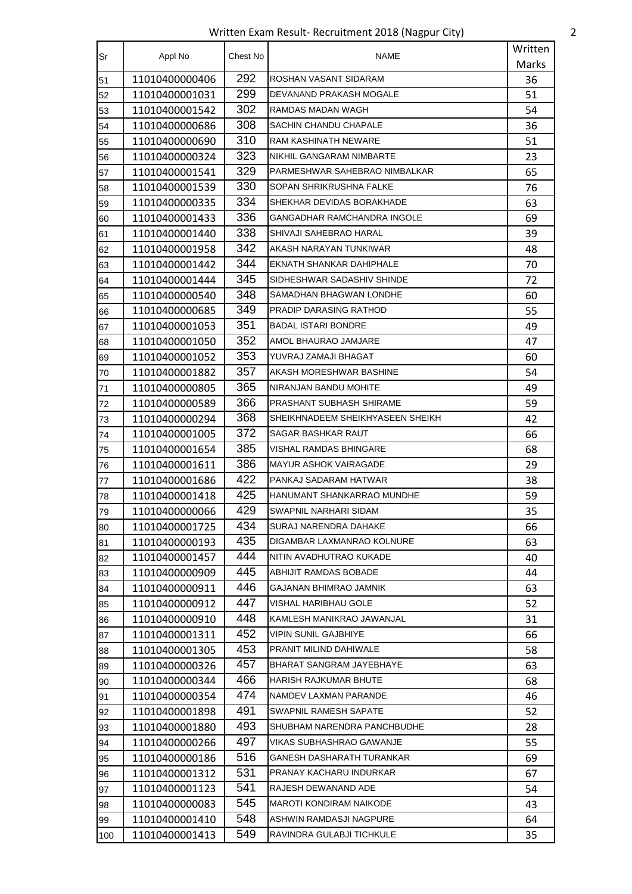Written Exam Result- Recruitment 2018 (Nagpur City) 2

| Sr  | Appl No        | Chest No | <b>NAME</b>                      | Written |
|-----|----------------|----------|----------------------------------|---------|
|     |                |          |                                  | Marks   |
| 51  | 11010400000406 | 292      | ROSHAN VASANT SIDARAM            | 36      |
| 52  | 11010400001031 | 299      | DEVANAND PRAKASH MOGALE          | 51      |
| 53  | 11010400001542 | 302      | RAMDAS MADAN WAGH                | 54      |
| 54  | 11010400000686 | 308      | SACHIN CHANDU CHAPALE            | 36      |
| 55  | 11010400000690 | 310      | RAM KASHINATH NEWARE             | 51      |
| 56  | 11010400000324 | 323      | NIKHIL GANGARAM NIMBARTE         | 23      |
| 57  | 11010400001541 | 329      | PARMESHWAR SAHEBRAO NIMBALKAR    | 65      |
| 58  | 11010400001539 | 330      | SOPAN SHRIKRUSHNA FALKE          | 76      |
| 59  | 11010400000335 | 334      | SHEKHAR DEVIDAS BORAKHADE        | 63      |
| 60  | 11010400001433 | 336      | GANGADHAR RAMCHANDRA INGOLE      | 69      |
| 61  | 11010400001440 | 338      | SHIVAJI SAHEBRAO HARAL           | 39      |
| 62  | 11010400001958 | 342      | AKASH NARAYAN TUNKIWAR           | 48      |
| 63  | 11010400001442 | 344      | EKNATH SHANKAR DAHIPHALE         | 70      |
| 64  | 11010400001444 | 345      | SIDHESHWAR SADASHIV SHINDE       | 72      |
| 65  | 11010400000540 | 348      | SAMADHAN BHAGWAN LONDHE          | 60      |
| 66  | 11010400000685 | 349      | PRADIP DARASING RATHOD           | 55      |
| 67  | 11010400001053 | 351      | <b>BADAL ISTARI BONDRE</b>       | 49      |
| 68  | 11010400001050 | 352      | AMOL BHAURAO JAMJARE             | 47      |
| 69  | 11010400001052 | 353      | YUVRAJ ZAMAJI BHAGAT             | 60      |
| 70  | 11010400001882 | 357      | AKASH MORESHWAR BASHINE          | 54      |
| 71  | 11010400000805 | 365      | NIRANJAN BANDU MOHITE            | 49      |
| 72  | 11010400000589 | 366      | PRASHANT SUBHASH SHIRAME         | 59      |
| 73  | 11010400000294 | 368      | SHEIKHNADEEM SHEIKHYASEEN SHEIKH | 42      |
| 74  | 11010400001005 | 372      | SAGAR BASHKAR RAUT               | 66      |
| 75  | 11010400001654 | 385      | VISHAL RAMDAS BHINGARE           | 68      |
| 76  | 11010400001611 | 386      | <b>MAYUR ASHOK VAIRAGADE</b>     | 29      |
| 77  | 11010400001686 | 422      | PANKAJ SADARAM HATWAR            | 38      |
| 78  | 11010400001418 | 425      | HANUMANT SHANKARRAO MUNDHE       | 59      |
| 79  | 11010400000066 | 429      | SWAPNIL NARHARI SIDAM            | 35      |
| 80  | 11010400001725 | 434      | SURAJ NARENDRA DAHAKE            | 66      |
| 81  | 11010400000193 | 435      | DIGAMBAR LAXMANRAO KOLNURE       | 63      |
| 82  | 11010400001457 | 444      | NITIN AVADHUTRAO KUKADE          | 40      |
| 83  | 11010400000909 | 445      | ABHIJIT RAMDAS BOBADE            | 44      |
| 84  | 11010400000911 | 446      | GAJANAN BHIMRAO JAMNIK           | 63      |
| 85  | 11010400000912 | 447      | VISHAL HARIBHAU GOLE             | 52      |
| 86  | 11010400000910 | 448      | KAMLESH MANIKRAO JAWANJAL        | 31      |
| 87  | 11010400001311 | 452      | <b>VIPIN SUNIL GAJBHIYE</b>      | 66      |
| 88  | 11010400001305 | 453      | PRANIT MILIND DAHIWALE           | 58      |
| 89  | 11010400000326 | 457      | BHARAT SANGRAM JAYEBHAYE         | 63      |
| 90  | 11010400000344 | 466      | HARISH RAJKUMAR BHUTE            | 68      |
| 91  | 11010400000354 | 474      | NAMDEV LAXMAN PARANDE            | 46      |
| 92  | 11010400001898 | 491      | SWAPNIL RAMESH SAPATE            | 52      |
| 93  | 11010400001880 | 493      | SHUBHAM NARENDRA PANCHBUDHE      | 28      |
| 94  | 11010400000266 | 497      | VIKAS SUBHASHRAO GAWANJE         | 55      |
| 95  | 11010400000186 | 516      | GANESH DASHARATH TURANKAR        | 69      |
| 96  | 11010400001312 | 531      | PRANAY KACHARU INDURKAR          | 67      |
| 97  | 11010400001123 | 541      | RAJESH DEWANAND ADE              | 54      |
| 98  | 11010400000083 | 545      | MAROTI KONDIRAM NAIKODE          | 43      |
| 99  | 11010400001410 | 548      | ASHWIN RAMDASJI NAGPURE          | 64      |
| 100 | 11010400001413 | 549      | RAVINDRA GULABJI TICHKULE        | 35      |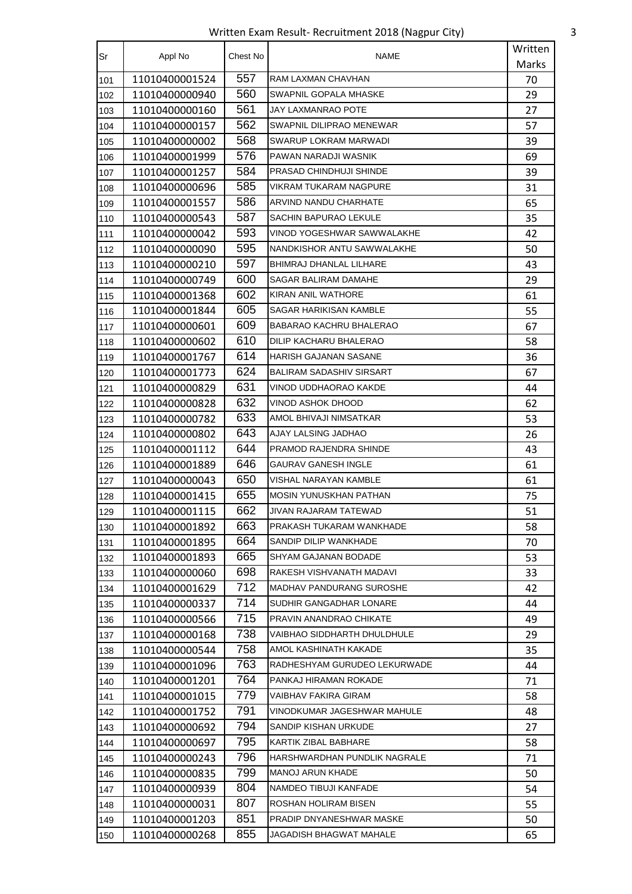Written Exam Result- Recruitment 2018 (Nagpur City) 3

| Sr  |                | Chest No | <b>NAME</b>                    | Written |
|-----|----------------|----------|--------------------------------|---------|
|     | Appl No        |          |                                | Marks   |
| 101 | 11010400001524 | 557      | RAM LAXMAN CHAVHAN             | 70      |
| 102 | 11010400000940 | 560      | SWAPNIL GOPALA MHASKE          | 29      |
| 103 | 11010400000160 | 561      | JAY LAXMANRAO POTE             | 27      |
| 104 | 11010400000157 | 562      | SWAPNIL DILIPRAO MENEWAR       | 57      |
| 105 | 11010400000002 | 568      | SWARUP LOKRAM MARWADI          | 39      |
| 106 | 11010400001999 | 576      | PAWAN NARADJI WASNIK           | 69      |
| 107 | 11010400001257 | 584      | PRASAD CHINDHUJI SHINDE        | 39      |
| 108 | 11010400000696 | 585      | VIKRAM TUKARAM NAGPURE         | 31      |
| 109 | 11010400001557 | 586      | ARVIND NANDU CHARHATE          | 65      |
| 110 | 11010400000543 | 587      | SACHIN BAPURAO LEKULE          | 35      |
| 111 | 11010400000042 | 593      | VINOD YOGESHWAR SAWWALAKHE     | 42      |
| 112 | 11010400000090 | 595      | NANDKISHOR ANTU SAWWALAKHE     | 50      |
| 113 | 11010400000210 | 597      | <b>BHIMRAJ DHANLAL LILHARE</b> | 43      |
| 114 | 11010400000749 | 600      | SAGAR BALIRAM DAMAHE           | 29      |
| 115 | 11010400001368 | 602      | KIRAN ANIL WATHORE             | 61      |
| 116 | 11010400001844 | 605      | SAGAR HARIKISAN KAMBLE         | 55      |
| 117 | 11010400000601 | 609      | BABARAO KACHRU BHALERAO        | 67      |
| 118 | 11010400000602 | 610      | DILIP KACHARU BHALERAO         | 58      |
| 119 | 11010400001767 | 614      | HARISH GAJANAN SASANE          | 36      |
| 120 | 11010400001773 | 624      | BALIRAM SADASHIV SIRSART       | 67      |
| 121 | 11010400000829 | 631      | VINOD UDDHAORAO KAKDE          | 44      |
| 122 | 11010400000828 | 632      | VINOD ASHOK DHOOD              | 62      |
| 123 | 11010400000782 | 633      | AMOL BHIVAJI NIMSATKAR         | 53      |
| 124 | 11010400000802 | 643      | AJAY LALSING JADHAO            | 26      |
| 125 | 11010400001112 | 644      | PRAMOD RAJENDRA SHINDE         | 43      |
| 126 | 11010400001889 | 646      | <b>GAURAV GANESH INGLE</b>     | 61      |
| 127 | 11010400000043 | 650      | <b>VISHAL NARAYAN KAMBLE</b>   | 61      |
| 128 | 11010400001415 | 655      | MOSIN YUNUSKHAN PATHAN         | 75      |
| 129 | 11010400001115 | 662      | JIVAN RAJARAM TATEWAD          | 51      |
| 130 | 11010400001892 | 663      | PRAKASH TUKARAM WANKHADE       | 58      |
| 131 | 11010400001895 | 664      | SANDIP DILIP WANKHADE          | 70      |
| 132 | 11010400001893 | 665      | <b>SHYAM GAJANAN BODADE</b>    | 53      |
| 133 | 11010400000060 | 698      | RAKESH VISHVANATH MADAVI       | 33      |
| 134 | 11010400001629 | 712      | MADHAV PANDURANG SUROSHE       | 42      |
| 135 | 11010400000337 | 714      | SUDHIR GANGADHAR LONARE        | 44      |
| 136 | 11010400000566 | 715      | PRAVIN ANANDRAO CHIKATE        | 49      |
| 137 | 11010400000168 | 738      | VAIBHAO SIDDHARTH DHULDHULE    | 29      |
| 138 | 11010400000544 | 758      | AMOL KASHINATH KAKADE          | 35      |
| 139 | 11010400001096 | 763      | RADHESHYAM GURUDEO LEKURWADE   | 44      |
| 140 | 11010400001201 | 764      | PANKAJ HIRAMAN ROKADE          | 71      |
| 141 | 11010400001015 | 779      | VAIBHAV FAKIRA GIRAM           | 58      |
| 142 | 11010400001752 | 791      | VINODKUMAR JAGESHWAR MAHULE    | 48      |
| 143 | 11010400000692 | 794      | SANDIP KISHAN URKUDE           | 27      |
| 144 | 11010400000697 | 795      | KARTIK ZIBAL BABHARE           | 58      |
| 145 | 11010400000243 | 796      | HARSHWARDHAN PUNDLIK NAGRALE   | 71      |
| 146 | 11010400000835 | 799      | <b>MANOJ ARUN KHADE</b>        | 50      |
| 147 | 11010400000939 | 804      | NAMDEO TIBUJI KANFADE          | 54      |
| 148 | 11010400000031 | 807      | ROSHAN HOLIRAM BISEN           | 55      |
| 149 | 11010400001203 | 851      | PRADIP DNYANESHWAR MASKE       | 50      |
| 150 | 11010400000268 | 855      | JAGADISH BHAGWAT MAHALE        | 65      |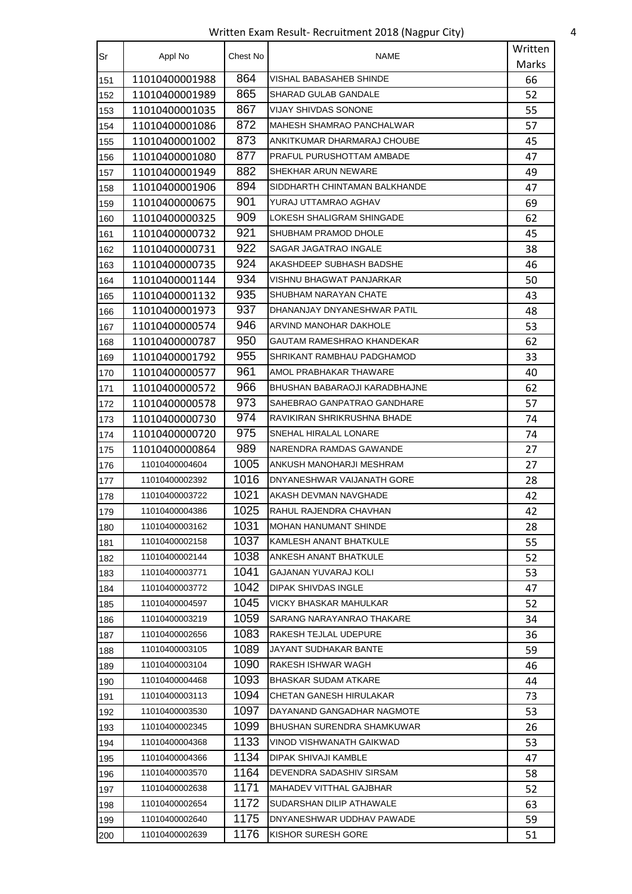Written Exam Result- Recruitment 2018 (Nagpur City) 4

| Sr  | Appl No        | Chest No | NAME                          | Written |
|-----|----------------|----------|-------------------------------|---------|
|     |                |          |                               | Marks   |
| 151 | 11010400001988 | 864      | VISHAL BABASAHEB SHINDE       | 66      |
| 152 | 11010400001989 | 865      | SHARAD GULAB GANDALE          | 52      |
| 153 | 11010400001035 | 867      | <b>VIJAY SHIVDAS SONONE</b>   | 55      |
| 154 | 11010400001086 | 872      | MAHESH SHAMRAO PANCHALWAR     | 57      |
| 155 | 11010400001002 | 873      | ANKITKUMAR DHARMARAJ CHOUBE   | 45      |
| 156 | 11010400001080 | 877      | PRAFUL PURUSHOTTAM AMBADE     | 47      |
| 157 | 11010400001949 | 882      | SHEKHAR ARUN NEWARE           | 49      |
| 158 | 11010400001906 | 894      | SIDDHARTH CHINTAMAN BALKHANDE | 47      |
| 159 | 11010400000675 | 901      | YURAJ UTTAMRAO AGHAV          | 69      |
| 160 | 11010400000325 | 909      | LOKESH SHALIGRAM SHINGADE     | 62      |
| 161 | 11010400000732 | 921      | SHUBHAM PRAMOD DHOLE          | 45      |
| 162 | 11010400000731 | 922      | SAGAR JAGATRAO INGALE         | 38      |
| 163 | 11010400000735 | 924      | AKASHDEEP SUBHASH BADSHE      | 46      |
| 164 | 11010400001144 | 934      | VISHNU BHAGWAT PANJARKAR      | 50      |
| 165 | 11010400001132 | 935      | SHUBHAM NARAYAN CHATE         | 43      |
| 166 | 11010400001973 | 937      | DHANANJAY DNYANESHWAR PATIL   | 48      |
| 167 | 11010400000574 | 946      | ARVIND MANOHAR DAKHOLE        | 53      |
| 168 | 11010400000787 | 950      | GAUTAM RAMESHRAO KHANDEKAR    | 62      |
| 169 | 11010400001792 | 955      | SHRIKANT RAMBHAU PADGHAMOD    | 33      |
| 170 | 11010400000577 | 961      | AMOL PRABHAKAR THAWARE        | 40      |
| 171 | 11010400000572 | 966      | BHUSHAN BABARAOJI KARADBHAJNE | 62      |
| 172 | 11010400000578 | 973      | SAHEBRAO GANPATRAO GANDHARE   | 57      |
| 173 | 11010400000730 | 974      | RAVIKIRAN SHRIKRUSHNA BHADE   | 74      |
| 174 | 11010400000720 | 975      | SNEHAL HIRALAL LONARE         | 74      |
| 175 | 11010400000864 | 989      | NARENDRA RAMDAS GAWANDE       | 27      |
| 176 | 11010400004604 | 1005     | ANKUSH MANOHARJI MESHRAM      | 27      |
| 177 | 11010400002392 | 1016     | DNYANESHWAR VAIJANATH GORE    | 28      |
| 178 | 11010400003722 | 1021     | AKASH DEVMAN NAVGHADE         | 42      |
| 179 | 11010400004386 | 1025     | RAHUL RAJENDRA CHAVHAN        | 42      |
| 180 | 11010400003162 | 1031     | <b>MOHAN HANUMANT SHINDE</b>  | 28      |
| 181 | 11010400002158 | 1037     | KAMLESH ANANT BHATKULE        | 55      |
| 182 | 11010400002144 | 1038     | ANKESH ANANT BHATKULE         | 52      |
| 183 | 11010400003771 | 1041     | GAJANAN YUVARAJ KOLI          | 53      |
| 184 | 11010400003772 | 1042     | DIPAK SHIVDAS INGLE           | 47      |
| 185 | 11010400004597 | 1045     | VICKY BHASKAR MAHULKAR        | 52      |
| 186 | 11010400003219 | 1059     | SARANG NARAYANRAO THAKARE     | 34      |
| 187 | 11010400002656 | 1083     | RAKESH TEJLAL UDEPURE         | 36      |
| 188 | 11010400003105 | 1089     | JAYANT SUDHAKAR BANTE         | 59      |
| 189 | 11010400003104 | 1090     | RAKESH ISHWAR WAGH            | 46      |
| 190 | 11010400004468 | 1093     | BHASKAR SUDAM ATKARE          | 44      |
| 191 | 11010400003113 | 1094     | CHETAN GANESH HIRULAKAR       | 73      |
| 192 | 11010400003530 | 1097     | DAYANAND GANGADHAR NAGMOTE    | 53      |
| 193 | 11010400002345 | 1099     | BHUSHAN SURENDRA SHAMKUWAR    | 26      |
| 194 | 11010400004368 | 1133     | VINOD VISHWANATH GAIKWAD      | 53      |
| 195 | 11010400004366 | 1134     | DIPAK SHIVAJI KAMBLE          | 47      |
| 196 | 11010400003570 | 1164     | DEVENDRA SADASHIV SIRSAM      | 58      |
| 197 | 11010400002638 | 1171     | MAHADEV VITTHAL GAJBHAR       | 52      |
| 198 | 11010400002654 | 1172     | SUDARSHAN DILIP ATHAWALE      | 63      |
| 199 | 11010400002640 | 1175     | DNYANESHWAR UDDHAV PAWADE     | 59      |
| 200 | 11010400002639 | 1176     | KISHOR SURESH GORE            | 51      |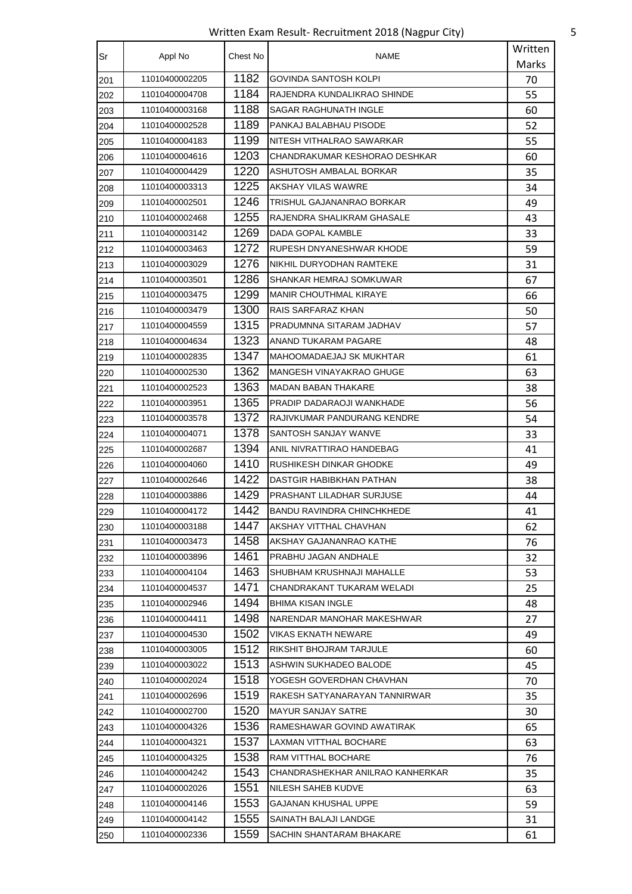Written Exam Result- Recruitment 2018 (Nagpur City) 5

| Sr  | Appl No        | Chest No | NAME                             | Written      |
|-----|----------------|----------|----------------------------------|--------------|
|     |                |          |                                  | <b>Marks</b> |
| 201 | 11010400002205 | 1182     | <b>GOVINDA SANTOSH KOLPI</b>     | 70           |
| 202 | 11010400004708 | 1184     | RAJENDRA KUNDALIKRAO SHINDE      | 55           |
| 203 | 11010400003168 | 1188     | SAGAR RAGHUNATH INGLE            | 60           |
| 204 | 11010400002528 | 1189     | PANKAJ BALABHAU PISODE           | 52           |
| 205 | 11010400004183 | 1199     | NITESH VITHALRAO SAWARKAR        | 55           |
| 206 | 11010400004616 | 1203     | CHANDRAKUMAR KESHORAO DESHKAR    | 60           |
| 207 | 11010400004429 | 1220     | ASHUTOSH AMBALAL BORKAR          | 35           |
| 208 | 11010400003313 | 1225     | AKSHAY VILAS WAWRE               | 34           |
| 209 | 11010400002501 | 1246     | TRISHUL GAJANANRAO BORKAR        | 49           |
| 210 | 11010400002468 | 1255     | RAJENDRA SHALIKRAM GHASALE       | 43           |
| 211 | 11010400003142 | 1269     | DADA GOPAL KAMBLE                | 33           |
| 212 | 11010400003463 | 1272     | RUPESH DNYANESHWAR KHODE         | 59           |
| 213 | 11010400003029 | 1276     | NIKHIL DURYODHAN RAMTEKE         | 31           |
| 214 | 11010400003501 | 1286     | SHANKAR HEMRAJ SOMKUWAR          | 67           |
| 215 | 11010400003475 | 1299     | <b>MANIR CHOUTHMAL KIRAYE</b>    | 66           |
| 216 | 11010400003479 | 1300     | RAIS SARFARAZ KHAN               | 50           |
| 217 | 11010400004559 | 1315     | PRADUMNNA SITARAM JADHAV         | 57           |
| 218 | 11010400004634 | 1323     | ANAND TUKARAM PAGARE             | 48           |
| 219 | 11010400002835 | 1347     | MAHOOMADAEJAJ SK MUKHTAR         | 61           |
| 220 | 11010400002530 | 1362     | MANGESH VINAYAKRAO GHUGE         | 63           |
| 221 | 11010400002523 | 1363     | <b>MADAN BABAN THAKARE</b>       | 38           |
| 222 | 11010400003951 | 1365     | PRADIP DADARAOJI WANKHADE        | 56           |
| 223 | 11010400003578 | 1372     | RAJIVKUMAR PANDURANG KENDRE      | 54           |
| 224 | 11010400004071 | 1378     | SANTOSH SANJAY WANVE             | 33           |
| 225 | 11010400002687 | 1394     | ANIL NIVRATTIRAO HANDEBAG        | 41           |
| 226 | 11010400004060 | 1410     | RUSHIKESH DINKAR GHODKE          | 49           |
| 227 | 11010400002646 | 1422     | DASTGIR HABIBKHAN PATHAN         | 38           |
| 228 | 11010400003886 | 1429     | <b>PRASHANT LILADHAR SURJUSE</b> | 44           |
| 229 | 11010400004172 | 1442     | BANDU RAVINDRA CHINCHKHEDE       | 41           |
| 230 | 11010400003188 | 1447     | AKSHAY VITTHAL CHAVHAN           | 62           |
| 231 | 11010400003473 | 1458     | AKSHAY GAJANANRAO KATHE          | 76           |
| 232 | 11010400003896 | 1461     | PRABHU JAGAN ANDHALE             | 32           |
| 233 | 11010400004104 | 1463     | SHUBHAM KRUSHNAJI MAHALLE        | 53           |
| 234 | 11010400004537 | 1471     | CHANDRAKANT TUKARAM WELADI       | 25           |
| 235 | 11010400002946 | 1494     | <b>BHIMA KISAN INGLE</b>         | 48           |
| 236 | 11010400004411 | 1498     | NARENDAR MANOHAR MAKESHWAR       | 27           |
| 237 | 11010400004530 | 1502     | VIKAS EKNATH NEWARE              | 49           |
| 238 | 11010400003005 | 1512     | RIKSHIT BHOJRAM TARJULE          | 60           |
| 239 | 11010400003022 | 1513     | ASHWIN SUKHADEO BALODE           | 45           |
| 240 | 11010400002024 | 1518     | YOGESH GOVERDHAN CHAVHAN         | 70           |
| 241 | 11010400002696 | 1519     | RAKESH SATYANARAYAN TANNIRWAR    | 35           |
| 242 | 11010400002700 | 1520     | <b>MAYUR SANJAY SATRE</b>        | 30           |
| 243 | 11010400004326 | 1536     | RAMESHAWAR GOVIND AWATIRAK       | 65           |
| 244 | 11010400004321 | 1537     | <b>LAXMAN VITTHAL BOCHARE</b>    | 63           |
| 245 | 11010400004325 | 1538     | RAM VITTHAL BOCHARE              | 76           |
| 246 | 11010400004242 | 1543     | CHANDRASHEKHAR ANILRAO KANHERKAR | 35           |
| 247 | 11010400002026 | 1551     | NILESH SAHEB KUDVE               | 63           |
| 248 | 11010400004146 | 1553     | GAJANAN KHUSHAL UPPE             | 59           |
| 249 | 11010400004142 | 1555     | SAINATH BALAJI LANDGE            | 31           |
|     | 11010400002336 | 1559     | SACHIN SHANTARAM BHAKARE         | 61           |
| 250 |                |          |                                  |              |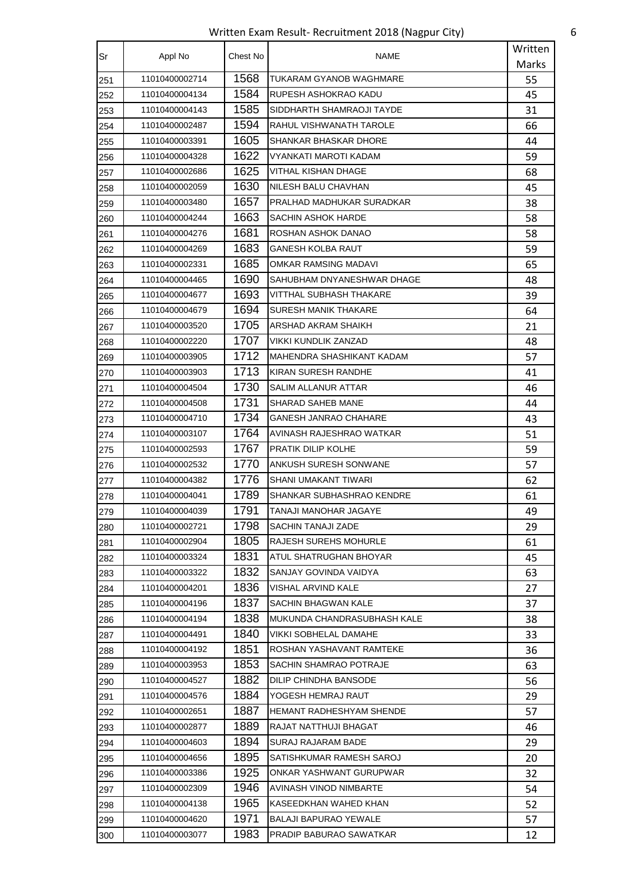Written Exam Result- Recruitment 2018 (Nagpur City) 6

| Sr  | Appl No        | Chest No | NAME                         | Written |
|-----|----------------|----------|------------------------------|---------|
|     |                |          |                              | Marks   |
| 251 | 11010400002714 | 1568     | TUKARAM GYANOB WAGHMARE      | 55      |
| 252 | 11010400004134 | 1584     | RUPESH ASHOKRAO KADU         | 45      |
| 253 | 11010400004143 | 1585     | SIDDHARTH SHAMRAOJI TAYDE    | 31      |
| 254 | 11010400002487 | 1594     | RAHUL VISHWANATH TAROLE      | 66      |
| 255 | 11010400003391 | 1605     | SHANKAR BHASKAR DHORE        | 44      |
| 256 | 11010400004328 | 1622     | VYANKATI MAROTI KADAM        | 59      |
| 257 | 11010400002686 | 1625     | VITHAL KISHAN DHAGE          | 68      |
| 258 | 11010400002059 | 1630     | NILESH BALU CHAVHAN          | 45      |
| 259 | 11010400003480 | 1657     | PRALHAD MADHUKAR SURADKAR    | 38      |
| 260 | 11010400004244 | 1663     | SACHIN ASHOK HARDE           | 58      |
| 261 | 11010400004276 | 1681     | ROSHAN ASHOK DANAO           | 58      |
| 262 | 11010400004269 | 1683     | <b>GANESH KOLBA RAUT</b>     | 59      |
| 263 | 11010400002331 | 1685     | <b>OMKAR RAMSING MADAVI</b>  | 65      |
| 264 | 11010400004465 | 1690     | SAHUBHAM DNYANESHWAR DHAGE   | 48      |
| 265 | 11010400004677 | 1693     | VITTHAL SUBHASH THAKARE      | 39      |
| 266 | 11010400004679 | 1694     | SURESH MANIK THAKARE         | 64      |
| 267 | 11010400003520 | 1705     | ARSHAD AKRAM SHAIKH          | 21      |
| 268 | 11010400002220 | 1707     | VIKKI KUNDLIK ZANZAD         | 48      |
| 269 | 11010400003905 | 1712     | MAHENDRA SHASHIKANT KADAM    | 57      |
| 270 | 11010400003903 | 1713     | KIRAN SURESH RANDHE          | 41      |
| 271 | 11010400004504 | 1730     | SALIM ALLANUR ATTAR          | 46      |
| 272 | 11010400004508 | 1731     | SHARAD SAHEB MANE            | 44      |
| 273 | 11010400004710 | 1734     | <b>GANESH JANRAO CHAHARE</b> | 43      |
| 274 | 11010400003107 | 1764     | AVINASH RAJESHRAO WATKAR     | 51      |
| 275 | 11010400002593 | 1767     | PRATIK DILIP KOLHE           | 59      |
| 276 | 11010400002532 | 1770     | ANKUSH SURESH SONWANE        | 57      |
| 277 | 11010400004382 | 1776     | <b>SHANI UMAKANT TIWARI</b>  | 62      |
| 278 | 11010400004041 | 1789     | SHANKAR SUBHASHRAO KENDRE    | 61      |
| 279 | 11010400004039 | 1791     | TANAJI MANOHAR JAGAYE        | 49      |
| 280 | 11010400002721 | 1798     | <b>SACHIN TANAJI ZADE</b>    | 29      |
| 281 | 11010400002904 | 1805     | RAJESH SUREHS MOHURLE        | 61      |
| 282 | 11010400003324 | 1831     | ATUL SHATRUGHAN BHOYAR       | 45      |
| 283 | 11010400003322 | 1832     | SANJAY GOVINDA VAIDYA        | 63      |
| 284 | 11010400004201 | 1836     | VISHAL ARVIND KALE           | 27      |
| 285 | 11010400004196 | 1837     | SACHIN BHAGWAN KALE          | 37      |
| 286 | 11010400004194 | 1838     | MUKUNDA CHANDRASUBHASH KALE  | 38      |
| 287 | 11010400004491 | 1840     | VIKKI SOBHELAL DAMAHE        | 33      |
| 288 | 11010400004192 | 1851     | ROSHAN YASHAVANT RAMTEKE     | 36      |
| 289 | 11010400003953 | 1853     | SACHIN SHAMRAO POTRAJE       | 63      |
| 290 | 11010400004527 | 1882     | DILIP CHINDHA BANSODE        | 56      |
| 291 | 11010400004576 | 1884     | YOGESH HEMRAJ RAUT           | 29      |
| 292 | 11010400002651 | 1887     | HEMANT RADHESHYAM SHENDE     | 57      |
| 293 | 11010400002877 | 1889     | RAJAT NATTHUJI BHAGAT        | 46      |
| 294 | 11010400004603 | 1894     | SURAJ RAJARAM BADE           | 29      |
| 295 | 11010400004656 | 1895     | SATISHKUMAR RAMESH SAROJ     | 20      |
| 296 | 11010400003386 | 1925     | ONKAR YASHWANT GURUPWAR      | 32      |
| 297 | 11010400002309 | 1946     | AVINASH VINOD NIMBARTE       | 54      |
| 298 | 11010400004138 | 1965     | KASEEDKHAN WAHED KHAN        | 52      |
| 299 | 11010400004620 | 1971     | <b>BALAJI BAPURAO YEWALE</b> | 57      |
| 300 | 11010400003077 | 1983     | PRADIP BABURAO SAWATKAR      | 12      |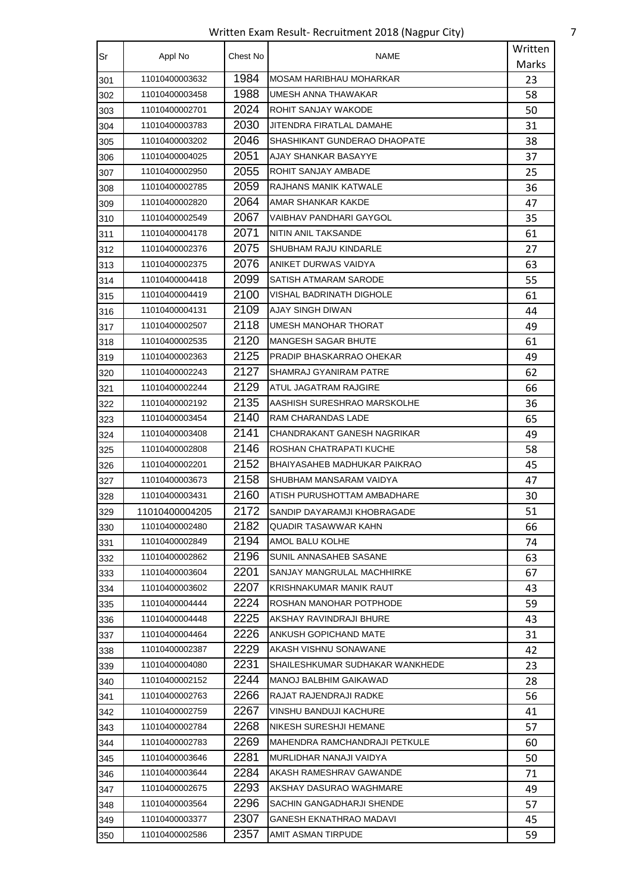Written Exam Result- Recruitment 2018 (Nagpur City) 7

|           |                | Chest No | <b>NAME</b>                     | Written |
|-----------|----------------|----------|---------------------------------|---------|
| <b>Sr</b> | Appl No        |          |                                 | Marks   |
| 301       | 11010400003632 | 1984     | MOSAM HARIBHAU MOHARKAR         | 23      |
| 302       | 11010400003458 | 1988     | UMESH ANNA THAWAKAR             | 58      |
| 303       | 11010400002701 | 2024     | ROHIT SANJAY WAKODE             | 50      |
| 304       | 11010400003783 | 2030     | JITENDRA FIRATLAL DAMAHE        | 31      |
| 305       | 11010400003202 | 2046     | SHASHIKANT GUNDERAO DHAOPATE    | 38      |
| 306       | 11010400004025 | 2051     | AJAY SHANKAR BASAYYE            | 37      |
| 307       | 11010400002950 | 2055     | ROHIT SANJAY AMBADE             | 25      |
| 308       | 11010400002785 | 2059     | <b>RAJHANS MANIK KATWALE</b>    | 36      |
| 309       | 11010400002820 | 2064     | AMAR SHANKAR KAKDE              | 47      |
| 310       | 11010400002549 | 2067     | VAIBHAV PANDHARI GAYGOL         | 35      |
| 311       | 11010400004178 | 2071     | NITIN ANIL TAKSANDE             | 61      |
| 312       | 11010400002376 | 2075     | SHUBHAM RAJU KINDARLE           | 27      |
| 313       | 11010400002375 | 2076     | ANIKET DURWAS VAIDYA            | 63      |
| 314       | 11010400004418 | 2099     | SATISH ATMARAM SARODE           | 55      |
| 315       | 11010400004419 | 2100     | VISHAL BADRINATH DIGHOLE        | 61      |
| 316       | 11010400004131 | 2109     | AJAY SINGH DIWAN                | 44      |
| 317       | 11010400002507 | 2118     | UMESH MANOHAR THORAT            | 49      |
| 318       | 11010400002535 | 2120     | <b>MANGESH SAGAR BHUTE</b>      | 61      |
| 319       | 11010400002363 | 2125     | PRADIP BHASKARRAO OHEKAR        | 49      |
| 320       | 11010400002243 | 2127     | SHAMRAJ GYANIRAM PATRE          | 62      |
| 321       | 11010400002244 | 2129     | ATUL JAGATRAM RAJGIRE           | 66      |
| 322       | 11010400002192 | 2135     | AASHISH SURESHRAO MARSKOLHE     | 36      |
| 323       | 11010400003454 | 2140     | RAM CHARANDAS LADE              | 65      |
| 324       | 11010400003408 | 2141     | CHANDRAKANT GANESH NAGRIKAR     | 49      |
| 325       | 11010400002808 | 2146     | ROSHAN CHATRAPATI KUCHE         | 58      |
| 326       | 11010400002201 | 2152     | BHAIYASAHEB MADHUKAR PAIKRAO    | 45      |
| 327       | 11010400003673 | 2158     | SHUBHAM MANSARAM VAIDYA         | 47      |
| 328       | 11010400003431 | 2160     | ATISH PURUSHOTTAM AMBADHARE     | 30      |
| 329       | 11010400004205 | 2172     | SANDIP DAYARAMJI KHOBRAGADE     | 51      |
| 330       | 11010400002480 | 2182     | QUADIR TASAWWAR KAHN            | 66      |
| 331       | 11010400002849 | 2194     | AMOL BALU KOLHE                 | 74      |
| 332       | 11010400002862 | 2196     | SUNIL ANNASAHEB SASANE          | 63      |
| 333       | 11010400003604 | 2201     | SANJAY MANGRULAL MACHHIRKE      | 67      |
| 334       | 11010400003602 | 2207     | KRISHNAKUMAR MANIK RAUT         | 43      |
| 335       | 11010400004444 | 2224     | ROSHAN MANOHAR POTPHODE         | 59      |
| 336       | 11010400004448 | 2225     | AKSHAY RAVINDRAJI BHURE         | 43      |
| 337       | 11010400004464 | 2226     | ANKUSH GOPICHAND MATE           | 31      |
| 338       | 11010400002387 | 2229     | AKASH VISHNU SONAWANE           | 42      |
| 339       | 11010400004080 | 2231     | SHAILESHKUMAR SUDHAKAR WANKHEDE | 23      |
| 340       | 11010400002152 | 2244     | MANOJ BALBHIM GAIKAWAD          | 28      |
| 341       | 11010400002763 | 2266     | RAJAT RAJENDRAJI RADKE          | 56      |
| 342       | 11010400002759 | 2267     | VINSHU BANDUJI KACHURE          | 41      |
| 343       | 11010400002784 | 2268     | NIKESH SURESHJI HEMANE          | 57      |
| 344       | 11010400002783 | 2269     | MAHENDRA RAMCHANDRAJI PETKULE   | 60      |
| 345       | 11010400003646 | 2281     | MURLIDHAR NANAJI VAIDYA         | 50      |
| 346       | 11010400003644 | 2284     | AKASH RAMESHRAV GAWANDE         | 71      |
| 347       | 11010400002675 | 2293     | AKSHAY DASURAO WAGHMARE         | 49      |
| 348       | 11010400003564 | 2296     | SACHIN GANGADHARJI SHENDE       | 57      |
| 349       | 11010400003377 | 2307     | GANESH EKNATHRAO MADAVI         | 45      |
| 350       | 11010400002586 | 2357     | AMIT ASMAN TIRPUDE              | 59      |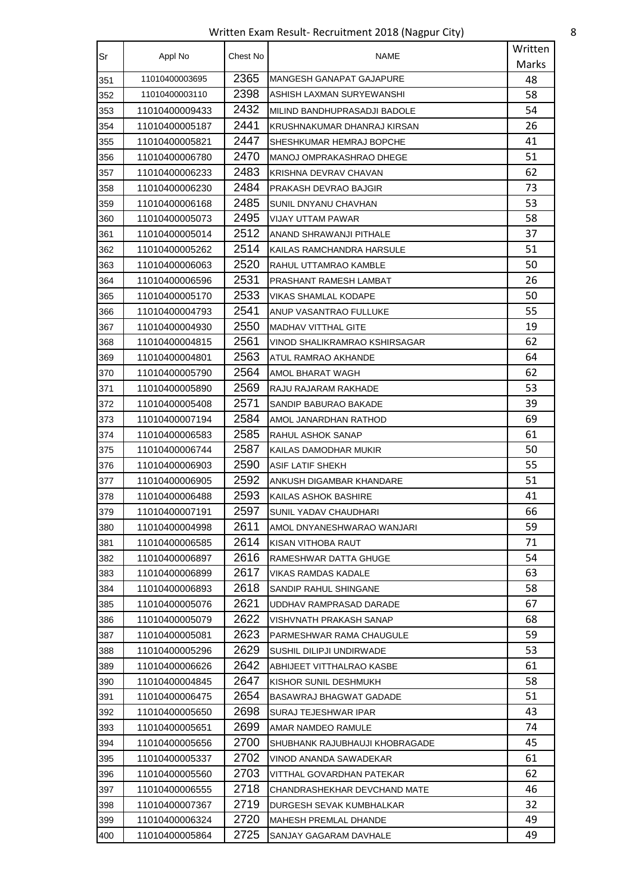Written Exam Result- Recruitment 2018 (Nagpur City) 8

| Sr  | Appl No        | Chest No | NAME                            | Written |
|-----|----------------|----------|---------------------------------|---------|
|     |                |          |                                 | Marks   |
| 351 | 11010400003695 | 2365     | <b>MANGESH GANAPAT GAJAPURE</b> | 48      |
| 352 | 11010400003110 | 2398     | ASHISH LAXMAN SURYEWANSHI       | 58      |
| 353 | 11010400009433 | 2432     | MILIND BANDHUPRASADJI BADOLE    | 54      |
| 354 | 11010400005187 | 2441     | KRUSHNAKUMAR DHANRAJ KIRSAN     | 26      |
| 355 | 11010400005821 | 2447     | SHESHKUMAR HEMRAJ BOPCHE        | 41      |
| 356 | 11010400006780 | 2470     | MANOJ OMPRAKASHRAO DHEGE        | 51      |
| 357 | 11010400006233 | 2483     | KRISHNA DEVRAV CHAVAN           | 62      |
| 358 | 11010400006230 | 2484     | PRAKASH DEVRAO BAJGIR           | 73      |
| 359 | 11010400006168 | 2485     | SUNIL DNYANU CHAVHAN            | 53      |
| 360 | 11010400005073 | 2495     | VIJAY UTTAM PAWAR               | 58      |
| 361 | 11010400005014 | 2512     | ANAND SHRAWANJI PITHALE         | 37      |
| 362 | 11010400005262 | 2514     | KAILAS RAMCHANDRA HARSULE       | 51      |
| 363 | 11010400006063 | 2520     | RAHUL UTTAMRAO KAMBLE           | 50      |
| 364 | 11010400006596 | 2531     | PRASHANT RAMESH LAMBAT          | 26      |
| 365 | 11010400005170 | 2533     | VIKAS SHAMLAL KODAPE            | 50      |
| 366 | 11010400004793 | 2541     | ANUP VASANTRAO FULLUKE          | 55      |
| 367 | 11010400004930 | 2550     | <b>MADHAV VITTHAL GITE</b>      | 19      |
| 368 | 11010400004815 | 2561     | VINOD SHALIKRAMRAO KSHIRSAGAR   | 62      |
| 369 | 11010400004801 | 2563     | ATUL RAMRAO AKHANDE             | 64      |
| 370 | 11010400005790 | 2564     | AMOL BHARAT WAGH                | 62      |
| 371 | 11010400005890 | 2569     | RAJU RAJARAM RAKHADE            | 53      |
| 372 | 11010400005408 | 2571     | SANDIP BABURAO BAKADE           | 39      |
| 373 | 11010400007194 | 2584     | AMOL JANARDHAN RATHOD           | 69      |
| 374 | 11010400006583 | 2585     | RAHUL ASHOK SANAP               | 61      |
| 375 | 11010400006744 | 2587     | KAILAS DAMODHAR MUKIR           | 50      |
| 376 | 11010400006903 | 2590     | <b>ASIF LATIF SHEKH</b>         | 55      |
| 377 | 11010400006905 | 2592     | ANKUSH DIGAMBAR KHANDARE        | 51      |
| 378 | 11010400006488 | 2593     | KAILAS ASHOK BASHIRE            | 41      |
| 379 | 11010400007191 | 2597     | SUNIL YADAV CHAUDHARI           | 66      |
| 380 | 11010400004998 | 2611     | AMOL DNYANESHWARAO WANJARI      | 59      |
| 381 | 11010400006585 | 2614     | KISAN VITHOBA RAUT              | 71      |
| 382 | 11010400006897 | 2616     | RAMESHWAR DATTA GHUGE           | 54      |
| 383 | 11010400006899 | 2617     | VIKAS RAMDAS KADALE             | 63      |
| 384 | 11010400006893 | 2618     | SANDIP RAHUL SHINGANE           | 58      |
| 385 | 11010400005076 | 2621     | UDDHAV RAMPRASAD DARADE         | 67      |
| 386 | 11010400005079 | 2622     | VISHVNATH PRAKASH SANAP         | 68      |
| 387 | 11010400005081 | 2623     | PARMESHWAR RAMA CHAUGULE        | 59      |
| 388 | 11010400005296 | 2629     | SUSHIL DILIPJI UNDIRWADE        | 53      |
| 389 | 11010400006626 | 2642     | ABHIJEET VITTHALRAO KASBE       | 61      |
| 390 | 11010400004845 | 2647     | KISHOR SUNIL DESHMUKH           | 58      |
| 391 | 11010400006475 | 2654     | BASAWRAJ BHAGWAT GADADE         | 51      |
| 392 | 11010400005650 | 2698     | SURAJ TEJESHWAR IPAR            | 43      |
| 393 | 11010400005651 | 2699     | AMAR NAMDEO RAMULE              | 74      |
| 394 | 11010400005656 | 2700     | SHUBHANK RAJUBHAUJI KHOBRAGADE  | 45      |
| 395 | 11010400005337 | 2702     | VINOD ANANDA SAWADEKAR          | 61      |
| 396 | 11010400005560 | 2703     | VITTHAL GOVARDHAN PATEKAR       | 62      |
| 397 | 11010400006555 | 2718     | CHANDRASHEKHAR DEVCHAND MATE    | 46      |
| 398 | 11010400007367 | 2719     | DURGESH SEVAK KUMBHALKAR        | 32      |
| 399 | 11010400006324 | 2720     | MAHESH PREMLAL DHANDE           | 49      |
| 400 | 11010400005864 | 2725     | SANJAY GAGARAM DAVHALE          | 49      |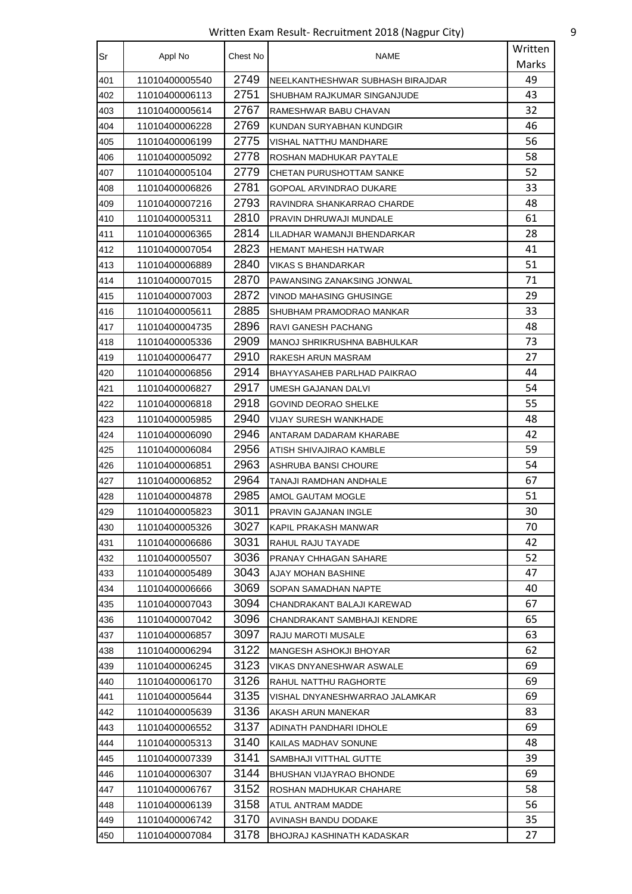Written Exam Result- Recruitment 2018 (Nagpur City) 9

| Sr  | Appl No        | Chest No | NAME                             | Written |
|-----|----------------|----------|----------------------------------|---------|
|     |                |          |                                  | Marks   |
| 401 | 11010400005540 | 2749     | NEELKANTHESHWAR SUBHASH BIRAJDAR | 49      |
| 402 | 11010400006113 | 2751     | SHUBHAM RAJKUMAR SINGANJUDE      | 43      |
| 403 | 11010400005614 | 2767     | RAMESHWAR BABU CHAVAN            | 32      |
| 404 | 11010400006228 | 2769     | KUNDAN SURYABHAN KUNDGIR         | 46      |
| 405 | 11010400006199 | 2775     | VISHAL NATTHU MANDHARE           | 56      |
| 406 | 11010400005092 | 2778     | ROSHAN MADHUKAR PAYTALE          | 58      |
| 407 | 11010400005104 | 2779     | CHETAN PURUSHOTTAM SANKE         | 52      |
| 408 | 11010400006826 | 2781     | GOPOAL ARVINDRAO DUKARE          | 33      |
| 409 | 11010400007216 | 2793     | RAVINDRA SHANKARRAO CHARDE       | 48      |
| 410 | 11010400005311 | 2810     | PRAVIN DHRUWAJI MUNDALE          | 61      |
| 411 | 11010400006365 | 2814     | LILADHAR WAMANJI BHENDARKAR      | 28      |
| 412 | 11010400007054 | 2823     | <b>HEMANT MAHESH HATWAR</b>      | 41      |
| 413 | 11010400006889 | 2840     | <b>VIKAS S BHANDARKAR</b>        | 51      |
| 414 | 11010400007015 | 2870     | PAWANSING ZANAKSING JONWAL       | 71      |
| 415 | 11010400007003 | 2872     | VINOD MAHASING GHUSINGE          | 29      |
| 416 | 11010400005611 | 2885     | SHUBHAM PRAMODRAO MANKAR         | 33      |
| 417 | 11010400004735 | 2896     | RAVI GANESH PACHANG              | 48      |
| 418 | 11010400005336 | 2909     | MANOJ SHRIKRUSHNA BABHULKAR      | 73      |
| 419 | 11010400006477 | 2910     | RAKESH ARUN MASRAM               | 27      |
| 420 | 11010400006856 | 2914     | BHAYYASAHEB PARLHAD PAIKRAO      | 44      |
| 421 | 11010400006827 | 2917     | UMESH GAJANAN DALVI              | 54      |
| 422 | 11010400006818 | 2918     | GOVIND DEORAO SHELKE             | 55      |
| 423 | 11010400005985 | 2940     | VIJAY SURESH WANKHADE            | 48      |
| 424 | 11010400006090 | 2946     | ANTARAM DADARAM KHARABE          | 42      |
| 425 | 11010400006084 | 2956     | ATISH SHIVAJIRAO KAMBLE          | 59      |
| 426 | 11010400006851 | 2963     | ASHRUBA BANSI CHOURE             | 54      |
| 427 | 11010400006852 | 2964     | TANAJI RAMDHAN ANDHALE           | 67      |
| 428 | 11010400004878 | 2985     | AMOL GAUTAM MOGLE                | 51      |
| 429 | 11010400005823 | 3011     | PRAVIN GAJANAN INGLE             | 30      |
| 430 | 11010400005326 | 3027     | KAPIL PRAKASH MANWAR             | 70      |
| 431 | 11010400006686 | 3031     | RAHUL RAJU TAYADE                | 42      |
| 432 | 11010400005507 | 3036     | PRANAY CHHAGAN SAHARE            | 52      |
| 433 | 11010400005489 | 3043     | AJAY MOHAN BASHINE               | 47      |
| 434 | 11010400006666 | 3069     | SOPAN SAMADHAN NAPTE             | 40      |
| 435 | 11010400007043 | 3094     | CHANDRAKANT BALAJI KAREWAD       | 67      |
| 436 | 11010400007042 | 3096     | CHANDRAKANT SAMBHAJI KENDRE      | 65      |
| 437 | 11010400006857 | 3097     | RAJU MAROTI MUSALE               | 63      |
| 438 | 11010400006294 | 3122     | MANGESH ASHOKJI BHOYAR           | 62      |
| 439 | 11010400006245 | 3123     | VIKAS DNYANESHWAR ASWALE         | 69      |
| 440 | 11010400006170 | 3126     | RAHUL NATTHU RAGHORTE            | 69      |
| 441 | 11010400005644 | 3135     | VISHAL DNYANESHWARRAO JALAMKAR   | 69      |
| 442 | 11010400005639 | 3136     | AKASH ARUN MANEKAR               | 83      |
| 443 | 11010400006552 | 3137     | ADINATH PANDHARI IDHOLE          | 69      |
| 444 | 11010400005313 | 3140     | KAILAS MADHAV SONUNE             | 48      |
| 445 | 11010400007339 | 3141     | SAMBHAJI VITTHAL GUTTE           | 39      |
| 446 | 11010400006307 | 3144     | BHUSHAN VIJAYRAO BHONDE          | 69      |
| 447 | 11010400006767 | 3152     | ROSHAN MADHUKAR CHAHARE          | 58      |
| 448 | 11010400006139 | 3158     | ATUL ANTRAM MADDE                | 56      |
| 449 | 11010400006742 | 3170     | AVINASH BANDU DODAKE             | 35      |
| 450 | 11010400007084 | 3178     | BHOJRAJ KASHINATH KADASKAR       | 27      |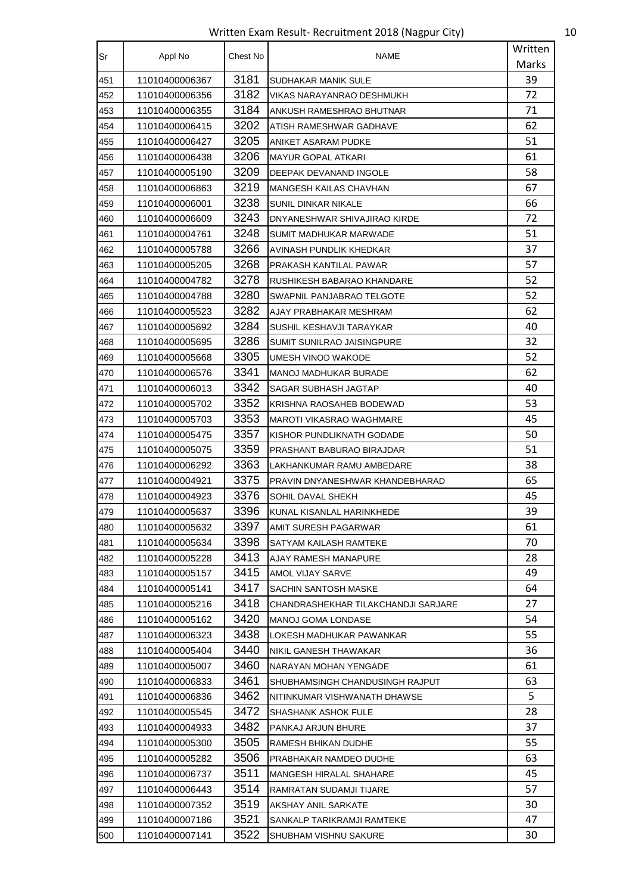Written Exam Result- Recruitment 2018 (Nagpur City) 10

| <b>Sr</b> | Appl No        | Chest No | NAME                                | Written |
|-----------|----------------|----------|-------------------------------------|---------|
|           |                |          |                                     | Marks   |
| 451       | 11010400006367 | 3181     | SUDHAKAR MANIK SULE                 | 39      |
| 452       | 11010400006356 | 3182     | VIKAS NARAYANRAO DESHMUKH           | 72      |
| 453       | 11010400006355 | 3184     | ANKUSH RAMESHRAO BHUTNAR            | 71      |
| 454       | 11010400006415 | 3202     | ATISH RAMESHWAR GADHAVE             | 62      |
| 455       | 11010400006427 | 3205     | ANIKET ASARAM PUDKE                 | 51      |
| 456       | 11010400006438 | 3206     | MAYUR GOPAL ATKARI                  | 61      |
| 457       | 11010400005190 | 3209     | DEEPAK DEVANAND INGOLE              | 58      |
| 458       | 11010400006863 | 3219     | MANGESH KAILAS CHAVHAN              | 67      |
| 459       | 11010400006001 | 3238     | SUNIL DINKAR NIKALE                 | 66      |
| 460       | 11010400006609 | 3243     | DNYANESHWAR SHIVAJIRAO KIRDE        | 72      |
| 461       | 11010400004761 | 3248     | SUMIT MADHUKAR MARWADE              | 51      |
| 462       | 11010400005788 | 3266     | AVINASH PUNDLIK KHEDKAR             | 37      |
| 463       | 11010400005205 | 3268     | PRAKASH KANTILAL PAWAR              | 57      |
| 464       | 11010400004782 | 3278     | RUSHIKESH BABARAO KHANDARE          | 52      |
| 465       | 11010400004788 | 3280     | SWAPNIL PANJABRAO TELGOTE           | 52      |
| 466       | 11010400005523 | 3282     | AJAY PRABHAKAR MESHRAM              | 62      |
| 467       | 11010400005692 | 3284     | SUSHIL KESHAVJI TARAYKAR            | 40      |
| 468       | 11010400005695 | 3286     | SUMIT SUNILRAO JAISINGPURE          | 32      |
| 469       | 11010400005668 | 3305     | UMESH VINOD WAKODE                  | 52      |
| 470       | 11010400006576 | 3341     | MANOJ MADHUKAR BURADE               | 62      |
| 471       | 11010400006013 | 3342     | SAGAR SUBHASH JAGTAP                | 40      |
| 472       | 11010400005702 | 3352     | KRISHNA RAOSAHEB BODEWAD            | 53      |
| 473       | 11010400005703 | 3353     | MAROTI VIKASRAO WAGHMARE            | 45      |
| 474       | 11010400005475 | 3357     | KISHOR PUNDLIKNATH GODADE           | 50      |
| 475       | 11010400005075 | 3359     | PRASHANT BABURAO BIRAJDAR           | 51      |
| 476       | 11010400006292 | 3363     | LAKHANKUMAR RAMU AMBEDARE           | 38      |
| 477       | 11010400004921 | 3375     | PRAVIN DNYANESHWAR KHANDEBHARAD     | 65      |
| 478       | 11010400004923 | 3376     | SOHIL DAVAL SHEKH                   | 45      |
| 479       | 11010400005637 | 3396     | KUNAL KISANLAL HARINKHEDE           | 39      |
| 480       | 11010400005632 | 3397     | AMIT SURESH PAGARWAR                | 61      |
| 481       | 11010400005634 | 3398     | SATYAM KAILASH RAMTEKE              | 70      |
| 482       | 11010400005228 | 3413     | AJAY RAMESH MANAPURE                | 28      |
| 483       | 11010400005157 | 3415     | AMOL VIJAY SARVE                    | 49      |
| 484       | 11010400005141 | 3417     | SACHIN SANTOSH MASKE                | 64      |
| 485       | 11010400005216 | 3418     | CHANDRASHEKHAR TILAKCHANDJI SARJARE | 27      |
| 486       | 11010400005162 | 3420     | MANOJ GOMA LONDASE                  | 54      |
| 487       | 11010400006323 | 3438     | LOKESH MADHUKAR PAWANKAR            | 55      |
| 488       | 11010400005404 | 3440     | NIKIL GANESH THAWAKAR               | 36      |
| 489       | 11010400005007 | 3460     | NARAYAN MOHAN YENGADE               | 61      |
| 490       | 11010400006833 | 3461     | SHUBHAMSINGH CHANDUSINGH RAJPUT     | 63      |
| 491       | 11010400006836 | 3462     | NITINKUMAR VISHWANATH DHAWSE        | 5       |
| 492       | 11010400005545 | 3472     | SHASHANK ASHOK FULE                 | 28      |
| 493       | 11010400004933 | 3482     | PANKAJ ARJUN BHURE                  | 37      |
| 494       | 11010400005300 | 3505     | RAMESH BHIKAN DUDHE                 | 55      |
| 495       | 11010400005282 | 3506     | PRABHAKAR NAMDEO DUDHE              | 63      |
| 496       | 11010400006737 | 3511     | MANGESH HIRALAL SHAHARE             | 45      |
| 497       | 11010400006443 | 3514     | RAMRATAN SUDAMJI TIJARE             | 57      |
| 498       | 11010400007352 | 3519     | AKSHAY ANIL SARKATE                 | 30      |
| 499       | 11010400007186 | 3521     | SANKALP TARIKRAMJI RAMTEKE          | 47      |
| 500       | 11010400007141 | 3522     | SHUBHAM VISHNU SAKURE               | 30      |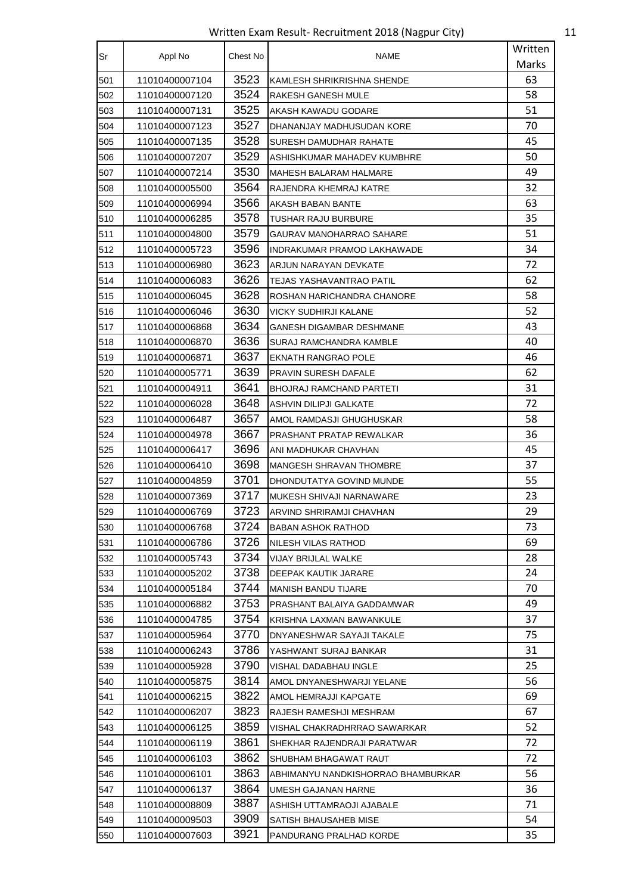Written Exam Result- Recruitment 2018 (Nagpur City) 11

| Sr  | Appl No        | Chest No | NAME                               | Written |
|-----|----------------|----------|------------------------------------|---------|
|     |                |          |                                    | Marks   |
| 501 | 11010400007104 | 3523     | KAMLESH SHRIKRISHNA SHENDE         | 63      |
| 502 | 11010400007120 | 3524     | RAKESH GANESH MULE                 | 58      |
| 503 | 11010400007131 | 3525     | AKASH KAWADU GODARE                | 51      |
| 504 | 11010400007123 | 3527     | DHANANJAY MADHUSUDAN KORE          | 70      |
| 505 | 11010400007135 | 3528     | SURESH DAMUDHAR RAHATE             | 45      |
| 506 | 11010400007207 | 3529     | ASHISHKUMAR MAHADEV KUMBHRE        | 50      |
| 507 | 11010400007214 | 3530     | MAHESH BALARAM HALMARE             | 49      |
| 508 | 11010400005500 | 3564     | RAJENDRA KHEMRAJ KATRE             | 32      |
| 509 | 11010400006994 | 3566     | AKASH BABAN BANTE                  | 63      |
| 510 | 11010400006285 | 3578     | TUSHAR RAJU BURBURE                | 35      |
| 511 | 11010400004800 | 3579     | GAURAV MANOHARRAO SAHARE           | 51      |
| 512 | 11010400005723 | 3596     | INDRAKUMAR PRAMOD LAKHAWADE        | 34      |
| 513 | 11010400006980 | 3623     | ARJUN NARAYAN DEVKATE              | 72      |
| 514 | 11010400006083 | 3626     | TEJAS YASHAVANTRAO PATIL           | 62      |
| 515 | 11010400006045 | 3628     | ROSHAN HARICHANDRA CHANORE         | 58      |
| 516 | 11010400006046 | 3630     | VICKY SUDHIRJI KALANE              | 52      |
| 517 | 11010400006868 | 3634     | GANESH DIGAMBAR DESHMANE           | 43      |
| 518 | 11010400006870 | 3636     | SURAJ RAMCHANDRA KAMBLE            | 40      |
| 519 | 11010400006871 | 3637     | EKNATH RANGRAO POLE                | 46      |
| 520 | 11010400005771 | 3639     | PRAVIN SURESH DAFALE               | 62      |
| 521 | 11010400004911 | 3641     | BHOJRAJ RAMCHAND PARTETI           | 31      |
| 522 | 11010400006028 | 3648     | ASHVIN DILIPJI GALKATE             | 72      |
| 523 | 11010400006487 | 3657     | AMOL RAMDASJI GHUGHUSKAR           | 58      |
| 524 | 11010400004978 | 3667     | PRASHANT PRATAP REWALKAR           | 36      |
| 525 | 11010400006417 | 3696     | ANI MADHUKAR CHAVHAN               | 45      |
| 526 | 11010400006410 | 3698     | MANGESH SHRAVAN THOMBRE            | 37      |
| 527 | 11010400004859 | 3701     | DHONDUTATYA GOVIND MUNDE           | 55      |
| 528 | 11010400007369 | 3717     | MUKESH SHIVAJI NARNAWARE           | 23      |
| 529 | 11010400006769 | 3723     | ARVIND SHRIRAMJI CHAVHAN           | 29      |
| 530 | 11010400006768 | 3724     | <b>BABAN ASHOK RATHOD</b>          | 73      |
| 531 | 11010400006786 | 3726     | NILESH VILAS RATHOD                | 69      |
| 532 | 11010400005743 | 3734     | VIJAY BRIJLAL WALKE                | 28      |
| 533 | 11010400005202 | 3738     | DEEPAK KAUTIK JARARE               | 24      |
| 534 | 11010400005184 | 3744     | <b>MANISH BANDU TIJARE</b>         | 70      |
| 535 | 11010400006882 | 3753     | PRASHANT BALAIYA GADDAMWAR         | 49      |
| 536 | 11010400004785 | 3754     | KRISHNA LAXMAN BAWANKULE           | 37      |
| 537 | 11010400005964 | 3770     | DNYANESHWAR SAYAJI TAKALE          | 75      |
| 538 | 11010400006243 | 3786     | YASHWANT SURAJ BANKAR              | 31      |
| 539 | 11010400005928 | 3790     | VISHAL DADABHAU INGLE              | 25      |
| 540 | 11010400005875 | 3814     | AMOL DNYANESHWARJI YELANE          | 56      |
| 541 | 11010400006215 | 3822     | AMOL HEMRAJJI KAPGATE              | 69      |
| 542 | 11010400006207 | 3823     | RAJESH RAMESHJI MESHRAM            | 67      |
| 543 | 11010400006125 | 3859     | VISHAL CHAKRADHRRAO SAWARKAR       | 52      |
| 544 | 11010400006119 | 3861     | SHEKHAR RAJENDRAJI PARATWAR        | 72      |
| 545 | 11010400006103 | 3862     | SHUBHAM BHAGAWAT RAUT              | 72      |
| 546 | 11010400006101 | 3863     | ABHIMANYU NANDKISHORRAO BHAMBURKAR | 56      |
| 547 | 11010400006137 | 3864     | UMESH GAJANAN HARNE                | 36      |
| 548 | 11010400008809 | 3887     | ASHISH UTTAMRAOJI AJABALE          | 71      |
| 549 | 11010400009503 | 3909     | SATISH BHAUSAHEB MISE              | 54      |
| 550 | 11010400007603 | 3921     | PANDURANG PRALHAD KORDE            | 35      |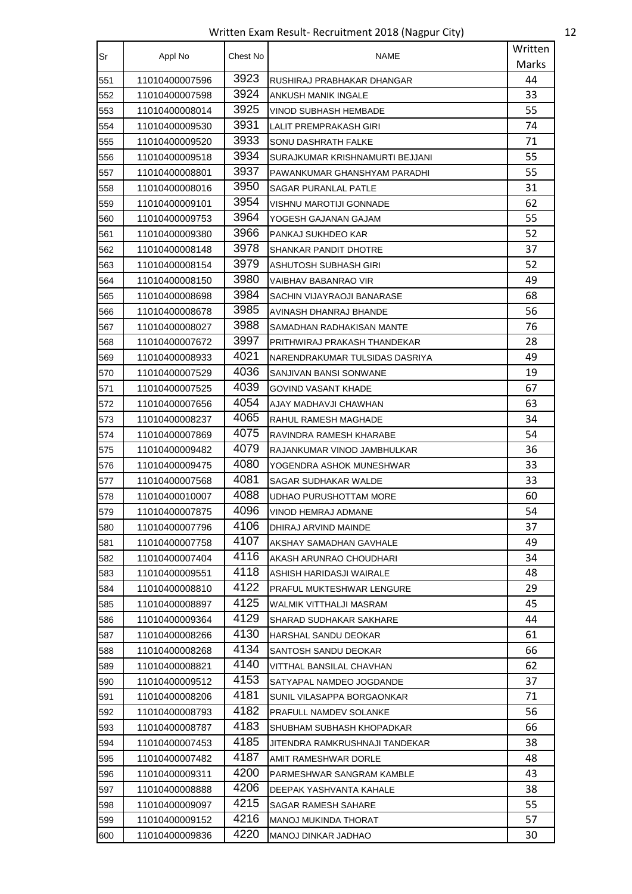Written Exam Result- Recruitment 2018 (Nagpur City) 12

| Sr  | Appl No        | Chest No | <b>NAME</b>                     | Written |
|-----|----------------|----------|---------------------------------|---------|
|     |                |          |                                 | Marks   |
| 551 | 11010400007596 | 3923     | RUSHIRAJ PRABHAKAR DHANGAR      | 44      |
| 552 | 11010400007598 | 3924     | ANKUSH MANIK INGALE             | 33      |
| 553 | 11010400008014 | 3925     | VINOD SUBHASH HEMBADE           | 55      |
| 554 | 11010400009530 | 3931     | LALIT PREMPRAKASH GIRI          | 74      |
| 555 | 11010400009520 | 3933     | SONU DASHRATH FALKE             | 71      |
| 556 | 11010400009518 | 3934     | SURAJKUMAR KRISHNAMURTI BEJJANI | 55      |
| 557 | 11010400008801 | 3937     | PAWANKUMAR GHANSHYAM PARADHI    | 55      |
| 558 | 11010400008016 | 3950     | <b>SAGAR PURANLAL PATLE</b>     | 31      |
| 559 | 11010400009101 | 3954     | VISHNU MAROTIJI GONNADE         | 62      |
| 560 | 11010400009753 | 3964     | YOGESH GAJANAN GAJAM            | 55      |
| 561 | 11010400009380 | 3966     | PANKAJ SUKHDEO KAR              | 52      |
| 562 | 11010400008148 | 3978     | <b>SHANKAR PANDIT DHOTRE</b>    | 37      |
| 563 | 11010400008154 | 3979     | ASHUTOSH SUBHASH GIRI           | 52      |
| 564 | 11010400008150 | 3980     | VAIBHAV BABANRAO VIR            | 49      |
| 565 | 11010400008698 | 3984     | SACHIN VIJAYRAOJI BANARASE      | 68      |
| 566 | 11010400008678 | 3985     | AVINASH DHANRAJ BHANDE          | 56      |
| 567 | 11010400008027 | 3988     | SAMADHAN RADHAKISAN MANTE       | 76      |
| 568 | 11010400007672 | 3997     | PRITHWIRAJ PRAKASH THANDEKAR    | 28      |
| 569 | 11010400008933 | 4021     | NARENDRAKUMAR TULSIDAS DASRIYA  | 49      |
| 570 | 11010400007529 | 4036     | SANJIVAN BANSI SONWANE          | 19      |
| 571 | 11010400007525 | 4039     | GOVIND VASANT KHADE             | 67      |
| 572 | 11010400007656 | 4054     | AJAY MADHAVJI CHAWHAN           | 63      |
| 573 | 11010400008237 | 4065     | RAHUL RAMESH MAGHADE            | 34      |
| 574 | 11010400007869 | 4075     | RAVINDRA RAMESH KHARABE         | 54      |
| 575 | 11010400009482 | 4079     | RAJANKUMAR VINOD JAMBHULKAR     | 36      |
| 576 | 11010400009475 | 4080     | YOGENDRA ASHOK MUNESHWAR        | 33      |
| 577 | 11010400007568 | 4081     | SAGAR SUDHAKAR WALDE            | 33      |
| 578 | 11010400010007 | 4088     | UDHAO PURUSHOTTAM MORE          | 60      |
| 579 | 11010400007875 | 4096     | VINOD HEMRAJ ADMANE             | 54      |
| 580 | 11010400007796 | 4106     | DHIRAJ ARVIND MAINDE            | 37      |
| 581 | 11010400007758 | 4107     | AKSHAY SAMADHAN GAVHALE         | 49      |
| 582 | 11010400007404 | 4116     | AKASH ARUNRAO CHOUDHARI         | 34      |
| 583 | 11010400009551 | 4118     | ASHISH HARIDASJI WAIRALE        | 48      |
| 584 | 11010400008810 | 4122     | PRAFUL MUKTESHWAR LENGURE       | 29      |
| 585 | 11010400008897 | 4125     | WALMIK VITTHALJI MASRAM         | 45      |
| 586 | 11010400009364 | 4129     | SHARAD SUDHAKAR SAKHARE         | 44      |
| 587 | 11010400008266 | 4130     | HARSHAL SANDU DEOKAR            | 61      |
| 588 | 11010400008268 | 4134     | SANTOSH SANDU DEOKAR            | 66      |
| 589 | 11010400008821 | 4140     | VITTHAL BANSILAL CHAVHAN        | 62      |
| 590 | 11010400009512 | 4153     | SATYAPAL NAMDEO JOGDANDE        | 37      |
| 591 | 11010400008206 | 4181     | SUNIL VILASAPPA BORGAONKAR      | 71      |
| 592 | 11010400008793 | 4182     | PRAFULL NAMDEV SOLANKE          | 56      |
| 593 | 11010400008787 | 4183     | SHUBHAM SUBHASH KHOPADKAR       | 66      |
| 594 | 11010400007453 | 4185     | JITENDRA RAMKRUSHNAJI TANDEKAR  | 38      |
| 595 | 11010400007482 | 4187     | AMIT RAMESHWAR DORLE            | 48      |
| 596 | 11010400009311 | 4200     | PARMESHWAR SANGRAM KAMBLE       | 43      |
| 597 | 11010400008888 | 4206     | DEEPAK YASHVANTA KAHALE         | 38      |
| 598 | 11010400009097 | 4215     | SAGAR RAMESH SAHARE             | 55      |
| 599 | 11010400009152 | 4216     | MANOJ MUKINDA THORAT            | 57      |
| 600 | 11010400009836 | 4220     | MANOJ DINKAR JADHAO             | 30      |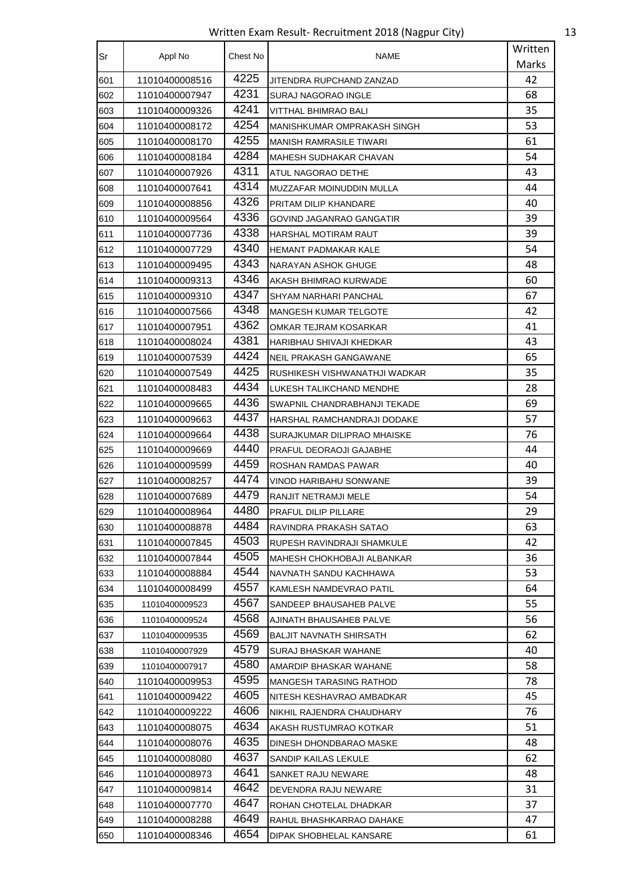Written Exam Result- Recruitment 2018 (Nagpur City) 13

| Sr  | Appl No        | Chest No | <b>NAME</b>                    | Written |
|-----|----------------|----------|--------------------------------|---------|
|     |                |          |                                | Marks   |
| 601 | 11010400008516 | 4225     | JITENDRA RUPCHAND ZANZAD       | 42      |
| 602 | 11010400007947 | 4231     | SURAJ NAGORAO INGLE            | 68      |
| 603 | 11010400009326 | 4241     | VITTHAL BHIMRAO BALI           | 35      |
| 604 | 11010400008172 | 4254     | MANISHKUMAR OMPRAKASH SINGH    | 53      |
| 605 | 11010400008170 | 4255     | <b>MANISH RAMRASILE TIWARI</b> | 61      |
| 606 | 11010400008184 | 4284     | MAHESH SUDHAKAR CHAVAN         | 54      |
| 607 | 11010400007926 | 4311     | ATUL NAGORAO DETHE             | 43      |
| 608 | 11010400007641 | 4314     | MUZZAFAR MOINUDDIN MULLA       | 44      |
| 609 | 11010400008856 | 4326     | PRITAM DILIP KHANDARE          | 40      |
| 610 | 11010400009564 | 4336     | GOVIND JAGANRAO GANGATIR       | 39      |
| 611 | 11010400007736 | 4338     | HARSHAL MOTIRAM RAUT           | 39      |
| 612 | 11010400007729 | 4340     | HEMANT PADMAKAR KALE           | 54      |
| 613 | 11010400009495 | 4343     | NARAYAN ASHOK GHUGE            | 48      |
| 614 | 11010400009313 | 4346     | AKASH BHIMRAO KURWADE          | 60      |
| 615 | 11010400009310 | 4347     | SHYAM NARHARI PANCHAL          | 67      |
| 616 | 11010400007566 | 4348     | MANGESH KUMAR TELGOTE          | 42      |
| 617 | 11010400007951 | 4362     | OMKAR TEJRAM KOSARKAR          | 41      |
| 618 | 11010400008024 | 4381     | HARIBHAU SHIVAJI KHEDKAR       | 43      |
| 619 | 11010400007539 | 4424     | NEIL PRAKASH GANGAWANE         | 65      |
| 620 | 11010400007549 | 4425     | RUSHIKESH VISHWANATHJI WADKAR  | 35      |
| 621 | 11010400008483 | 4434     | LUKESH TALIKCHAND MENDHE       | 28      |
| 622 | 11010400009665 | 4436     | SWAPNIL CHANDRABHANJI TEKADE   | 69      |
| 623 | 11010400009663 | 4437     | HARSHAL RAMCHANDRAJI DODAKE    | 57      |
| 624 | 11010400009664 | 4438     | SURAJKUMAR DILIPRAO MHAISKE    | 76      |
| 625 | 11010400009669 | 4440     | PRAFUL DEORAOJI GAJABHE        | 44      |
| 626 | 11010400009599 | 4459     | ROSHAN RAMDAS PAWAR            | 40      |
| 627 | 11010400008257 | 4474     | VINOD HARIBAHU SONWANE         | 39      |
| 628 | 11010400007689 | 4479     | RANJIT NETRAMJI MELE           | 54      |
| 629 | 11010400008964 | 4480     | PRAFUL DILIP PILLARE           | 29      |
| 630 | 11010400008878 | 4484     | RAVINDRA PRAKASH SATAO         | 63      |
| 631 | 11010400007845 | 4503     | RUPESH RAVINDRAJI SHAMKULE     | 42      |
| 632 | 11010400007844 | 4505     | MAHESH CHOKHOBAJI ALBANKAR     | 36      |
| 633 | 11010400008884 | 4544     | NAVNATH SANDU KACHHAWA         | 53      |
| 634 | 11010400008499 | 4557     | KAMLESH NAMDEVRAO PATIL        | 64      |
| 635 | 11010400009523 | 4567     | SANDEEP BHAUSAHEB PALVE        | 55      |
| 636 | 11010400009524 | 4568     | AJINATH BHAUSAHEB PALVE        | 56      |
| 637 | 11010400009535 | 4569     | BALJIT NAVNATH SHIRSATH        | 62      |
| 638 | 11010400007929 | 4579     | SURAJ BHASKAR WAHANE           | 40      |
| 639 | 11010400007917 | 4580     | AMARDIP BHASKAR WAHANE         | 58      |
| 640 | 11010400009953 | 4595     | MANGESH TARASING RATHOD        | 78      |
| 641 | 11010400009422 | 4605     | NITESH KESHAVRAO AMBADKAR      | 45      |
| 642 | 11010400009222 | 4606     | NIKHIL RAJENDRA CHAUDHARY      | 76      |
| 643 | 11010400008075 | 4634     | AKASH RUSTUMRAO KOTKAR         | 51      |
| 644 | 11010400008076 | 4635     | DINESH DHONDBARAO MASKE        | 48      |
| 645 | 11010400008080 | 4637     | SANDIP KAILAS LEKULE           | 62      |
| 646 | 11010400008973 | 4641     | SANKET RAJU NEWARE             | 48      |
| 647 | 11010400009814 | 4642     | DEVENDRA RAJU NEWARE           | 31      |
| 648 | 11010400007770 | 4647     | ROHAN CHOTELAL DHADKAR         | 37      |
| 649 | 11010400008288 | 4649     | RAHUL BHASHKARRAO DAHAKE       | 47      |
| 650 | 11010400008346 | 4654     | DIPAK SHOBHELAL KANSARE        | 61      |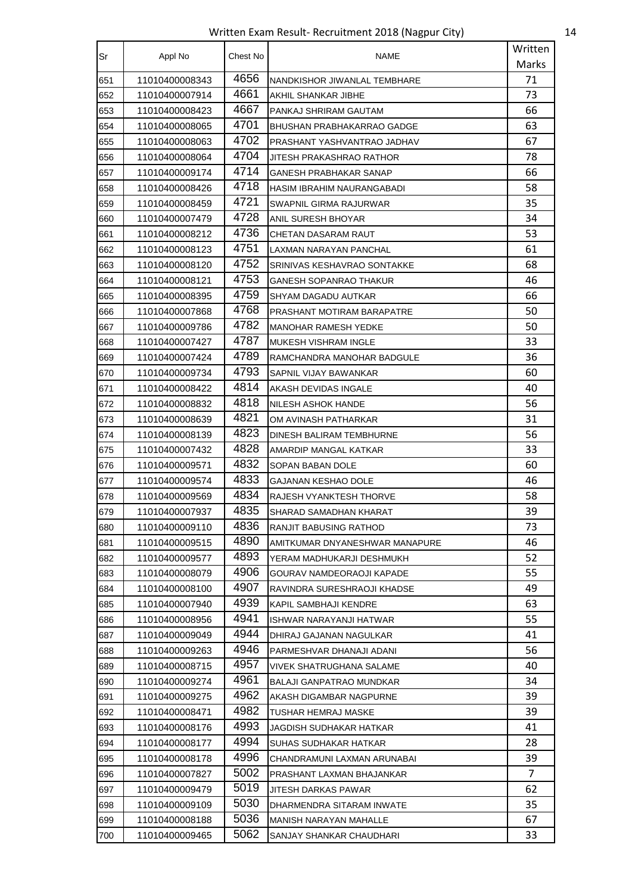Written Exam Result- Recruitment 2018 (Nagpur City) 14

| Sr  | Appl No        | Chest No | <b>NAME</b>                       | Written |
|-----|----------------|----------|-----------------------------------|---------|
|     |                |          |                                   | Marks   |
| 651 | 11010400008343 | 4656     | NANDKISHOR JIWANLAL TEMBHARE      | 71      |
| 652 | 11010400007914 | 4661     | AKHIL SHANKAR JIBHE               | 73      |
| 653 | 11010400008423 | 4667     | PANKAJ SHRIRAM GAUTAM             | 66      |
| 654 | 11010400008065 | 4701     | BHUSHAN PRABHAKARRAO GADGE        | 63      |
| 655 | 11010400008063 | 4702     | PRASHANT YASHVANTRAO JADHAV       | 67      |
| 656 | 11010400008064 | 4704     | JITESH PRAKASHRAO RATHOR          | 78      |
| 657 | 11010400009174 | 4714     | GANESH PRABHAKAR SANAP            | 66      |
| 658 | 11010400008426 | 4718     | <b>HASIM IBRAHIM NAURANGABADI</b> | 58      |
| 659 | 11010400008459 | 4721     | SWAPNIL GIRMA RAJURWAR            | 35      |
| 660 | 11010400007479 | 4728     | ANIL SURESH BHOYAR                | 34      |
| 661 | 11010400008212 | 4736     | CHETAN DASARAM RAUT               | 53      |
| 662 | 11010400008123 | 4751     | LAXMAN NARAYAN PANCHAL            | 61      |
| 663 | 11010400008120 | 4752     | SRINIVAS KESHAVRAO SONTAKKE       | 68      |
| 664 | 11010400008121 | 4753     | GANESH SOPANRAO THAKUR            | 46      |
| 665 | 11010400008395 | 4759     | SHYAM DAGADU AUTKAR               | 66      |
| 666 | 11010400007868 | 4768     | PRASHANT MOTIRAM BARAPATRE        | 50      |
| 667 | 11010400009786 | 4782     | <b>MANOHAR RAMESH YEDKE</b>       | 50      |
| 668 | 11010400007427 | 4787     | <b>MUKESH VISHRAM INGLE</b>       | 33      |
| 669 | 11010400007424 | 4789     | RAMCHANDRA MANOHAR BADGULE        | 36      |
| 670 | 11010400009734 | 4793     | SAPNIL VIJAY BAWANKAR             | 60      |
| 671 | 11010400008422 | 4814     | AKASH DEVIDAS INGALE              | 40      |
| 672 | 11010400008832 | 4818     | NILESH ASHOK HANDE                | 56      |
| 673 | 11010400008639 | 4821     | OM AVINASH PATHARKAR              | 31      |
| 674 | 11010400008139 | 4823     | DINESH BALIRAM TEMBHURNE          | 56      |
| 675 | 11010400007432 | 4828     | AMARDIP MANGAL KATKAR             | 33      |
| 676 | 11010400009571 | 4832     | SOPAN BABAN DOLE                  | 60      |
| 677 | 11010400009574 | 4833     | GAJANAN KESHAO DOLE               | 46      |
| 678 | 11010400009569 | 4834     | RAJESH VYANKTESH THORVE           | 58      |
| 679 | 11010400007937 | 4835     | SHARAD SAMADHAN KHARAT            | 39      |
| 680 | 11010400009110 | 4836     | RANJIT BABUSING RATHOD            | 73      |
| 681 | 11010400009515 | 4890     | AMITKUMAR DNYANESHWAR MANAPURE    | 46      |
| 682 | 11010400009577 | 4893     | YERAM MADHUKARJI DESHMUKH         | 52      |
| 683 | 11010400008079 | 4906     | GOURAV NAMDEORAOJI KAPADE         | 55      |
| 684 | 11010400008100 | 4907     | RAVINDRA SURESHRAOJI KHADSE       | 49      |
| 685 | 11010400007940 | 4939     | KAPIL SAMBHAJI KENDRE             | 63      |
| 686 | 11010400008956 | 4941     | ISHWAR NARAYANJI HATWAR           | 55      |
| 687 | 11010400009049 | 4944     | DHIRAJ GAJANAN NAGULKAR           | 41      |
| 688 | 11010400009263 | 4946     | PARMESHVAR DHANAJI ADANI          | 56      |
| 689 | 11010400008715 | 4957     | VIVEK SHATRUGHANA SALAME          | 40      |
| 690 | 11010400009274 | 4961     | <b>BALAJI GANPATRAO MUNDKAR</b>   | 34      |
| 691 | 11010400009275 | 4962     | AKASH DIGAMBAR NAGPURNE           | 39      |
| 692 | 11010400008471 | 4982     | TUSHAR HEMRAJ MASKE               | 39      |
| 693 | 11010400008176 | 4993     | JAGDISH SUDHAKAR HATKAR           | 41      |
| 694 | 11010400008177 | 4994     | SUHAS SUDHAKAR HATKAR             | 28      |
| 695 | 11010400008178 | 4996     | CHANDRAMUNI LAXMAN ARUNABAI       | 39      |
| 696 | 11010400007827 | 5002     | PRASHANT LAXMAN BHAJANKAR         | 7       |
| 697 | 11010400009479 | 5019     | JITESH DARKAS PAWAR               | 62      |
| 698 | 11010400009109 | 5030     | DHARMENDRA SITARAM INWATE         | 35      |
| 699 | 11010400008188 | 5036     | MANISH NARAYAN MAHALLE            | 67      |
| 700 | 11010400009465 | 5062     | SANJAY SHANKAR CHAUDHARI          | 33      |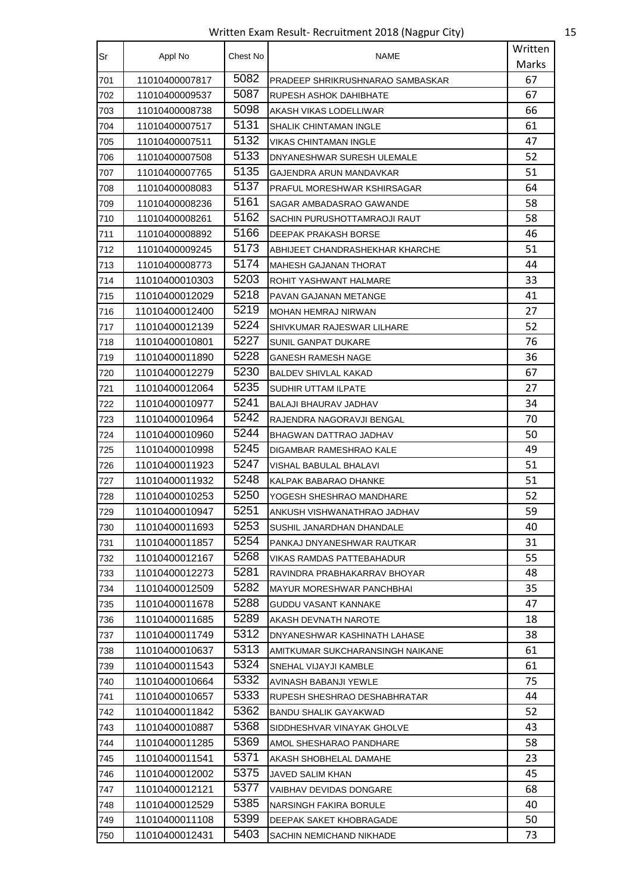Written Exam Result- Recruitment 2018 (Nagpur City) 15

| Sr  | Appl No        | Chest No | <b>NAME</b>                      | Written |
|-----|----------------|----------|----------------------------------|---------|
|     |                |          |                                  | Marks   |
| 701 | 11010400007817 | 5082     | PRADEEP SHRIKRUSHNARAO SAMBASKAR | 67      |
| 702 | 11010400009537 | 5087     | RUPESH ASHOK DAHIBHATE           | 67      |
| 703 | 11010400008738 | 5098     | AKASH VIKAS LODELLIWAR           | 66      |
| 704 | 11010400007517 | 5131     | SHALIK CHINTAMAN INGLE           | 61      |
| 705 | 11010400007511 | 5132     | <b>VIKAS CHINTAMAN INGLE</b>     | 47      |
| 706 | 11010400007508 | 5133     | DNYANESHWAR SURESH ULEMALE       | 52      |
| 707 | 11010400007765 | 5135     | GAJENDRA ARUN MANDAVKAR          | 51      |
| 708 | 11010400008083 | 5137     | PRAFUL MORESHWAR KSHIRSAGAR      | 64      |
| 709 | 11010400008236 | 5161     | SAGAR AMBADASRAO GAWANDE         | 58      |
| 710 | 11010400008261 | 5162     | SACHIN PURUSHOTTAMRAOJI RAUT     | 58      |
| 711 | 11010400008892 | 5166     | DEEPAK PRAKASH BORSE             | 46      |
| 712 | 11010400009245 | 5173     | ABHIJEET CHANDRASHEKHAR KHARCHE  | 51      |
| 713 | 11010400008773 | 5174     | <b>MAHESH GAJANAN THORAT</b>     | 44      |
| 714 | 11010400010303 | 5203     | ROHIT YASHWANT HALMARE           | 33      |
| 715 | 11010400012029 | 5218     | PAVAN GAJANAN METANGE            | 41      |
| 716 | 11010400012400 | 5219     | MOHAN HEMRAJ NIRWAN              | 27      |
| 717 | 11010400012139 | 5224     | SHIVKUMAR RAJESWAR LILHARE       | 52      |
| 718 | 11010400010801 | 5227     | SUNIL GANPAT DUKARE              | 76      |
| 719 | 11010400011890 | 5228     | GANESH RAMESH NAGE               | 36      |
| 720 | 11010400012279 | 5230     | <b>BALDEV SHIVLAL KAKAD</b>      | 67      |
| 721 | 11010400012064 | 5235     | SUDHIR UTTAM ILPATE              | 27      |
| 722 | 11010400010977 | 5241     | BALAJI BHAURAV JADHAV            | 34      |
| 723 | 11010400010964 | 5242     | RAJENDRA NAGORAVJI BENGAL        | 70      |
| 724 | 11010400010960 | 5244     | BHAGWAN DATTRAO JADHAV           | 50      |
| 725 | 11010400010998 | 5245     | DIGAMBAR RAMESHRAO KALE          | 49      |
| 726 | 11010400011923 | 5247     | VISHAL BABULAL BHALAVI           | 51      |
| 727 | 11010400011932 | 5248     | KALPAK BABARAO DHANKE            | 51      |
| 728 | 11010400010253 | 5250     | YOGESH SHESHRAO MANDHARE         | 52      |
| 729 | 11010400010947 | 5251     | ANKUSH VISHWANATHRAO JADHAV      | 59      |
| 730 | 11010400011693 | 5253     | SUSHIL JANARDHAN DHANDALE        | 40      |
| 731 | 11010400011857 | 5254     | PANKAJ DNYANESHWAR RAUTKAR       | 31      |
| 732 | 11010400012167 | 5268     | VIKAS RAMDAS PATTEBAHADUR        | 55      |
| 733 | 11010400012273 | 5281     | RAVINDRA PRABHAKARRAV BHOYAR     | 48      |
| 734 | 11010400012509 | 5282     | <b>MAYUR MORESHWAR PANCHBHAI</b> | 35      |
| 735 | 11010400011678 | 5288     | <b>GUDDU VASANT KANNAKE</b>      | 47      |
| 736 | 11010400011685 | 5289     | AKASH DEVNATH NAROTE             | 18      |
| 737 | 11010400011749 | 5312     | DNYANESHWAR KASHINATH LAHASE     | 38      |
| 738 | 11010400010637 | 5313     | AMITKUMAR SUKCHARANSINGH NAIKANE | 61      |
| 739 | 11010400011543 | 5324     | SNEHAL VIJAYJI KAMBLE            | 61      |
| 740 | 11010400010664 | 5332     | AVINASH BABANJI YEWLE            | 75      |
| 741 | 11010400010657 | 5333     | RUPESH SHESHRAO DESHABHRATAR     | 44      |
| 742 | 11010400011842 | 5362     | BANDU SHALIK GAYAKWAD            | 52      |
| 743 | 11010400010887 | 5368     | SIDDHESHVAR VINAYAK GHOLVE       | 43      |
| 744 | 11010400011285 | 5369     | AMOL SHESHARAO PANDHARE          | 58      |
| 745 | 11010400011541 | 5371     | AKASH SHOBHELAL DAMAHE           | 23      |
| 746 | 11010400012002 | 5375     | JAVED SALIM KHAN                 | 45      |
| 747 | 11010400012121 | 5377     | VAIBHAV DEVIDAS DONGARE          | 68      |
| 748 | 11010400012529 | 5385     | NARSINGH FAKIRA BORULE           | 40      |
| 749 | 11010400011108 | 5399     | DEEPAK SAKET KHOBRAGADE          | 50      |
| 750 | 11010400012431 | 5403     | SACHIN NEMICHAND NIKHADE         | 73      |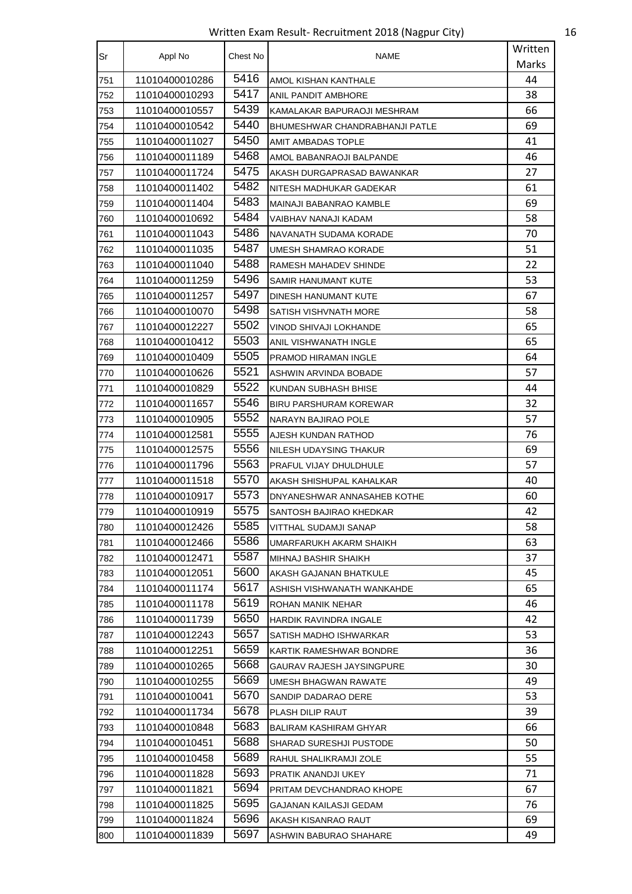Written Exam Result- Recruitment 2018 (Nagpur City) 16

| Sr  | Appl No        | Chest No | <b>NAME</b>                    | Written |
|-----|----------------|----------|--------------------------------|---------|
|     |                |          |                                | Marks   |
| 751 | 11010400010286 | 5416     | AMOL KISHAN KANTHALE           | 44      |
| 752 | 11010400010293 | 5417     | ANIL PANDIT AMBHORE            | 38      |
| 753 | 11010400010557 | 5439     | KAMALAKAR BAPURAOJI MESHRAM    | 66      |
| 754 | 11010400010542 | 5440     | BHUMESHWAR CHANDRABHANJI PATLE | 69      |
| 755 | 11010400011027 | 5450     | AMIT AMBADAS TOPLE             | 41      |
| 756 | 11010400011189 | 5468     | AMOL BABANRAOJI BALPANDE       | 46      |
| 757 | 11010400011724 | 5475     | AKASH DURGAPRASAD BAWANKAR     | 27      |
| 758 | 11010400011402 | 5482     | NITESH MADHUKAR GADEKAR        | 61      |
| 759 | 11010400011404 | 5483     | MAINAJI BABANRAO KAMBLE        | 69      |
| 760 | 11010400010692 | 5484     | VAIBHAV NANAJI KADAM           | 58      |
| 761 | 11010400011043 | 5486     | NAVANATH SUDAMA KORADE         | 70      |
| 762 | 11010400011035 | 5487     | UMESH SHAMRAO KORADE           | 51      |
| 763 | 11010400011040 | 5488     | RAMESH MAHADEV SHINDE          | 22      |
| 764 | 11010400011259 | 5496     | SAMIR HANUMANT KUTE            | 53      |
| 765 | 11010400011257 | 5497     | DINESH HANUMANT KUTE           | 67      |
| 766 | 11010400010070 | 5498     | SATISH VISHVNATH MORE          | 58      |
| 767 | 11010400012227 | 5502     | VINOD SHIVAJI LOKHANDE         | 65      |
| 768 | 11010400010412 | 5503     | ANIL VISHWANATH INGLE          | 65      |
| 769 | 11010400010409 | 5505     | <b>PRAMOD HIRAMAN INGLE</b>    | 64      |
| 770 | 11010400010626 | 5521     | ASHWIN ARVINDA BOBADE          | 57      |
| 771 | 11010400010829 | 5522     | KUNDAN SUBHASH BHISE           | 44      |
| 772 | 11010400011657 | 5546     | <b>BIRU PARSHURAM KOREWAR</b>  | 32      |
| 773 | 11010400010905 | 5552     | NARAYN BAJIRAO POLE            | 57      |
| 774 | 11010400012581 | 5555     | AJESH KUNDAN RATHOD            | 76      |
| 775 | 11010400012575 | 5556     | NILESH UDAYSING THAKUR         | 69      |
| 776 | 11010400011796 | 5563     | PRAFUL VIJAY DHULDHULE         | 57      |
| 777 | 11010400011518 | 5570     | AKASH SHISHUPAL KAHALKAR       | 40      |
| 778 | 11010400010917 | 5573     | DNYANESHWAR ANNASAHEB KOTHE    | 60      |
| 779 | 11010400010919 | 5575     | SANTOSH BAJIRAO KHEDKAR        | 42      |
| 780 | 11010400012426 | 5585     | VITTHAL SUDAMJI SANAP          | 58      |
| 781 | 11010400012466 | 5586     | UMARFARUKH AKARM SHAIKH        | 63      |
| 782 | 11010400012471 | 5587     | MIHNAJ BASHIR SHAIKH           | 37      |
| 783 | 11010400012051 | 5600     | AKASH GAJANAN BHATKULE         | 45      |
| 784 | 11010400011174 | 5617     | ASHISH VISHWANATH WANKAHDE     | 65      |
| 785 | 11010400011178 | 5619     | ROHAN MANIK NEHAR              | 46      |
| 786 | 11010400011739 | 5650     | HARDIK RAVINDRA INGALE         | 42      |
| 787 | 11010400012243 | 5657     | SATISH MADHO ISHWARKAR         | 53      |
| 788 | 11010400012251 | 5659     | KARTIK RAMESHWAR BONDRE        | 36      |
| 789 | 11010400010265 | 5668     | GAURAV RAJESH JAYSINGPURE      | 30      |
| 790 | 11010400010255 | 5669     | UMESH BHAGWAN RAWATE           | 49      |
| 791 | 11010400010041 | 5670     | SANDIP DADARAO DERE            | 53      |
| 792 | 11010400011734 | 5678     | PLASH DILIP RAUT               | 39      |
| 793 | 11010400010848 | 5683     | BALIRAM KASHIRAM GHYAR         | 66      |
| 794 | 11010400010451 | 5688     | SHARAD SURESHJI PUSTODE        | 50      |
| 795 | 11010400010458 | 5689     | RAHUL SHALIKRAMJI ZOLE         | 55      |
| 796 | 11010400011828 | 5693     | PRATIK ANANDJI UKEY            | 71      |
| 797 | 11010400011821 | 5694     | PRITAM DEVCHANDRAO KHOPE       | 67      |
| 798 | 11010400011825 | 5695     | GAJANAN KAILASJI GEDAM         | 76      |
| 799 | 11010400011824 | 5696     | AKASH KISANRAO RAUT            | 69      |
| 800 | 11010400011839 | 5697     | ASHWIN BABURAO SHAHARE         | 49      |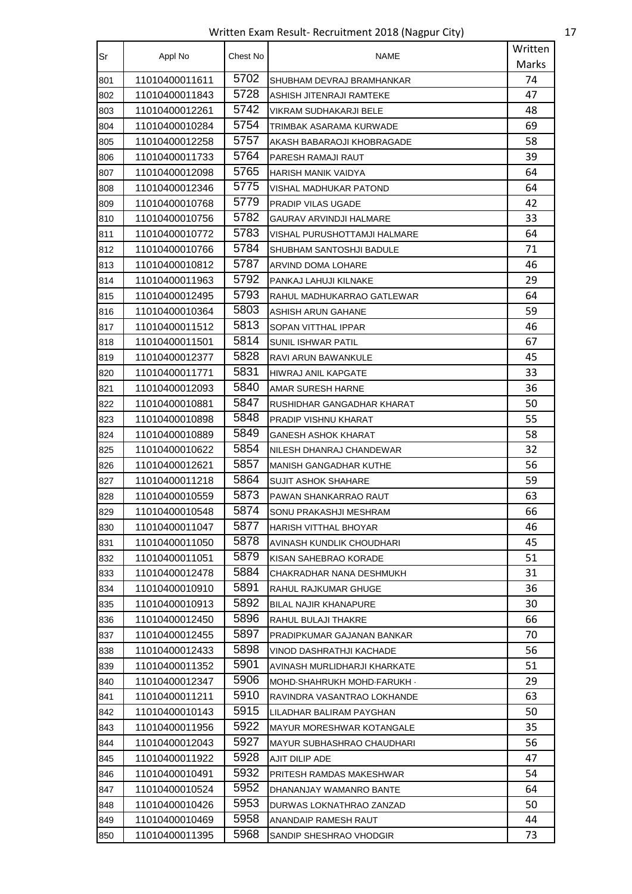Written Exam Result- Recruitment 2018 (Nagpur City) 17

| Sr  |                | Chest No | NAME                             | Written |
|-----|----------------|----------|----------------------------------|---------|
|     | Appl No        |          |                                  | Marks   |
| 801 | 11010400011611 | 5702     | SHUBHAM DEVRAJ BRAMHANKAR        | 74      |
| 802 | 11010400011843 | 5728     | ASHISH JITENRAJI RAMTEKE         | 47      |
| 803 | 11010400012261 | 5742     | VIKRAM SUDHAKARJI BELE           | 48      |
| 804 | 11010400010284 | 5754     | TRIMBAK ASARAMA KURWADE          | 69      |
| 805 | 11010400012258 | 5757     | AKASH BABARAOJI KHOBRAGADE       | 58      |
| 806 | 11010400011733 | 5764     | PARESH RAMAJI RAUT               | 39      |
| 807 | 11010400012098 | 5765     | <b>HARISH MANIK VAIDYA</b>       | 64      |
| 808 | 11010400012346 | 5775     | VISHAL MADHUKAR PATOND           | 64      |
| 809 | 11010400010768 | 5779     | PRADIP VILAS UGADE               | 42      |
| 810 | 11010400010756 | 5782     | GAURAV ARVINDJI HALMARE          | 33      |
| 811 | 11010400010772 | 5783     | VISHAL PURUSHOTTAMJI HALMARE     | 64      |
| 812 | 11010400010766 | 5784     | SHUBHAM SANTOSHJI BADULE         | 71      |
| 813 | 11010400010812 | 5787     | ARVIND DOMA LOHARE               | 46      |
| 814 | 11010400011963 | 5792     | PANKAJ LAHUJI KILNAKE            | 29      |
| 815 | 11010400012495 | 5793     | RAHUL MADHUKARRAO GATLEWAR       | 64      |
| 816 | 11010400010364 | 5803     | ASHISH ARUN GAHANE               | 59      |
| 817 | 11010400011512 | 5813     | SOPAN VITTHAL IPPAR              | 46      |
| 818 | 11010400011501 | 5814     | SUNIL ISHWAR PATIL               | 67      |
| 819 | 11010400012377 | 5828     | RAVI ARUN BAWANKULE              | 45      |
| 820 | 11010400011771 | 5831     | HIWRAJ ANIL KAPGATE              | 33      |
| 821 | 11010400012093 | 5840     | AMAR SURESH HARNE                | 36      |
| 822 | 11010400010881 | 5847     | RUSHIDHAR GANGADHAR KHARAT       | 50      |
| 823 | 11010400010898 | 5848     | PRADIP VISHNU KHARAT             | 55      |
| 824 | 11010400010889 | 5849     | GANESH ASHOK KHARAT              | 58      |
| 825 | 11010400010622 | 5854     | NILESH DHANRAJ CHANDEWAR         | 32      |
| 826 | 11010400012621 | 5857     | <b>MANISH GANGADHAR KUTHE</b>    | 56      |
| 827 | 11010400011218 | 5864     | <b>SUJIT ASHOK SHAHARE</b>       | 59      |
| 828 | 11010400010559 | 5873     | PAWAN SHANKARRAO RAUT            | 63      |
| 829 | 11010400010548 | 5874     | SONU PRAKASHJI MESHRAM           | 66      |
| 830 | 11010400011047 | 5877     | <b>HARISH VITTHAL BHOYAR</b>     | 46      |
| 831 | 11010400011050 | 5878     | AVINASH KUNDLIK CHOUDHARI        | 45      |
| 832 | 11010400011051 | 5879     | KISAN SAHEBRAO KORADE            | 51      |
| 833 | 11010400012478 | 5884     | CHAKRADHAR NANA DESHMUKH         | 31      |
| 834 | 11010400010910 | 5891     | RAHUL RAJKUMAR GHUGE             | 36      |
| 835 | 11010400010913 | 5892     | BILAL NAJIR KHANAPURE            | 30      |
| 836 | 11010400012450 | 5896     | RAHUL BULAJI THAKRE              | 66      |
| 837 | 11010400012455 | 5897     | PRADIPKUMAR GAJANAN BANKAR       | 70      |
| 838 | 11010400012433 | 5898     | VINOD DASHRATHJI KACHADE         | 56      |
| 839 | 11010400011352 | 5901     | AVINASH MURLIDHARJI KHARKATE     | 51      |
| 840 | 11010400012347 | 5906     | MOHD SHAHRUKH MOHD FARUKH .      | 29      |
| 841 | 11010400011211 | 5910     | RAVINDRA VASANTRAO LOKHANDE      | 63      |
| 842 | 11010400010143 | 5915     | LILADHAR BALIRAM PAYGHAN         | 50      |
| 843 | 11010400011956 | 5922     | <b>MAYUR MORESHWAR KOTANGALE</b> | 35      |
| 844 | 11010400012043 | 5927     | MAYUR SUBHASHRAO CHAUDHARI       | 56      |
| 845 | 11010400011922 | 5928     | AJIT DILIP ADE                   | 47      |
| 846 | 11010400010491 | 5932     | PRITESH RAMDAS MAKESHWAR         | 54      |
| 847 | 11010400010524 | 5952     | DHANANJAY WAMANRO BANTE          | 64      |
| 848 | 11010400010426 | 5953     | DURWAS LOKNATHRAO ZANZAD         | 50      |
| 849 | 11010400010469 | 5958     | ANANDAIP RAMESH RAUT             | 44      |
| 850 | 11010400011395 | 5968     | SANDIP SHESHRAO VHODGIR          | 73      |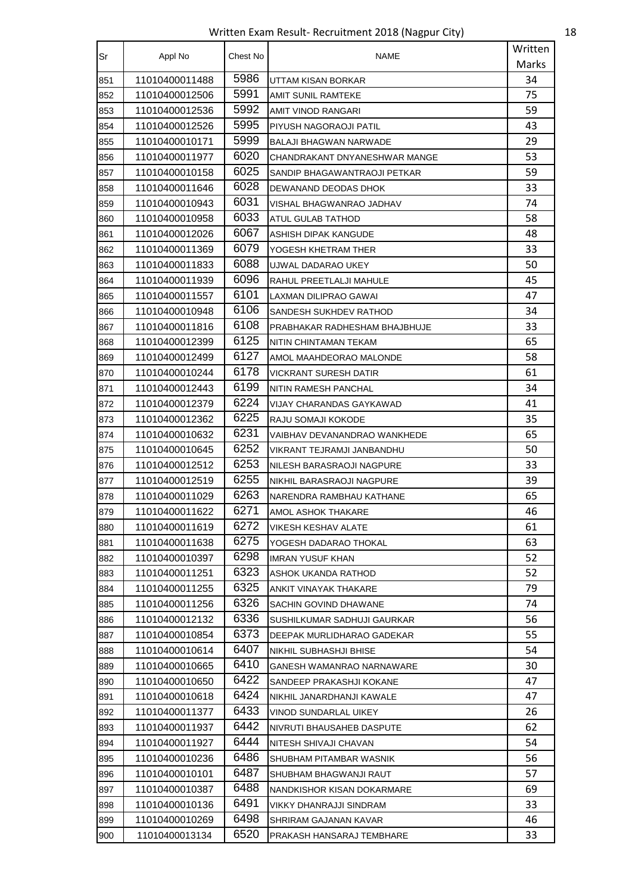Written Exam Result- Recruitment 2018 (Nagpur City) 18

| Sr  | Appl No        | Chest No | <b>NAME</b>                   | Written |
|-----|----------------|----------|-------------------------------|---------|
|     |                |          |                               | Marks   |
| 851 | 11010400011488 | 5986     | UTTAM KISAN BORKAR            | 34      |
| 852 | 11010400012506 | 5991     | <b>AMIT SUNIL RAMTEKE</b>     | 75      |
| 853 | 11010400012536 | 5992     | AMIT VINOD RANGARI            | 59      |
| 854 | 11010400012526 | 5995     | PIYUSH NAGORAOJI PATIL        | 43      |
| 855 | 11010400010171 | 5999     | BALAJI BHAGWAN NARWADE        | 29      |
| 856 | 11010400011977 | 6020     | CHANDRAKANT DNYANESHWAR MANGE | 53      |
| 857 | 11010400010158 | 6025     | SANDIP BHAGAWANTRAOJI PETKAR  | 59      |
| 858 | 11010400011646 | 6028     | DEWANAND DEODAS DHOK          | 33      |
| 859 | 11010400010943 | 6031     | VISHAL BHAGWANRAO JADHAV      | 74      |
| 860 | 11010400010958 | 6033     | ATUL GULAB TATHOD             | 58      |
| 861 | 11010400012026 | 6067     | ASHISH DIPAK KANGUDE          | 48      |
| 862 | 11010400011369 | 6079     | YOGESH KHETRAM THER           | 33      |
| 863 | 11010400011833 | 6088     | UJWAL DADARAO UKEY            | 50      |
| 864 | 11010400011939 | 6096     | RAHUL PREETLALJI MAHULE       | 45      |
| 865 | 11010400011557 | 6101     | LAXMAN DILIPRAO GAWAI         | 47      |
| 866 | 11010400010948 | 6106     | SANDESH SUKHDEV RATHOD        | 34      |
| 867 | 11010400011816 | 6108     | PRABHAKAR RADHESHAM BHAJBHUJE | 33      |
| 868 | 11010400012399 | 6125     | NITIN CHINTAMAN TEKAM         | 65      |
| 869 | 11010400012499 | 6127     | AMOL MAAHDEORAO MALONDE       | 58      |
| 870 | 11010400010244 | 6178     | VICKRANT SURESH DATIR         | 61      |
| 871 | 11010400012443 | 6199     | NITIN RAMESH PANCHAL          | 34      |
| 872 | 11010400012379 | 6224     | VIJAY CHARANDAS GAYKAWAD      | 41      |
| 873 | 11010400012362 | 6225     | RAJU SOMAJI KOKODE            | 35      |
| 874 | 11010400010632 | 6231     | VAIBHAV DEVANANDRAO WANKHEDE  | 65      |
| 875 | 11010400010645 | 6252     | VIKRANT TEJRAMJI JANBANDHU    | 50      |
| 876 | 11010400012512 | 6253     | NILESH BARASRAOJI NAGPURE     | 33      |
| 877 | 11010400012519 | 6255     | NIKHIL BARASRAOJI NAGPURE     | 39      |
| 878 | 11010400011029 | 6263     | NARENDRA RAMBHAU KATHANE      | 65      |
| 879 | 11010400011622 | 6271     | AMOL ASHOK THAKARE            | 46      |
| 880 | 11010400011619 | 6272     | VIKESH KESHAV ALATE           | 61      |
| 881 | 11010400011638 | 6275     | YOGESH DADARAO THOKAL         | 63      |
| 882 | 11010400010397 | 6298     | <b>IMRAN YUSUF KHAN</b>       | 52      |
| 883 | 11010400011251 | 6323     | ASHOK UKANDA RATHOD           | 52      |
| 884 | 11010400011255 | 6325     | ANKIT VINAYAK THAKARE         | 79      |
| 885 | 11010400011256 | 6326     | SACHIN GOVIND DHAWANE         | 74      |
| 886 | 11010400012132 | 6336     | SUSHILKUMAR SADHUJI GAURKAR   | 56      |
| 887 | 11010400010854 | 6373     | DEEPAK MURLIDHARAO GADEKAR    | 55      |
| 888 | 11010400010614 | 6407     | NIKHIL SUBHASHJI BHISE        | 54      |
| 889 | 11010400010665 | 6410     | GANESH WAMANRAO NARNAWARE     | 30      |
| 890 | 11010400010650 | 6422     | SANDEEP PRAKASHJI KOKANE      | 47      |
| 891 | 11010400010618 | 6424     | NIKHIL JANARDHANJI KAWALE     | 47      |
| 892 | 11010400011377 | 6433     | VINOD SUNDARLAL UIKEY         | 26      |
| 893 | 11010400011937 | 6442     | NIVRUTI BHAUSAHEB DASPUTE     | 62      |
| 894 | 11010400011927 | 6444     | NITESH SHIVAJI CHAVAN         | 54      |
| 895 | 11010400010236 | 6486     | SHUBHAM PITAMBAR WASNIK       | 56      |
| 896 | 11010400010101 | 6487     | SHUBHAM BHAGWANJI RAUT        | 57      |
| 897 | 11010400010387 | 6488     | NANDKISHOR KISAN DOKARMARE    | 69      |
| 898 | 11010400010136 | 6491     | VIKKY DHANRAJJI SINDRAM       | 33      |
| 899 | 11010400010269 | 6498     | SHRIRAM GAJANAN KAVAR         | 46      |
| 900 | 11010400013134 | 6520     | PRAKASH HANSARAJ TEMBHARE     | 33      |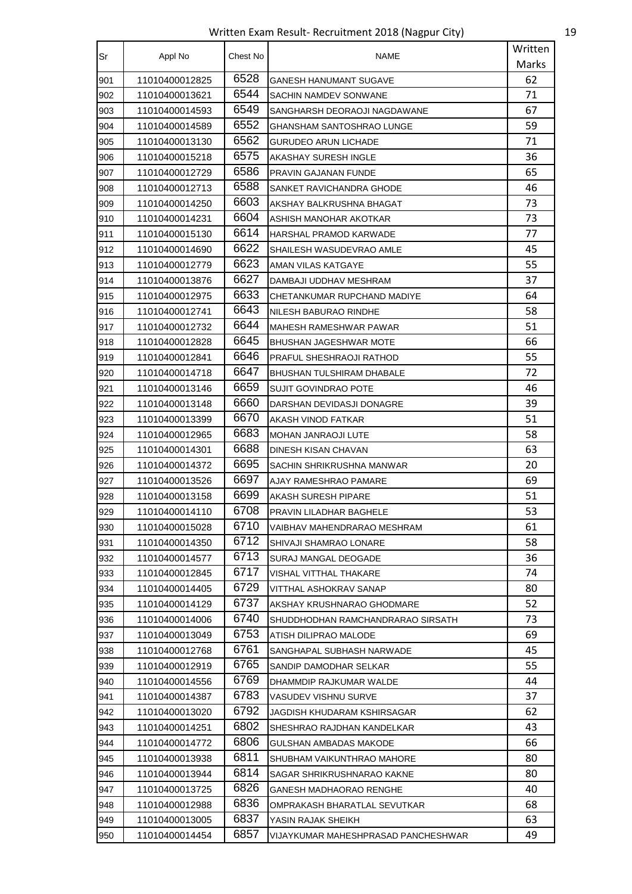Written Exam Result- Recruitment 2018 (Nagpur City) 19

| Sr  | Appl No        | Chest No | NAME                                | Written |
|-----|----------------|----------|-------------------------------------|---------|
|     |                |          |                                     | Marks   |
| 901 | 11010400012825 | 6528     | GANESH HANUMANT SUGAVE              | 62      |
| 902 | 11010400013621 | 6544     | SACHIN NAMDEV SONWANE               | 71      |
| 903 | 11010400014593 | 6549     | SANGHARSH DEORAOJI NAGDAWANE        | 67      |
| 904 | 11010400014589 | 6552     | GHANSHAM SANTOSHRAO LUNGE           | 59      |
| 905 | 11010400013130 | 6562     | <b>GURUDEO ARUN LICHADE</b>         | 71      |
| 906 | 11010400015218 | 6575     | AKASHAY SURESH INGLE                | 36      |
| 907 | 11010400012729 | 6586     | PRAVIN GAJANAN FUNDE                | 65      |
| 908 | 11010400012713 | 6588     | SANKET RAVICHANDRA GHODE            | 46      |
| 909 | 11010400014250 | 6603     | AKSHAY BALKRUSHNA BHAGAT            | 73      |
| 910 | 11010400014231 | 6604     | ASHISH MANOHAR AKOTKAR              | 73      |
| 911 | 11010400015130 | 6614     | HARSHAL PRAMOD KARWADE              | 77      |
| 912 | 11010400014690 | 6622     | SHAILESH WASUDEVRAO AMLE            | 45      |
| 913 | 11010400012779 | 6623     | AMAN VILAS KATGAYE                  | 55      |
| 914 | 11010400013876 | 6627     | DAMBAJI UDDHAV MESHRAM              | 37      |
| 915 | 11010400012975 | 6633     | CHETANKUMAR RUPCHAND MADIYE         | 64      |
| 916 | 11010400012741 | 6643     | NILESH BABURAO RINDHE               | 58      |
| 917 | 11010400012732 | 6644     | MAHESH RAMESHWAR PAWAR              | 51      |
| 918 | 11010400012828 | 6645     | BHUSHAN JAGESHWAR MOTE              | 66      |
| 919 | 11010400012841 | 6646     | PRAFUL SHESHRAOJI RATHOD            | 55      |
| 920 | 11010400014718 | 6647     | BHUSHAN TULSHIRAM DHABALE           | 72      |
| 921 | 11010400013146 | 6659     | SUJIT GOVINDRAO POTE                | 46      |
| 922 | 11010400013148 | 6660     | DARSHAN DEVIDASJI DONAGRE           | 39      |
| 923 | 11010400013399 | 6670     | AKASH VINOD FATKAR                  | 51      |
| 924 | 11010400012965 | 6683     | <b>MOHAN JANRAOJI LUTE</b>          | 58      |
| 925 | 11010400014301 | 6688     | DINESH KISAN CHAVAN                 | 63      |
| 926 | 11010400014372 | 6695     | SACHIN SHRIKRUSHNA MANWAR           | 20      |
| 927 | 11010400013526 | 6697     | AJAY RAMESHRAO PAMARE               | 69      |
| 928 | 11010400013158 | 6699     | AKASH SURESH PIPARE                 | 51      |
| 929 | 11010400014110 | 6708     | PRAVIN LILADHAR BAGHELE             | 53      |
| 930 | 11010400015028 | 6710     | VAIBHAV MAHENDRARAO MESHRAM         | 61      |
| 931 | 11010400014350 | 6712     | SHIVAJI SHAMRAO LONARE              | 58      |
| 932 | 11010400014577 | 6713     | SURAJ MANGAL DEOGADE                | 36      |
| 933 | 11010400012845 | 6717     | VISHAL VITTHAL THAKARE              | 74      |
| 934 | 11010400014405 | 6729     | VITTHAL ASHOKRAV SANAP              | 80      |
| 935 | 11010400014129 | 6737     | AKSHAY KRUSHNARAO GHODMARE          | 52      |
| 936 | 11010400014006 | 6740     | SHUDDHODHAN RAMCHANDRARAO SIRSATH   | 73      |
| 937 | 11010400013049 | 6753     | ATISH DILIPRAO MALODE               | 69      |
| 938 | 11010400012768 | 6761     | SANGHAPAL SUBHASH NARWADE           | 45      |
| 939 | 11010400012919 | 6765     | SANDIP DAMODHAR SELKAR              | 55      |
| 940 | 11010400014556 | 6769     | DHAMMDIP RAJKUMAR WALDE             | 44      |
| 941 | 11010400014387 | 6783     | VASUDEV VISHNU SURVE                | 37      |
| 942 | 11010400013020 | 6792     | JAGDISH KHUDARAM KSHIRSAGAR         | 62      |
| 943 | 11010400014251 | 6802     | SHESHRAO RAJDHAN KANDELKAR          | 43      |
| 944 | 11010400014772 | 6806     | GULSHAN AMBADAS MAKODE              | 66      |
| 945 | 11010400013938 | 6811     | SHUBHAM VAIKUNTHRAO MAHORE          | 80      |
| 946 | 11010400013944 | 6814     | SAGAR SHRIKRUSHNARAO KAKNE          | 80      |
| 947 | 11010400013725 | 6826     | GANESH MADHAORAO RENGHE             | 40      |
| 948 | 11010400012988 | 6836     | OMPRAKASH BHARATLAL SEVUTKAR        | 68      |
| 949 | 11010400013005 | 6837     | YASIN RAJAK SHEIKH                  | 63      |
| 950 | 11010400014454 | 6857     | VIJAYKUMAR MAHESHPRASAD PANCHESHWAR | 49      |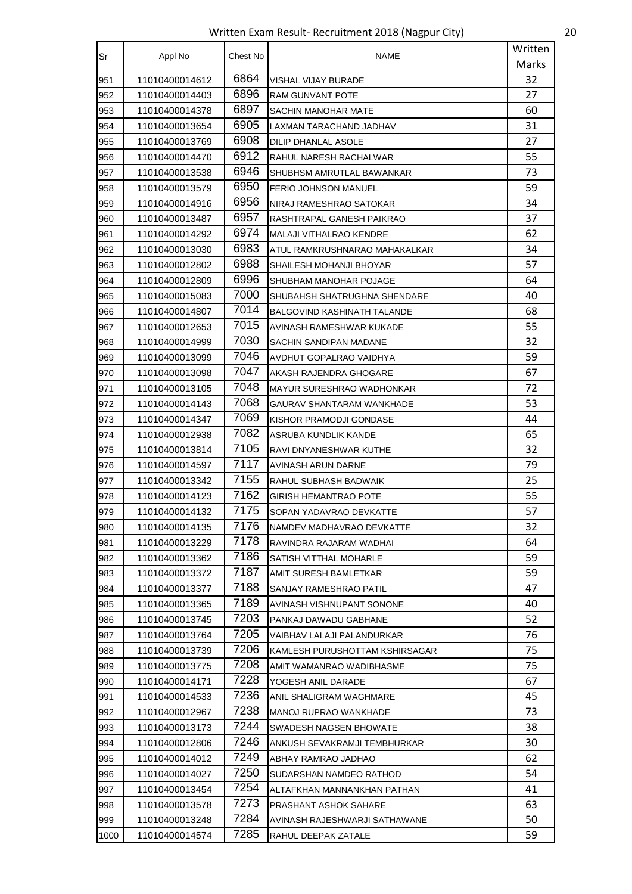Written Exam Result- Recruitment 2018 (Nagpur City) 20

| Sr   | Appl No        | Chest No | NAME                           | Written |
|------|----------------|----------|--------------------------------|---------|
|      |                |          |                                | Marks   |
| 951  | 11010400014612 | 6864     | VISHAL VIJAY BURADE            | 32      |
| 952  | 11010400014403 | 6896     | RAM GUNVANT POTE               | 27      |
| 953  | 11010400014378 | 6897     | SACHIN MANOHAR MATE            | 60      |
| 954  | 11010400013654 | 6905     | LAXMAN TARACHAND JADHAV        | 31      |
| 955  | 11010400013769 | 6908     | DILIP DHANLAL ASOLE            | 27      |
| 956  | 11010400014470 | 6912     | RAHUL NARESH RACHALWAR         | 55      |
| 957  | 11010400013538 | 6946     | SHUBHSM AMRUTLAL BAWANKAR      | 73      |
| 958  | 11010400013579 | 6950     | <b>FERIO JOHNSON MANUEL</b>    | 59      |
| 959  | 11010400014916 | 6956     | NIRAJ RAMESHRAO SATOKAR        | 34      |
| 960  | 11010400013487 | 6957     | RASHTRAPAL GANESH PAIKRAO      | 37      |
| 961  | 11010400014292 | 6974     | MALAJI VITHALRAO KENDRE        | 62      |
| 962  | 11010400013030 | 6983     | ATUL RAMKRUSHNARAO MAHAKALKAR  | 34      |
| 963  | 11010400012802 | 6988     | SHAILESH MOHANJI BHOYAR        | 57      |
| 964  | 11010400012809 | 6996     | SHUBHAM MANOHAR POJAGE         | 64      |
| 965  | 11010400015083 | 7000     | SHUBAHSH SHATRUGHNA SHENDARE   | 40      |
| 966  | 11010400014807 | 7014     | BALGOVIND KASHINATH TALANDE    | 68      |
| 967  | 11010400012653 | 7015     | AVINASH RAMESHWAR KUKADE       | 55      |
| 968  | 11010400014999 | 7030     | SACHIN SANDIPAN MADANE         | 32      |
| 969  | 11010400013099 | 7046     | AVDHUT GOPALRAO VAIDHYA        | 59      |
| 970  | 11010400013098 | 7047     | AKASH RAJENDRA GHOGARE         | 67      |
| 971  | 11010400013105 | 7048     | MAYUR SURESHRAO WADHONKAR      | 72      |
| 972  | 11010400014143 | 7068     | GAURAV SHANTARAM WANKHADE      | 53      |
| 973  | 11010400014347 | 7069     | KISHOR PRAMODJI GONDASE        | 44      |
| 974  | 11010400012938 | 7082     | ASRUBA KUNDLIK KANDE           | 65      |
| 975  | 11010400013814 | 7105     | RAVI DNYANESHWAR KUTHE         | 32      |
| 976  | 11010400014597 | 7117     | AVINASH ARUN DARNE             | 79      |
| 977  | 11010400013342 | 7155     | RAHUL SUBHASH BADWAIK          | 25      |
| 978  | 11010400014123 | 7162     | <b>GIRISH HEMANTRAO POTE</b>   | 55      |
| 979  | 11010400014132 | 7175     | SOPAN YADAVRAO DEVKATTE        | 57      |
| 980  | 11010400014135 | 7176     | NAMDEV MADHAVRAO DEVKATTE      | 32      |
| 981  | 11010400013229 | 7178     | RAVINDRA RAJARAM WADHAI        | 64      |
| 982  | 11010400013362 | 7186     | SATISH VITTHAL MOHARLE         | 59      |
| 983  | 11010400013372 | 7187     | AMIT SURESH BAMLETKAR          | 59      |
| 984  | 11010400013377 | 7188     | SANJAY RAMESHRAO PATIL         | 47      |
| 985  | 11010400013365 | 7189     | AVINASH VISHNUPANT SONONE      | 40      |
| 986  | 11010400013745 | 7203     | PANKAJ DAWADU GABHANE          | 52      |
| 987  | 11010400013764 | 7205     | VAIBHAV LALAJI PALANDURKAR     | 76      |
| 988  | 11010400013739 | 7206     | KAMLESH PURUSHOTTAM KSHIRSAGAR | 75      |
| 989  | 11010400013775 | 7208     | AMIT WAMANRAO WADIBHASME       | 75      |
| 990  | 11010400014171 | 7228     | YOGESH ANIL DARADE             | 67      |
| 991  | 11010400014533 | 7236     | ANIL SHALIGRAM WAGHMARE        | 45      |
| 992  | 11010400012967 | 7238     | MANOJ RUPRAO WANKHADE          | 73      |
| 993  | 11010400013173 | 7244     | SWADESH NAGSEN BHOWATE         | 38      |
| 994  | 11010400012806 | 7246     | ANKUSH SEVAKRAMJI TEMBHURKAR   | 30      |
| 995  | 11010400014012 | 7249     | ABHAY RAMRAO JADHAO            | 62      |
| 996  | 11010400014027 | 7250     | SUDARSHAN NAMDEO RATHOD        | 54      |
| 997  | 11010400013454 | 7254     | ALTAFKHAN MANNANKHAN PATHAN    | 41      |
| 998  | 11010400013578 | 7273     | PRASHANT ASHOK SAHARE          | 63      |
| 999  | 11010400013248 | 7284     | AVINASH RAJESHWARJI SATHAWANE  | 50      |
| 1000 | 11010400014574 | 7285     | RAHUL DEEPAK ZATALE            | 59      |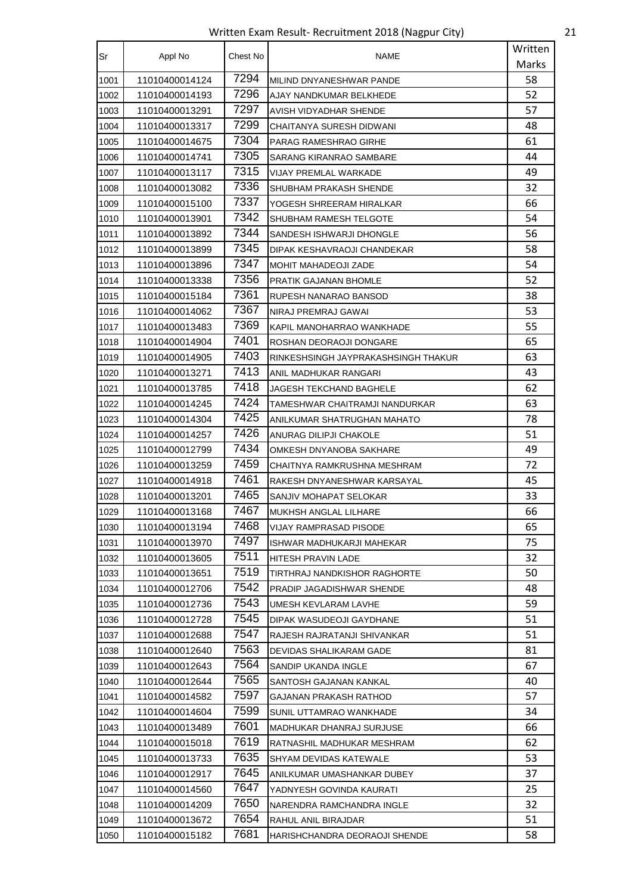Written Exam Result- Recruitment 2018 (Nagpur City) 21

| Sr   | Appl No        | Chest No | NAME                                | Written |
|------|----------------|----------|-------------------------------------|---------|
|      |                |          |                                     | Marks   |
| 1001 | 11010400014124 | 7294     | MILIND DNYANESHWAR PANDE            | 58      |
| 1002 | 11010400014193 | 7296     | AJAY NANDKUMAR BELKHEDE             | 52      |
| 1003 | 11010400013291 | 7297     | AVISH VIDYADHAR SHENDE              | 57      |
| 1004 | 11010400013317 | 7299     | CHAITANYA SURESH DIDWANI            | 48      |
| 1005 | 11010400014675 | 7304     | PARAG RAMESHRAO GIRHE               | 61      |
| 1006 | 11010400014741 | 7305     | SARANG KIRANRAO SAMBARE             | 44      |
| 1007 | 11010400013117 | 7315     | VIJAY PREMLAL WARKADE               | 49      |
| 1008 | 11010400013082 | 7336     | SHUBHAM PRAKASH SHENDE              | 32      |
| 1009 | 11010400015100 | 7337     | YOGESH SHREERAM HIRALKAR            | 66      |
| 1010 | 11010400013901 | 7342     | SHUBHAM RAMESH TELGOTE              | 54      |
| 1011 | 11010400013892 | 7344     | SANDESH ISHWARJI DHONGLE            | 56      |
| 1012 | 11010400013899 | 7345     | DIPAK KESHAVRAOJI CHANDEKAR         | 58      |
| 1013 | 11010400013896 | 7347     | <b>MOHIT MAHADEOJI ZADE</b>         | 54      |
| 1014 | 11010400013338 | 7356     | PRATIK GAJANAN BHOMLE               | 52      |
| 1015 | 11010400015184 | 7361     | RUPESH NANARAO BANSOD               | 38      |
| 1016 | 11010400014062 | 7367     | NIRAJ PREMRAJ GAWAI                 | 53      |
| 1017 | 11010400013483 | 7369     | KAPIL MANOHARRAO WANKHADE           | 55      |
| 1018 | 11010400014904 | 7401     | ROSHAN DEORAOJI DONGARE             | 65      |
| 1019 | 11010400014905 | 7403     | RINKESHSINGH JAYPRAKASHSINGH THAKUR | 63      |
| 1020 | 11010400013271 | 7413     | ANIL MADHUKAR RANGARI               | 43      |
| 1021 | 11010400013785 | 7418     | JAGESH TEKCHAND BAGHELE             | 62      |
| 1022 | 11010400014245 | 7424     | TAMESHWAR CHAITRAMJI NANDURKAR      | 63      |
| 1023 | 11010400014304 | 7425     | ANILKUMAR SHATRUGHAN MAHATO         | 78      |
| 1024 | 11010400014257 | 7426     | ANURAG DILIPJI CHAKOLE              | 51      |
| 1025 | 11010400012799 | 7434     | OMKESH DNYANOBA SAKHARE             | 49      |
| 1026 | 11010400013259 | 7459     | CHAITNYA RAMKRUSHNA MESHRAM         | 72      |
| 1027 | 11010400014918 | 7461     | RAKESH DNYANESHWAR KARSAYAL         | 45      |
| 1028 | 11010400013201 | 7465     | SANJIV MOHAPAT SELOKAR              | 33      |
| 1029 | 11010400013168 | 7467     | MUKHSH ANGLAL LILHARE               | 66      |
| 1030 | 11010400013194 | 7468     | VIJAY RAMPRASAD PISODE              | 65      |
| 1031 | 11010400013970 | 7497     | ISHWAR MADHUKARJI MAHEKAR           | 75      |
| 1032 | 11010400013605 | 7511     | HITESH PRAVIN LADE                  | 32      |
| 1033 | 11010400013651 | 7519     | TIRTHRAJ NANDKISHOR RAGHORTE        | 50      |
| 1034 | 11010400012706 | 7542     | PRADIP JAGADISHWAR SHENDE           | 48      |
| 1035 | 11010400012736 | 7543     | UMESH KEVLARAM LAVHE                | 59      |
| 1036 | 11010400012728 | 7545     | DIPAK WASUDEOJI GAYDHANE            | 51      |
| 1037 | 11010400012688 | 7547     | RAJESH RAJRATANJI SHIVANKAR         | 51      |
| 1038 | 11010400012640 | 7563     | DEVIDAS SHALIKARAM GADE             | 81      |
| 1039 | 11010400012643 | 7564     | SANDIP UKANDA INGLE                 | 67      |
| 1040 | 11010400012644 | 7565     | SANTOSH GAJANAN KANKAL              | 40      |
| 1041 | 11010400014582 | 7597     | GAJANAN PRAKASH RATHOD              | 57      |
| 1042 | 11010400014604 | 7599     | SUNIL UTTAMRAO WANKHADE             | 34      |
| 1043 | 11010400013489 | 7601     | MADHUKAR DHANRAJ SURJUSE            | 66      |
| 1044 | 11010400015018 | 7619     | RATNASHIL MADHUKAR MESHRAM          | 62      |
| 1045 | 11010400013733 | 7635     | SHYAM DEVIDAS KATEWALE              | 53      |
| 1046 | 11010400012917 | 7645     | ANILKUMAR UMASHANKAR DUBEY          | 37      |
| 1047 | 11010400014560 | 7647     | YADNYESH GOVINDA KAURATI            | 25      |
| 1048 | 11010400014209 | 7650     | NARENDRA RAMCHANDRA INGLE           | 32      |
| 1049 | 11010400013672 | 7654     | RAHUL ANIL BIRAJDAR                 | 51      |
| 1050 | 11010400015182 | 7681     | HARISHCHANDRA DEORAOJI SHENDE       | 58      |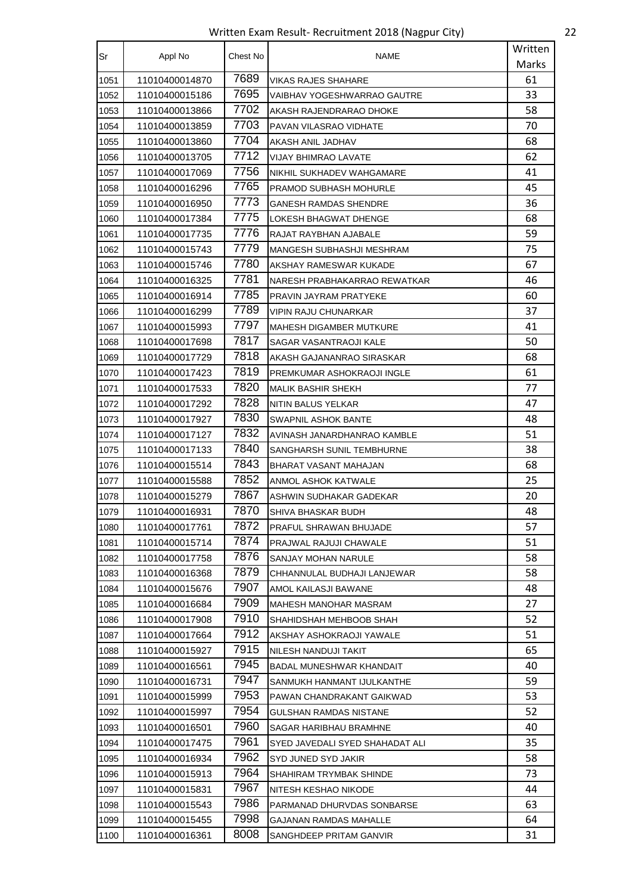Written Exam Result- Recruitment 2018 (Nagpur City) 22

| Sr   | Appl No        | Chest No | NAME                            | Written |
|------|----------------|----------|---------------------------------|---------|
|      |                |          |                                 | Marks   |
| 1051 | 11010400014870 | 7689     | VIKAS RAJES SHAHARE             | 61      |
| 1052 | 11010400015186 | 7695     | VAIBHAV YOGESHWARRAO GAUTRE     | 33      |
| 1053 | 11010400013866 | 7702     | AKASH RAJENDRARAO DHOKE         | 58      |
| 1054 | 11010400013859 | 7703     | PAVAN VILASRAO VIDHATE          | 70      |
| 1055 | 11010400013860 | 7704     | AKASH ANIL JADHAV               | 68      |
| 1056 | 11010400013705 | 7712     | VIJAY BHIMRAO LAVATE            | 62      |
| 1057 | 11010400017069 | 7756     | NIKHIL SUKHADEV WAHGAMARE       | 41      |
| 1058 | 11010400016296 | 7765     | PRAMOD SUBHASH MOHURLE          | 45      |
| 1059 | 11010400016950 | 7773     | <b>GANESH RAMDAS SHENDRE</b>    | 36      |
| 1060 | 11010400017384 | 7775     | LOKESH BHAGWAT DHENGE           | 68      |
| 1061 | 11010400017735 | 7776     | RAJAT RAYBHAN AJABALE           | 59      |
| 1062 | 11010400015743 | 7779     | MANGESH SUBHASHJI MESHRAM       | 75      |
| 1063 | 11010400015746 | 7780     | AKSHAY RAMESWAR KUKADE          | 67      |
| 1064 | 11010400016325 | 7781     | NARESH PRABHAKARRAO REWATKAR    | 46      |
| 1065 | 11010400016914 | 7785     | PRAVIN JAYRAM PRATYEKE          | 60      |
| 1066 | 11010400016299 | 7789     | VIPIN RAJU CHUNARKAR            | 37      |
| 1067 | 11010400015993 | 7797     | <b>MAHESH DIGAMBER MUTKURE</b>  | 41      |
| 1068 | 11010400017698 | 7817     | SAGAR VASANTRAOJI KALE          | 50      |
| 1069 | 11010400017729 | 7818     | AKASH GAJANANRAO SIRASKAR       | 68      |
| 1070 | 11010400017423 | 7819     | PREMKUMAR ASHOKRAOJI INGLE      | 61      |
| 1071 | 11010400017533 | 7820     | <b>MALIK BASHIR SHEKH</b>       | 77      |
| 1072 | 11010400017292 | 7828     | NITIN BALUS YELKAR              | 47      |
| 1073 | 11010400017927 | 7830     | SWAPNIL ASHOK BANTE             | 48      |
| 1074 | 11010400017127 | 7832     | AVINASH JANARDHANRAO KAMBLE     | 51      |
| 1075 | 11010400017133 | 7840     | SANGHARSH SUNIL TEMBHURNE       | 38      |
| 1076 | 11010400015514 | 7843     | BHARAT VASANT MAHAJAN           | 68      |
| 1077 | 11010400015588 | 7852     | ANMOL ASHOK KATWALE             | 25      |
| 1078 | 11010400015279 | 7867     | ASHWIN SUDHAKAR GADEKAR         | 20      |
| 1079 | 11010400016931 | 7870     | SHIVA BHASKAR BUDH              | 48      |
| 1080 | 11010400017761 | 7872     | PRAFUL SHRAWAN BHUJADE          | 57      |
| 1081 | 11010400015714 | 7874     | PRAJWAL RAJUJI CHAWALE          | 51      |
| 1082 | 11010400017758 | 7876     | SANJAY MOHAN NARULE             | 58      |
| 1083 | 11010400016368 | 7879     | CHHANNULAL BUDHAJI LANJEWAR     | 58      |
| 1084 | 11010400015676 | 7907     | AMOL KAILASJI BAWANE            | 48      |
| 1085 | 11010400016684 | 7909     | MAHESH MANOHAR MASRAM           | 27      |
| 1086 | 11010400017908 | 7910     | SHAHIDSHAH MEHBOOB SHAH         | 52      |
| 1087 | 11010400017664 | 7912     | AKSHAY ASHOKRAOJI YAWALE        | 51      |
| 1088 | 11010400015927 | 7915     | NILESH NANDUJI TAKIT            | 65      |
| 1089 | 11010400016561 | 7945     | BADAL MUNESHWAR KHANDAIT        | 40      |
| 1090 | 11010400016731 | 7947     | SANMUKH HANMANT IJULKANTHE      | 59      |
| 1091 | 11010400015999 | 7953     | PAWAN CHANDRAKANT GAIKWAD       | 53      |
| 1092 | 11010400015997 | 7954     | GULSHAN RAMDAS NISTANE          | 52      |
| 1093 | 11010400016501 | 7960     | SAGAR HARIBHAU BRAMHNE          | 40      |
| 1094 | 11010400017475 | 7961     | SYED JAVEDALI SYED SHAHADAT ALI | 35      |
| 1095 | 11010400016934 | 7962     | SYD JUNED SYD JAKIR             | 58      |
| 1096 | 11010400015913 | 7964     | SHAHIRAM TRYMBAK SHINDE         | 73      |
| 1097 | 11010400015831 | 7967     | NITESH KESHAO NIKODE            | 44      |
| 1098 | 11010400015543 | 7986     | PARMANAD DHURVDAS SONBARSE      | 63      |
| 1099 | 11010400015455 | 7998     | GAJANAN RAMDAS MAHALLE          | 64      |
| 1100 | 11010400016361 | 8008     | SANGHDEEP PRITAM GANVIR         | 31      |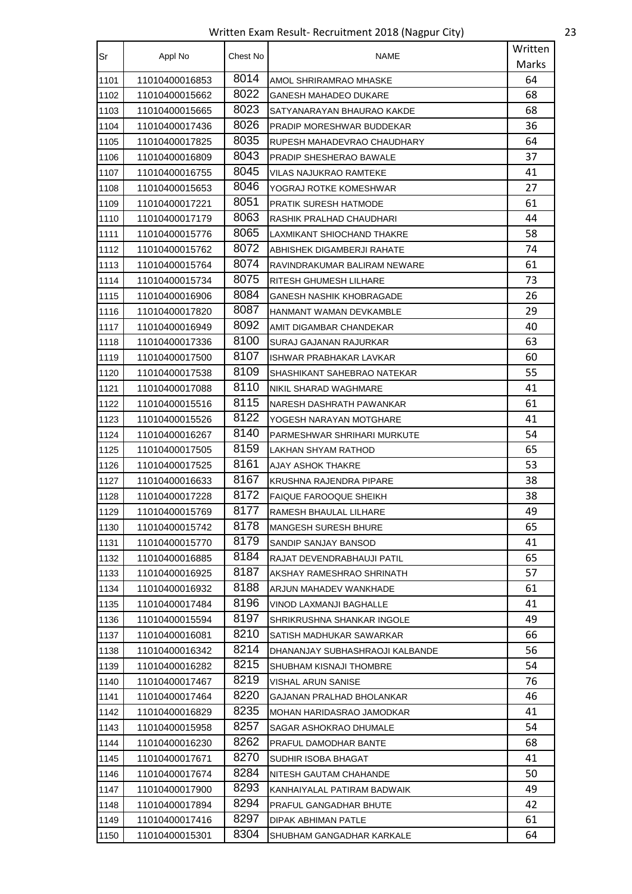Written Exam Result- Recruitment 2018 (Nagpur City) 23

| Sr   | Appl No        | Chest No | <b>NAME</b>                     | Written |
|------|----------------|----------|---------------------------------|---------|
|      |                |          |                                 | Marks   |
| 1101 | 11010400016853 | 8014     | AMOL SHRIRAMRAO MHASKE          | 64      |
| 1102 | 11010400015662 | 8022     | <b>GANESH MAHADEO DUKARE</b>    | 68      |
| 1103 | 11010400015665 | 8023     | SATYANARAYAN BHAURAO KAKDE      | 68      |
| 1104 | 11010400017436 | 8026     | PRADIP MORESHWAR BUDDEKAR       | 36      |
| 1105 | 11010400017825 | 8035     | RUPESH MAHADEVRAO CHAUDHARY     | 64      |
| 1106 | 11010400016809 | 8043     | PRADIP SHESHERAO BAWALE         | 37      |
| 1107 | 11010400016755 | 8045     | <b>VILAS NAJUKRAO RAMTEKE</b>   | 41      |
| 1108 | 11010400015653 | 8046     | YOGRAJ ROTKE KOMESHWAR          | 27      |
| 1109 | 11010400017221 | 8051     | PRATIK SURESH HATMODE           | 61      |
| 1110 | 11010400017179 | 8063     | RASHIK PRALHAD CHAUDHARI        | 44      |
| 1111 | 11010400015776 | 8065     | LAXMIKANT SHIOCHAND THAKRE      | 58      |
| 1112 | 11010400015762 | 8072     | ABHISHEK DIGAMBERJI RAHATE      | 74      |
| 1113 | 11010400015764 | 8074     | RAVINDRAKUMAR BALIRAM NEWARE    | 61      |
| 1114 | 11010400015734 | 8075     | RITESH GHUMESH LILHARE          | 73      |
| 1115 | 11010400016906 | 8084     | GANESH NASHIK KHOBRAGADE        | 26      |
| 1116 | 11010400017820 | 8087     | HANMANT WAMAN DEVKAMBLE         | 29      |
| 1117 | 11010400016949 | 8092     | AMIT DIGAMBAR CHANDEKAR         | 40      |
| 1118 | 11010400017336 | 8100     | SURAJ GAJANAN RAJURKAR          | 63      |
| 1119 | 11010400017500 | 8107     | ISHWAR PRABHAKAR LAVKAR         | 60      |
| 1120 | 11010400017538 | 8109     | SHASHIKANT SAHEBRAO NATEKAR     | 55      |
| 1121 | 11010400017088 | 8110     | NIKIL SHARAD WAGHMARE           | 41      |
| 1122 | 11010400015516 | 8115     | NARESH DASHRATH PAWANKAR        | 61      |
| 1123 | 11010400015526 | 8122     | YOGESH NARAYAN MOTGHARE         | 41      |
| 1124 | 11010400016267 | 8140     | PARMESHWAR SHRIHARI MURKUTE     | 54      |
| 1125 | 11010400017505 | 8159     | LAKHAN SHYAM RATHOD             | 65      |
| 1126 | 11010400017525 | 8161     | AJAY ASHOK THAKRE               | 53      |
| 1127 | 11010400016633 | 8167     | KRUSHNA RAJENDRA PIPARE         | 38      |
| 1128 | 11010400017228 | 8172     | <b>FAIQUE FAROOQUE SHEIKH</b>   | 38      |
| 1129 | 11010400015769 | 8177     | RAMESH BHAULAL LILHARE          | 49      |
| 1130 | 11010400015742 | 8178     | <b>MANGESH SURESH BHURE</b>     | 65      |
| 1131 | 11010400015770 | 8179     | SANDIP SANJAY BANSOD            | 41      |
| 1132 | 11010400016885 | 8184     | RAJAT DEVENDRABHAUJI PATIL      | 65      |
| 1133 | 11010400016925 | 8187     | AKSHAY RAMESHRAO SHRINATH       | 57      |
| 1134 | 11010400016932 | 8188     | ARJUN MAHADEV WANKHADE          | 61      |
| 1135 | 11010400017484 | 8196     | VINOD LAXMANJI BAGHALLE         | 41      |
| 1136 | 11010400015594 | 8197     | SHRIKRUSHNA SHANKAR INGOLE      | 49      |
| 1137 | 11010400016081 | 8210     | SATISH MADHUKAR SAWARKAR        | 66      |
| 1138 | 11010400016342 | 8214     | DHANANJAY SUBHASHRAOJI KALBANDE | 56      |
| 1139 | 11010400016282 | 8215     | SHUBHAM KISNAJI THOMBRE         | 54      |
| 1140 | 11010400017467 | 8219     | VISHAL ARUN SANISE              | 76      |
| 1141 | 11010400017464 | 8220     | GAJANAN PRALHAD BHOLANKAR       | 46      |
| 1142 | 11010400016829 | 8235     | MOHAN HARIDASRAO JAMODKAR       | 41      |
| 1143 | 11010400015958 | 8257     | SAGAR ASHOKRAO DHUMALE          | 54      |
| 1144 | 11010400016230 | 8262     | PRAFUL DAMODHAR BANTE           | 68      |
| 1145 | 11010400017671 | 8270     | SUDHIR ISOBA BHAGAT             | 41      |
| 1146 | 11010400017674 | 8284     | NITESH GAUTAM CHAHANDE          | 50      |
| 1147 | 11010400017900 | 8293     | KANHAIYALAL PATIRAM BADWAIK     | 49      |
| 1148 | 11010400017894 | 8294     | PRAFUL GANGADHAR BHUTE          | 42      |
| 1149 | 11010400017416 | 8297     | DIPAK ABHIMAN PATLE             | 61      |
| 1150 | 11010400015301 | 8304     | SHUBHAM GANGADHAR KARKALE       | 64      |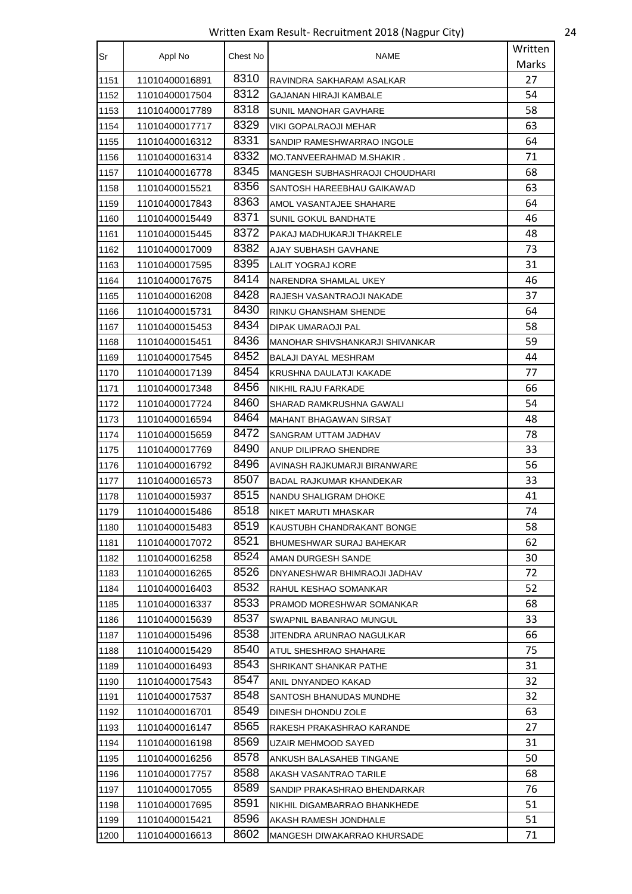Written Exam Result- Recruitment 2018 (Nagpur City) 24

| Sr   | Appl No        | Chest No | NAME                            | Written |
|------|----------------|----------|---------------------------------|---------|
|      |                |          |                                 | Marks   |
| 1151 | 11010400016891 | 8310     | RAVINDRA SAKHARAM ASALKAR       | 27      |
| 1152 | 11010400017504 | 8312     | <b>GAJANAN HIRAJI KAMBALE</b>   | 54      |
| 1153 | 11010400017789 | 8318     | SUNIL MANOHAR GAVHARE           | 58      |
| 1154 | 11010400017717 | 8329     | VIKI GOPALRAOJI MEHAR           | 63      |
| 1155 | 11010400016312 | 8331     | SANDIP RAMESHWARRAO INGOLE      | 64      |
| 1156 | 11010400016314 | 8332     | MO.TANVEERAHMAD M.SHAKIR.       | 71      |
| 1157 | 11010400016778 | 8345     | MANGESH SUBHASHRAOJI CHOUDHARI  | 68      |
| 1158 | 11010400015521 | 8356     | SANTOSH HAREEBHAU GAIKAWAD      | 63      |
| 1159 | 11010400017843 | 8363     | AMOL VASANTAJEE SHAHARE         | 64      |
| 1160 | 11010400015449 | 8371     | SUNIL GOKUL BANDHATE            | 46      |
| 1161 | 11010400015445 | 8372     | PAKAJ MADHUKARJI THAKRELE       | 48      |
| 1162 | 11010400017009 | 8382     | AJAY SUBHASH GAVHANE            | 73      |
| 1163 | 11010400017595 | 8395     | LALIT YOGRAJ KORE               | 31      |
| 1164 | 11010400017675 | 8414     | NARENDRA SHAMLAL UKEY           | 46      |
| 1165 | 11010400016208 | 8428     | RAJESH VASANTRAOJI NAKADE       | 37      |
| 1166 | 11010400015731 | 8430     | RINKU GHANSHAM SHENDE           | 64      |
| 1167 | 11010400015453 | 8434     | DIPAK UMARAOJI PAL              | 58      |
| 1168 | 11010400015451 | 8436     | MANOHAR SHIVSHANKARJI SHIVANKAR | 59      |
| 1169 | 11010400017545 | 8452     | BALAJI DAYAL MESHRAM            | 44      |
| 1170 | 11010400017139 | 8454     | KRUSHNA DAULATJI KAKADE         | 77      |
| 1171 | 11010400017348 | 8456     | NIKHIL RAJU FARKADE             | 66      |
| 1172 | 11010400017724 | 8460     | SHARAD RAMKRUSHNA GAWALI        | 54      |
| 1173 | 11010400016594 | 8464     | MAHANT BHAGAWAN SIRSAT          | 48      |
| 1174 | 11010400015659 | 8472     | SANGRAM UTTAM JADHAV            | 78      |
| 1175 | 11010400017769 | 8490     | ANUP DILIPRAO SHENDRE           | 33      |
| 1176 | 11010400016792 | 8496     | AVINASH RAJKUMARJI BIRANWARE    | 56      |
| 1177 | 11010400016573 | 8507     | <b>BADAL RAJKUMAR KHANDEKAR</b> | 33      |
| 1178 | 11010400015937 | 8515     | NANDU SHALIGRAM DHOKE           | 41      |
| 1179 | 11010400015486 | 8518     | NIKET MARUTI MHASKAR            | 74      |
| 1180 | 11010400015483 | 8519     | KAUSTUBH CHANDRAKANT BONGE      | 58      |
| 1181 | 11010400017072 | 8521     | BHUMESHWAR SURAJ BAHEKAR        | 62      |
| 1182 | 11010400016258 | 8524     | AMAN DURGESH SANDE              | 30      |
| 1183 | 11010400016265 | 8526     | DNYANESHWAR BHIMRAOJI JADHAV    | 72      |
| 1184 | 11010400016403 | 8532     | RAHUL KESHAO SOMANKAR           | 52      |
| 1185 | 11010400016337 | 8533     | PRAMOD MORESHWAR SOMANKAR       | 68      |
| 1186 | 11010400015639 | 8537     | SWAPNIL BABANRAO MUNGUL         | 33      |
| 1187 | 11010400015496 | 8538     | JITENDRA ARUNRAO NAGULKAR       | 66      |
| 1188 | 11010400015429 | 8540     | ATUL SHESHRAO SHAHARE           | 75      |
| 1189 | 11010400016493 | 8543     | SHRIKANT SHANKAR PATHE          | 31      |
| 1190 | 11010400017543 | 8547     | ANIL DNYANDEO KAKAD             | 32      |
| 1191 | 11010400017537 | 8548     | SANTOSH BHANUDAS MUNDHE         | 32      |
| 1192 | 11010400016701 | 8549     | DINESH DHONDU ZOLE              | 63      |
| 1193 | 11010400016147 | 8565     | RAKESH PRAKASHRAO KARANDE       | 27      |
| 1194 | 11010400016198 | 8569     | UZAIR MEHMOOD SAYED             | 31      |
| 1195 | 11010400016256 | 8578     | ANKUSH BALASAHEB TINGANE        | 50      |
| 1196 | 11010400017757 | 8588     | AKASH VASANTRAO TARILE          | 68      |
| 1197 | 11010400017055 | 8589     | SANDIP PRAKASHRAO BHENDARKAR    | 76      |
| 1198 | 11010400017695 | 8591     | NIKHIL DIGAMBARRAO BHANKHEDE    | 51      |
| 1199 | 11010400015421 | 8596     | AKASH RAMESH JONDHALE           | 51      |
| 1200 | 11010400016613 | 8602     | MANGESH DIWAKARRAO KHURSADE     | 71      |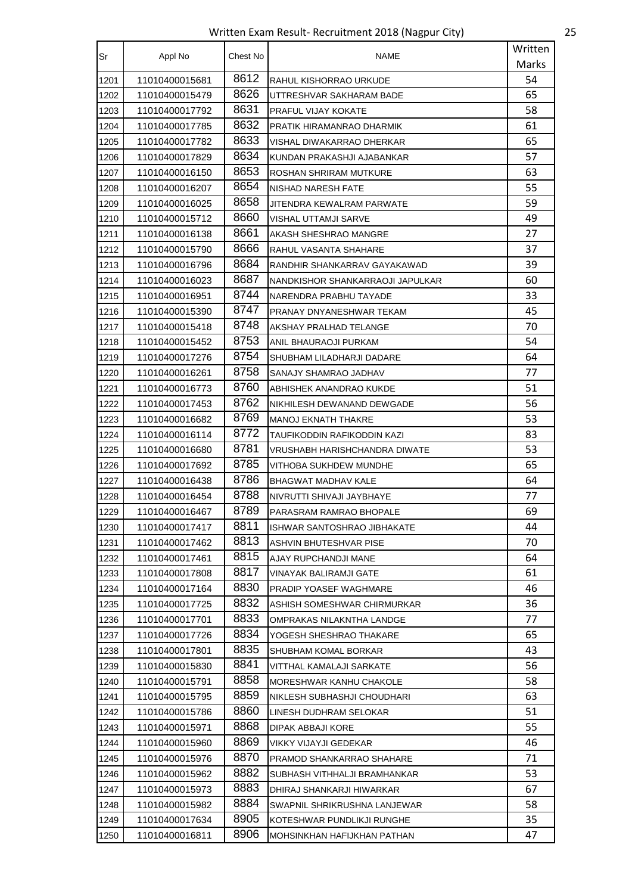Written Exam Result- Recruitment 2018 (Nagpur City) 25

| Sr   | Appl No        | Chest No | <b>NAME</b>                      | Written |
|------|----------------|----------|----------------------------------|---------|
|      |                |          |                                  | Marks   |
| 1201 | 11010400015681 | 8612     | RAHUL KISHORRAO URKUDE           | 54      |
| 1202 | 11010400015479 | 8626     | UTTRESHVAR SAKHARAM BADE         | 65      |
| 1203 | 11010400017792 | 8631     | PRAFUL VIJAY KOKATE              | 58      |
| 1204 | 11010400017785 | 8632     | PRATIK HIRAMANRAO DHARMIK        | 61      |
| 1205 | 11010400017782 | 8633     | VISHAL DIWAKARRAO DHERKAR        | 65      |
| 1206 | 11010400017829 | 8634     | KUNDAN PRAKASHJI AJABANKAR       | 57      |
| 1207 | 11010400016150 | 8653     | ROSHAN SHRIRAM MUTKURE           | 63      |
| 1208 | 11010400016207 | 8654     | NISHAD NARESH FATE               | 55      |
| 1209 | 11010400016025 | 8658     | JITENDRA KEWALRAM PARWATE        | 59      |
| 1210 | 11010400015712 | 8660     | VISHAL UTTAMJI SARVE             | 49      |
| 1211 | 11010400016138 | 8661     | AKASH SHESHRAO MANGRE            | 27      |
| 1212 | 11010400015790 | 8666     | RAHUL VASANTA SHAHARE            | 37      |
| 1213 | 11010400016796 | 8684     | RANDHIR SHANKARRAV GAYAKAWAD     | 39      |
| 1214 | 11010400016023 | 8687     | NANDKISHOR SHANKARRAOJI JAPULKAR | 60      |
| 1215 | 11010400016951 | 8744     | NARENDRA PRABHU TAYADE           | 33      |
| 1216 | 11010400015390 | 8747     | PRANAY DNYANESHWAR TEKAM         | 45      |
| 1217 | 11010400015418 | 8748     | AKSHAY PRALHAD TELANGE           | 70      |
| 1218 | 11010400015452 | 8753     | ANIL BHAURAOJI PURKAM            | 54      |
| 1219 | 11010400017276 | 8754     | SHUBHAM LILADHARJI DADARE        | 64      |
| 1220 | 11010400016261 | 8758     | SANAJY SHAMRAO JADHAV            | 77      |
| 1221 | 11010400016773 | 8760     | ABHISHEK ANANDRAO KUKDE          | 51      |
| 1222 | 11010400017453 | 8762     | NIKHILESH DEWANAND DEWGADE       | 56      |
| 1223 | 11010400016682 | 8769     | <b>MANOJ EKNATH THAKRE</b>       | 53      |
| 1224 | 11010400016114 | 8772     | TAUFIKODDIN RAFIKODDIN KAZI      | 83      |
| 1225 | 11010400016680 | 8781     | VRUSHABH HARISHCHANDRA DIWATE    | 53      |
| 1226 | 11010400017692 | 8785     | VITHOBA SUKHDEW MUNDHE           | 65      |
| 1227 | 11010400016438 | 8786     | BHAGWAT MADHAV KALE              | 64      |
| 1228 | 11010400016454 | 8788     | NIVRUTTI SHIVAJI JAYBHAYE        | 77      |
| 1229 | 11010400016467 | 8789     | PARASRAM RAMRAO BHOPALE          | 69      |
| 1230 | 11010400017417 | 8811     | ISHWAR SANTOSHRAO JIBHAKATE      | 44      |
| 1231 | 11010400017462 | 8813     | ASHVIN BHUTESHVAR PISE           | 70      |
| 1232 | 11010400017461 | 8815     | AJAY RUPCHANDJI MANE             | 64      |
| 1233 | 11010400017808 | 8817     | VINAYAK BALIRAMJI GATE           | 61      |
| 1234 | 11010400017164 | 8830     | PRADIP YOASEF WAGHMARE           | 46      |
| 1235 | 11010400017725 | 8832     | ASHISH SOMESHWAR CHIRMURKAR      | 36      |
| 1236 | 11010400017701 | 8833     | OMPRAKAS NILAKNTHA LANDGE        | 77      |
| 1237 | 11010400017726 | 8834     | YOGESH SHESHRAO THAKARE          | 65      |
| 1238 | 11010400017801 | 8835     | SHUBHAM KOMAL BORKAR             | 43      |
| 1239 | 11010400015830 | 8841     | VITTHAL KAMALAJI SARKATE         | 56      |
| 1240 | 11010400015791 | 8858     | MORESHWAR KANHU CHAKOLE          | 58      |
| 1241 | 11010400015795 | 8859     | NIKLESH SUBHASHJI CHOUDHARI      | 63      |
| 1242 | 11010400015786 | 8860     | LINESH DUDHRAM SELOKAR           | 51      |
| 1243 | 11010400015971 | 8868     | DIPAK ABBAJI KORE                | 55      |
| 1244 | 11010400015960 | 8869     | VIKKY VIJAYJI GEDEKAR            | 46      |
| 1245 | 11010400015976 | 8870     | PRAMOD SHANKARRAO SHAHARE        | 71      |
| 1246 | 11010400015962 | 8882     | SUBHASH VITHHALJI BRAMHANKAR     | 53      |
| 1247 | 11010400015973 | 8883     | DHIRAJ SHANKARJI HIWARKAR        | 67      |
| 1248 | 11010400015982 | 8884     | SWAPNIL SHRIKRUSHNA LANJEWAR     | 58      |
| 1249 | 11010400017634 | 8905     | KOTESHWAR PUNDLIKJI RUNGHE       | 35      |
| 1250 | 11010400016811 | 8906     | MOHSINKHAN HAFIJKHAN PATHAN      | 47      |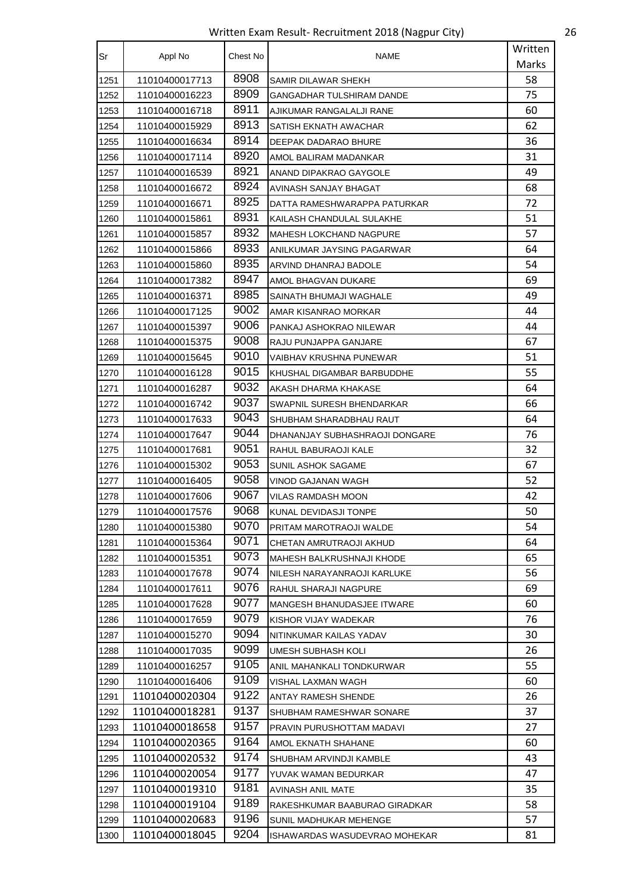Written Exam Result- Recruitment 2018 (Nagpur City) 26

| Sr   | Appl No        | Chest No | NAME                           | Written |
|------|----------------|----------|--------------------------------|---------|
|      |                |          |                                | Marks   |
| 1251 | 11010400017713 | 8908     | SAMIR DILAWAR SHEKH            | 58      |
| 1252 | 11010400016223 | 8909     | GANGADHAR TULSHIRAM DANDE      | 75      |
| 1253 | 11010400016718 | 8911     | AJIKUMAR RANGALALJI RANE       | 60      |
| 1254 | 11010400015929 | 8913     | SATISH EKNATH AWACHAR          | 62      |
| 1255 | 11010400016634 | 8914     | DEEPAK DADARAO BHURE           | 36      |
| 1256 | 11010400017114 | 8920     | AMOL BALIRAM MADANKAR          | 31      |
| 1257 | 11010400016539 | 8921     | ANAND DIPAKRAO GAYGOLE         | 49      |
| 1258 | 11010400016672 | 8924     | AVINASH SANJAY BHAGAT          | 68      |
| 1259 | 11010400016671 | 8925     | DATTA RAMESHWARAPPA PATURKAR   | 72      |
| 1260 | 11010400015861 | 8931     | KAILASH CHANDULAL SULAKHE      | 51      |
| 1261 | 11010400015857 | 8932     | MAHESH LOKCHAND NAGPURE        | 57      |
| 1262 | 11010400015866 | 8933     | ANILKUMAR JAYSING PAGARWAR     | 64      |
| 1263 | 11010400015860 | 8935     | ARVIND DHANRAJ BADOLE          | 54      |
| 1264 | 11010400017382 | 8947     | AMOL BHAGVAN DUKARE            | 69      |
| 1265 | 11010400016371 | 8985     | SAINATH BHUMAJI WAGHALE        | 49      |
| 1266 | 11010400017125 | 9002     | AMAR KISANRAO MORKAR           | 44      |
| 1267 | 11010400015397 | 9006     | PANKAJ ASHOKRAO NILEWAR        | 44      |
| 1268 | 11010400015375 | 9008     | RAJU PUNJAPPA GANJARE          | 67      |
| 1269 | 11010400015645 | 9010     | VAIBHAV KRUSHNA PUNEWAR        | 51      |
| 1270 | 11010400016128 | 9015     | KHUSHAL DIGAMBAR BARBUDDHE     | 55      |
| 1271 | 11010400016287 | 9032     | AKASH DHARMA KHAKASE           | 64      |
| 1272 | 11010400016742 | 9037     | SWAPNIL SURESH BHENDARKAR      | 66      |
| 1273 | 11010400017633 | 9043     | SHUBHAM SHARADBHAU RAUT        | 64      |
| 1274 | 11010400017647 | 9044     | DHANANJAY SUBHASHRAOJI DONGARE | 76      |
| 1275 | 11010400017681 | 9051     | RAHUL BABURAOJI KALE           | 32      |
| 1276 | 11010400015302 | 9053     | SUNIL ASHOK SAGAME             | 67      |
| 1277 | 11010400016405 | 9058     | VINOD GAJANAN WAGH             | 52      |
| 1278 | 11010400017606 | 9067     | VILAS RAMDASH MOON             | 42      |
| 1279 | 11010400017576 | 9068     | KUNAL DEVIDASJI TONPE          | 50      |
| 1280 | 11010400015380 | 9070     | PRITAM MAROTRAOJI WALDE        | 54      |
| 1281 | 11010400015364 | 9071     | CHETAN AMRUTRAOJI AKHUD        | 64      |
| 1282 | 11010400015351 | 9073     | MAHESH BALKRUSHNAJI KHODE      | 65      |
| 1283 | 11010400017678 | 9074     | NILESH NARAYANRAOJI KARLUKE    | 56      |
| 1284 | 11010400017611 | 9076     | RAHUL SHARAJI NAGPURE          | 69      |
| 1285 | 11010400017628 | 9077     | MANGESH BHANUDASJEE ITWARE     | 60      |
| 1286 | 11010400017659 | 9079     | KISHOR VIJAY WADEKAR           | 76      |
| 1287 | 11010400015270 | 9094     | NITINKUMAR KAILAS YADAV        | 30      |
| 1288 | 11010400017035 | 9099     | UMESH SUBHASH KOLI             | 26      |
| 1289 | 11010400016257 | 9105     | ANIL MAHANKALI TONDKURWAR      | 55      |
| 1290 | 11010400016406 | 9109     | VISHAL LAXMAN WAGH             | 60      |
| 1291 | 11010400020304 | 9122     | ANTAY RAMESH SHENDE            | 26      |
| 1292 | 11010400018281 | 9137     | SHUBHAM RAMESHWAR SONARE       | 37      |
| 1293 | 11010400018658 | 9157     | PRAVIN PURUSHOTTAM MADAVI      | 27      |
| 1294 | 11010400020365 | 9164     | AMOL EKNATH SHAHANE            | 60      |
| 1295 | 11010400020532 | 9174     | SHUBHAM ARVINDJI KAMBLE        | 43      |
| 1296 | 11010400020054 | 9177     | YUVAK WAMAN BEDURKAR           | 47      |
| 1297 | 11010400019310 | 9181     | AVINASH ANIL MATE              | 35      |
| 1298 | 11010400019104 | 9189     | RAKESHKUMAR BAABURAO GIRADKAR  | 58      |
| 1299 | 11010400020683 | 9196     | SUNIL MADHUKAR MEHENGE         | 57      |
| 1300 | 11010400018045 | 9204     | ISHAWARDAS WASUDEVRAO MOHEKAR  | 81      |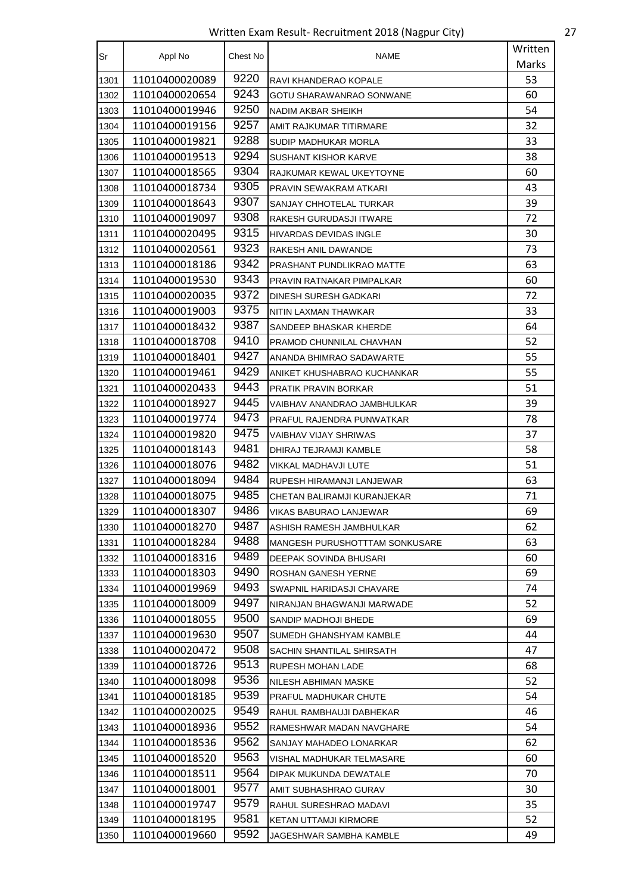Written Exam Result- Recruitment 2018 (Nagpur City) 27

| Sr   |                | Chest No | <b>NAME</b>                    | Written |
|------|----------------|----------|--------------------------------|---------|
|      | Appl No        |          |                                | Marks   |
| 1301 | 11010400020089 | 9220     | RAVI KHANDERAO KOPALE          | 53      |
| 1302 | 11010400020654 | 9243     | GOTU SHARAWANRAO SONWANE       | 60      |
| 1303 | 11010400019946 | 9250     | NADIM AKBAR SHEIKH             | 54      |
| 1304 | 11010400019156 | 9257     | AMIT RAJKUMAR TITIRMARE        | 32      |
| 1305 | 11010400019821 | 9288     | SUDIP MADHUKAR MORLA           | 33      |
| 1306 | 11010400019513 | 9294     | SUSHANT KISHOR KARVE           | 38      |
| 1307 | 11010400018565 | 9304     | RAJKUMAR KEWAL UKEYTOYNE       | 60      |
| 1308 | 11010400018734 | 9305     | PRAVIN SEWAKRAM ATKARI         | 43      |
| 1309 | 11010400018643 | 9307     | SANJAY CHHOTELAL TURKAR        | 39      |
| 1310 | 11010400019097 | 9308     | RAKESH GURUDASJI ITWARE        | 72      |
| 1311 | 11010400020495 | 9315     | <b>HIVARDAS DEVIDAS INGLE</b>  | 30      |
| 1312 | 11010400020561 | 9323     | RAKESH ANIL DAWANDE            | 73      |
| 1313 | 11010400018186 | 9342     | PRASHANT PUNDLIKRAO MATTE      | 63      |
| 1314 | 11010400019530 | 9343     | PRAVIN RATNAKAR PIMPALKAR      | 60      |
| 1315 | 11010400020035 | 9372     | DINESH SURESH GADKARI          | 72      |
| 1316 | 11010400019003 | 9375     | NITIN LAXMAN THAWKAR           | 33      |
| 1317 | 11010400018432 | 9387     | SANDEEP BHASKAR KHERDE         | 64      |
| 1318 | 11010400018708 | 9410     | PRAMOD CHUNNILAL CHAVHAN       | 52      |
| 1319 | 11010400018401 | 9427     | ANANDA BHIMRAO SADAWARTE       | 55      |
| 1320 | 11010400019461 | 9429     | ANIKET KHUSHABRAO KUCHANKAR    | 55      |
| 1321 | 11010400020433 | 9443     | <b>PRATIK PRAVIN BORKAR</b>    | 51      |
| 1322 | 11010400018927 | 9445     | VAIBHAV ANANDRAO JAMBHULKAR    | 39      |
| 1323 | 11010400019774 | 9473     | PRAFUL RAJENDRA PUNWATKAR      | 78      |
| 1324 | 11010400019820 | 9475     | VAIBHAV VIJAY SHRIWAS          | 37      |
| 1325 | 11010400018143 | 9481     | DHIRAJ TEJRAMJI KAMBLE         | 58      |
| 1326 | 11010400018076 | 9482     | VIKKAL MADHAVJI LUTE           | 51      |
| 1327 | 11010400018094 | 9484     | RUPESH HIRAMANJI LANJEWAR      | 63      |
| 1328 | 11010400018075 | 9485     | CHETAN BALIRAMJI KURANJEKAR    | 71      |
| 1329 | 11010400018307 | 9486     | VIKAS BABURAO LANJEWAR         | 69      |
| 1330 | 11010400018270 | 9487     | ASHISH RAMESH JAMBHULKAR       | 62      |
| 1331 | 11010400018284 | 9488     | MANGESH PURUSHOTTTAM SONKUSARE | 63      |
| 1332 | 11010400018316 | 9489     | DEEPAK SOVINDA BHUSARI         | 60      |
| 1333 | 11010400018303 | 9490     | ROSHAN GANESH YERNE            | 69      |
| 1334 | 11010400019969 | 9493     | SWAPNIL HARIDASJI CHAVARE      | 74      |
| 1335 | 11010400018009 | 9497     | NIRANJAN BHAGWANJI MARWADE     | 52      |
| 1336 | 11010400018055 | 9500     | SANDIP MADHOJI BHEDE           | 69      |
| 1337 | 11010400019630 | 9507     | SUMEDH GHANSHYAM KAMBLE        | 44      |
| 1338 | 11010400020472 | 9508     | SACHIN SHANTILAL SHIRSATH      | 47      |
| 1339 | 11010400018726 | 9513     | RUPESH MOHAN LADE              | 68      |
| 1340 | 11010400018098 | 9536     | NILESH ABHIMAN MASKE           | 52      |
| 1341 | 11010400018185 | 9539     | PRAFUL MADHUKAR CHUTE          | 54      |
| 1342 | 11010400020025 | 9549     | RAHUL RAMBHAUJI DABHEKAR       | 46      |
| 1343 | 11010400018936 | 9552     | RAMESHWAR MADAN NAVGHARE       | 54      |
| 1344 | 11010400018536 | 9562     | SANJAY MAHADEO LONARKAR        | 62      |
| 1345 | 11010400018520 | 9563     | VISHAL MADHUKAR TELMASARE      | 60      |
| 1346 | 11010400018511 | 9564     | DIPAK MUKUNDA DEWATALE         | 70      |
| 1347 | 11010400018001 | 9577     | AMIT SUBHASHRAO GURAV          | 30      |
| 1348 | 11010400019747 | 9579     | RAHUL SURESHRAO MADAVI         | 35      |
| 1349 | 11010400018195 | 9581     | KETAN UTTAMJI KIRMORE          | 52      |
| 1350 | 11010400019660 | 9592     | JAGESHWAR SAMBHA KAMBLE        | 49      |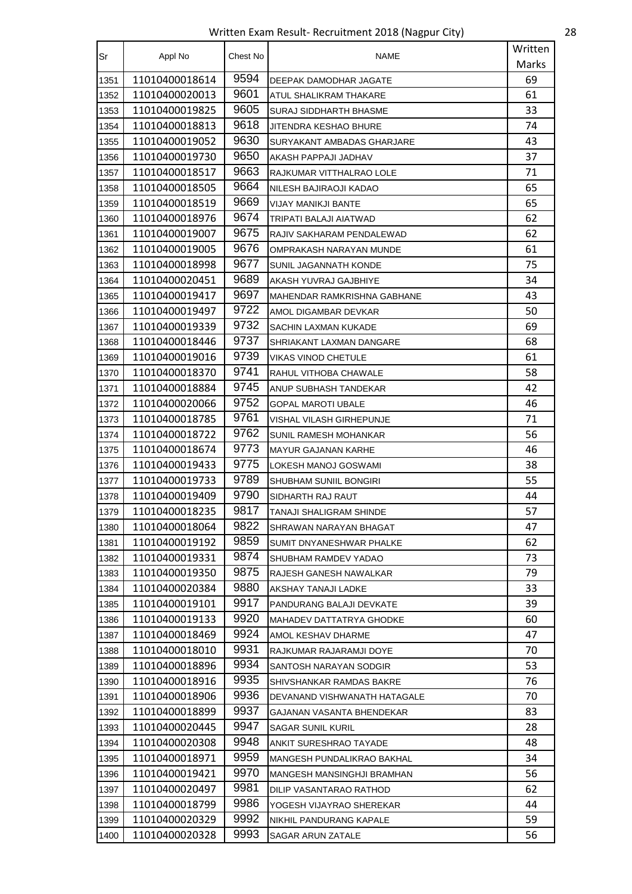Written Exam Result- Recruitment 2018 (Nagpur City) 28

| Sr   | Appl No        | Chest No | NAME                          | Written |
|------|----------------|----------|-------------------------------|---------|
|      |                |          |                               | Marks   |
| 1351 | 11010400018614 | 9594     | DEEPAK DAMODHAR JAGATE        | 69      |
| 1352 | 11010400020013 | 9601     | ATUL SHALIKRAM THAKARE        | 61      |
| 1353 | 11010400019825 | 9605     | <b>SURAJ SIDDHARTH BHASME</b> | 33      |
| 1354 | 11010400018813 | 9618     | JITENDRA KESHAO BHURE         | 74      |
| 1355 | 11010400019052 | 9630     | SURYAKANT AMBADAS GHARJARE    | 43      |
| 1356 | 11010400019730 | 9650     | AKASH PAPPAJI JADHAV          | 37      |
| 1357 | 11010400018517 | 9663     | RAJKUMAR VITTHALRAO LOLE      | 71      |
| 1358 | 11010400018505 | 9664     | NILESH BAJIRAOJI KADAO        | 65      |
| 1359 | 11010400018519 | 9669     | VIJAY MANIKJI BANTE           | 65      |
| 1360 | 11010400018976 | 9674     | TRIPATI BALAJI AIATWAD        | 62      |
| 1361 | 11010400019007 | 9675     | RAJIV SAKHARAM PENDALEWAD     | 62      |
| 1362 | 11010400019005 | 9676     | OMPRAKASH NARAYAN MUNDE       | 61      |
| 1363 | 11010400018998 | 9677     | SUNIL JAGANNATH KONDE         | 75      |
| 1364 | 11010400020451 | 9689     | AKASH YUVRAJ GAJBHIYE         | 34      |
| 1365 | 11010400019417 | 9697     | MAHENDAR RAMKRISHNA GABHANE   | 43      |
| 1366 | 11010400019497 | 9722     | AMOL DIGAMBAR DEVKAR          | 50      |
| 1367 | 11010400019339 | 9732     | SACHIN LAXMAN KUKADE          | 69      |
| 1368 | 11010400018446 | 9737     | SHRIAKANT LAXMAN DANGARE      | 68      |
| 1369 | 11010400019016 | 9739     | VIKAS VINOD CHETULE           | 61      |
| 1370 | 11010400018370 | 9741     | RAHUL VITHOBA CHAWALE         | 58      |
| 1371 | 11010400018884 | 9745     | ANUP SUBHASH TANDEKAR         | 42      |
| 1372 | 11010400020066 | 9752     | <b>GOPAL MAROTI UBALE</b>     | 46      |
| 1373 | 11010400018785 | 9761     | VISHAL VILASH GIRHEPUNJE      | 71      |
| 1374 | 11010400018722 | 9762     | SUNIL RAMESH MOHANKAR         | 56      |
| 1375 | 11010400018674 | 9773     | <b>MAYUR GAJANAN KARHE</b>    | 46      |
| 1376 | 11010400019433 | 9775     | LOKESH MANOJ GOSWAMI          | 38      |
| 1377 | 11010400019733 | 9789     | <b>SHUBHAM SUNIIL BONGIRI</b> | 55      |
| 1378 | 11010400019409 | 9790     | SIDHARTH RAJ RAUT             | 44      |
| 1379 | 11010400018235 | 9817     | TANAJI SHALIGRAM SHINDE       | 57      |
| 1380 | 11010400018064 | 9822     | SHRAWAN NARAYAN BHAGAT        | 47      |
| 1381 | 11010400019192 | 9859     | SUMIT DNYANESHWAR PHALKE      | 62      |
| 1382 | 11010400019331 | 9874     | SHUBHAM RAMDEV YADAO          | 73      |
| 1383 | 11010400019350 | 9875     | RAJESH GANESH NAWALKAR        | 79      |
| 1384 | 11010400020384 | 9880     | AKSHAY TANAJI LADKE           | 33      |
| 1385 | 11010400019101 | 9917     | PANDURANG BALAJI DEVKATE      | 39      |
| 1386 | 11010400019133 | 9920     | MAHADEV DATTATRYA GHODKE      | 60      |
| 1387 | 11010400018469 | 9924     | AMOL KESHAV DHARME            | 47      |
| 1388 | 11010400018010 | 9931     | RAJKUMAR RAJARAMJI DOYE       | 70      |
| 1389 | 11010400018896 | 9934     | SANTOSH NARAYAN SODGIR        | 53      |
| 1390 | 11010400018916 | 9935     | SHIVSHANKAR RAMDAS BAKRE      | 76      |
| 1391 | 11010400018906 | 9936     | DEVANAND VISHWANATH HATAGALE  | 70      |
| 1392 | 11010400018899 | 9937     | GAJANAN VASANTA BHENDEKAR     | 83      |
| 1393 | 11010400020445 | 9947     | SAGAR SUNIL KURIL             | 28      |
| 1394 | 11010400020308 | 9948     | ANKIT SURESHRAO TAYADE        | 48      |
| 1395 | 11010400018971 | 9959     | MANGESH PUNDALIKRAO BAKHAL    | 34      |
| 1396 | 11010400019421 | 9970     | MANGESH MANSINGHJI BRAMHAN    | 56      |
| 1397 | 11010400020497 | 9981     | DILIP VASANTARAO RATHOD       | 62      |
| 1398 | 11010400018799 | 9986     | YOGESH VIJAYRAO SHEREKAR      | 44      |
| 1399 | 11010400020329 | 9992     | NIKHIL PANDURANG KAPALE       | 59      |
| 1400 | 11010400020328 | 9993     | SAGAR ARUN ZATALE             | 56      |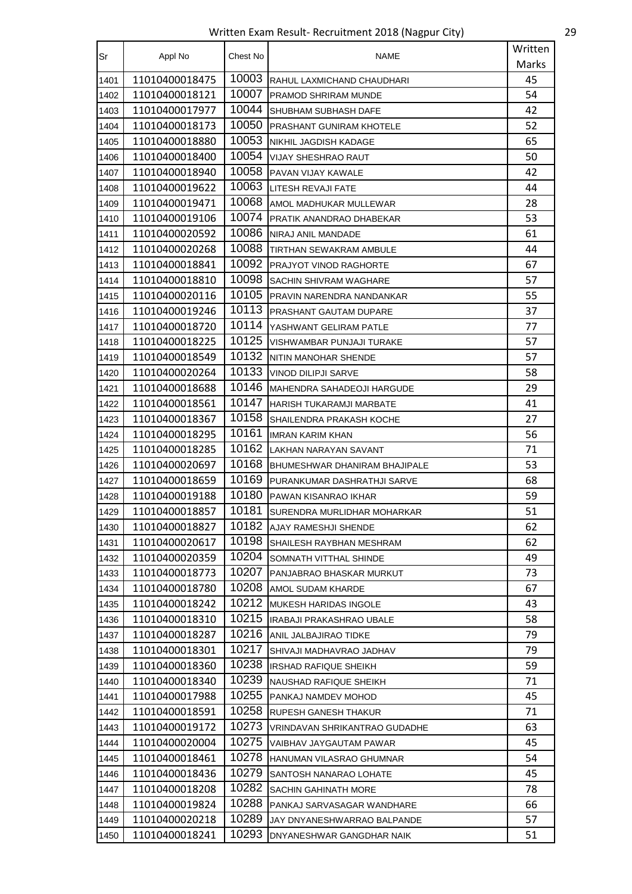Written Exam Result- Recruitment 2018 (Nagpur City) 29

| Sr   | Appl No        | Chest No | NAME                          | Written |
|------|----------------|----------|-------------------------------|---------|
|      |                |          |                               | Marks   |
| 1401 | 11010400018475 | 10003    | RAHUL LAXMICHAND CHAUDHARI    | 45      |
| 1402 | 11010400018121 | 10007    | PRAMOD SHRIRAM MUNDE          | 54      |
| 1403 | 11010400017977 | 10044    | SHUBHAM SUBHASH DAFE          | 42      |
| 1404 | 11010400018173 | 10050    | PRASHANT GUNIRAM KHOTELE      | 52      |
| 1405 | 11010400018880 | 10053    | NIKHIL JAGDISH KADAGE         | 65      |
| 1406 | 11010400018400 | 10054    | <b>VIJAY SHESHRAO RAUT</b>    | 50      |
| 1407 | 11010400018940 | 10058    | PAVAN VIJAY KAWALE            | 42      |
| 1408 | 11010400019622 | 10063    | LITESH REVAJI FATE            | 44      |
| 1409 | 11010400019471 | 10068    | AMOL MADHUKAR MULLEWAR        | 28      |
| 1410 | 11010400019106 | 10074    | PRATIK ANANDRAO DHABEKAR      | 53      |
| 1411 | 11010400020592 | 10086    | NIRAJ ANIL MANDADE            | 61      |
| 1412 | 11010400020268 | 10088    | TIRTHAN SEWAKRAM AMBULE       | 44      |
| 1413 | 11010400018841 | 10092    | PRAJYOT VINOD RAGHORTE        | 67      |
| 1414 | 11010400018810 | 10098    | SACHIN SHIVRAM WAGHARE        | 57      |
| 1415 | 11010400020116 | 10105    | PRAVIN NARENDRA NANDANKAR     | 55      |
| 1416 | 11010400019246 | 10113    | PRASHANT GAUTAM DUPARE        | 37      |
| 1417 | 11010400018720 | 10114    | YASHWANT GELIRAM PATLE        | 77      |
| 1418 | 11010400018225 | 10125    | VISHWAMBAR PUNJAJI TURAKE     | 57      |
| 1419 | 11010400018549 | 10132    | NITIN MANOHAR SHENDE          | 57      |
| 1420 | 11010400020264 | 10133    | <b>VINOD DILIPJI SARVE</b>    | 58      |
| 1421 | 11010400018688 | 10146    | MAHENDRA SAHADEOJI HARGUDE    | 29      |
| 1422 | 11010400018561 | 10147    | HARISH TUKARAMJI MARBATE      | 41      |
| 1423 | 11010400018367 | 10158    | SHAILENDRA PRAKASH KOCHE      | 27      |
| 1424 | 11010400018295 | 10161    | <b>IMRAN KARIM KHAN</b>       | 56      |
| 1425 | 11010400018285 | 10162    | LAKHAN NARAYAN SAVANT         | 71      |
| 1426 | 11010400020697 | 10168    | BHUMESHWAR DHANIRAM BHAJIPALE | 53      |
| 1427 | 11010400018659 | 10169    | PURANKUMAR DASHRATHJI SARVE   | 68      |
| 1428 | 11010400019188 | 10180    | PAWAN KISANRAO IKHAR          | 59      |
| 1429 | 11010400018857 | 10181    | SURENDRA MURLIDHAR MOHARKAR   | 51      |
| 1430 | 11010400018827 | 10182    | AJAY RAMESHJI SHENDE          | 62      |
| 1431 | 11010400020617 | 10198    | SHAILESH RAYBHAN MESHRAM      | 62      |
| 1432 | 11010400020359 | 10204    | SOMNATH VITTHAL SHINDE        | 49      |
| 1433 | 11010400018773 | 10207    | PANJABRAO BHASKAR MURKUT      | 73      |
| 1434 | 11010400018780 | 10208    | AMOL SUDAM KHARDE             | 67      |
| 1435 | 11010400018242 | 10212    | MUKESH HARIDAS INGOLE         | 43      |
| 1436 | 11010400018310 | 10215    | IRABAJI PRAKASHRAO UBALE      | 58      |
| 1437 | 11010400018287 | 10216    | ANIL JALBAJIRAO TIDKE         | 79      |
| 1438 | 11010400018301 | 10217    | SHIVAJI MADHAVRAO JADHAV      | 79      |
| 1439 | 11010400018360 | 10238    | <b>IRSHAD RAFIQUE SHEIKH</b>  | 59      |
| 1440 | 11010400018340 | 10239    | NAUSHAD RAFIQUE SHEIKH        | 71      |
| 1441 | 11010400017988 | 10255    | PANKAJ NAMDEV MOHOD           | 45      |
| 1442 | 11010400018591 | 10258    | RUPESH GANESH THAKUR          | 71      |
| 1443 | 11010400019172 | 10273    | VRINDAVAN SHRIKANTRAO GUDADHE | 63      |
| 1444 | 11010400020004 | 10275    | VAIBHAV JAYGAUTAM PAWAR       | 45      |
| 1445 | 11010400018461 | 10278    | HANUMAN VILASRAO GHUMNAR      | 54      |
| 1446 | 11010400018436 | 10279    | SANTOSH NANARAO LOHATE        | 45      |
| 1447 | 11010400018208 | 10282    | <b>SACHIN GAHINATH MORE</b>   | 78      |
| 1448 | 11010400019824 | 10288    | PANKAJ SARVASAGAR WANDHARE    | 66      |
| 1449 | 11010400020218 | 10289    | JAY DNYANESHWARRAO BALPANDE   | 57      |
| 1450 | 11010400018241 | 10293    | DNYANESHWAR GANGDHAR NAIK     | 51      |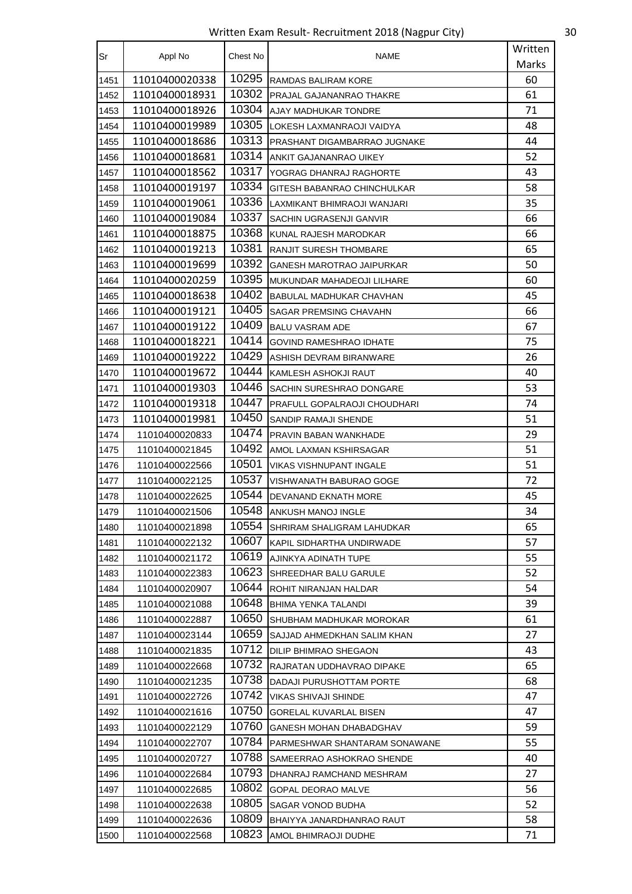Written Exam Result- Recruitment 2018 (Nagpur City) 30

| Sr   | Appl No        | Chest No | NAME                                | Written |
|------|----------------|----------|-------------------------------------|---------|
|      |                |          |                                     | Marks   |
| 1451 | 11010400020338 | 10295    | RAMDAS BALIRAM KORE                 | 60      |
| 1452 | 11010400018931 | 10302    | PRAJAL GAJANANRAO THAKRE            | 61      |
| 1453 | 11010400018926 | 10304    | AJAY MADHUKAR TONDRE                | 71      |
| 1454 | 11010400019989 | 10305    | LOKESH LAXMANRAOJI VAIDYA           | 48      |
| 1455 | 11010400018686 | 10313    | PRASHANT DIGAMBARRAO JUGNAKE        | 44      |
| 1456 | 11010400018681 | 10314    | ANKIT GAJANANRAO UIKEY              | 52      |
| 1457 | 11010400018562 | 10317    | YOGRAG DHANRAJ RAGHORTE             | 43      |
| 1458 | 11010400019197 | 10334    | GITESH BABANRAO CHINCHULKAR         | 58      |
| 1459 | 11010400019061 | 10336    | LAXMIKANT BHIMRAOJI WANJARI         | 35      |
| 1460 | 11010400019084 | 10337    | SACHIN UGRASENJI GANVIR             | 66      |
| 1461 | 11010400018875 | 10368    | KUNAL RAJESH MARODKAR               | 66      |
| 1462 | 11010400019213 | 10381    | <b>RANJIT SURESH THOMBARE</b>       | 65      |
| 1463 | 11010400019699 | 10392    | GANESH MAROTRAO JAIPURKAR           | 50      |
| 1464 | 11010400020259 | 10395    | MUKUNDAR MAHADEOJI LILHARE          | 60      |
| 1465 | 11010400018638 | 10402    | BABULAL MADHUKAR CHAVHAN            | 45      |
| 1466 | 11010400019121 | 10405    | SAGAR PREMSING CHAVAHN              | 66      |
| 1467 | 11010400019122 | 10409    | <b>BALU VASRAM ADE</b>              | 67      |
| 1468 | 11010400018221 | 10414    | GOVIND RAMESHRAO IDHATE             | 75      |
| 1469 | 11010400019222 | 10429    | ASHISH DEVRAM BIRANWARE             | 26      |
| 1470 | 11010400019672 | 10444    | KAMLESH ASHOKJI RAUT                | 40      |
| 1471 | 11010400019303 | 10446    | SACHIN SURESHRAO DONGARE            | 53      |
| 1472 | 11010400019318 | 10447    | <b>PRAFULL GOPALRAOJI CHOUDHARI</b> | 74      |
| 1473 | 11010400019981 | 10450    | SANDIP RAMAJI SHENDE                | 51      |
| 1474 | 11010400020833 | 10474    | <b>PRAVIN BABAN WANKHADE</b>        | 29      |
| 1475 | 11010400021845 | 10492    | AMOL LAXMAN KSHIRSAGAR              | 51      |
| 1476 | 11010400022566 | 10501    | <b>VIKAS VISHNUPANT INGALE</b>      | 51      |
| 1477 | 11010400022125 | 10537    | VISHWANATH BABURAO GOGE             | 72      |
| 1478 | 11010400022625 | 10544    | DEVANAND EKNATH MORE                | 45      |
| 1479 | 11010400021506 | 10548    | ANKUSH MANOJ INGLE                  | 34      |
| 1480 | 11010400021898 | 10554    | SHRIRAM SHALIGRAM LAHUDKAR          | 65      |
| 1481 | 11010400022132 | 10607    | KAPIL SIDHARTHA UNDIRWADE           | 57      |
| 1482 | 11010400021172 | 10619    | AJINKYA ADINATH TUPE                | 55      |
| 1483 | 11010400022383 | 10623    | SHREEDHAR BALU GARULE               | 52      |
| 1484 | 11010400020907 | 10644    | ROHIT NIRANJAN HALDAR               | 54      |
| 1485 | 11010400021088 | 10648    | BHIMA YENKA TALANDI                 | 39      |
| 1486 | 11010400022887 | 10650    | SHUBHAM MADHUKAR MOROKAR            | 61      |
| 1487 | 11010400023144 | 10659    | SAJJAD AHMEDKHAN SALIM KHAN         | 27      |
| 1488 | 11010400021835 | 10712    | <b>DILIP BHIMRAO SHEGAON</b>        | 43      |
| 1489 | 11010400022668 | 10732    | RAJRATAN UDDHAVRAO DIPAKE           | 65      |
| 1490 | 11010400021235 | 10738    | DADAJI PURUSHOTTAM PORTE            | 68      |
| 1491 | 11010400022726 | 10742    | VIKAS SHIVAJI SHINDE                | 47      |
| 1492 | 11010400021616 | 10750    | <b>GORELAL KUVARLAL BISEN</b>       | 47      |
| 1493 | 11010400022129 | 10760    | GANESH MOHAN DHABADGHAV             | 59      |
| 1494 | 11010400022707 | 10784    | PARMESHWAR SHANTARAM SONAWANE       | 55      |
| 1495 | 11010400020727 | 10788    | SAMEERRAO ASHOKRAO SHENDE           | 40      |
| 1496 | 11010400022684 | 10793    | DHANRAJ RAMCHAND MESHRAM            | 27      |
| 1497 | 11010400022685 | 10802    | GOPAL DEORAO MALVE                  | 56      |
| 1498 | 11010400022638 | 10805    | SAGAR VONOD BUDHA                   | 52      |
| 1499 | 11010400022636 | 10809    | BHAIYYA JANARDHANRAO RAUT           | 58      |
| 1500 | 11010400022568 | 10823    | AMOL BHIMRAOJI DUDHE                | 71      |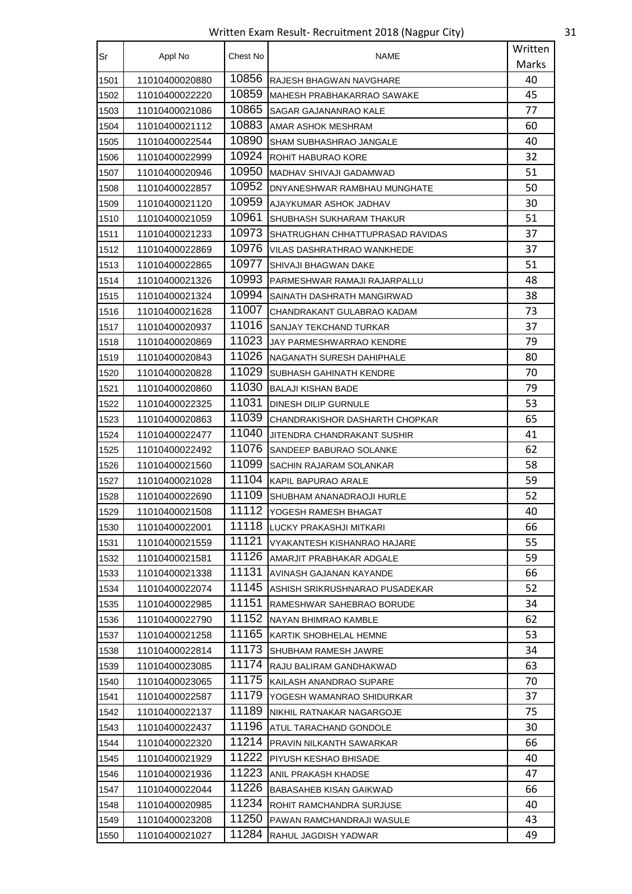Written Exam Result- Recruitment 2018 (Nagpur City) 31

| Sr   | Appl No        | Chest No | NAME                             | Written |
|------|----------------|----------|----------------------------------|---------|
|      |                |          |                                  | Marks   |
| 1501 | 11010400020880 | 10856    | RAJESH BHAGWAN NAVGHARE          | 40      |
| 1502 | 11010400022220 | 10859    | MAHESH PRABHAKARRAO SAWAKE       | 45      |
| 1503 | 11010400021086 | 10865    | SAGAR GAJANANRAO KALE            | 77      |
| 1504 | 11010400021112 | 10883    | AMAR ASHOK MESHRAM               | 60      |
| 1505 | 11010400022544 | 10890    | SHAM SUBHASHRAO JANGALE          | 40      |
| 1506 | 11010400022999 | 10924    | ROHIT HABURAO KORE               | 32      |
| 1507 | 11010400020946 | 10950    | MADHAV SHIVAJI GADAMWAD          | 51      |
| 1508 | 11010400022857 | 10952    | DNYANESHWAR RAMBHAU MUNGHATE     | 50      |
| 1509 | 11010400021120 | 10959    | AJAYKUMAR ASHOK JADHAV           | 30      |
| 1510 | 11010400021059 | 10961    | SHUBHASH SUKHARAM THAKUR         | 51      |
| 1511 | 11010400021233 | 10973    | SHATRUGHAN CHHATTUPRASAD RAVIDAS | 37      |
| 1512 | 11010400022869 | 10976    | VILAS DASHRATHRAO WANKHEDE       | 37      |
| 1513 | 11010400022865 | 10977    | SHIVAJI BHAGWAN DAKE             | 51      |
| 1514 | 11010400021326 | 10993    | PARMESHWAR RAMAJI RAJARPALLU     | 48      |
| 1515 | 11010400021324 | 10994    | SAINATH DASHRATH MANGIRWAD       | 38      |
| 1516 | 11010400021628 | 11007    | CHANDRAKANT GULABRAO KADAM       | 73      |
| 1517 | 11010400020937 | 11016    | SANJAY TEKCHAND TURKAR           | 37      |
| 1518 | 11010400020869 | 11023    | JAY PARMESHWARRAO KENDRE         | 79      |
| 1519 | 11010400020843 | 11026    | NAGANATH SURESH DAHIPHALE        | 80      |
| 1520 | 11010400020828 | 11029    | SUBHASH GAHINATH KENDRE          | 70      |
| 1521 | 11010400020860 | 11030    | <b>BALAJI KISHAN BADE</b>        | 79      |
| 1522 | 11010400022325 | 11031    | DINESH DILIP GURNULE             | 53      |
| 1523 | 11010400020863 | 11039    | CHANDRAKISHOR DASHARTH CHOPKAR   | 65      |
| 1524 | 11010400022477 | 11040    | JITENDRA CHANDRAKANT SUSHIR      | 41      |
| 1525 | 11010400022492 | 11076    | SANDEEP BABURAO SOLANKE          | 62      |
| 1526 | 11010400021560 | 11099    | SACHIN RAJARAM SOLANKAR          | 58      |
| 1527 | 11010400021028 | 11104    | KAPIL BAPURAO ARALE              | 59      |
| 1528 | 11010400022690 | 11109    | SHUBHAM ANANADRAOJI HURLE        | 52      |
| 1529 | 11010400021508 | 11112    | YOGESH RAMESH BHAGAT             | 40      |
| 1530 | 11010400022001 | 11118    | LUCKY PRAKASHJI MITKARI          | 66      |
| 1531 | 11010400021559 | 11121    | VYAKANTESH KISHANRAO HAJARE      | 55      |
| 1532 | 11010400021581 | 11126    | AMARJIT PRABHAKAR ADGALE         | 59      |
| 1533 | 11010400021338 | 11131    | AVINASH GAJANAN KAYANDE          | 66      |
| 1534 | 11010400022074 | 11145    | ASHISH SRIKRUSHNARAO PUSADEKAR   | 52      |
| 1535 | 11010400022985 | 11151    | RAMESHWAR SAHEBRAO BORUDE        | 34      |
| 1536 | 11010400022790 | 11152    | NAYAN BHIMRAO KAMBLE             | 62      |
| 1537 | 11010400021258 | 11165    | KARTIK SHOBHELAL HEMNE           | 53      |
| 1538 | 11010400022814 | 11173    | SHUBHAM RAMESH JAWRE             | 34      |
| 1539 | 11010400023085 | 11174    | RAJU BALIRAM GANDHAKWAD          | 63      |
| 1540 | 11010400023065 | 11175    | KAILASH ANANDRAO SUPARE          | 70      |
| 1541 | 11010400022587 | 11179    | YOGESH WAMANRAO SHIDURKAR        | 37      |
| 1542 | 11010400022137 | 11189    | NIKHIL RATNAKAR NAGARGOJE        | 75      |
| 1543 | 11010400022437 | 11196    | ATUL TARACHAND GONDOLE           | 30      |
| 1544 | 11010400022320 | 11214    | PRAVIN NILKANTH SAWARKAR         | 66      |
| 1545 | 11010400021929 | 11222    | PIYUSH KESHAO BHISADE            | 40      |
| 1546 | 11010400021936 | 11223    | ANIL PRAKASH KHADSE              | 47      |
| 1547 | 11010400022044 | 11226    | BABASAHEB KISAN GAIKWAD          | 66      |
| 1548 | 11010400020985 | 11234    | ROHIT RAMCHANDRA SURJUSE         | 40      |
| 1549 | 11010400023208 | 11250    | PAWAN RAMCHANDRAJI WASULE        | 43      |
| 1550 | 11010400021027 | 11284    | RAHUL JAGDISH YADWAR             | 49      |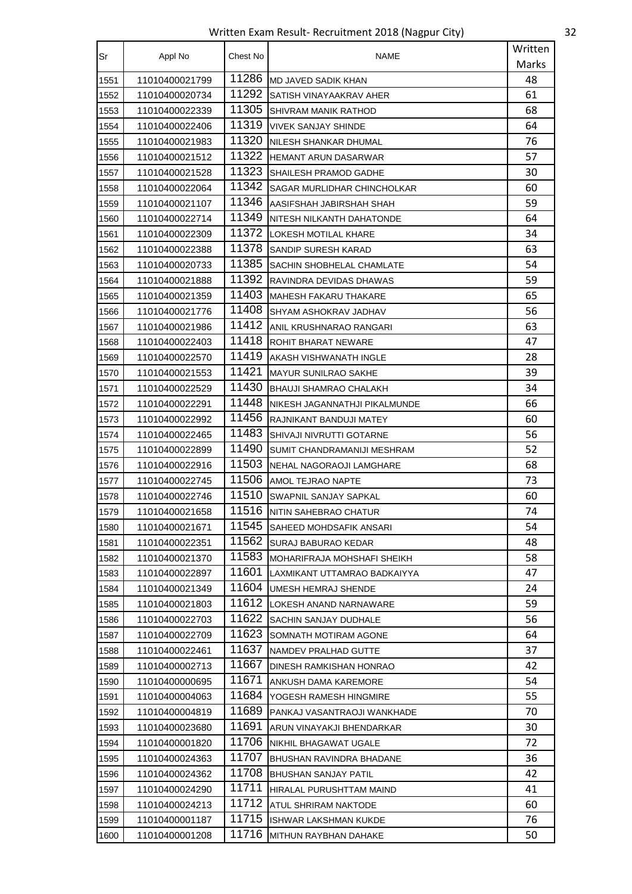Written Exam Result- Recruitment 2018 (Nagpur City) 32

| Sr   | Appl No        | Chest No | <b>NAME</b>                    | Written |
|------|----------------|----------|--------------------------------|---------|
|      |                |          |                                | Marks   |
| 1551 | 11010400021799 | 11286    | <b>MD JAVED SADIK KHAN</b>     | 48      |
| 1552 | 11010400020734 | 11292    | SATISH VINAYAAKRAV AHER        | 61      |
| 1553 | 11010400022339 | 11305    | SHIVRAM MANIK RATHOD           | 68      |
| 1554 | 11010400022406 | 11319    | VIVEK SANJAY SHINDE            | 64      |
| 1555 | 11010400021983 | 11320    | NILESH SHANKAR DHUMAL          | 76      |
| 1556 | 11010400021512 | 11322    | <b>HEMANT ARUN DASARWAR</b>    | 57      |
| 1557 | 11010400021528 | 11323    | SHAILESH PRAMOD GADHE          | 30      |
| 1558 | 11010400022064 | 11342    | SAGAR MURLIDHAR CHINCHOLKAR    | 60      |
| 1559 | 11010400021107 | 11346    | AASIFSHAH JABIRSHAH SHAH       | 59      |
| 1560 | 11010400022714 | 11349    | NITESH NILKANTH DAHATONDE      | 64      |
| 1561 | 11010400022309 | 11372    | LOKESH MOTILAL KHARE           | 34      |
| 1562 | 11010400022388 | 11378    | SANDIP SURESH KARAD            | 63      |
| 1563 | 11010400020733 | 11385    | SACHIN SHOBHELAL CHAMLATE      | 54      |
| 1564 | 11010400021888 | 11392    | RAVINDRA DEVIDAS DHAWAS        | 59      |
| 1565 | 11010400021359 | 11403    | <b>I</b> MAHESH FAKARU THAKARE | 65      |
| 1566 | 11010400021776 | 11408    | SHYAM ASHOKRAV JADHAV          | 56      |
| 1567 | 11010400021986 | 11412    | ANIL KRUSHNARAO RANGARI        | 63      |
| 1568 | 11010400022403 | 11418    | ROHIT BHARAT NEWARE            | 47      |
| 1569 | 11010400022570 | 11419    | AKASH VISHWANATH INGLE         | 28      |
| 1570 | 11010400021553 | 11421    | <b>MAYUR SUNILRAO SAKHE</b>    | 39      |
| 1571 | 11010400022529 | 11430    | <b>BHAUJI SHAMRAO CHALAKH</b>  | 34      |
| 1572 | 11010400022291 | 11448    | NIKESH JAGANNATHJI PIKALMUNDE  | 66      |
| 1573 | 11010400022992 | 11456    | RAJNIKANT BANDUJI MATEY        | 60      |
| 1574 | 11010400022465 | 11483    | SHIVAJI NIVRUTTI GOTARNE       | 56      |
| 1575 | 11010400022899 | 11490    | SUMIT CHANDRAMANIJI MESHRAM    | 52      |
| 1576 | 11010400022916 | 11503    | NEHAL NAGORAOJI LAMGHARE       | 68      |
| 1577 | 11010400022745 | 11506    | AMOL TEJRAO NAPTE              | 73      |
| 1578 | 11010400022746 | 11510    | SWAPNIL SANJAY SAPKAL          | 60      |
| 1579 | 11010400021658 | 11516    | NITIN SAHEBRAO CHATUR          | 74      |
| 1580 | 11010400021671 | 11545    | SAHEED MOHDSAFIK ANSARI        | 54      |
| 1581 | 11010400022351 | 11562    | SURAJ BABURAO KEDAR            | 48      |
| 1582 | 11010400021370 | 11583    | MOHARIFRAJA MOHSHAFI SHEIKH    | 58      |
| 1583 | 11010400022897 | 11601    | LAXMIKANT UTTAMRAO BADKAIYYA   | 47      |
| 1584 | 11010400021349 | 11604    | UMESH HEMRAJ SHENDE            | 24      |
| 1585 | 11010400021803 | 11612    | LOKESH ANAND NARNAWARE         | 59      |
| 1586 | 11010400022703 | 11622    | SACHIN SANJAY DUDHALE          | 56      |
| 1587 | 11010400022709 | 11623    | SOMNATH MOTIRAM AGONE          | 64      |
| 1588 | 11010400022461 | 11637    | NAMDEV PRALHAD GUTTE           | 37      |
| 1589 | 11010400002713 | 11667    | DINESH RAMKISHAN HONRAO        | 42      |
| 1590 | 11010400000695 | 11671    | ANKUSH DAMA KAREMORE           | 54      |
| 1591 | 11010400004063 | 11684    | YOGESH RAMESH HINGMIRE         | 55      |
| 1592 | 11010400004819 | 11689    | PANKAJ VASANTRAOJI WANKHADE    | 70      |
| 1593 | 11010400023680 | 11691    | ARUN VINAYAKJI BHENDARKAR      | 30      |
| 1594 | 11010400001820 | 11706    | NIKHIL BHAGAWAT UGALE          | 72      |
| 1595 | 11010400024363 | 11707    | BHUSHAN RAVINDRA BHADANE       | 36      |
| 1596 | 11010400024362 | 11708    | <b>BHUSHAN SANJAY PATIL</b>    | 42      |
| 1597 | 11010400024290 | 11711    | HIRALAL PURUSHTTAM MAIND       | 41      |
| 1598 | 11010400024213 | 11712    | ATUL SHRIRAM NAKTODE           | 60      |
| 1599 | 11010400001187 | 11715    | ISHWAR LAKSHMAN KUKDE          | 76      |
| 1600 | 11010400001208 | 11716    | MITHUN RAYBHAN DAHAKE          | 50      |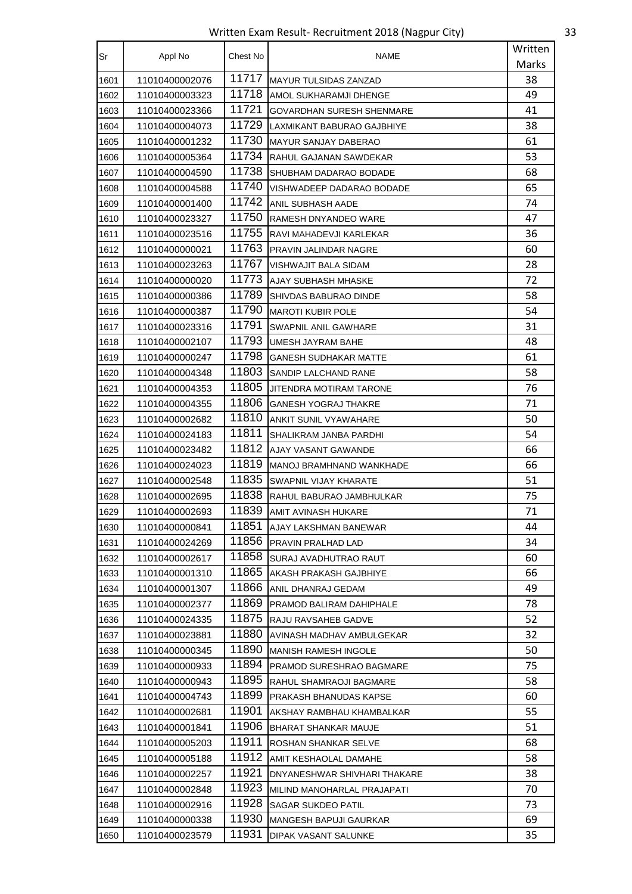Written Exam Result- Recruitment 2018 (Nagpur City) 33

| Sr   | Appl No        | Chest No | NAME                            | Written |
|------|----------------|----------|---------------------------------|---------|
|      |                |          |                                 | Marks   |
| 1601 | 11010400002076 | 11717    | <b>IMAYUR TULSIDAS ZANZAD</b>   | 38      |
| 1602 | 11010400003323 | 11718    | AMOL SUKHARAMJI DHENGE          | 49      |
| 1603 | 11010400023366 | 11721    | GOVARDHAN SURESH SHENMARE       | 41      |
| 1604 | 11010400004073 | 11729    | LAXMIKANT BABURAO GAJBHIYE      | 38      |
| 1605 | 11010400001232 | 11730    | <b>MAYUR SANJAY DABERAO</b>     | 61      |
| 1606 | 11010400005364 | 11734    | RAHUL GAJANAN SAWDEKAR          | 53      |
| 1607 | 11010400004590 | 11738    | SHUBHAM DADARAO BODADE          | 68      |
| 1608 | 11010400004588 | 11740    | VISHWADEEP DADARAO BODADE       | 65      |
| 1609 | 11010400001400 | 11742    | ANIL SUBHASH AADE               | 74      |
| 1610 | 11010400023327 | 11750    | RAMESH DNYANDEO WARE            | 47      |
| 1611 | 11010400023516 | 11755    | RAVI MAHADEVJI KARLEKAR         | 36      |
| 1612 | 11010400000021 | 11763    | PRAVIN JALINDAR NAGRE           | 60      |
| 1613 | 11010400023263 | 11767    | VISHWAJIT BALA SIDAM            | 28      |
| 1614 | 11010400000020 | 11773    | AJAY SUBHASH MHASKE             | 72      |
| 1615 | 11010400000386 | 11789    | SHIVDAS BABURAO DINDE           | 58      |
| 1616 | 11010400000387 | 11790    | <b>MAROTI KUBIR POLE</b>        | 54      |
| 1617 | 11010400023316 | 11791    | SWAPNIL ANIL GAWHARE            | 31      |
| 1618 | 11010400002107 | 11793    | <b>UMESH JAYRAM BAHE</b>        | 48      |
| 1619 | 11010400000247 | 11798    | <b>GANESH SUDHAKAR MATTE</b>    | 61      |
| 1620 | 11010400004348 | 11803    | SANDIP LALCHAND RANE            | 58      |
| 1621 | 11010400004353 | 11805    | JITENDRA MOTIRAM TARONE         | 76      |
| 1622 | 11010400004355 | 11806    | <b>GANESH YOGRAJ THAKRE</b>     | 71      |
| 1623 | 11010400002682 | 11810    | ANKIT SUNIL VYAWAHARE           | 50      |
| 1624 | 11010400024183 | 11811    | SHALIKRAM JANBA PARDHI          | 54      |
| 1625 | 11010400023482 | 11812    | AJAY VASANT GAWANDE             | 66      |
| 1626 | 11010400024023 | 11819    | <b>MANOJ BRAMHNAND WANKHADE</b> | 66      |
| 1627 | 11010400002548 | 11835    | SWAPNIL VIJAY KHARATE           | 51      |
| 1628 | 11010400002695 | 11838    | RAHUL BABURAO JAMBHULKAR        | 75      |
| 1629 | 11010400002693 | 11839    | AMIT AVINASH HUKARE             | 71      |
| 1630 | 11010400000841 | 11851    | AJAY LAKSHMAN BANEWAR           | 44      |
| 1631 | 11010400024269 | 11856    | PRAVIN PRALHAD LAD              | 34      |
| 1632 | 11010400002617 | 11858    | SURAJ AVADHUTRAO RAUT           | 60      |
| 1633 | 11010400001310 | 11865    | AKASH PRAKASH GAJBHIYE          | 66      |
| 1634 | 11010400001307 | 11866    | ANIL DHANRAJ GEDAM              | 49      |
| 1635 | 11010400002377 | 11869    | PRAMOD BALIRAM DAHIPHALE        | 78      |
| 1636 | 11010400024335 | 11875    | RAJU RAVSAHEB GADVE             | 52      |
| 1637 | 11010400023881 | 11880    | AVINASH MADHAV AMBULGEKAR       | 32      |
| 1638 | 11010400000345 | 11890    | <b>MANISH RAMESH INGOLE</b>     | 50      |
| 1639 | 11010400000933 | 11894    | PRAMOD SURESHRAO BAGMARE        | 75      |
| 1640 | 11010400000943 | 11895    | RAHUL SHAMRAOJI BAGMARE         | 58      |
| 1641 | 11010400004743 | 11899    | PRAKASH BHANUDAS KAPSE          | 60      |
| 1642 | 11010400002681 | 11901    | AKSHAY RAMBHAU KHAMBALKAR       | 55      |
| 1643 | 11010400001841 | 11906    | <b>BHARAT SHANKAR MAUJE</b>     | 51      |
| 1644 | 11010400005203 | 11911    | ROSHAN SHANKAR SELVE            | 68      |
| 1645 | 11010400005188 | 11912    | AMIT KESHAOLAL DAMAHE           | 58      |
| 1646 | 11010400002257 | 11921    | DNYANESHWAR SHIVHARI THAKARE    | 38      |
| 1647 | 11010400002848 | 11923    | MILIND MANOHARLAL PRAJAPATI     | 70      |
| 1648 | 11010400002916 | 11928    | SAGAR SUKDEO PATIL              | 73      |
| 1649 | 11010400000338 | 11930    | MANGESH BAPUJI GAURKAR          | 69      |
| 1650 | 11010400023579 | 11931    | DIPAK VASANT SALUNKE            | 35      |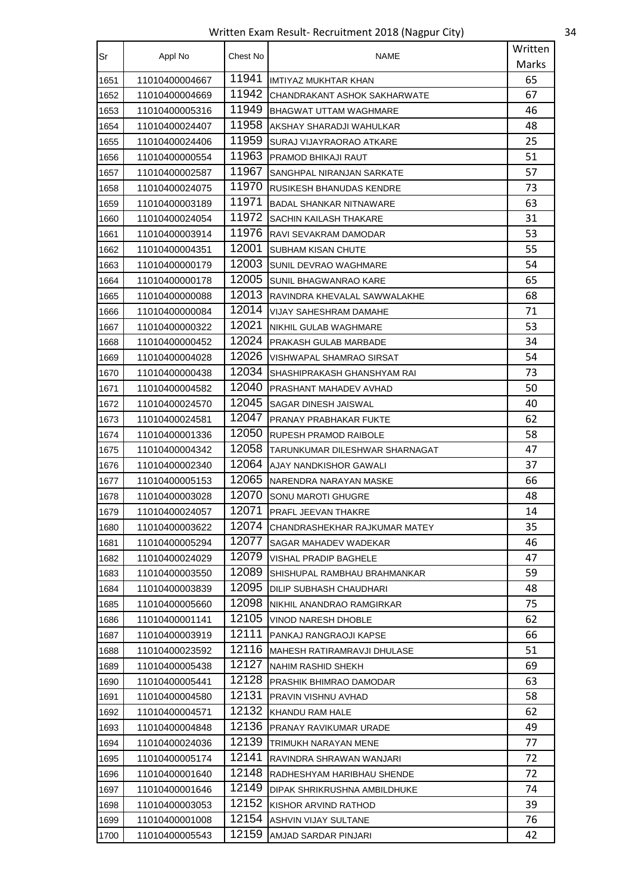Written Exam Result- Recruitment 2018 (Nagpur City) 34

| Sr   | Appl No        | Chest No | <b>NAME</b>                    | Written |
|------|----------------|----------|--------------------------------|---------|
|      |                |          |                                | Marks   |
| 1651 | 11010400004667 | 11941    | <b>IMTIYAZ MUKHTAR KHAN</b>    | 65      |
| 1652 | 11010400004669 | 11942    | CHANDRAKANT ASHOK SAKHARWATE   | 67      |
| 1653 | 11010400005316 | 11949    | <b>BHAGWAT UTTAM WAGHMARE</b>  | 46      |
| 1654 | 11010400024407 | 11958    | AKSHAY SHARADJI WAHULKAR       | 48      |
| 1655 | 11010400024406 | 11959    | SURAJ VIJAYRAORAO ATKARE       | 25      |
| 1656 | 11010400000554 | 11963    | PRAMOD BHIKAJI RAUT            | 51      |
| 1657 | 11010400002587 | 11967    | SANGHPAL NIRANJAN SARKATE      | 57      |
| 1658 | 11010400024075 | 11970    | RUSIKESH BHANUDAS KENDRE       | 73      |
| 1659 | 11010400003189 | 11971    | BADAL SHANKAR NITNAWARE        | 63      |
| 1660 | 11010400024054 | 11972    | SACHIN KAILASH THAKARE         | 31      |
| 1661 | 11010400003914 | 11976    | RAVI SEVAKRAM DAMODAR          | 53      |
| 1662 | 11010400004351 | 12001    | SUBHAM KISAN CHUTE             | 55      |
| 1663 | 11010400000179 | 12003    | SUNIL DEVRAO WAGHMARE          | 54      |
| 1664 | 11010400000178 | 12005    | SUNIL BHAGWANRAO KARE          | 65      |
| 1665 | 11010400000088 | 12013    | RAVINDRA KHEVALAL SAWWALAKHE   | 68      |
| 1666 | 11010400000084 | 12014    | VIJAY SAHESHRAM DAMAHE         | 71      |
| 1667 | 11010400000322 | 12021    | NIKHIL GULAB WAGHMARE          | 53      |
| 1668 | 11010400000452 | 12024    | PRAKASH GULAB MARBADE          | 34      |
| 1669 | 11010400004028 | 12026    | VISHWAPAL SHAMRAO SIRSAT       | 54      |
| 1670 | 11010400000438 | 12034    | SHASHIPRAKASH GHANSHYAM RAI    | 73      |
| 1671 | 11010400004582 | 12040    | PRASHANT MAHADEV AVHAD         | 50      |
| 1672 | 11010400024570 | 12045    | SAGAR DINESH JAISWAL           | 40      |
| 1673 | 11010400024581 | 12047    | PRANAY PRABHAKAR FUKTE         | 62      |
| 1674 | 11010400001336 | 12050    | RUPESH PRAMOD RAIBOLE          | 58      |
| 1675 | 11010400004342 | 12058    | TARUNKUMAR DILESHWAR SHARNAGAT | 47      |
| 1676 | 11010400002340 | 12064    | AJAY NANDKISHOR GAWALI         | 37      |
| 1677 | 11010400005153 | 12065    | NARENDRA NARAYAN MASKE         | 66      |
| 1678 | 11010400003028 | 12070    | SONU MAROTI GHUGRE             | 48      |
| 1679 | 11010400024057 | 12071    | PRAFL JEEVAN THAKRE            | 14      |
| 1680 | 11010400003622 | 12074    | CHANDRASHEKHAR RAJKUMAR MATEY  | 35      |
| 1681 | 11010400005294 | 12077    | SAGAR MAHADEV WADEKAR          | 46      |
| 1682 | 11010400024029 | 12079    | <b>VISHAL PRADIP BAGHELE</b>   | 47      |
| 1683 | 11010400003550 | 12089    | SHISHUPAL RAMBHAU BRAHMANKAR   | 59      |
| 1684 | 11010400003839 | 12095    | DILIP SUBHASH CHAUDHARI        | 48      |
| 1685 | 11010400005660 | 12098    | NIKHIL ANANDRAO RAMGIRKAR      | 75      |
| 1686 | 11010400001141 | 12105    | VINOD NARESH DHOBLE            | 62      |
| 1687 | 11010400003919 | 12111    | PANKAJ RANGRAOJI KAPSE         | 66      |
| 1688 | 11010400023592 | 12116    | MAHESH RATIRAMRAVJI DHULASE    | 51      |
| 1689 | 11010400005438 | 12127    | NAHIM RASHID SHEKH             | 69      |
| 1690 | 11010400005441 | 12128    | PRASHIK BHIMRAO DAMODAR        | 63      |
| 1691 | 11010400004580 | 12131    | PRAVIN VISHNU AVHAD            | 58      |
| 1692 | 11010400004571 | 12132    | KHANDU RAM HALE                | 62      |
| 1693 | 11010400004848 | 12136    | PRANAY RAVIKUMAR URADE         | 49      |
| 1694 | 11010400024036 | 12139    | TRIMUKH NARAYAN MENE           | 77      |
| 1695 | 11010400005174 | 12141    | RAVINDRA SHRAWAN WANJARI       | 72      |
| 1696 | 11010400001640 | 12148    | RADHESHYAM HARIBHAU SHENDE     | 72      |
| 1697 | 11010400001646 | 12149    | DIPAK SHRIKRUSHNA AMBILDHUKE   | 74      |
| 1698 | 11010400003053 | 12152    | KISHOR ARVIND RATHOD           | 39      |
| 1699 | 11010400001008 | 12154    | ASHVIN VIJAY SULTANE           | 76      |
| 1700 | 11010400005543 | 12159    | AMJAD SARDAR PINJARI           | 42      |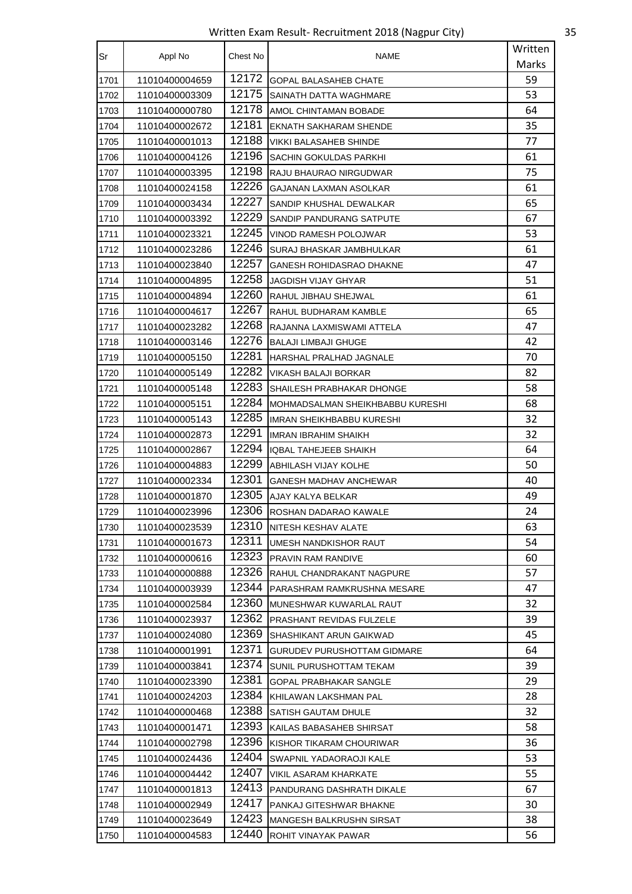Written Exam Result- Recruitment 2018 (Nagpur City) 35

| Sr   | Appl No        | Chest No | NAME                               | Written |
|------|----------------|----------|------------------------------------|---------|
|      |                |          |                                    | Marks   |
| 1701 | 11010400004659 | 12172    | <b>GOPAL BALASAHEB CHATE</b>       | 59      |
| 1702 | 11010400003309 | 12175    | SAINATH DATTA WAGHMARE             | 53      |
| 1703 | 11010400000780 | 12178    | AMOL CHINTAMAN BOBADE              | 64      |
| 1704 | 11010400002672 | 12181    | EKNATH SAKHARAM SHENDE             | 35      |
| 1705 | 11010400001013 | 12188    | VIKKI BALASAHEB SHINDE             | 77      |
| 1706 | 11010400004126 | 12196    | SACHIN GOKULDAS PARKHI             | 61      |
| 1707 | 11010400003395 | 12198    | RAJU BHAURAO NIRGUDWAR             | 75      |
| 1708 | 11010400024158 | 12226    | <b>GAJANAN LAXMAN ASOLKAR</b>      | 61      |
| 1709 | 11010400003434 | 12227    | SANDIP KHUSHAL DEWALKAR            | 65      |
| 1710 | 11010400003392 | 12229    | SANDIP PANDURANG SATPUTE           | 67      |
| 1711 | 11010400023321 | 12245    | VINOD RAMESH POLOJWAR              | 53      |
| 1712 | 11010400023286 | 12246    | SURAJ BHASKAR JAMBHULKAR           | 61      |
| 1713 | 11010400023840 | 12257    | <b>GANESH ROHIDASRAO DHAKNE</b>    | 47      |
| 1714 | 11010400004895 | 12258    | JAGDISH VIJAY GHYAR                | 51      |
| 1715 | 11010400004894 | 12260    | RAHUL JIBHAU SHEJWAL               | 61      |
| 1716 | 11010400004617 | 12267    | RAHUL BUDHARAM KAMBLE              | 65      |
| 1717 | 11010400023282 | 12268    | RAJANNA LAXMISWAMI ATTELA          | 47      |
| 1718 | 11010400003146 | 12276    | <b>BALAJI LIMBAJI GHUGE</b>        | 42      |
| 1719 | 11010400005150 | 12281    | HARSHAL PRALHAD JAGNALE            | 70      |
| 1720 | 11010400005149 | 12282    | VIKASH BALAJI BORKAR               | 82      |
| 1721 | 11010400005148 | 12283    | SHAILESH PRABHAKAR DHONGE          | 58      |
| 1722 | 11010400005151 | 12284    | MOHMADSALMAN SHEIKHBABBU KURESHI   | 68      |
| 1723 | 11010400005143 | 12285    | IMRAN SHEIKHBABBU KURESHI          | 32      |
| 1724 | 11010400002873 | 12291    | <b>IMRAN IBRAHIM SHAIKH</b>        | 32      |
| 1725 | 11010400002867 | 12294    | IQBAL TAHEJEEB SHAIKH              | 64      |
| 1726 | 11010400004883 | 12299    | <b>ABHILASH VIJAY KOLHE</b>        | 50      |
| 1727 | 11010400002334 | 12301    | <b>GANESH MADHAV ANCHEWAR</b>      | 40      |
| 1728 | 11010400001870 | 12305    | AJAY KALYA BELKAR                  | 49      |
| 1729 | 11010400023996 | 12306    | ROSHAN DADARAO KAWALE              | 24      |
| 1730 | 11010400023539 | 12310    | NITESH KESHAV ALATE                | 63      |
| 1731 | 11010400001673 | 12311    | UMESH NANDKISHOR RAUT              | 54      |
| 1732 | 11010400000616 | 12323    | PRAVIN RAM RANDIVE                 | 60      |
| 1733 | 11010400000888 | 12326    | RAHUL CHANDRAKANT NAGPURE          | 57      |
| 1734 | 11010400003939 | 12344    | PARASHRAM RAMKRUSHNA MESARE        | 47      |
| 1735 | 11010400002584 | 12360    | MUNESHWAR KUWARLAL RAUT            | 32      |
| 1736 | 11010400023937 | 12362    | <b>PRASHANT REVIDAS FULZELE</b>    | 39      |
| 1737 | 11010400024080 | 12369    | SHASHIKANT ARUN GAIKWAD            | 45      |
| 1738 | 11010400001991 | 12371    | <b>GURUDEV PURUSHOTTAM GIDMARE</b> | 64      |
| 1739 | 11010400003841 | 12374    | SUNIL PURUSHOTTAM TEKAM            | 39      |
| 1740 | 11010400023390 | 12381    | <b>GOPAL PRABHAKAR SANGLE</b>      | 29      |
| 1741 | 11010400024203 | 12384    | KHILAWAN LAKSHMAN PAL              | 28      |
| 1742 | 11010400000468 | 12388    | SATISH GAUTAM DHULE                | 32      |
| 1743 | 11010400001471 | 12393    | KAILAS BABASAHEB SHIRSAT           | 58      |
| 1744 | 11010400002798 | 12396    | KISHOR TIKARAM CHOURIWAR           | 36      |
| 1745 | 11010400024436 | 12404    | SWAPNIL YADAORAOJI KALE            | 53      |
| 1746 | 11010400004442 | 12407    | VIKIL ASARAM KHARKATE              | 55      |
| 1747 | 11010400001813 | 12413    | PANDURANG DASHRATH DIKALE          | 67      |
| 1748 | 11010400002949 | 12417    | PANKAJ GITESHWAR BHAKNE            | 30      |
| 1749 | 11010400023649 | 12423    | MANGESH BALKRUSHN SIRSAT           | 38      |
| 1750 | 11010400004583 | 12440    | ROHIT VINAYAK PAWAR                | 56      |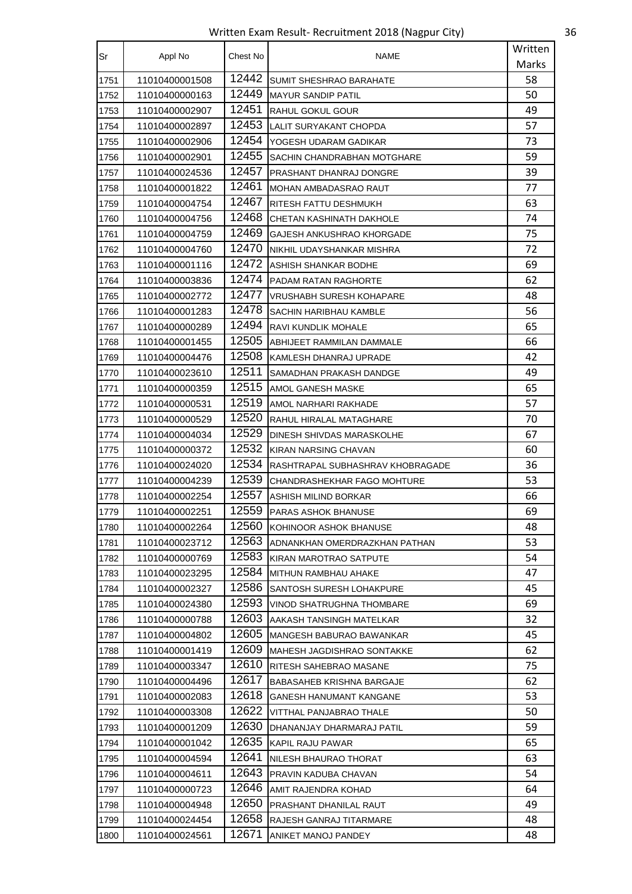Written Exam Result- Recruitment 2018 (Nagpur City) 36

| Sr   | Appl No        | Chest No | <b>NAME</b>                      | Written |
|------|----------------|----------|----------------------------------|---------|
|      |                |          |                                  | Marks   |
| 1751 | 11010400001508 | 12442    | <b>SUMIT SHESHRAO BARAHATE</b>   | 58      |
| 1752 | 11010400000163 | 12449    | <b>MAYUR SANDIP PATIL</b>        | 50      |
| 1753 | 11010400002907 | 12451    | <b>RAHUL GOKUL GOUR</b>          | 49      |
| 1754 | 11010400002897 | 12453    | LALIT SURYAKANT CHOPDA           | 57      |
| 1755 | 11010400002906 | 12454    | YOGESH UDARAM GADIKAR            | 73      |
| 1756 | 11010400002901 | 12455    | SACHIN CHANDRABHAN MOTGHARE      | 59      |
| 1757 | 11010400024536 | 12457    | PRASHANT DHANRAJ DONGRE          | 39      |
| 1758 | 11010400001822 | 12461    | MOHAN AMBADASRAO RAUT            | 77      |
| 1759 | 11010400004754 | 12467    | RITESH FATTU DESHMUKH            | 63      |
| 1760 | 11010400004756 | 12468    | CHETAN KASHINATH DAKHOLE         | 74      |
| 1761 | 11010400004759 | 12469    | GAJESH ANKUSHRAO KHORGADE        | 75      |
| 1762 | 11010400004760 | 12470    | NIKHIL UDAYSHANKAR MISHRA        | 72      |
| 1763 | 11010400001116 | 12472    | ASHISH SHANKAR BODHE             | 69      |
| 1764 | 11010400003836 | 12474    | PADAM RATAN RAGHORTE             | 62      |
| 1765 | 11010400002772 | 12477    | <b>VRUSHABH SURESH KOHAPARE</b>  | 48      |
| 1766 | 11010400001283 | 12478    | SACHIN HARIBHAU KAMBLE           | 56      |
| 1767 | 11010400000289 | 12494    | RAVI KUNDLIK MOHALE              | 65      |
| 1768 | 11010400001455 | 12505    | ABHIJEET RAMMILAN DAMMALE        | 66      |
| 1769 | 11010400004476 | 12508    | KAMLESH DHANRAJ UPRADE           | 42      |
| 1770 | 11010400023610 | 12511    | SAMADHAN PRAKASH DANDGE          | 49      |
| 1771 | 11010400000359 | 12515    | AMOL GANESH MASKE                | 65      |
| 1772 | 11010400000531 | 12519    | AMOL NARHARI RAKHADE             | 57      |
| 1773 | 11010400000529 | 12520    | RAHUL HIRALAL MATAGHARE          | 70      |
| 1774 | 11010400004034 | 12529    | DINESH SHIVDAS MARASKOLHE        | 67      |
| 1775 | 11010400000372 | 12532    | KIRAN NARSING CHAVAN             | 60      |
| 1776 | 11010400024020 | 12534    | RASHTRAPAL SUBHASHRAV KHOBRAGADE | 36      |
| 1777 | 11010400004239 | 12539    | CHANDRASHEKHAR FAGO MOHTURE      | 53      |
| 1778 | 11010400002254 | 12557    | ASHISH MILIND BORKAR             | 66      |
| 1779 | 11010400002251 | 12559    | PARAS ASHOK BHANUSE              | 69      |
| 1780 | 11010400002264 | 12560    | KOHINOOR ASHOK BHANUSE           | 48      |
| 1781 | 11010400023712 | 12563    | ADNANKHAN OMERDRAZKHAN PATHAN    | 53      |
| 1782 | 11010400000769 | 12583    | KIRAN MAROTRAO SATPUTE           | 54      |
| 1783 | 11010400023295 | 12584    | MITHUN RAMBHAU AHAKE             | 47      |
| 1784 | 11010400002327 | 12586    | SANTOSH SURESH LOHAKPURE         | 45      |
| 1785 | 11010400024380 | 12593    | VINOD SHATRUGHNA THOMBARE        | 69      |
| 1786 | 11010400000788 | 12603    | AAKASH TANSINGH MATELKAR         | 32      |
| 1787 | 11010400004802 | 12605    | MANGESH BABURAO BAWANKAR         | 45      |
| 1788 | 11010400001419 | 12609    | MAHESH JAGDISHRAO SONTAKKE       | 62      |
| 1789 | 11010400003347 | 12610    | RITESH SAHEBRAO MASANE           | 75      |
| 1790 | 11010400004496 | 12617    | <b>BABASAHEB KRISHNA BARGAJE</b> | 62      |
| 1791 | 11010400002083 | 12618    | GANESH HANUMANT KANGANE          | 53      |
| 1792 | 11010400003308 | 12622    | VITTHAL PANJABRAO THALE          | 50      |
| 1793 | 11010400001209 | 12630    | DHANANJAY DHARMARAJ PATIL        | 59      |
| 1794 | 11010400001042 | 12635    | KAPIL RAJU PAWAR                 | 65      |
| 1795 | 11010400004594 | 12641    | NILESH BHAURAO THORAT            | 63      |
| 1796 | 11010400004611 | 12643    | <b>PRAVIN KADUBA CHAVAN</b>      | 54      |
| 1797 | 11010400000723 | 12646    | AMIT RAJENDRA KOHAD              | 64      |
| 1798 | 11010400004948 | 12650    | PRASHANT DHANILAL RAUT           | 49      |
| 1799 | 11010400024454 | 12658    | RAJESH GANRAJ TITARMARE          | 48      |
| 1800 | 11010400024561 | 12671    | ANIKET MANOJ PANDEY              | 48      |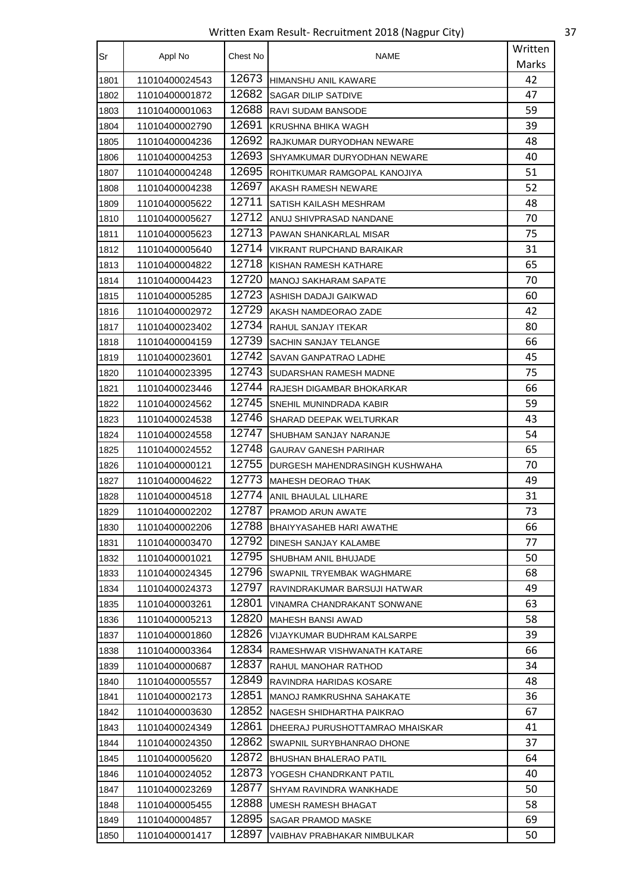Written Exam Result- Recruitment 2018 (Nagpur City) 37

| Sr   | Appl No        | Chest No | <b>NAME</b>                     | Written |
|------|----------------|----------|---------------------------------|---------|
|      |                |          |                                 | Marks   |
| 1801 | 11010400024543 | 12673    | HIMANSHU ANIL KAWARE            | 42      |
| 1802 | 11010400001872 | 12682    | <b>SAGAR DILIP SATDIVE</b>      | 47      |
| 1803 | 11010400001063 | 12688    | RAVI SUDAM BANSODE              | 59      |
| 1804 | 11010400002790 | 12691    | KRUSHNA BHIKA WAGH              | 39      |
| 1805 | 11010400004236 | 12692    | RAJKUMAR DURYODHAN NEWARE       | 48      |
| 1806 | 11010400004253 | 12693    | SHYAMKUMAR DURYODHAN NEWARE     | 40      |
| 1807 | 11010400004248 | 12695    | ROHITKUMAR RAMGOPAL KANOJIYA    | 51      |
| 1808 | 11010400004238 | 12697    | AKASH RAMESH NEWARE             | 52      |
| 1809 | 11010400005622 | 12711    | SATISH KAILASH MESHRAM          | 48      |
| 1810 | 11010400005627 | 12712    | ANUJ SHIVPRASAD NANDANE         | 70      |
| 1811 | 11010400005623 | 12713    | <b>PAWAN SHANKARLAL MISAR</b>   | 75      |
| 1812 | 11010400005640 | 12714    | VIKRANT RUPCHAND BARAIKAR       | 31      |
| 1813 | 11010400004822 | 12718    | KISHAN RAMESH KATHARE           | 65      |
| 1814 | 11010400004423 | 12720    | MANOJ SAKHARAM SAPATE           | 70      |
| 1815 | 11010400005285 | 12723    | ASHISH DADAJI GAIKWAD           | 60      |
| 1816 | 11010400002972 | 12729    | AKASH NAMDEORAO ZADE            | 42      |
| 1817 | 11010400023402 | 12734    | RAHUL SANJAY ITEKAR             | 80      |
| 1818 | 11010400004159 | 12739    | SACHIN SANJAY TELANGE           | 66      |
| 1819 | 11010400023601 | 12742    | SAVAN GANPATRAO LADHE           | 45      |
| 1820 | 11010400023395 | 12743    | SUDARSHAN RAMESH MADNE          | 75      |
| 1821 | 11010400023446 | 12744    | RAJESH DIGAMBAR BHOKARKAR       | 66      |
| 1822 | 11010400024562 | 12745    | SNEHIL MUNINDRADA KABIR         | 59      |
| 1823 | 11010400024538 | 12746    | SHARAD DEEPAK WELTURKAR         | 43      |
| 1824 | 11010400024558 | 12747    | <b>SHUBHAM SANJAY NARANJE</b>   | 54      |
| 1825 | 11010400024552 | 12748    | <b>GAURAV GANESH PARIHAR</b>    | 65      |
| 1826 | 11010400000121 | 12755    | DURGESH MAHENDRASINGH KUSHWAHA  | 70      |
| 1827 | 11010400004622 | 12773    | <b>MAHESH DEORAO THAK</b>       | 49      |
| 1828 | 11010400004518 | 12774    | ANIL BHAULAL LILHARE            | 31      |
| 1829 | 11010400002202 | 12787    | PRAMOD ARUN AWATE               | 73      |
| 1830 | 11010400002206 | 12788    | BHAIYYASAHEB HARI AWATHE        | 66      |
| 1831 | 11010400003470 | 12792    | DINESH SANJAY KALAMBE           | 77      |
| 1832 | 11010400001021 | 12795    | SHUBHAM ANIL BHUJADE            | 50      |
| 1833 | 11010400024345 | 12796    | SWAPNIL TRYEMBAK WAGHMARE       | 68      |
| 1834 | 11010400024373 | 12797    | RAVINDRAKUMAR BARSUJI HATWAR    | 49      |
| 1835 | 11010400003261 | 12801    | VINAMRA CHANDRAKANT SONWANE     | 63      |
| 1836 | 11010400005213 | 12820    | MAHESH BANSI AWAD               | 58      |
| 1837 | 11010400001860 | 12826    | VIJAYKUMAR BUDHRAM KALSARPE     | 39      |
| 1838 | 11010400003364 | 12834    | RAMESHWAR VISHWANATH KATARE     | 66      |
| 1839 | 11010400000687 | 12837    | RAHUL MANOHAR RATHOD            | 34      |
| 1840 | 11010400005557 | 12849    | RAVINDRA HARIDAS KOSARE         | 48      |
| 1841 | 11010400002173 | 12851    | MANOJ RAMKRUSHNA SAHAKATE       | 36      |
| 1842 | 11010400003630 | 12852    | NAGESH SHIDHARTHA PAIKRAO       | 67      |
| 1843 | 11010400024349 | 12861    | DHEERAJ PURUSHOTTAMRAO MHAISKAR | 41      |
| 1844 | 11010400024350 | 12862    | SWAPNIL SURYBHANRAO DHONE       | 37      |
| 1845 | 11010400005620 | 12872    | BHUSHAN BHALERAO PATIL          | 64      |
| 1846 | 11010400024052 | 12873    | YOGESH CHANDRKANT PATIL         | 40      |
| 1847 | 11010400023269 | 12877    | SHYAM RAVINDRA WANKHADE         | 50      |
| 1848 | 11010400005455 | 12888    | UMESH RAMESH BHAGAT             | 58      |
| 1849 | 11010400004857 | 12895    | SAGAR PRAMOD MASKE              | 69      |
| 1850 | 11010400001417 | 12897    | VAIBHAV PRABHAKAR NIMBULKAR     | 50      |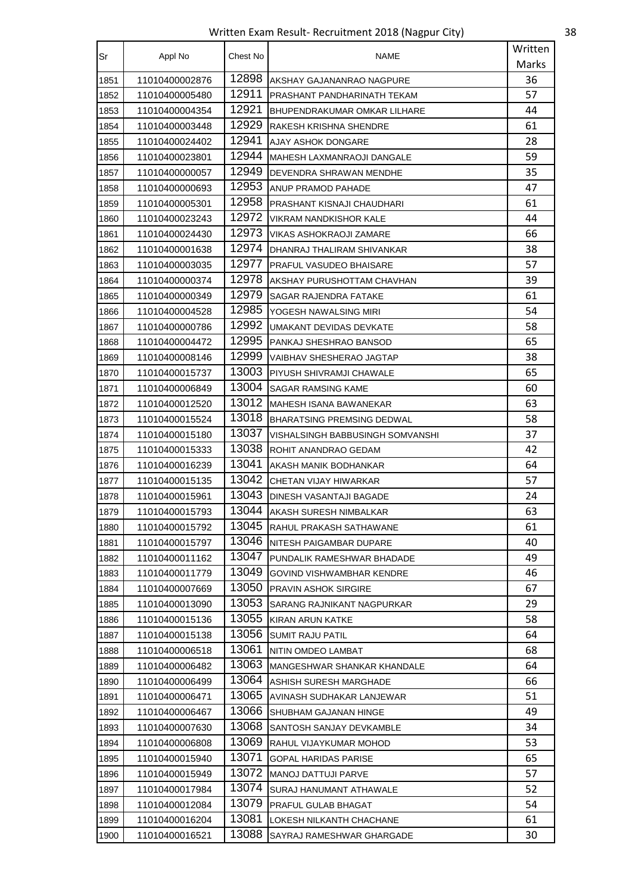Written Exam Result- Recruitment 2018 (Nagpur City) 38

| Sr   | Appl No        | Chest No | <b>NAME</b>                         | Written |
|------|----------------|----------|-------------------------------------|---------|
|      |                |          |                                     | Marks   |
| 1851 | 11010400002876 | 12898    | AKSHAY GAJANANRAO NAGPURE           | 36      |
| 1852 | 11010400005480 | 12911    | PRASHANT PANDHARINATH TEKAM         | 57      |
| 1853 | 11010400004354 | 12921    | <b>BHUPENDRAKUMAR OMKAR LILHARE</b> | 44      |
| 1854 | 11010400003448 | 12929    | RAKESH KRISHNA SHENDRE              | 61      |
| 1855 | 11010400024402 | 12941    | AJAY ASHOK DONGARE                  | 28      |
| 1856 | 11010400023801 | 12944    | MAHESH LAXMANRAOJI DANGALE          | 59      |
| 1857 | 11010400000057 | 12949    | DEVENDRA SHRAWAN MENDHE             | 35      |
| 1858 | 11010400000693 | 12953    | ANUP PRAMOD PAHADE                  | 47      |
| 1859 | 11010400005301 | 12958    | PRASHANT KISNAJI CHAUDHARI          | 61      |
| 1860 | 11010400023243 | 12972    | VIKRAM NANDKISHOR KALE              | 44      |
| 1861 | 11010400024430 | 12973    | VIKAS ASHOKRAOJI ZAMARE             | 66      |
| 1862 | 11010400001638 | 12974    | DHANRAJ THALIRAM SHIVANKAR          | 38      |
| 1863 | 11010400003035 | 12977    | PRAFUL VASUDEO BHAISARE             | 57      |
| 1864 | 11010400000374 | 12978    | AKSHAY PURUSHOTTAM CHAVHAN          | 39      |
| 1865 | 11010400000349 | 12979    | SAGAR RAJENDRA FATAKE               | 61      |
| 1866 | 11010400004528 | 12985    | YOGESH NAWALSING MIRI               | 54      |
| 1867 | 11010400000786 | 12992    | UMAKANT DEVIDAS DEVKATE             | 58      |
| 1868 | 11010400004472 | 12995    | PANKAJ SHESHRAO BANSOD              | 65      |
| 1869 | 11010400008146 | 12999    | VAIBHAV SHESHERAO JAGTAP            | 38      |
| 1870 | 11010400015737 | 13003    | PIYUSH SHIVRAMJI CHAWALE            | 65      |
| 1871 | 11010400006849 | 13004    | SAGAR RAMSING KAME                  | 60      |
| 1872 | 11010400012520 | 13012    | MAHESH ISANA BAWANEKAR              | 63      |
| 1873 | 11010400015524 | 13018    | <b>BHARATSING PREMSING DEDWAL</b>   | 58      |
| 1874 | 11010400015180 | 13037    | VISHALSINGH BABBUSINGH SOMVANSHI    | 37      |
| 1875 | 11010400015333 | 13038    | ROHIT ANANDRAO GEDAM                | 42      |
| 1876 | 11010400016239 | 13041    | AKASH MANIK BODHANKAR               | 64      |
| 1877 | 11010400015135 | 13042    | CHETAN VIJAY HIWARKAR               | 57      |
| 1878 | 11010400015961 | 13043    | DINESH VASANTAJI BAGADE             | 24      |
| 1879 | 11010400015793 | 13044    | AKASH SURESH NIMBALKAR              | 63      |
| 1880 | 11010400015792 | 13045    | RAHUL PRAKASH SATHAWANE             | 61      |
| 1881 | 11010400015797 | 13046    | NITESH PAIGAMBAR DUPARE             | 40      |
| 1882 | 11010400011162 | 13047    | PUNDALIK RAMESHWAR BHADADE          | 49      |
| 1883 | 11010400011779 | 13049    | GOVIND VISHWAMBHAR KENDRE           | 46      |
| 1884 | 11010400007669 | 13050    | <b>PRAVIN ASHOK SIRGIRE</b>         | 67      |
| 1885 | 11010400013090 | 13053    | SARANG RAJNIKANT NAGPURKAR          | 29      |
| 1886 | 11010400015136 | 13055    | KIRAN ARUN KATKE                    | 58      |
| 1887 | 11010400015138 | 13056    | <b>SUMIT RAJU PATIL</b>             | 64      |
| 1888 | 11010400006518 | 13061    | NITIN OMDEO LAMBAT                  | 68      |
| 1889 | 11010400006482 | 13063    | MANGESHWAR SHANKAR KHANDALE         | 64      |
| 1890 | 11010400006499 | 13064    | ASHISH SURESH MARGHADE              | 66      |
| 1891 | 11010400006471 | 13065    | AVINASH SUDHAKAR LANJEWAR           | 51      |
| 1892 | 11010400006467 | 13066    | SHUBHAM GAJANAN HINGE               | 49      |
| 1893 | 11010400007630 | 13068    | SANTOSH SANJAY DEVKAMBLE            | 34      |
| 1894 | 11010400006808 | 13069    | RAHUL VIJAYKUMAR MOHOD              | 53      |
| 1895 | 11010400015940 | 13071    | GOPAL HARIDAS PARISE                | 65      |
| 1896 | 11010400015949 | 13072    | <b>MANOJ DATTUJI PARVE</b>          | 57      |
| 1897 | 11010400017984 | 13074    | SURAJ HANUMANT ATHAWALE             | 52      |
| 1898 | 11010400012084 | 13079    | PRAFUL GULAB BHAGAT                 | 54      |
| 1899 | 11010400016204 | 13081    | LOKESH NILKANTH CHACHANE            | 61      |
| 1900 | 11010400016521 | 13088    | SAYRAJ RAMESHWAR GHARGADE           | 30      |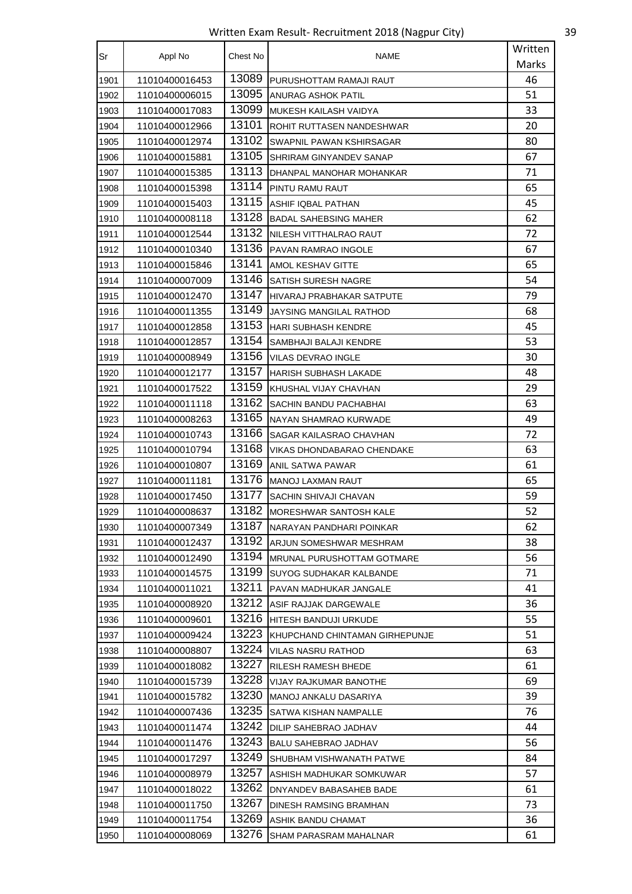Written Exam Result- Recruitment 2018 (Nagpur City) 39

| Sr   | Appl No        | Chest No | NAME                               | Written |
|------|----------------|----------|------------------------------------|---------|
|      |                |          |                                    | Marks   |
| 1901 | 11010400016453 | 13089    | <b>IPURUSHOTTAM RAMAJI RAUT</b>    | 46      |
| 1902 | 11010400006015 | 13095    | ANURAG ASHOK PATIL                 | 51      |
| 1903 | 11010400017083 | 13099    | MUKESH KAILASH VAIDYA              | 33      |
| 1904 | 11010400012966 | 13101    | ROHIT RUTTASEN NANDESHWAR          | 20      |
| 1905 | 11010400012974 | 13102    | SWAPNIL PAWAN KSHIRSAGAR           | 80      |
| 1906 | 11010400015881 | 13105    | SHRIRAM GINYANDEV SANAP            | 67      |
| 1907 | 11010400015385 | 13113    | DHANPAL MANOHAR MOHANKAR           | 71      |
| 1908 | 11010400015398 | 13114    | PINTU RAMU RAUT                    | 65      |
| 1909 | 11010400015403 | 13115    | ASHIF IQBAL PATHAN                 | 45      |
| 1910 | 11010400008118 | 13128    | <b>BADAL SAHEBSING MAHER</b>       | 62      |
| 1911 | 11010400012544 | 13132    | NILESH VITTHALRAO RAUT             | 72      |
| 1912 | 11010400010340 | 13136    | PAVAN RAMRAO INGOLE                | 67      |
| 1913 | 11010400015846 | 13141    | AMOL KESHAV GITTE                  | 65      |
| 1914 | 11010400007009 | 13146    | SATISH SURESH NAGRE                | 54      |
| 1915 | 11010400012470 | 13147    | HIVARAJ PRABHAKAR SATPUTE          | 79      |
| 1916 | 11010400011355 | 13149    | JAYSING MANGILAL RATHOD            | 68      |
| 1917 | 11010400012858 | 13153    | <b>HARI SUBHASH KENDRE</b>         | 45      |
| 1918 | 11010400012857 | 13154    | SAMBHAJI BALAJI KENDRE             | 53      |
| 1919 | 11010400008949 | 13156    | VILAS DEVRAO INGLE                 | 30      |
| 1920 | 11010400012177 | 13157    | <b>HARISH SUBHASH LAKADE</b>       | 48      |
| 1921 | 11010400017522 | 13159    | KHUSHAL VIJAY CHAVHAN              | 29      |
| 1922 | 11010400011118 | 13162    | SACHIN BANDU PACHABHAI             | 63      |
| 1923 | 11010400008263 | 13165    | NAYAN SHAMRAO KURWADE              | 49      |
| 1924 | 11010400010743 | 13166    | SAGAR KAILASRAO CHAVHAN            | 72      |
| 1925 | 11010400010794 | 13168    | VIKAS DHONDABARAO CHENDAKE         | 63      |
| 1926 | 11010400010807 | 13169    | ANIL SATWA PAWAR                   | 61      |
| 1927 | 11010400011181 | 13176    | MANOJ LAXMAN RAUT                  | 65      |
| 1928 | 11010400017450 | 13177    | SACHIN SHIVAJI CHAVAN              | 59      |
| 1929 | 11010400008637 | 13182    | <b>MORESHWAR SANTOSH KALE</b>      | 52      |
| 1930 | 11010400007349 | 13187    | NARAYAN PANDHARI POINKAR           | 62      |
| 1931 | 11010400012437 | 13192    | ARJUN SOMESHWAR MESHRAM            | 38      |
| 1932 | 11010400012490 | 13194    | <b>IMRUNAL PURUSHOTTAM GOTMARE</b> | 56      |
| 1933 | 11010400014575 | 13199    | SUYOG SUDHAKAR KALBANDE            | 71      |
| 1934 | 11010400011021 | 13211    | PAVAN MADHUKAR JANGALE             | 41      |
| 1935 | 11010400008920 | 13212    | ASIF RAJJAK DARGEWALE              | 36      |
| 1936 | 11010400009601 | 13216    | HITESH BANDUJI URKUDE              | 55      |
| 1937 | 11010400009424 | 13223    | KHUPCHAND CHINTAMAN GIRHEPUNJE     | 51      |
| 1938 | 11010400008807 | 13224    | VILAS NASRU RATHOD                 | 63      |
| 1939 | 11010400018082 | 13227    | RILESH RAMESH BHEDE                | 61      |
| 1940 | 11010400015739 | 13228    | VIJAY RAJKUMAR BANOTHE             | 69      |
| 1941 | 11010400015782 | 13230    | MANOJ ANKALU DASARIYA              | 39      |
| 1942 | 11010400007436 | 13235    | SATWA KISHAN NAMPALLE              | 76      |
| 1943 | 11010400011474 | 13242    | DILIP SAHEBRAO JADHAV              | 44      |
| 1944 | 11010400011476 | 13243    | <b>BALU SAHEBRAO JADHAV</b>        | 56      |
| 1945 | 11010400017297 | 13249    | SHUBHAM VISHWANATH PATWE           | 84      |
| 1946 | 11010400008979 | 13257    | ASHISH MADHUKAR SOMKUWAR           | 57      |
| 1947 | 11010400018022 | 13262    | DNYANDEV BABASAHEB BADE            | 61      |
| 1948 | 11010400011750 | 13267    | DINESH RAMSING BRAMHAN             | 73      |
| 1949 | 11010400011754 | 13269    | ASHIK BANDU CHAMAT                 | 36      |
| 1950 | 11010400008069 | 13276    | SHAM PARASRAM MAHALNAR             | 61      |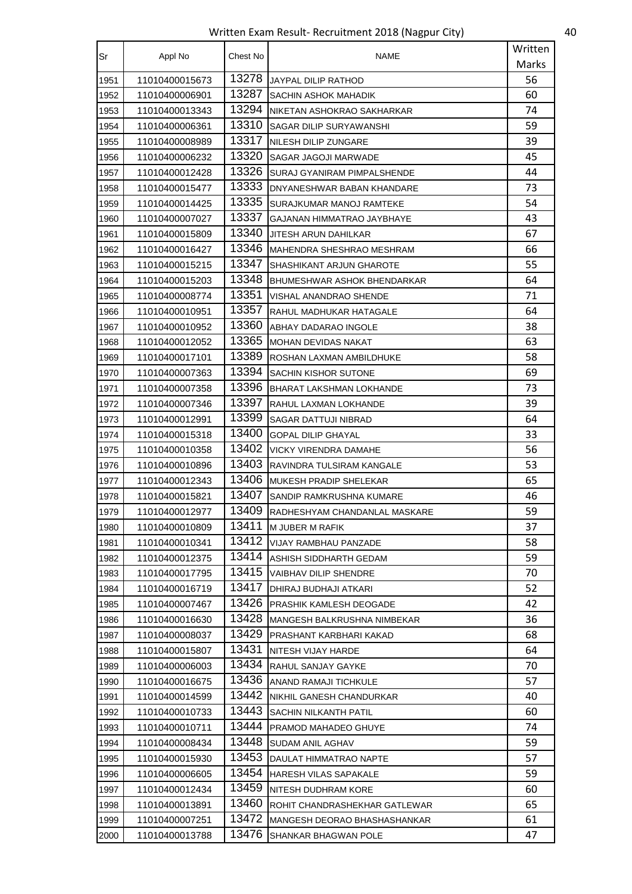Written Exam Result- Recruitment 2018 (Nagpur City) 40

| Sr   | Appl No        | Chest No | <b>NAME</b>                     | Written |
|------|----------------|----------|---------------------------------|---------|
|      |                |          |                                 | Marks   |
| 1951 | 11010400015673 | 13278    | JAYPAL DILIP RATHOD             | 56      |
| 1952 | 11010400006901 | 13287    | SACHIN ASHOK MAHADIK            | 60      |
| 1953 | 11010400013343 | 13294    | NIKETAN ASHOKRAO SAKHARKAR      | 74      |
| 1954 | 11010400006361 | 13310    | SAGAR DILIP SURYAWANSHI         | 59      |
| 1955 | 11010400008989 | 13317    | NILESH DILIP ZUNGARE            | 39      |
| 1956 | 11010400006232 | 13320    | SAGAR JAGOJI MARWADE            | 45      |
| 1957 | 11010400012428 | 13326    | SURAJ GYANIRAM PIMPALSHENDE     | 44      |
| 1958 | 11010400015477 | 13333    | DNYANESHWAR BABAN KHANDARE      | 73      |
| 1959 | 11010400014425 | 13335    | SURAJKUMAR MANOJ RAMTEKE        | 54      |
| 1960 | 11010400007027 | 13337    | GAJANAN HIMMATRAO JAYBHAYE      | 43      |
| 1961 | 11010400015809 | 13340    | JITESH ARUN DAHILKAR            | 67      |
| 1962 | 11010400016427 | 13346    | MAHENDRA SHESHRAO MESHRAM       | 66      |
| 1963 | 11010400015215 | 13347    | SHASHIKANT ARJUN GHAROTE        | 55      |
| 1964 | 11010400015203 | 13348    | BHUMESHWAR ASHOK BHENDARKAR     | 64      |
| 1965 | 11010400008774 | 13351    | VISHAL ANANDRAO SHENDE          | 71      |
| 1966 | 11010400010951 | 13357    | RAHUL MADHUKAR HATAGALE         | 64      |
| 1967 | 11010400010952 | 13360    | ABHAY DADARAO INGOLE            | 38      |
| 1968 | 11010400012052 | 13365    | <b>MOHAN DEVIDAS NAKAT</b>      | 63      |
| 1969 | 11010400017101 | 13389    | ROSHAN LAXMAN AMBILDHUKE        | 58      |
| 1970 | 11010400007363 | 13394    | SACHIN KISHOR SUTONE            | 69      |
| 1971 | 11010400007358 | 13396    | <b>BHARAT LAKSHMAN LOKHANDE</b> | 73      |
| 1972 | 11010400007346 | 13397    | RAHUL LAXMAN LOKHANDE           | 39      |
| 1973 | 11010400012991 | 13399    | SAGAR DATTUJI NIBRAD            | 64      |
| 1974 | 11010400015318 | 13400    | <b>GOPAL DILIP GHAYAL</b>       | 33      |
| 1975 | 11010400010358 | 13402    | <b>VICKY VIRENDRA DAMAHE</b>    | 56      |
| 1976 | 11010400010896 | 13403    | RAVINDRA TULSIRAM KANGALE       | 53      |
| 1977 | 11010400012343 | 13406    | <b>MUKESH PRADIP SHELEKAR</b>   | 65      |
| 1978 | 11010400015821 | 13407    | SANDIP RAMKRUSHNA KUMARE        | 46      |
| 1979 | 11010400012977 | 13409    | RADHESHYAM CHANDANLAL MASKARE   | 59      |
| 1980 | 11010400010809 | 13411    | M JUBER M RAFIK                 | 37      |
| 1981 | 11010400010341 | 13412    | <b>VIJAY RAMBHAU PANZADE</b>    | 58      |
| 1982 | 11010400012375 | 13414    | ASHISH SIDDHARTH GEDAM          | 59      |
| 1983 | 11010400017795 | 13415    | VAIBHAV DILIP SHENDRE           | 70      |
| 1984 | 11010400016719 | 13417    | DHIRAJ BUDHAJI ATKARI           | 52      |
| 1985 | 11010400007467 | 13426    | PRASHIK KAMLESH DEOGADE         | 42      |
| 1986 | 11010400016630 | 13428    | MANGESH BALKRUSHNA NIMBEKAR     | 36      |
| 1987 | 11010400008037 | 13429    | PRASHANT KARBHARI KAKAD         | 68      |
| 1988 | 11010400015807 | 13431    | NITESH VIJAY HARDE              | 64      |
| 1989 | 11010400006003 | 13434    | RAHUL SANJAY GAYKE              | 70      |
| 1990 | 11010400016675 | 13436    | ANAND RAMAJI TICHKULE           | 57      |
| 1991 | 11010400014599 | 13442    | NIKHIL GANESH CHANDURKAR        | 40      |
| 1992 | 11010400010733 | 13443    | SACHIN NILKANTH PATIL           | 60      |
| 1993 | 11010400010711 | 13444    | PRAMOD MAHADEO GHUYE            | 74      |
| 1994 | 11010400008434 | 13448    | SUDAM ANIL AGHAV                | 59      |
| 1995 | 11010400015930 | 13453    | DAULAT HIMMATRAO NAPTE          | 57      |
| 1996 | 11010400006605 | 13454    | HARESH VILAS SAPAKALE           | 59      |
| 1997 | 11010400012434 | 13459    | NITESH DUDHRAM KORE             | 60      |
| 1998 | 11010400013891 | 13460    | ROHIT CHANDRASHEKHAR GATLEWAR   | 65      |
| 1999 | 11010400007251 | 13472    | MANGESH DEORAO BHASHASHANKAR    | 61      |
| 2000 | 11010400013788 | 13476    | SHANKAR BHAGWAN POLE            | 47      |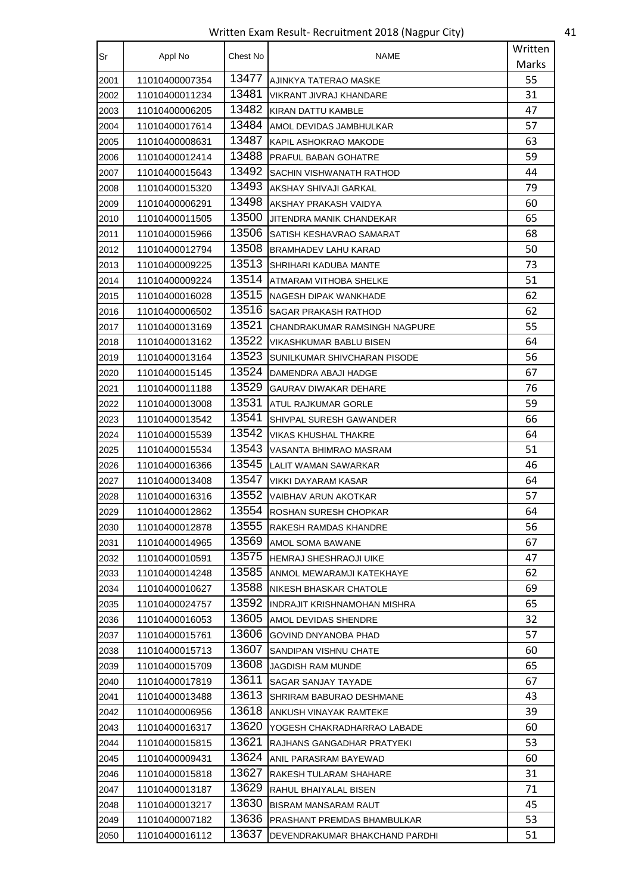Written Exam Result- Recruitment 2018 (Nagpur City) 41

| Sr   | Appl No        | Chest No | NAME                           | Written |
|------|----------------|----------|--------------------------------|---------|
|      |                |          |                                | Marks   |
| 2001 | 11010400007354 | 13477    | AJINKYA TATERAO MASKE          | 55      |
| 2002 | 11010400011234 | 13481    | VIKRANT JIVRAJ KHANDARE        | 31      |
| 2003 | 11010400006205 | 13482    | KIRAN DATTU KAMBLE             | 47      |
| 2004 | 11010400017614 | 13484    | AMOL DEVIDAS JAMBHULKAR        | 57      |
| 2005 | 11010400008631 | 13487    | KAPIL ASHOKRAO MAKODE          | 63      |
| 2006 | 11010400012414 | 13488    | PRAFUL BABAN GOHATRE           | 59      |
| 2007 | 11010400015643 | 13492    | SACHIN VISHWANATH RATHOD       | 44      |
| 2008 | 11010400015320 | 13493    | AKSHAY SHIVAJI GARKAL          | 79      |
| 2009 | 11010400006291 | 13498    | AKSHAY PRAKASH VAIDYA          | 60      |
| 2010 | 11010400011505 | 13500    | JITENDRA MANIK CHANDEKAR       | 65      |
| 2011 | 11010400015966 | 13506    | SATISH KESHAVRAO SAMARAT       | 68      |
| 2012 | 11010400012794 | 13508    | <b>BRAMHADEV LAHU KARAD</b>    | 50      |
| 2013 | 11010400009225 | 13513    | SHRIHARI KADUBA MANTE          | 73      |
| 2014 | 11010400009224 | 13514    | ATMARAM VITHOBA SHELKE         | 51      |
| 2015 | 11010400016028 | 13515    | NAGESH DIPAK WANKHADE          | 62      |
| 2016 | 11010400006502 | 13516    | SAGAR PRAKASH RATHOD           | 62      |
| 2017 | 11010400013169 | 13521    | CHANDRAKUMAR RAMSINGH NAGPURE  | 55      |
| 2018 | 11010400013162 | 13522    | VIKASHKUMAR BABLU BISEN        | 64      |
| 2019 | 11010400013164 | 13523    | SUNILKUMAR SHIVCHARAN PISODE   | 56      |
| 2020 | 11010400015145 | 13524    | DAMENDRA ABAJI HADGE           | 67      |
| 2021 | 11010400011188 | 13529    | GAURAV DIWAKAR DEHARE          | 76      |
| 2022 | 11010400013008 | 13531    | ATUL RAJKUMAR GORLE            | 59      |
| 2023 | 11010400013542 | 13541    | SHIVPAL SURESH GAWANDER        | 66      |
| 2024 | 11010400015539 | 13542    | VIKAS KHUSHAL THAKRE           | 64      |
| 2025 | 11010400015534 | 13543    | VASANTA BHIMRAO MASRAM         | 51      |
| 2026 | 11010400016366 | 13545    | LALIT WAMAN SAWARKAR           | 46      |
| 2027 | 11010400013408 | 13547    | VIKKI DAYARAM KASAR            | 64      |
| 2028 | 11010400016316 | 13552    | VAIBHAV ARUN AKOTKAR           | 57      |
| 2029 | 11010400012862 | 13554    | ROSHAN SURESH CHOPKAR          | 64      |
| 2030 | 11010400012878 | 13555    | RAKESH RAMDAS KHANDRE          | 56      |
| 2031 | 11010400014965 | 13569    | AMOL SOMA BAWANE               | 67      |
| 2032 | 11010400010591 | 13575    | <b>HEMRAJ SHESHRAOJI UIKE</b>  | 47      |
| 2033 | 11010400014248 | 13585    | ANMOL MEWARAMJI KATEKHAYE      | 62      |
| 2034 | 11010400010627 | 13588    | NIKESH BHASKAR CHATOLE         | 69      |
| 2035 | 11010400024757 | 13592    | INDRAJIT KRISHNAMOHAN MISHRA   | 65      |
| 2036 | 11010400016053 | 13605    | AMOL DEVIDAS SHENDRE           | 32      |
| 2037 | 11010400015761 | 13606    | <b>GOVIND DNYANOBA PHAD</b>    | 57      |
| 2038 | 11010400015713 | 13607    | SANDIPAN VISHNU CHATE          | 60      |
| 2039 | 11010400015709 | 13608    | JAGDISH RAM MUNDE              | 65      |
| 2040 | 11010400017819 | 13611    | SAGAR SANJAY TAYADE            | 67      |
| 2041 | 11010400013488 | 13613    | SHRIRAM BABURAO DESHMANE       | 43      |
| 2042 | 11010400006956 | 13618    | ANKUSH VINAYAK RAMTEKE         | 39      |
| 2043 | 11010400016317 | 13620    | YOGESH CHAKRADHARRAO LABADE    | 60      |
| 2044 | 11010400015815 | 13621    | RAJHANS GANGADHAR PRATYEKI     | 53      |
| 2045 | 11010400009431 | 13624    | ANIL PARASRAM BAYEWAD          | 60      |
| 2046 | 11010400015818 | 13627    | RAKESH TULARAM SHAHARE         | 31      |
| 2047 | 11010400013187 | 13629    | RAHUL BHAIYALAL BISEN          | 71      |
| 2048 | 11010400013217 | 13630    | <b>BISRAM MANSARAM RAUT</b>    | 45      |
| 2049 | 11010400007182 | 13636    | PRASHANT PREMDAS BHAMBULKAR    | 53      |
| 2050 | 11010400016112 | 13637    | DEVENDRAKUMAR BHAKCHAND PARDHI | 51      |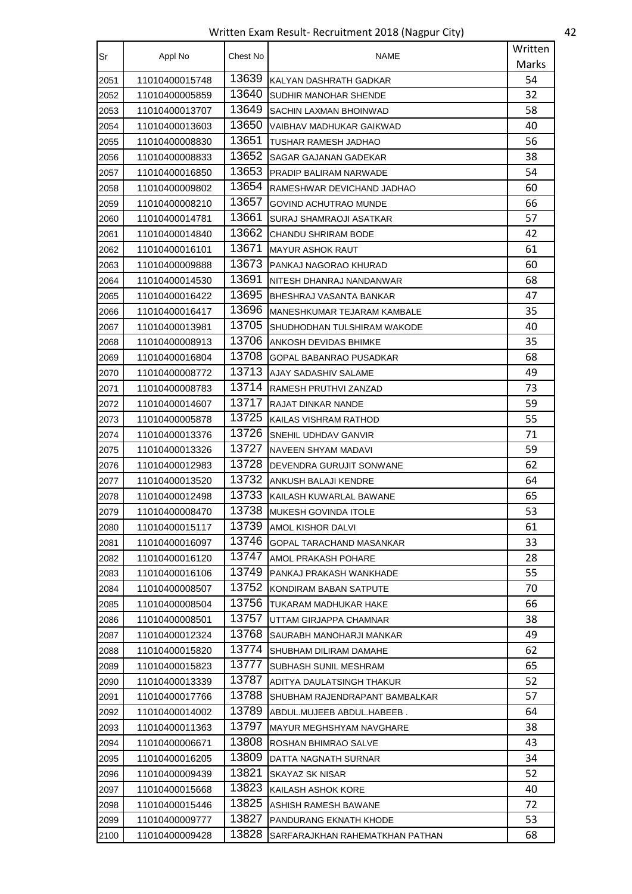Written Exam Result- Recruitment 2018 (Nagpur City) 42

| Sr   | Appl No        | Chest No | NAME                            | Written |
|------|----------------|----------|---------------------------------|---------|
|      |                |          |                                 | Marks   |
| 2051 | 11010400015748 | 13639    | KALYAN DASHRATH GADKAR          | 54      |
| 2052 | 11010400005859 | 13640    | SUDHIR MANOHAR SHENDE           | 32      |
| 2053 | 11010400013707 | 13649    | SACHIN LAXMAN BHOINWAD          | 58      |
| 2054 | 11010400013603 | 13650    | VAIBHAV MADHUKAR GAIKWAD        | 40      |
| 2055 | 11010400008830 | 13651    | TUSHAR RAMESH JADHAO            | 56      |
| 2056 | 11010400008833 | 13652    | SAGAR GAJANAN GADEKAR           | 38      |
| 2057 | 11010400016850 | 13653    | PRADIP BALIRAM NARWADE          | 54      |
| 2058 | 11010400009802 | 13654    | RAMESHWAR DEVICHAND JADHAO      | 60      |
| 2059 | 11010400008210 | 13657    | GOVIND ACHUTRAO MUNDE           | 66      |
| 2060 | 11010400014781 | 13661    | SURAJ SHAMRAOJI ASATKAR         | 57      |
| 2061 | 11010400014840 | 13662    | CHANDU SHRIRAM BODE             | 42      |
| 2062 | 11010400016101 | 13671    | <b>MAYUR ASHOK RAUT</b>         | 61      |
| 2063 | 11010400009888 | 13673    | PANKAJ NAGORAO KHURAD           | 60      |
| 2064 | 11010400014530 | 13691    | NITESH DHANRAJ NANDANWAR        | 68      |
| 2065 | 11010400016422 | 13695    | BHESHRAJ VASANTA BANKAR         | 47      |
| 2066 | 11010400016417 | 13696    | MANESHKUMAR TEJARAM KAMBALE     | 35      |
| 2067 | 11010400013981 | 13705    | SHUDHODHAN TULSHIRAM WAKODE     | 40      |
| 2068 | 11010400008913 | 13706    | ANKOSH DEVIDAS BHIMKE           | 35      |
| 2069 | 11010400016804 | 13708    | GOPAL BABANRAO PUSADKAR         | 68      |
| 2070 | 11010400008772 | 13713    | AJAY SADASHIV SALAME            | 49      |
| 2071 | 11010400008783 | 13714    | RAMESH PRUTHVI ZANZAD           | 73      |
| 2072 | 11010400014607 | 13717    | RAJAT DINKAR NANDE              | 59      |
| 2073 | 11010400005878 | 13725    | KAILAS VISHRAM RATHOD           | 55      |
| 2074 | 11010400013376 | 13726    | SNEHIL UDHDAV GANVIR            | 71      |
| 2075 | 11010400013326 | 13727    | NAVEEN SHYAM MADAVI             | 59      |
| 2076 | 11010400012983 | 13728    | DEVENDRA GURUJIT SONWANE        | 62      |
| 2077 | 11010400013520 | 13732    | ANKUSH BALAJI KENDRE            | 64      |
| 2078 | 11010400012498 | 13733    | KAILASH KUWARLAL BAWANE         | 65      |
| 2079 | 11010400008470 | 13738    | <b>MUKESH GOVINDA ITOLE</b>     | 53      |
| 2080 | 11010400015117 | 13739    | AMOL KISHOR DALVI               | 61      |
| 2081 | 11010400016097 | 13746    | <b>GOPAL TARACHAND MASANKAR</b> | 33      |
| 2082 | 11010400016120 | 13747    | AMOL PRAKASH POHARE             | 28      |
| 2083 | 11010400016106 | 13749    | PANKAJ PRAKASH WANKHADE         | 55      |
| 2084 | 11010400008507 | 13752    | KONDIRAM BABAN SATPUTE          | 70      |
| 2085 | 11010400008504 | 13756    | TUKARAM MADHUKAR HAKE           | 66      |
| 2086 | 11010400008501 | 13757    | UTTAM GIRJAPPA CHAMNAR          | 38      |
| 2087 | 11010400012324 | 13768    | SAURABH MANOHARJI MANKAR        | 49      |
| 2088 | 11010400015820 | 13774    | SHUBHAM DILIRAM DAMAHE          | 62      |
| 2089 | 11010400015823 | 13777    | SUBHASH SUNIL MESHRAM           | 65      |
| 2090 | 11010400013339 | 13787    | ADITYA DAULATSINGH THAKUR       | 52      |
| 2091 | 11010400017766 | 13788    | SHUBHAM RAJENDRAPANT BAMBALKAR  | 57      |
| 2092 | 11010400014002 | 13789    | ABDUL.MUJEEB ABDUL.HABEEB.      | 64      |
| 2093 | 11010400011363 | 13797    | MAYUR MEGHSHYAM NAVGHARE        | 38      |
| 2094 | 11010400006671 | 13808    | ROSHAN BHIMRAO SALVE            | 43      |
| 2095 | 11010400016205 | 13809    | DATTA NAGNATH SURNAR            | 34      |
| 2096 | 11010400009439 | 13821    | SKAYAZ SK NISAR                 | 52      |
| 2097 | 11010400015668 | 13823    | KAILASH ASHOK KORE              | 40      |
| 2098 | 11010400015446 | 13825    | ASHISH RAMESH BAWANE            | 72      |
| 2099 | 11010400009777 | 13827    | PANDURANG EKNATH KHODE          | 53      |
| 2100 | 11010400009428 | 13828    | SARFARAJKHAN RAHEMATKHAN PATHAN | 68      |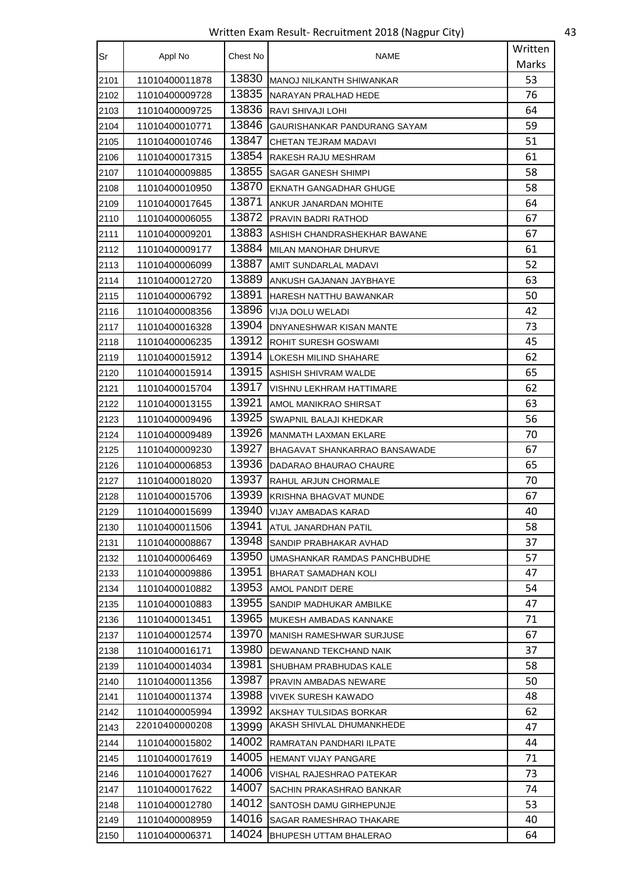Written Exam Result- Recruitment 2018 (Nagpur City) 43

| Sr   | Appl No        | Chest No | NAME                            | Written |
|------|----------------|----------|---------------------------------|---------|
|      |                |          |                                 | Marks   |
| 2101 | 11010400011878 | 13830    | <b>MANOJ NILKANTH SHIWANKAR</b> | 53      |
| 2102 | 11010400009728 | 13835    | NARAYAN PRALHAD HEDE            | 76      |
| 2103 | 11010400009725 | 13836    | RAVI SHIVAJI LOHI               | 64      |
| 2104 | 11010400010771 | 13846    | GAURISHANKAR PANDURANG SAYAM    | 59      |
| 2105 | 11010400010746 | 13847    | CHETAN TEJRAM MADAVI            | 51      |
| 2106 | 11010400017315 | 13854    | RAKESH RAJU MESHRAM             | 61      |
| 2107 | 11010400009885 | 13855    | SAGAR GANESH SHIMPI             | 58      |
| 2108 | 11010400010950 | 13870    | EKNATH GANGADHAR GHUGE          | 58      |
| 2109 | 11010400017645 | 13871    | ANKUR JANARDAN MOHITE           | 64      |
| 2110 | 11010400006055 | 13872    | PRAVIN BADRI RATHOD             | 67      |
| 2111 | 11010400009201 | 13883    | ASHISH CHANDRASHEKHAR BAWANE    | 67      |
| 2112 | 11010400009177 | 13884    | MILAN MANOHAR DHURVE            | 61      |
| 2113 | 11010400006099 | 13887    | AMIT SUNDARLAL MADAVI           | 52      |
| 2114 | 11010400012720 | 13889    | ANKUSH GAJANAN JAYBHAYE         | 63      |
| 2115 | 11010400006792 | 13891    | HARESH NATTHU BAWANKAR          | 50      |
| 2116 | 11010400008356 | 13896    | VIJA DOLU WELADI                | 42      |
| 2117 | 11010400016328 | 13904    | DNYANESHWAR KISAN MANTE         | 73      |
| 2118 | 11010400006235 | 13912    | ROHIT SURESH GOSWAMI            | 45      |
| 2119 | 11010400015912 | 13914    | LOKESH MILIND SHAHARE           | 62      |
| 2120 | 11010400015914 | 13915    | ASHISH SHIVRAM WALDE            | 65      |
| 2121 | 11010400015704 | 13917    | VISHNU LEKHRAM HATTIMARE        | 62      |
| 2122 | 11010400013155 | 13921    | AMOL MANIKRAO SHIRSAT           | 63      |
| 2123 | 11010400009496 | 13925    | SWAPNIL BALAJI KHEDKAR          | 56      |
| 2124 | 11010400009489 | 13926    | MANMATH LAXMAN EKLARE           | 70      |
| 2125 | 11010400009230 | 13927    | BHAGAVAT SHANKARRAO BANSAWADE   | 67      |
| 2126 | 11010400006853 | 13936    | DADARAO BHAURAO CHAURE          | 65      |
| 2127 | 11010400018020 | 13937    | RAHUL ARJUN CHORMALE            | 70      |
| 2128 | 11010400015706 | 13939    | KRISHNA BHAGVAT MUNDE           | 67      |
| 2129 | 11010400015699 | 13940    | VIJAY AMBADAS KARAD             | 40      |
| 2130 | 11010400011506 | 13941    | ATUL JANARDHAN PATIL            | 58      |
| 2131 | 11010400008867 | 13948    | SANDIP PRABHAKAR AVHAD          | 37      |
| 2132 | 11010400006469 | 13950    | UMASHANKAR RAMDAS PANCHBUDHE    | 57      |
| 2133 | 11010400009886 | 13951    | BHARAT SAMADHAN KOLI            | 47      |
| 2134 | 11010400010882 | 13953    | AMOL PANDIT DERE                | 54      |
| 2135 | 11010400010883 | 13955    | SANDIP MADHUKAR AMBILKE         | 47      |
| 2136 | 11010400013451 | 13965    | MUKESH AMBADAS KANNAKE          | 71      |
| 2137 | 11010400012574 | 13970    | MANISH RAMESHWAR SURJUSE        | 67      |
| 2138 | 11010400016171 | 13980    | DEWANAND TEKCHAND NAIK          | 37      |
| 2139 | 11010400014034 | 13981    | SHUBHAM PRABHUDAS KALE          | 58      |
| 2140 | 11010400011356 | 13987    | PRAVIN AMBADAS NEWARE           | 50      |
| 2141 | 11010400011374 | 13988    | VIVEK SURESH KAWADO             | 48      |
| 2142 | 11010400005994 | 13992    | AKSHAY TULSIDAS BORKAR          | 62      |
| 2143 | 22010400000208 | 13999    | AKASH SHIVLAL DHUMANKHEDE       | 47      |
| 2144 | 11010400015802 | 14002    | RAMRATAN PANDHARI ILPATE        | 44      |
| 2145 | 11010400017619 | 14005    | <b>HEMANT VIJAY PANGARE</b>     | 71      |
| 2146 | 11010400017627 | 14006    | VISHAL RAJESHRAO PATEKAR        | 73      |
| 2147 | 11010400017622 | 14007    | SACHIN PRAKASHRAO BANKAR        | 74      |
| 2148 | 11010400012780 | 14012    | SANTOSH DAMU GIRHEPUNJE         | 53      |
| 2149 | 11010400008959 | 14016    | SAGAR RAMESHRAO THAKARE         | 40      |
| 2150 | 11010400006371 | 14024    | BHUPESH UTTAM BHALERAO          | 64      |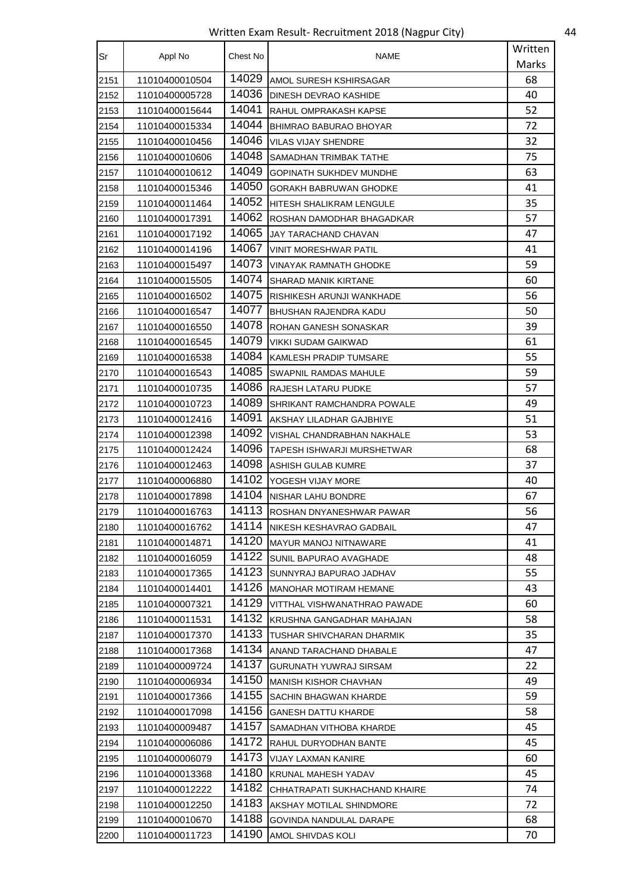Written Exam Result- Recruitment 2018 (Nagpur City) 44

| Sr   | Appl No        | Chest No | <b>NAME</b>                    | Written |
|------|----------------|----------|--------------------------------|---------|
|      |                |          |                                | Marks   |
| 2151 | 11010400010504 | 14029    | AMOL SURESH KSHIRSAGAR         | 68      |
| 2152 | 11010400005728 | 14036    | DINESH DEVRAO KASHIDE          | 40      |
| 2153 | 11010400015644 | 14041    | RAHUL OMPRAKASH KAPSE          | 52      |
| 2154 | 11010400015334 | 14044    | <b>BHIMRAO BABURAO BHOYAR</b>  | 72      |
| 2155 | 11010400010456 | 14046    | VILAS VIJAY SHENDRE            | 32      |
| 2156 | 11010400010606 | 14048    | SAMADHAN TRIMBAK TATHE         | 75      |
| 2157 | 11010400010612 | 14049    | <b>GOPINATH SUKHDEV MUNDHE</b> | 63      |
| 2158 | 11010400015346 | 14050    | GORAKH BABRUWAN GHODKE         | 41      |
| 2159 | 11010400011464 | 14052    | HITESH SHALIKRAM LENGULE       | 35      |
| 2160 | 11010400017391 | 14062    | ROSHAN DAMODHAR BHAGADKAR      | 57      |
| 2161 | 11010400017192 | 14065    | JAY TARACHAND CHAVAN           | 47      |
| 2162 | 11010400014196 | 14067    | VINIT MORESHWAR PATIL          | 41      |
| 2163 | 11010400015497 | 14073    | VINAYAK RAMNATH GHODKE         | 59      |
| 2164 | 11010400015505 | 14074    | SHARAD MANIK KIRTANE           | 60      |
| 2165 | 11010400016502 | 14075    | RISHIKESH ARUNJI WANKHADE      | 56      |
| 2166 | 11010400016547 | 14077    | BHUSHAN RAJENDRA KADU          | 50      |
| 2167 | 11010400016550 | 14078    | ROHAN GANESH SONASKAR          | 39      |
| 2168 | 11010400016545 | 14079    | VIKKI SUDAM GAIKWAD            | 61      |
| 2169 | 11010400016538 | 14084    | KAMLESH PRADIP TUMSARE         | 55      |
| 2170 | 11010400016543 | 14085    | SWAPNIL RAMDAS MAHULE          | 59      |
| 2171 | 11010400010735 | 14086    | RAJESH LATARU PUDKE            | 57      |
| 2172 | 11010400010723 | 14089    | SHRIKANT RAMCHANDRA POWALE     | 49      |
| 2173 | 11010400012416 | 14091    | AKSHAY LILADHAR GAJBHIYE       | 51      |
| 2174 | 11010400012398 | 14092    | VISHAL CHANDRABHAN NAKHALE     | 53      |
| 2175 | 11010400012424 | 14096    | TAPESH ISHWARJI MURSHETWAR     | 68      |
| 2176 | 11010400012463 | 14098    | ASHISH GULAB KUMRE             | 37      |
| 2177 | 11010400006880 | 14102    | YOGESH VIJAY MORE              | 40      |
| 2178 | 11010400017898 | 14104    | NISHAR LAHU BONDRE             | 67      |
| 2179 | 11010400016763 | 14113    | ROSHAN DNYANESHWAR PAWAR       | 56      |
| 2180 | 11010400016762 | 14114    | NIKESH KESHAVRAO GADBAIL       | 47      |
| 2181 | 11010400014871 | 14120    | <b>MAYUR MANOJ NITNAWARE</b>   | 41      |
| 2182 | 11010400016059 | 14122    | SUNIL BAPURAO AVAGHADE         | 48      |
| 2183 | 11010400017365 | 14123    | SUNNYRAJ BAPURAO JADHAV        | 55      |
| 2184 | 11010400014401 | 14126    | MANOHAR MOTIRAM HEMANE         | 43      |
| 2185 | 11010400007321 | 14129    | VITTHAL VISHWANATHRAO PAWADE   | 60      |
| 2186 | 11010400011531 | 14132    | KRUSHNA GANGADHAR MAHAJAN      | 58      |
| 2187 | 11010400017370 | 14133    | TUSHAR SHIVCHARAN DHARMIK      | 35      |
| 2188 | 11010400017368 | 14134    | ANAND TARACHAND DHABALE        | 47      |
| 2189 | 11010400009724 | 14137    | GURUNATH YUWRAJ SIRSAM         | 22      |
| 2190 | 11010400006934 | 14150    | <b>MANISH KISHOR CHAVHAN</b>   | 49      |
| 2191 | 11010400017366 | 14155    | SACHIN BHAGWAN KHARDE          | 59      |
| 2192 | 11010400017098 | 14156    | <b>GANESH DATTU KHARDE</b>     | 58      |
| 2193 | 11010400009487 | 14157    | SAMADHAN VITHOBA KHARDE        | 45      |
| 2194 | 11010400006086 | 14172    | RAHUL DURYODHAN BANTE          | 45      |
| 2195 | 11010400006079 | 14173    | VIJAY LAXMAN KANIRE            | 60      |
| 2196 | 11010400013368 | 14180    | <b>KRUNAL MAHESH YADAV</b>     | 45      |
| 2197 | 11010400012222 | 14182    | CHHATRAPATI SUKHACHAND KHAIRE  | 74      |
| 2198 | 11010400012250 | 14183    | AKSHAY MOTILAL SHINDMORE       | 72      |
| 2199 | 11010400010670 | 14188    | GOVINDA NANDULAL DARAPE        | 68      |
| 2200 | 11010400011723 | 14190    | AMOL SHIVDAS KOLI              | 70      |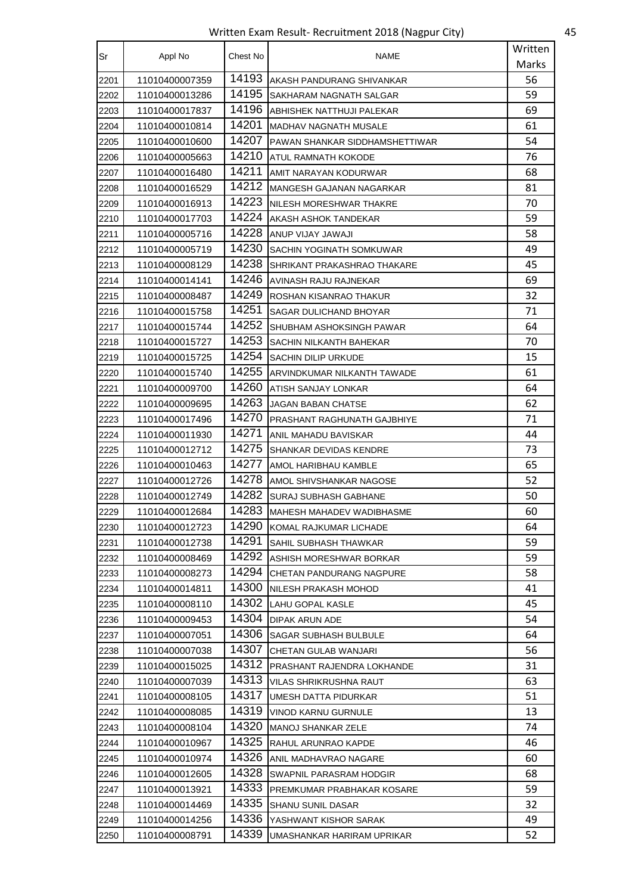Written Exam Result- Recruitment 2018 (Nagpur City) 45

| Sr   | Appl No        | Chest No | NAME                           | Written |
|------|----------------|----------|--------------------------------|---------|
|      |                |          |                                | Marks   |
| 2201 | 11010400007359 | 14193    | AKASH PANDURANG SHIVANKAR      | 56      |
| 2202 | 11010400013286 | 14195    | SAKHARAM NAGNATH SALGAR        | 59      |
| 2203 | 11010400017837 | 14196    | ABHISHEK NATTHUJI PALEKAR      | 69      |
| 2204 | 11010400010814 | 14201    | MADHAV NAGNATH MUSALE          | 61      |
| 2205 | 11010400010600 | 14207    | PAWAN SHANKAR SIDDHAMSHETTIWAR | 54      |
| 2206 | 11010400005663 | 14210    | ATUL RAMNATH KOKODE            | 76      |
| 2207 | 11010400016480 | 14211    | AMIT NARAYAN KODURWAR          | 68      |
| 2208 | 11010400016529 | 14212    | MANGESH GAJANAN NAGARKAR       | 81      |
| 2209 | 11010400016913 | 14223    | NILESH MORESHWAR THAKRE        | 70      |
| 2210 | 11010400017703 | 14224    | AKASH ASHOK TANDEKAR           | 59      |
| 2211 | 11010400005716 | 14228    | ANUP VIJAY JAWAJI              | 58      |
| 2212 | 11010400005719 | 14230    | SACHIN YOGINATH SOMKUWAR       | 49      |
| 2213 | 11010400008129 | 14238    | SHRIKANT PRAKASHRAO THAKARE    | 45      |
| 2214 | 11010400014141 | 14246    | AVINASH RAJU RAJNEKAR          | 69      |
| 2215 | 11010400008487 | 14249    | ROSHAN KISANRAO THAKUR         | 32      |
| 2216 | 11010400015758 | 14251    | SAGAR DULICHAND BHOYAR         | 71      |
| 2217 | 11010400015744 | 14252    | SHUBHAM ASHOKSINGH PAWAR       | 64      |
| 2218 | 11010400015727 | 14253    | SACHIN NILKANTH BAHEKAR        | 70      |
| 2219 | 11010400015725 | 14254    | SACHIN DILIP URKUDE            | 15      |
| 2220 | 11010400015740 | 14255    | ARVINDKUMAR NILKANTH TAWADE    | 61      |
| 2221 | 11010400009700 | 14260    | ATISH SANJAY LONKAR            | 64      |
| 2222 | 11010400009695 | 14263    | JAGAN BABAN CHATSE             | 62      |
| 2223 | 11010400017496 | 14270    | PRASHANT RAGHUNATH GAJBHIYE    | 71      |
| 2224 | 11010400011930 | 14271    | ANIL MAHADU BAVISKAR           | 44      |
| 2225 | 11010400012712 | 14275    | SHANKAR DEVIDAS KENDRE         | 73      |
| 2226 | 11010400010463 | 14277    | AMOL HARIBHAU KAMBLE           | 65      |
| 2227 | 11010400012726 | 14278    | AMOL SHIVSHANKAR NAGOSE        | 52      |
| 2228 | 11010400012749 | 14282    | SURAJ SUBHASH GABHANE          | 50      |
| 2229 | 11010400012684 | 14283    | MAHESH MAHADEV WADIBHASME      | 60      |
| 2230 | 11010400012723 | 14290    | KOMAL RAJKUMAR LICHADE         | 64      |
| 2231 | 11010400012738 | 14291    | SAHIL SUBHASH THAWKAR          | 59      |
| 2232 | 11010400008469 | 14292    | ASHISH MORESHWAR BORKAR        | 59      |
| 2233 | 11010400008273 | 14294    | CHETAN PANDURANG NAGPURE       | 58      |
| 2234 | 11010400014811 | 14300    | NILESH PRAKASH MOHOD           | 41      |
| 2235 | 11010400008110 | 14302    | LAHU GOPAL KASLE               | 45      |
| 2236 | 11010400009453 | 14304    | DIPAK ARUN ADE                 | 54      |
| 2237 | 11010400007051 | 14306    | SAGAR SUBHASH BULBULE          | 64      |
| 2238 | 11010400007038 | 14307    | CHETAN GULAB WANJARI           | 56      |
| 2239 | 11010400015025 | 14312    | PRASHANT RAJENDRA LOKHANDE     | 31      |
| 2240 | 11010400007039 | 14313    | VILAS SHRIKRUSHNA RAUT         | 63      |
| 2241 | 11010400008105 | 14317    | UMESH DATTA PIDURKAR           | 51      |
| 2242 | 11010400008085 | 14319    | VINOD KARNU GURNULE            | 13      |
| 2243 | 11010400008104 | 14320    | <b>MANOJ SHANKAR ZELE</b>      | 74      |
| 2244 | 11010400010967 | 14325    | RAHUL ARUNRAO KAPDE            | 46      |
| 2245 | 11010400010974 | 14326    | ANIL MADHAVRAO NAGARE          | 60      |
| 2246 | 11010400012605 | 14328    | SWAPNIL PARASRAM HODGIR        | 68      |
| 2247 | 11010400013921 | 14333    | PREMKUMAR PRABHAKAR KOSARE     | 59      |
| 2248 | 11010400014469 | 14335    | <b>SHANU SUNIL DASAR</b>       | 32      |
| 2249 | 11010400014256 | 14336    | YASHWANT KISHOR SARAK          | 49      |
| 2250 | 11010400008791 | 14339    | UMASHANKAR HARIRAM UPRIKAR     | 52      |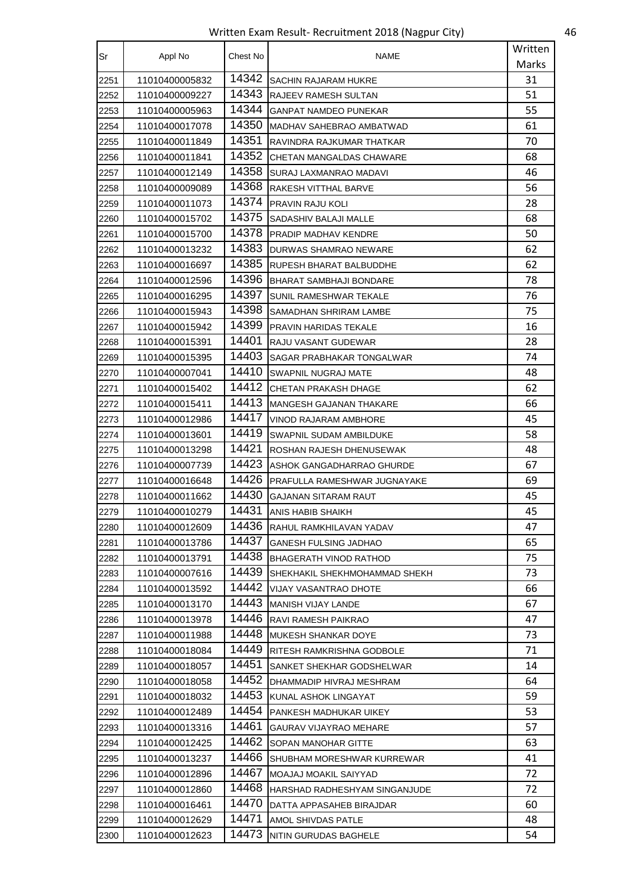Written Exam Result- Recruitment 2018 (Nagpur City) 46

| Sr   | Appl No        | Chest No | NAME                          | Written |
|------|----------------|----------|-------------------------------|---------|
|      |                |          |                               | Marks   |
| 2251 | 11010400005832 | 14342    | <b>SACHIN RAJARAM HUKRE</b>   | 31      |
| 2252 | 11010400009227 | 14343    | RAJEEV RAMESH SULTAN          | 51      |
| 2253 | 11010400005963 | 14344    | <b>GANPAT NAMDEO PUNEKAR</b>  | 55      |
| 2254 | 11010400017078 | 14350    | MADHAV SAHEBRAO AMBATWAD      | 61      |
| 2255 | 11010400011849 | 14351    | RAVINDRA RAJKUMAR THATKAR     | 70      |
| 2256 | 11010400011841 | 14352    | CHETAN MANGALDAS CHAWARE      | 68      |
| 2257 | 11010400012149 | 14358    | SURAJ LAXMANRAO MADAVI        | 46      |
| 2258 | 11010400009089 | 14368    | RAKESH VITTHAL BARVE          | 56      |
| 2259 | 11010400011073 | 14374    | <b>PRAVIN RAJU KOLI</b>       | 28      |
| 2260 | 11010400015702 | 14375    | SADASHIV BALAJI MALLE         | 68      |
| 2261 | 11010400015700 | 14378    | PRADIP MADHAV KENDRE          | 50      |
| 2262 | 11010400013232 | 14383    | DURWAS SHAMRAO NEWARE         | 62      |
| 2263 | 11010400016697 | 14385    | RUPESH BHARAT BALBUDDHE       | 62      |
| 2264 | 11010400012596 | 14396    | BHARAT SAMBHAJI BONDARE       | 78      |
| 2265 | 11010400016295 | 14397    | ISUNIL RAMESHWAR TEKALE       | 76      |
| 2266 | 11010400015943 | 14398    | SAMADHAN SHRIRAM LAMBE        | 75      |
| 2267 | 11010400015942 | 14399    | PRAVIN HARIDAS TEKALE         | 16      |
| 2268 | 11010400015391 | 14401    | RAJU VASANT GUDEWAR           | 28      |
| 2269 | 11010400015395 | 14403    | SAGAR PRABHAKAR TONGALWAR     | 74      |
| 2270 | 11010400007041 | 14410    | SWAPNIL NUGRAJ MATE           | 48      |
| 2271 | 11010400015402 | 14412    | CHETAN PRAKASH DHAGE          | 62      |
| 2272 | 11010400015411 | 14413    | MANGESH GAJANAN THAKARE       | 66      |
| 2273 | 11010400012986 | 14417    | VINOD RAJARAM AMBHORE         | 45      |
| 2274 | 11010400013601 | 14419    | SWAPNIL SUDAM AMBILDUKE       | 58      |
| 2275 | 11010400013298 | 14421    | ROSHAN RAJESH DHENUSEWAK      | 48      |
| 2276 | 11010400007739 | 14423    | ASHOK GANGADHARRAO GHURDE     | 67      |
| 2277 | 11010400016648 | 14426    | PRAFULLA RAMESHWAR JUGNAYAKE  | 69      |
| 2278 | 11010400011662 | 14430    | GAJANAN SITARAM RAUT          | 45      |
| 2279 | 11010400010279 | 14431    | ANIS HABIB SHAIKH             | 45      |
| 2280 | 11010400012609 | 14436    | RAHUL RAMKHILAVAN YADAV       | 47      |
| 2281 | 11010400013786 | 14437    | <b>GANESH FULSING JADHAO</b>  | 65      |
| 2282 | 11010400013791 | 14438    | <b>BHAGERATH VINOD RATHOD</b> | 75      |
| 2283 | 11010400007616 | 14439    | SHEKHAKIL SHEKHMOHAMMAD SHEKH | 73      |
| 2284 | 11010400013592 | 14442    | <b>VIJAY VASANTRAO DHOTE</b>  | 66      |
| 2285 | 11010400013170 | 14443    | <b>MANISH VIJAY LANDE</b>     | 67      |
| 2286 | 11010400013978 | 14446    | RAVI RAMESH PAIKRAO           | 47      |
| 2287 | 11010400011988 | 14448    | MUKESH SHANKAR DOYE           | 73      |
| 2288 | 11010400018084 | 14449    | RITESH RAMKRISHNA GODBOLE     | 71      |
| 2289 | 11010400018057 | 14451    | SANKET SHEKHAR GODSHELWAR     | 14      |
| 2290 | 11010400018058 | 14452    | DHAMMADIP HIVRAJ MESHRAM      | 64      |
| 2291 | 11010400018032 | 14453    | KUNAL ASHOK LINGAYAT          | 59      |
| 2292 | 11010400012489 | 14454    | PANKESH MADHUKAR UIKEY        | 53      |
| 2293 | 11010400013316 | 14461    | GAURAV VIJAYRAO MEHARE        | 57      |
| 2294 | 11010400012425 | 14462    | SOPAN MANOHAR GITTE           | 63      |
| 2295 | 11010400013237 | 14466    | SHUBHAM MORESHWAR KURREWAR    | 41      |
| 2296 | 11010400012896 | 14467    | MOAJAJ MOAKIL SAIYYAD         | 72      |
| 2297 | 11010400012860 | 14468    | HARSHAD RADHESHYAM SINGANJUDE | 72      |
| 2298 | 11010400016461 | 14470    | DATTA APPASAHEB BIRAJDAR      | 60      |
| 2299 | 11010400012629 | 14471    | AMOL SHIVDAS PATLE            | 48      |
| 2300 | 11010400012623 | 14473    | NITIN GURUDAS BAGHELE         | 54      |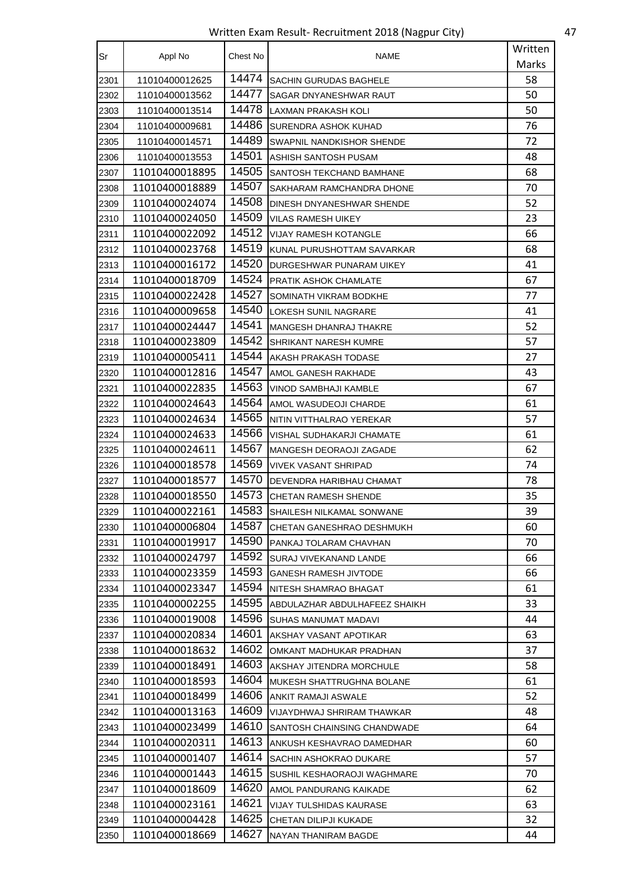Written Exam Result- Recruitment 2018 (Nagpur City) 47

| Sr   | Appl No        | Chest No | <b>NAME</b>                    | Written |
|------|----------------|----------|--------------------------------|---------|
|      |                |          |                                | Marks   |
| 2301 | 11010400012625 | 14474    | SACHIN GURUDAS BAGHELE         | 58      |
| 2302 | 11010400013562 | 14477    | SAGAR DNYANESHWAR RAUT         | 50      |
| 2303 | 11010400013514 | 14478    | LAXMAN PRAKASH KOLI            | 50      |
| 2304 | 11010400009681 | 14486    | SURENDRA ASHOK KUHAD           | 76      |
| 2305 | 11010400014571 | 14489    | SWAPNIL NANDKISHOR SHENDE      | 72      |
| 2306 | 11010400013553 | 14501    | ASHISH SANTOSH PUSAM           | 48      |
| 2307 | 11010400018895 | 14505    | SANTOSH TEKCHAND BAMHANE       | 68      |
| 2308 | 11010400018889 | 14507    | SAKHARAM RAMCHANDRA DHONE      | 70      |
| 2309 | 11010400024074 | 14508    | DINESH DNYANESHWAR SHENDE      | 52      |
| 2310 | 11010400024050 | 14509    | VILAS RAMESH UIKEY             | 23      |
| 2311 | 11010400022092 | 14512    | VIJAY RAMESH KOTANGLE          | 66      |
| 2312 | 11010400023768 | 14519    | KUNAL PURUSHOTTAM SAVARKAR     | 68      |
| 2313 | 11010400016172 | 14520    | DURGESHWAR PUNARAM UIKEY       | 41      |
| 2314 | 11010400018709 | 14524    | PRATIK ASHOK CHAMLATE          | 67      |
| 2315 | 11010400022428 | 14527    | SOMINATH VIKRAM BODKHE         | 77      |
| 2316 | 11010400009658 | 14540    | LOKESH SUNIL NAGRARE           | 41      |
| 2317 | 11010400024447 | 14541    | <b>IMANGESH DHANRAJ THAKRE</b> | 52      |
| 2318 | 11010400023809 | 14542    | SHRIKANT NARESH KUMRE          | 57      |
| 2319 | 11010400005411 | 14544    | AKASH PRAKASH TODASE           | 27      |
| 2320 | 11010400012816 | 14547    | AMOL GANESH RAKHADE            | 43      |
| 2321 | 11010400022835 | 14563    | VINOD SAMBHAJI KAMBLE          | 67      |
| 2322 | 11010400024643 | 14564    | AMOL WASUDEOJI CHARDE          | 61      |
| 2323 | 11010400024634 | 14565    | NITIN VITTHALRAO YEREKAR       | 57      |
| 2324 | 11010400024633 | 14566    | VISHAL SUDHAKARJI CHAMATE      | 61      |
| 2325 | 11010400024611 | 14567    | MANGESH DEORAOJI ZAGADE        | 62      |
| 2326 | 11010400018578 | 14569    | VIVEK VASANT SHRIPAD           | 74      |
| 2327 | 11010400018577 | 14570    | DEVENDRA HARIBHAU CHAMAT       | 78      |
| 2328 | 11010400018550 | 14573    | <b>CHETAN RAMESH SHENDE</b>    | 35      |
| 2329 | 11010400022161 | 14583    | SHAILESH NILKAMAL SONWANE      | 39      |
| 2330 | 11010400006804 | 14587    | CHETAN GANESHRAO DESHMUKH      | 60      |
| 2331 | 11010400019917 | 14590    | PANKAJ TOLARAM CHAVHAN         | 70      |
| 2332 | 11010400024797 | 14592    | SURAJ VIVEKANAND LANDE         | 66      |
| 2333 | 11010400023359 | 14593    | <b>GANESH RAMESH JIVTODE</b>   | 66      |
| 2334 | 11010400023347 | 14594    | NITESH SHAMRAO BHAGAT          | 61      |
| 2335 | 11010400002255 | 14595    | ABDULAZHAR ABDULHAFEEZ SHAIKH  | 33      |
| 2336 | 11010400019008 | 14596    | SUHAS MANUMAT MADAVI           | 44      |
| 2337 | 11010400020834 | 14601    | AKSHAY VASANT APOTIKAR         | 63      |
| 2338 | 11010400018632 | 14602    | OMKANT MADHUKAR PRADHAN        | 37      |
| 2339 | 11010400018491 | 14603    | AKSHAY JITENDRA MORCHULE       | 58      |
| 2340 | 11010400018593 | 14604    | MUKESH SHATTRUGHNA BOLANE      | 61      |
| 2341 | 11010400018499 | 14606    | ANKIT RAMAJI ASWALE            | 52      |
| 2342 | 11010400013163 | 14609    | VIJAYDHWAJ SHRIRAM THAWKAR     | 48      |
| 2343 | 11010400023499 | 14610    | SANTOSH CHAINSING CHANDWADE    | 64      |
| 2344 | 11010400020311 | 14613    | ANKUSH KESHAVRAO DAMEDHAR      | 60      |
| 2345 | 11010400001407 | 14614    | SACHIN ASHOKRAO DUKARE         | 57      |
| 2346 | 11010400001443 | 14615    | SUSHIL KESHAORAOJI WAGHMARE    | 70      |
| 2347 | 11010400018609 | 14620    | AMOL PANDURANG KAIKADE         | 62      |
| 2348 | 11010400023161 | 14621    | VIJAY TULSHIDAS KAURASE        | 63      |
| 2349 | 11010400004428 | 14625    | CHETAN DILIPJI KUKADE          | 32      |
| 2350 | 11010400018669 | 14627    | NAYAN THANIRAM BAGDE           | 44      |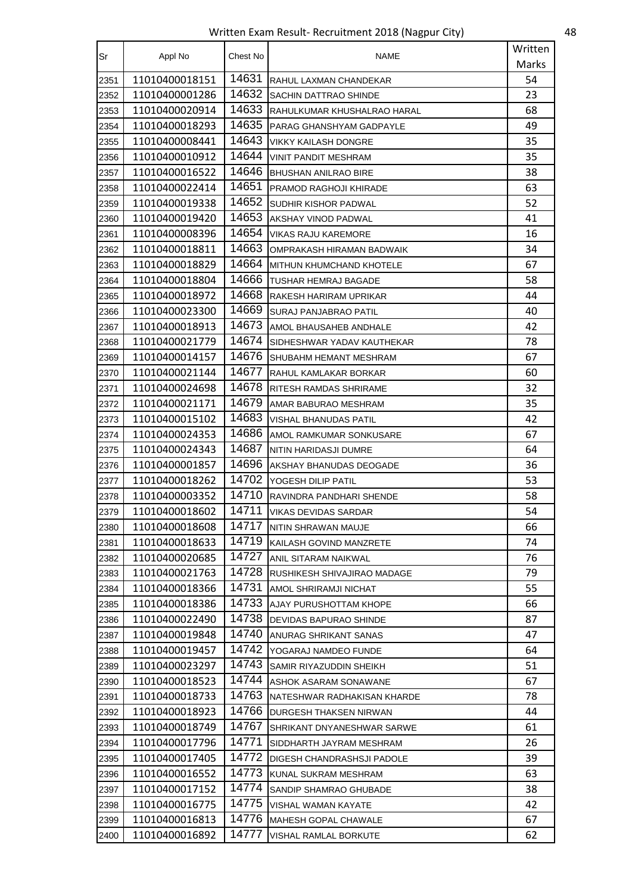Written Exam Result- Recruitment 2018 (Nagpur City) 48

| Sr   | Appl No        | Chest No | NAME                             | Written |
|------|----------------|----------|----------------------------------|---------|
|      |                |          |                                  | Marks   |
| 2351 | 11010400018151 | 14631    | RAHUL LAXMAN CHANDEKAR           | 54      |
| 2352 | 11010400001286 | 14632    | SACHIN DATTRAO SHINDE            | 23      |
| 2353 | 11010400020914 | 14633    | RAHULKUMAR KHUSHALRAO HARAL      | 68      |
| 2354 | 11010400018293 | 14635    | PARAG GHANSHYAM GADPAYLE         | 49      |
| 2355 | 11010400008441 | 14643    | <b>VIKKY KAILASH DONGRE</b>      | 35      |
| 2356 | 11010400010912 | 14644    | VINIT PANDIT MESHRAM             | 35      |
| 2357 | 11010400016522 | 14646    | <b>BHUSHAN ANILRAO BIRE</b>      | 38      |
| 2358 | 11010400022414 | 14651    | PRAMOD RAGHOJI KHIRADE           | 63      |
| 2359 | 11010400019338 | 14652    | SUDHIR KISHOR PADWAL             | 52      |
| 2360 | 11010400019420 | 14653    | AKSHAY VINOD PADWAL              | 41      |
| 2361 | 11010400008396 | 14654    | <b>VIKAS RAJU KAREMORE</b>       | 16      |
| 2362 | 11010400018811 | 14663    | <b>OMPRAKASH HIRAMAN BADWAIK</b> | 34      |
| 2363 | 11010400018829 | 14664    | MITHUN KHUMCHAND KHOTELE         | 67      |
| 2364 | 11010400018804 | 14666    | TUSHAR HEMRAJ BAGADE             | 58      |
| 2365 | 11010400018972 | 14668    | RAKESH HARIRAM UPRIKAR           | 44      |
| 2366 | 11010400023300 | 14669    | SURAJ PANJABRAO PATIL            | 40      |
| 2367 | 11010400018913 | 14673    | AMOL BHAUSAHEB ANDHALE           | 42      |
| 2368 | 11010400021779 | 14674    | SIDHESHWAR YADAV KAUTHEKAR       | 78      |
| 2369 | 11010400014157 | 14676    | SHUBAHM HEMANT MESHRAM           | 67      |
| 2370 | 11010400021144 | 14677    | RAHUL KAMLAKAR BORKAR            | 60      |
| 2371 | 11010400024698 | 14678    | RITESH RAMDAS SHRIRAME           | 32      |
| 2372 | 11010400021171 | 14679    | AMAR BABURAO MESHRAM             | 35      |
| 2373 | 11010400015102 | 14683    | VISHAL BHANUDAS PATIL            | 42      |
| 2374 | 11010400024353 | 14686    | AMOL RAMKUMAR SONKUSARE          | 67      |
| 2375 | 11010400024343 | 14687    | NITIN HARIDASJI DUMRE            | 64      |
| 2376 | 11010400001857 | 14696    | AKSHAY BHANUDAS DEOGADE          | 36      |
| 2377 | 11010400018262 | 14702    | YOGESH DILIP PATIL               | 53      |
| 2378 | 11010400003352 | 14710    | RAVINDRA PANDHARI SHENDE         | 58      |
| 2379 | 11010400018602 | 14711    | VIKAS DEVIDAS SARDAR             | 54      |
| 2380 | 11010400018608 | 14717    | NITIN SHRAWAN MAUJE              | 66      |
| 2381 | 11010400018633 | 14719    | KAILASH GOVIND MANZRETE          | 74      |
| 2382 | 11010400020685 | 14727    | ANIL SITARAM NAIKWAL             | 76      |
| 2383 | 11010400021763 | 14728    | RUSHIKESH SHIVAJIRAO MADAGE      | 79      |
| 2384 | 11010400018366 | 14731    | AMOL SHRIRAMJI NICHAT            | 55      |
| 2385 | 11010400018386 | 14733    | AJAY PURUSHOTTAM KHOPE           | 66      |
| 2386 | 11010400022490 | 14738    | DEVIDAS BAPURAO SHINDE           | 87      |
| 2387 | 11010400019848 | 14740    | ANURAG SHRIKANT SANAS            | 47      |
| 2388 | 11010400019457 | 14742    | YOGARAJ NAMDEO FUNDE             | 64      |
| 2389 | 11010400023297 | 14743    | SAMIR RIYAZUDDIN SHEIKH          | 51      |
| 2390 | 11010400018523 | 14744    | ASHOK ASARAM SONAWANE            | 67      |
| 2391 | 11010400018733 | 14763    | NATESHWAR RADHAKISAN KHARDE      | 78      |
| 2392 | 11010400018923 | 14766    | DURGESH THAKSEN NIRWAN           | 44      |
| 2393 | 11010400018749 | 14767    | SHRIKANT DNYANESHWAR SARWE       | 61      |
| 2394 | 11010400017796 | 14771    | SIDDHARTH JAYRAM MESHRAM         | 26      |
| 2395 | 11010400017405 | 14772    | DIGESH CHANDRASHSJI PADOLE       | 39      |
| 2396 | 11010400016552 | 14773    | KUNAL SUKRAM MESHRAM             | 63      |
| 2397 | 11010400017152 | 14774    | SANDIP SHAMRAO GHUBADE           | 38      |
| 2398 | 11010400016775 | 14775    | VISHAL WAMAN KAYATE              | 42      |
| 2399 | 11010400016813 | 14776    | MAHESH GOPAL CHAWALE             | 67      |
| 2400 | 11010400016892 | 14777    | VISHAL RAMLAL BORKUTE            | 62      |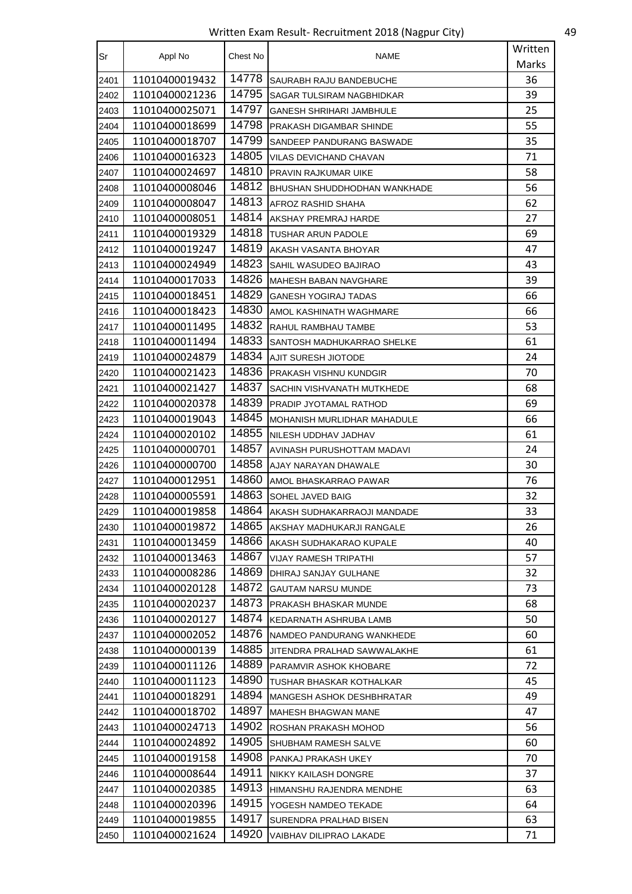Written Exam Result- Recruitment 2018 (Nagpur City) 49

| Sr   | Appl No        | Chest No | <b>NAME</b>                   | Written |
|------|----------------|----------|-------------------------------|---------|
|      |                |          |                               | Marks   |
| 2401 | 11010400019432 | 14778    | SAURABH RAJU BANDEBUCHE       | 36      |
| 2402 | 11010400021236 | 14795    | SAGAR TULSIRAM NAGBHIDKAR     | 39      |
| 2403 | 11010400025071 | 14797    | GANESH SHRIHARI JAMBHULE      | 25      |
| 2404 | 11010400018699 | 14798    | PRAKASH DIGAMBAR SHINDE       | 55      |
| 2405 | 11010400018707 | 14799    | SANDEEP PANDURANG BASWADE     | 35      |
| 2406 | 11010400016323 | 14805    | VILAS DEVICHAND CHAVAN        | 71      |
| 2407 | 11010400024697 | 14810    | PRAVIN RAJKUMAR UIKE          | 58      |
| 2408 | 11010400008046 | 14812    | BHUSHAN SHUDDHODHAN WANKHADE  | 56      |
| 2409 | 11010400008047 | 14813    | AFROZ RASHID SHAHA            | 62      |
| 2410 | 11010400008051 | 14814    | AKSHAY PREMRAJ HARDE          | 27      |
| 2411 | 11010400019329 | 14818    | TUSHAR ARUN PADOLE            | 69      |
| 2412 | 11010400019247 | 14819    | AKASH VASANTA BHOYAR          | 47      |
| 2413 | 11010400024949 | 14823    | SAHIL WASUDEO BAJIRAO         | 43      |
| 2414 | 11010400017033 | 14826    | MAHESH BABAN NAVGHARE         | 39      |
| 2415 | 11010400018451 | 14829    | <b>GANESH YOGIRAJ TADAS</b>   | 66      |
| 2416 | 11010400018423 | 14830    | AMOL KASHINATH WAGHMARE       | 66      |
| 2417 | 11010400011495 | 14832    | RAHUL RAMBHAU TAMBE           | 53      |
| 2418 | 11010400011494 | 14833    | SANTOSH MADHUKARRAO SHELKE    | 61      |
| 2419 | 11010400024879 | 14834    | AJIT SURESH JIOTODE           | 24      |
| 2420 | 11010400021423 | 14836    | <b>PRAKASH VISHNU KUNDGIR</b> | 70      |
| 2421 | 11010400021427 | 14837    | SACHIN VISHVANATH MUTKHEDE    | 68      |
| 2422 | 11010400020378 | 14839    | PRADIP JYOTAMAL RATHOD        | 69      |
| 2423 | 11010400019043 | 14845    | MOHANISH MURLIDHAR MAHADULE   | 66      |
| 2424 | 11010400020102 | 14855    | NILESH UDDHAV JADHAV          | 61      |
| 2425 | 11010400000701 | 14857    | AVINASH PURUSHOTTAM MADAVI    | 24      |
| 2426 | 11010400000700 | 14858    | AJAY NARAYAN DHAWALE          | 30      |
| 2427 | 11010400012951 | 14860    | AMOL BHASKARRAO PAWAR         | 76      |
| 2428 | 11010400005591 | 14863    | SOHEL JAVED BAIG              | 32      |
| 2429 | 11010400019858 | 14864    | AKASH SUDHAKARRAOJI MANDADE   | 33      |
| 2430 | 11010400019872 | 14865    | AKSHAY MADHUKARJI RANGALE     | 26      |
| 2431 | 11010400013459 | 14866    | AKASH SUDHAKARAO KUPALE       | 40      |
| 2432 | 11010400013463 | 14867    | VIJAY RAMESH TRIPATHI         | 57      |
| 2433 | 11010400008286 | 14869    | DHIRAJ SANJAY GULHANE         | 32      |
| 2434 | 11010400020128 | 14872    | <b>GAUTAM NARSU MUNDE</b>     | 73      |
| 2435 | 11010400020237 | 14873    | PRAKASH BHASKAR MUNDE         | 68      |
| 2436 | 11010400020127 | 14874    | KEDARNATH ASHRUBA LAMB        | 50      |
| 2437 | 11010400002052 | 14876    | NAMDEO PANDURANG WANKHEDE     | 60      |
| 2438 | 11010400000139 | 14885    | JITENDRA PRALHAD SAWWALAKHE   | 61      |
| 2439 | 11010400011126 | 14889    | PARAMVIR ASHOK KHOBARE        | 72      |
| 2440 | 11010400011123 | 14890    | TUSHAR BHASKAR KOTHALKAR      | 45      |
| 2441 | 11010400018291 | 14894    | MANGESH ASHOK DESHBHRATAR     | 49      |
| 2442 | 11010400018702 | 14897    | MAHESH BHAGWAN MANE           | 47      |
| 2443 | 11010400024713 | 14902    | ROSHAN PRAKASH MOHOD          | 56      |
| 2444 | 11010400024892 | 14905    | SHUBHAM RAMESH SALVE          | 60      |
| 2445 | 11010400019158 | 14908    | PANKAJ PRAKASH UKEY           | 70      |
| 2446 | 11010400008644 | 14911    | NIKKY KAILASH DONGRE          | 37      |
| 2447 | 11010400020385 | 14913    | HIMANSHU RAJENDRA MENDHE      | 63      |
| 2448 | 11010400020396 | 14915    | YOGESH NAMDEO TEKADE          | 64      |
| 2449 | 11010400019855 | 14917    | SURENDRA PRALHAD BISEN        | 63      |
| 2450 | 11010400021624 | 14920    | VAIBHAV DILIPRAO LAKADE       | 71      |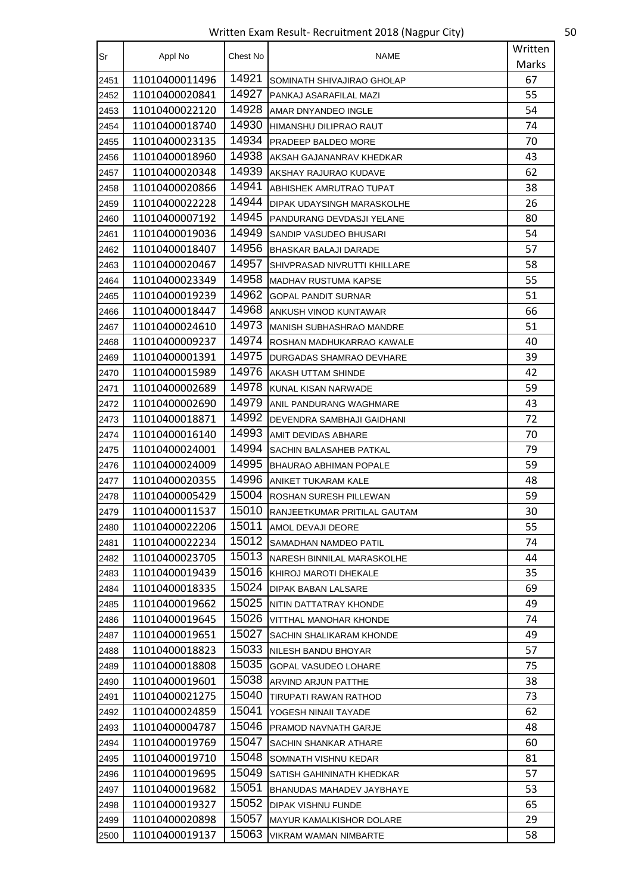Written Exam Result- Recruitment 2018 (Nagpur City) 50

| Sr   | Appl No        | Chest No | <b>NAME</b>                      | Written |
|------|----------------|----------|----------------------------------|---------|
|      |                |          |                                  | Marks   |
| 2451 | 11010400011496 | 14921    | SOMINATH SHIVAJIRAO GHOLAP       | 67      |
| 2452 | 11010400020841 | 14927    | PANKAJ ASARAFILAL MAZI           | 55      |
| 2453 | 11010400022120 | 14928    | AMAR DNYANDEO INGLE              | 54      |
| 2454 | 11010400018740 | 14930    | HIMANSHU DILIPRAO RAUT           | 74      |
| 2455 | 11010400023135 | 14934    | <b>PRADEEP BALDEO MORE</b>       | 70      |
| 2456 | 11010400018960 | 14938    | AKSAH GAJANANRAV KHEDKAR         | 43      |
| 2457 | 11010400020348 | 14939    | AKSHAY RAJURAO KUDAVE            | 62      |
| 2458 | 11010400020866 | 14941    | ABHISHEK AMRUTRAO TUPAT          | 38      |
| 2459 | 11010400022228 | 14944    | DIPAK UDAYSINGH MARASKOLHE       | 26      |
| 2460 | 11010400007192 | 14945    | PANDURANG DEVDASJI YELANE        | 80      |
| 2461 | 11010400019036 | 14949    | SANDIP VASUDEO BHUSARI           | 54      |
| 2462 | 11010400018407 | 14956    | BHASKAR BALAJI DARADE            | 57      |
| 2463 | 11010400020467 | 14957    | SHIVPRASAD NIVRUTTI KHILLARE     | 58      |
| 2464 | 11010400023349 | 14958    | MADHAV RUSTUMA KAPSE             | 55      |
| 2465 | 11010400019239 | 14962    | <b>GOPAL PANDIT SURNAR</b>       | 51      |
| 2466 | 11010400018447 | 14968    | ANKUSH VINOD KUNTAWAR            | 66      |
| 2467 | 11010400024610 | 14973    | <b>MANISH SUBHASHRAO MANDRE</b>  | 51      |
| 2468 | 11010400009237 | 14974    | ROSHAN MADHUKARRAO KAWALE        | 40      |
| 2469 | 11010400001391 | 14975    | DURGADAS SHAMRAO DEVHARE         | 39      |
| 2470 | 11010400015989 | 14976    | AKASH UTTAM SHINDE               | 42      |
| 2471 | 11010400002689 | 14978    | KUNAL KISAN NARWADE              | 59      |
| 2472 | 11010400002690 | 14979    | ANIL PANDURANG WAGHMARE          | 43      |
| 2473 | 11010400018871 | 14992    | DEVENDRA SAMBHAJI GAIDHANI       | 72      |
| 2474 | 11010400016140 | 14993    | AMIT DEVIDAS ABHARE              | 70      |
| 2475 | 11010400024001 | 14994    | SACHIN BALASAHEB PATKAL          | 79      |
| 2476 | 11010400024009 | 14995    | <b>BHAURAO ABHIMAN POPALE</b>    | 59      |
| 2477 | 11010400020355 | 14996    | ANIKET TUKARAM KALE              | 48      |
| 2478 | 11010400005429 | 15004    | ROSHAN SURESH PILLEWAN           | 59      |
| 2479 | 11010400011537 | 15010    | RANJEETKUMAR PRITILAL GAUTAM     | 30      |
| 2480 | 11010400022206 | 15011    | AMOL DEVAJI DEORE                | 55      |
| 2481 | 11010400022234 | 15012    | SAMADHAN NAMDEO PATIL            | 74      |
| 2482 | 11010400023705 | 15013    | NARESH BINNILAL MARASKOLHE       | 44      |
| 2483 | 11010400019439 | 15016    | KHIROJ MAROTI DHEKALE            | 35      |
| 2484 | 11010400018335 | 15024    | <b>DIPAK BABAN LALSARE</b>       | 69      |
| 2485 | 11010400019662 | 15025    | NITIN DATTATRAY KHONDE           | 49      |
| 2486 | 11010400019645 | 15026    | <b>VITTHAL MANOHAR KHONDE</b>    | 74      |
| 2487 | 11010400019651 | 15027    | SACHIN SHALIKARAM KHONDE         | 49      |
| 2488 | 11010400018823 | 15033    | NILESH BANDU BHOYAR              | 57      |
| 2489 | 11010400018808 | 15035    | <b>GOPAL VASUDEO LOHARE</b>      | 75      |
| 2490 | 11010400019601 | 15038    | ARVIND ARJUN PATTHE              | 38      |
| 2491 | 11010400021275 | 15040    | TIRUPATI RAWAN RATHOD            | 73      |
| 2492 | 11010400024859 | 15041    | YOGESH NINAII TAYADE             | 62      |
| 2493 | 11010400004787 | 15046    | PRAMOD NAVNATH GARJE             | 48      |
| 2494 | 11010400019769 | 15047    | SACHIN SHANKAR ATHARE            | 60      |
| 2495 | 11010400019710 | 15048    | SOMNATH VISHNU KEDAR             | 81      |
| 2496 | 11010400019695 | 15049    | SATISH GAHININATH KHEDKAR        | 57      |
| 2497 | 11010400019682 | 15051    | <b>BHANUDAS MAHADEV JAYBHAYE</b> | 53      |
| 2498 | 11010400019327 | 15052    | DIPAK VISHNU FUNDE               | 65      |
| 2499 | 11010400020898 | 15057    | <b>MAYUR KAMALKISHOR DOLARE</b>  | 29      |
| 2500 | 11010400019137 | 15063    | VIKRAM WAMAN NIMBARTE            | 58      |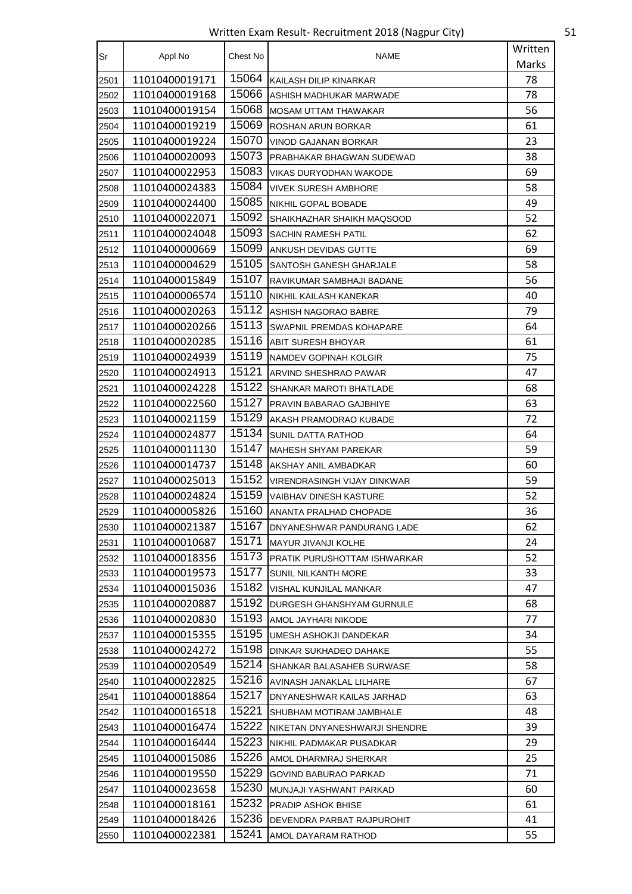Written Exam Result- Recruitment 2018 (Nagpur City) 51

| Sr   | Appl No        | Chest No | NAME                                | Written |
|------|----------------|----------|-------------------------------------|---------|
|      |                |          |                                     | Marks   |
| 2501 | 11010400019171 | 15064    | KAILASH DILIP KINARKAR              | 78      |
| 2502 | 11010400019168 | 15066    | IASHISH MADHUKAR MARWADE            | 78      |
| 2503 | 11010400019154 | 15068    | <b>MOSAM UTTAM THAWAKAR</b>         | 56      |
| 2504 | 11010400019219 | 15069    | ROSHAN ARUN BORKAR                  | 61      |
| 2505 | 11010400019224 | 15070    | <b>VINOD GAJANAN BORKAR</b>         | 23      |
| 2506 | 11010400020093 | 15073    | PRABHAKAR BHAGWAN SUDEWAD           | 38      |
| 2507 | 11010400022953 | 15083    | VIKAS DURYODHAN WAKODE              | 69      |
| 2508 | 11010400024383 | 15084    | <b>VIVEK SURESH AMBHORE</b>         | 58      |
| 2509 | 11010400024400 | 15085    | NIKHIL GOPAL BOBADE                 | 49      |
| 2510 | 11010400022071 | 15092    | SHAIKHAZHAR SHAIKH MAQSOOD          | 52      |
| 2511 | 11010400024048 | 15093    | <b>SACHIN RAMESH PATIL</b>          | 62      |
| 2512 | 11010400000669 | 15099    | ANKUSH DEVIDAS GUTTE                | 69      |
| 2513 | 11010400004629 | 15105    | SANTOSH GANESH GHARJALE             | 58      |
| 2514 | 11010400015849 | 15107    | RAVIKUMAR SAMBHAJI BADANE           | 56      |
| 2515 | 11010400006574 | 15110    | NIKHIL KAILASH KANEKAR              | 40      |
| 2516 | 11010400020263 | 15112    | ASHISH NAGORAO BABRE                | 79      |
| 2517 | 11010400020266 | 15113    | SWAPNIL PREMDAS KOHAPARE            | 64      |
| 2518 | 11010400020285 | 15116    | <b>ABIT SURESH BHOYAR</b>           | 61      |
| 2519 | 11010400024939 | 15119    | NAMDEV GOPINAH KOLGIR               | 75      |
| 2520 | 11010400024913 | 15121    | ARVIND SHESHRAO PAWAR               | 47      |
| 2521 | 11010400024228 | 15122    | SHANKAR MAROTI BHATLADE             | 68      |
| 2522 | 11010400022560 | 15127    | PRAVIN BABARAO GAJBHIYE             | 63      |
| 2523 | 11010400021159 | 15129    | AKASH PRAMODRAO KUBADE              | 72      |
| 2524 | 11010400024877 | 15134    | SUNIL DATTA RATHOD                  | 64      |
| 2525 | 11010400011130 | 15147    | <b>MAHESH SHYAM PAREKAR</b>         | 59      |
| 2526 | 11010400014737 | 15148    | AKSHAY ANIL AMBADKAR                | 60      |
| 2527 | 11010400025013 | 15152    | VIRENDRASINGH VIJAY DINKWAR         | 59      |
| 2528 | 11010400024824 | 15159    | VAIBHAV DINESH KASTURE              | 52      |
| 2529 | 11010400005826 | 15160    | ANANTA PRALHAD CHOPADE              | 36      |
| 2530 | 11010400021387 | 15167    | DNYANESHWAR PANDURANG LADE          | 62      |
| 2531 | 11010400010687 | 15171    | MAYUR JIVANJI KOLHE                 | 24      |
| 2532 | 11010400018356 | 15173    | <b>PRATIK PURUSHOTTAM ISHWARKAR</b> | 52      |
| 2533 | 11010400019573 | 15177    | SUNIL NILKANTH MORE                 | 33      |
| 2534 | 11010400015036 | 15182    | VISHAL KUNJILAL MANKAR              | 47      |
| 2535 | 11010400020887 | 15192    | DURGESH GHANSHYAM GURNULE           | 68      |
| 2536 | 11010400020830 | 15193    | AMOL JAYHARI NIKODE                 | 77      |
| 2537 | 11010400015355 | 15195    | UMESH ASHOKJI DANDEKAR              | 34      |
| 2538 | 11010400024272 | 15198    | DINKAR SUKHADEO DAHAKE              | 55      |
| 2539 | 11010400020549 | 15214    | SHANKAR BALASAHEB SURWASE           | 58      |
| 2540 | 11010400022825 | 15216    | AVINASH JANAKLAL LILHARE            | 67      |
| 2541 | 11010400018864 | 15217    | DNYANESHWAR KAILAS JARHAD           | 63      |
| 2542 | 11010400016518 | 15221    | SHUBHAM MOTIRAM JAMBHALE            | 48      |
| 2543 | 11010400016474 | 15222    | NIKETAN DNYANESHWARJI SHENDRE       | 39      |
| 2544 | 11010400016444 | 15223    | NIKHIL PADMAKAR PUSADKAR            | 29      |
| 2545 | 11010400015086 | 15226    | AMOL DHARMRAJ SHERKAR               | 25      |
| 2546 | 11010400019550 | 15229    | <b>GOVIND BABURAO PARKAD</b>        | 71      |
| 2547 | 11010400023658 | 15230    | MUNJAJI YASHWANT PARKAD             | 60      |
| 2548 | 11010400018161 | 15232    | <b>PRADIP ASHOK BHISE</b>           | 61      |
| 2549 | 11010400018426 | 15236    | DEVENDRA PARBAT RAJPUROHIT          | 41      |
| 2550 | 11010400022381 | 15241    | AMOL DAYARAM RATHOD                 | 55      |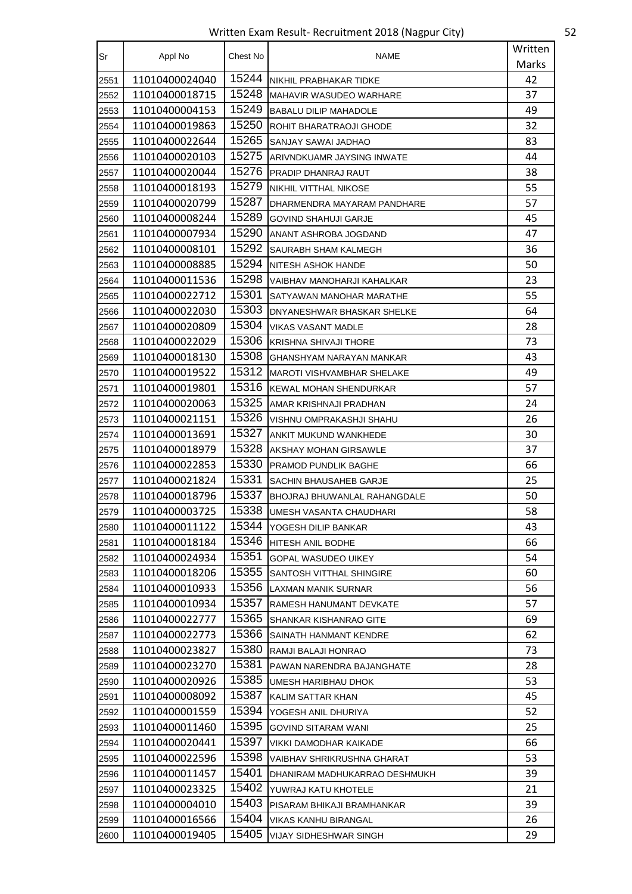Written Exam Result- Recruitment 2018 (Nagpur City) 52

| Sr   | Appl No        | Chest No | <b>NAME</b>                       | Written |
|------|----------------|----------|-----------------------------------|---------|
|      |                |          |                                   | Marks   |
| 2551 | 11010400024040 | 15244    | NIKHIL PRABHAKAR TIDKE            | 42      |
| 2552 | 11010400018715 | 15248    | <b>MAHAVIR WASUDEO WARHARE</b>    | 37      |
| 2553 | 11010400004153 | 15249    | <b>BABALU DILIP MAHADOLE</b>      | 49      |
| 2554 | 11010400019863 | 15250    | ROHIT BHARATRAOJI GHODE           | 32      |
| 2555 | 11010400022644 | 15265    | SANJAY SAWAI JADHAO               | 83      |
| 2556 | 11010400020103 | 15275    | ARIVNDKUAMR JAYSING INWATE        | 44      |
| 2557 | 11010400020044 | 15276    | PRADIP DHANRAJ RAUT               | 38      |
| 2558 | 11010400018193 | 15279    | <b>NIKHIL VITTHAL NIKOSE</b>      | 55      |
| 2559 | 11010400020799 | 15287    | DHARMENDRA MAYARAM PANDHARE       | 57      |
| 2560 | 11010400008244 | 15289    | <b>GOVIND SHAHUJI GARJE</b>       | 45      |
| 2561 | 11010400007934 | 15290    | ANANT ASHROBA JOGDAND             | 47      |
| 2562 | 11010400008101 | 15292    | SAURABH SHAM KALMEGH              | 36      |
| 2563 | 11010400008885 | 15294    | NITESH ASHOK HANDE                | 50      |
| 2564 | 11010400011536 | 15298    | VAIBHAV MANOHARJI KAHALKAR        | 23      |
| 2565 | 11010400022712 | 15301    | SATYAWAN MANOHAR MARATHE          | 55      |
| 2566 | 11010400022030 | 15303    | DNYANESHWAR BHASKAR SHELKE        | 64      |
| 2567 | 11010400020809 | 15304    | <b>VIKAS VASANT MADLE</b>         | 28      |
| 2568 | 11010400022029 | 15306    | <b>KRISHNA SHIVAJI THORE</b>      | 73      |
| 2569 | 11010400018130 | 15308    | GHANSHYAM NARAYAN MANKAR          | 43      |
| 2570 | 11010400019522 | 15312    | <b>MAROTI VISHVAMBHAR SHELAKE</b> | 49      |
| 2571 | 11010400019801 | 15316    | KEWAL MOHAN SHENDURKAR            | 57      |
| 2572 | 11010400020063 | 15325    | AMAR KRISHNAJI PRADHAN            | 24      |
| 2573 | 11010400021151 | 15326    | VISHNU OMPRAKASHJI SHAHU          | 26      |
| 2574 | 11010400013691 | 15327    | ANKIT MUKUND WANKHEDE             | 30      |
| 2575 | 11010400018979 | 15328    | AKSHAY MOHAN GIRSAWLE             | 37      |
| 2576 | 11010400022853 | 15330    | PRAMOD PUNDLIK BAGHE              | 66      |
| 2577 | 11010400021824 | 15331    | SACHIN BHAUSAHEB GARJE            | 25      |
| 2578 | 11010400018796 | 15337    | BHOJRAJ BHUWANLAL RAHANGDALE      | 50      |
| 2579 | 11010400003725 | 15338    | UMESH VASANTA CHAUDHARI           | 58      |
| 2580 | 11010400011122 | 15344    | YOGESH DILIP BANKAR               | 43      |
| 2581 | 11010400018184 | 15346    | HITESH ANIL BODHE                 | 66      |
| 2582 | 11010400024934 | 15351    | <b>GOPAL WASUDEO UIKEY</b>        | 54      |
| 2583 | 11010400018206 | 15355    | SANTOSH VITTHAL SHINGIRE          | 60      |
| 2584 | 11010400010933 | 15356    | LAXMAN MANIK SURNAR               | 56      |
| 2585 | 11010400010934 | 15357    | RAMESH HANUMANT DEVKATE           | 57      |
| 2586 | 11010400022777 | 15365    | SHANKAR KISHANRAO GITE            | 69      |
| 2587 | 11010400022773 | 15366    | SAINATH HANMANT KENDRE            | 62      |
| 2588 | 11010400023827 | 15380    | RAMJI BALAJI HONRAO               | 73      |
| 2589 | 11010400023270 | 15381    | PAWAN NARENDRA BAJANGHATE         | 28      |
| 2590 | 11010400020926 | 15385    | UMESH HARIBHAU DHOK               | 53      |
| 2591 | 11010400008092 | 15387    | KALIM SATTAR KHAN                 | 45      |
| 2592 | 11010400001559 | 15394    | YOGESH ANIL DHURIYA               | 52      |
| 2593 | 11010400011460 | 15395    | <b>GOVIND SITARAM WANI</b>        | 25      |
| 2594 | 11010400020441 | 15397    | VIKKI DAMODHAR KAIKADE            | 66      |
| 2595 | 11010400022596 | 15398    | VAIBHAV SHRIKRUSHNA GHARAT        | 53      |
| 2596 | 11010400011457 | 15401    | DHANIRAM MADHUKARRAO DESHMUKH     | 39      |
| 2597 | 11010400023325 | 15402    | YUWRAJ KATU KHOTELE               | 21      |
| 2598 | 11010400004010 | 15403    | PISARAM BHIKAJI BRAMHANKAR        | 39      |
| 2599 | 11010400016566 | 15404    | VIKAS KANHU BIRANGAL              | 26      |
| 2600 | 11010400019405 | 15405    | VIJAY SIDHESHWAR SINGH            | 29      |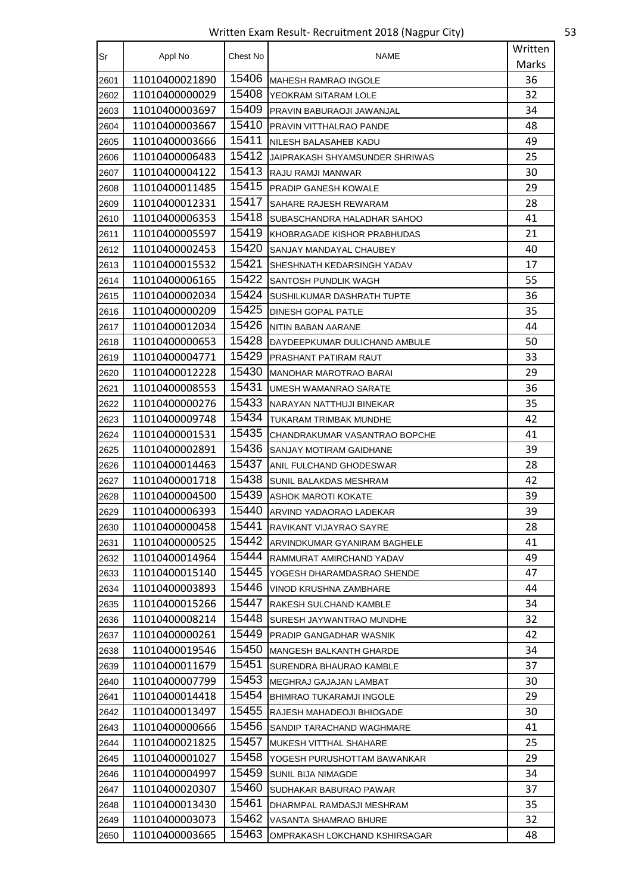Written Exam Result- Recruitment 2018 (Nagpur City) 53

| Sr   | Appl No        | Chest No | <b>NAME</b>                    | Written |
|------|----------------|----------|--------------------------------|---------|
|      |                |          |                                | Marks   |
| 2601 | 11010400021890 | 15406    | <b>MAHESH RAMRAO INGOLE</b>    | 36      |
| 2602 | 11010400000029 | 15408    | YEOKRAM SITARAM LOLE           | 32      |
| 2603 | 11010400003697 | 15409    | PRAVIN BABURAOJI JAWANJAL      | 34      |
| 2604 | 11010400003667 | 15410    | PRAVIN VITTHALRAO PANDE        | 48      |
| 2605 | 11010400003666 | 15411    | NILESH BALASAHEB KADU          | 49      |
| 2606 | 11010400006483 | 15412    | JAIPRAKASH SHYAMSUNDER SHRIWAS | 25      |
| 2607 | 11010400004122 | 15413    | RAJU RAMJI MANWAR              | 30      |
| 2608 | 11010400011485 | 15415    | PRADIP GANESH KOWALE           | 29      |
| 2609 | 11010400012331 | 15417    | SAHARE RAJESH REWARAM          | 28      |
| 2610 | 11010400006353 | 15418    | SUBASCHANDRA HALADHAR SAHOO    | 41      |
| 2611 | 11010400005597 | 15419    | KHOBRAGADE KISHOR PRABHUDAS    | 21      |
| 2612 | 11010400002453 | 15420    | SANJAY MANDAYAL CHAUBEY        | 40      |
| 2613 | 11010400015532 | 15421    | SHESHNATH KEDARSINGH YADAV     | 17      |
| 2614 | 11010400006165 | 15422    | SANTOSH PUNDLIK WAGH           | 55      |
| 2615 | 11010400002034 | 15424    | SUSHILKUMAR DASHRATH TUPTE     | 36      |
| 2616 | 11010400000209 | 15425    | DINESH GOPAL PATLE             | 35      |
| 2617 | 11010400012034 | 15426    | NITIN BABAN AARANE             | 44      |
| 2618 | 11010400000653 | 15428    | DAYDEEPKUMAR DULICHAND AMBULE  | 50      |
| 2619 | 11010400004771 | 15429    | PRASHANT PATIRAM RAUT          | 33      |
| 2620 | 11010400012228 | 15430    | <b>MANOHAR MAROTRAO BARAI</b>  | 29      |
| 2621 | 11010400008553 | 15431    | UMESH WAMANRAO SARATE          | 36      |
| 2622 | 11010400000276 | 15433    | NARAYAN NATTHUJI BINEKAR       | 35      |
| 2623 | 11010400009748 | 15434    | TUKARAM TRIMBAK MUNDHE         | 42      |
| 2624 | 11010400001531 | 15435    | CHANDRAKUMAR VASANTRAO BOPCHE  | 41      |
| 2625 | 11010400002891 | 15436    | SANJAY MOTIRAM GAIDHANE        | 39      |
| 2626 | 11010400014463 | 15437    | ANIL FULCHAND GHODESWAR        | 28      |
| 2627 | 11010400001718 | 15438    | SUNIL BALAKDAS MESHRAM         | 42      |
| 2628 | 11010400004500 | 15439    | ASHOK MAROTI KOKATE            | 39      |
| 2629 | 11010400006393 | 15440    | ARVIND YADAORAO LADEKAR        | 39      |
| 2630 | 11010400000458 | 15441    | RAVIKANT VIJAYRAO SAYRE        | 28      |
| 2631 | 11010400000525 | 15442    | ARVINDKUMAR GYANIRAM BAGHELE   | 41      |
| 2632 | 11010400014964 | 15444    | RAMMURAT AMIRCHAND YADAV       | 49      |
| 2633 | 11010400015140 | 15445    | YOGESH DHARAMDASRAO SHENDE     | 47      |
| 2634 | 11010400003893 | 15446    | VINOD KRUSHNA ZAMBHARE         | 44      |
| 2635 | 11010400015266 | 15447    | RAKESH SULCHAND KAMBLE         | 34      |
| 2636 | 11010400008214 | 15448    | SURESH JAYWANTRAO MUNDHE       | 32      |
| 2637 | 11010400000261 | 15449    | PRADIP GANGADHAR WASNIK        | 42      |
| 2638 | 11010400019546 | 15450    | MANGESH BALKANTH GHARDE        | 34      |
| 2639 | 11010400011679 | 15451    | SURENDRA BHAURAO KAMBLE        | 37      |
| 2640 | 11010400007799 | 15453    | MEGHRAJ GAJAJAN LAMBAT         | 30      |
| 2641 | 11010400014418 | 15454    | BHIMRAO TUKARAMJI INGOLE       | 29      |
| 2642 | 11010400013497 | 15455    | RAJESH MAHADEOJI BHIOGADE      | 30      |
| 2643 | 11010400000666 | 15456    | SANDIP TARACHAND WAGHMARE      | 41      |
| 2644 | 11010400021825 | 15457    | MUKESH VITTHAL SHAHARE         | 25      |
| 2645 | 11010400001027 | 15458    | YOGESH PURUSHOTTAM BAWANKAR    | 29      |
| 2646 | 11010400004997 | 15459    | <b>SUNIL BIJA NIMAGDE</b>      | 34      |
| 2647 | 11010400020307 | 15460    | SUDHAKAR BABURAO PAWAR         | 37      |
| 2648 | 11010400013430 | 15461    | DHARMPAL RAMDASJI MESHRAM      | 35      |
| 2649 | 11010400003073 | 15462    | VASANTA SHAMRAO BHURE          | 32      |
| 2650 | 11010400003665 | 15463    | OMPRAKASH LOKCHAND KSHIRSAGAR  | 48      |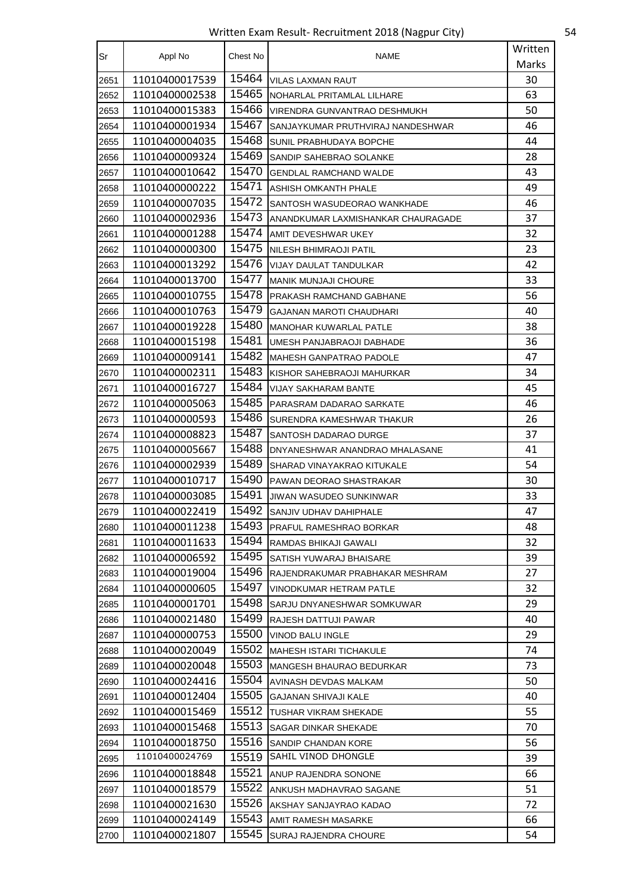Written Exam Result- Recruitment 2018 (Nagpur City) 54

| Sr   | Appl No        | Chest No | <b>NAME</b>                        | Written |
|------|----------------|----------|------------------------------------|---------|
|      |                |          |                                    | Marks   |
| 2651 | 11010400017539 | 15464    | <b>VILAS LAXMAN RAUT</b>           | 30      |
| 2652 | 11010400002538 | 15465    | NOHARLAL PRITAMLAL LILHARE         | 63      |
| 2653 | 11010400015383 | 15466    | VIRENDRA GUNVANTRAO DESHMUKH       | 50      |
| 2654 | 11010400001934 | 15467    | SANJAYKUMAR PRUTHVIRAJ NANDESHWAR  | 46      |
| 2655 | 11010400004035 | 15468    | SUNIL PRABHUDAYA BOPCHE            | 44      |
| 2656 | 11010400009324 | 15469    | SANDIP SAHEBRAO SOLANKE            | 28      |
| 2657 | 11010400010642 | 15470    | <b>GENDLAL RAMCHAND WALDE</b>      | 43      |
| 2658 | 11010400000222 | 15471    | <b>ASHISH OMKANTH PHALE</b>        | 49      |
| 2659 | 11010400007035 | 15472    | SANTOSH WASUDEORAO WANKHADE        | 46      |
| 2660 | 11010400002936 | 15473    | ANANDKUMAR LAXMISHANKAR CHAURAGADE | 37      |
| 2661 | 11010400001288 | 15474    | AMIT DEVESHWAR UKEY                | 32      |
| 2662 | 11010400000300 | 15475    | <b>NILESH BHIMRAOJI PATIL</b>      | 23      |
| 2663 | 11010400013292 | 15476    | <b>VIJAY DAULAT TANDULKAR</b>      | 42      |
| 2664 | 11010400013700 | 15477    | <b>MANIK MUNJAJI CHOURE</b>        | 33      |
| 2665 | 11010400010755 | 15478    | PRAKASH RAMCHAND GABHANE           | 56      |
| 2666 | 11010400010763 | 15479    | GAJANAN MAROTI CHAUDHARI           | 40      |
| 2667 | 11010400019228 | 15480    | <b>MANOHAR KUWARLAL PATLE</b>      | 38      |
| 2668 | 11010400015198 | 15481    | UMESH PANJABRAOJI DABHADE          | 36      |
| 2669 | 11010400009141 | 15482    | <b>MAHESH GANPATRAO PADOLE</b>     | 47      |
| 2670 | 11010400002311 | 15483    | KISHOR SAHEBRAOJI MAHURKAR         | 34      |
| 2671 | 11010400016727 | 15484    | VIJAY SAKHARAM BANTE               | 45      |
| 2672 | 11010400005063 | 15485    | PARASRAM DADARAO SARKATE           | 46      |
| 2673 | 11010400000593 | 15486    | SURENDRA KAMESHWAR THAKUR          | 26      |
| 2674 | 11010400008823 | 15487    | SANTOSH DADARAO DURGE              | 37      |
| 2675 | 11010400005667 | 15488    | DNYANESHWAR ANANDRAO MHALASANE     | 41      |
| 2676 | 11010400002939 | 15489    | SHARAD VINAYAKRAO KITUKALE         | 54      |
| 2677 | 11010400010717 | 15490    | PAWAN DEORAO SHASTRAKAR            | 30      |
| 2678 | 11010400003085 | 15491    | JIWAN WASUDEO SUNKINWAR            | 33      |
| 2679 | 11010400022419 | 15492    | SANJIV UDHAV DAHIPHALE             | 47      |
| 2680 | 11010400011238 | 15493    | PRAFUL RAMESHRAO BORKAR            | 48      |
| 2681 | 11010400011633 | 15494    | RAMDAS BHIKAJI GAWALI              | 32      |
| 2682 | 11010400006592 | 15495    | SATISH YUWARAJ BHAISARE            | 39      |
| 2683 | 11010400019004 | 15496    | RAJENDRAKUMAR PRABHAKAR MESHRAM    | 27      |
| 2684 | 11010400000605 | 15497    | VINODKUMAR HETRAM PATLE            | 32      |
| 2685 | 11010400001701 | 15498    | SARJU DNYANESHWAR SOMKUWAR         | 29      |
| 2686 | 11010400021480 | 15499    | RAJESH DATTUJI PAWAR               | 40      |
| 2687 | 11010400000753 | 15500    | <b>VINOD BALU INGLE</b>            | 29      |
| 2688 | 11010400020049 | 15502    | MAHESH ISTARI TICHAKULE            | 74      |
| 2689 | 11010400020048 | 15503    | <b>MANGESH BHAURAO BEDURKAR</b>    | 73      |
| 2690 | 11010400024416 | 15504    | AVINASH DEVDAS MALKAM              | 50      |
| 2691 | 11010400012404 | 15505    | GAJANAN SHIVAJI KALE               | 40      |
| 2692 | 11010400015469 | 15512    | TUSHAR VIKRAM SHEKADE              | 55      |
| 2693 | 11010400015468 | 15513    | SAGAR DINKAR SHEKADE               | 70      |
| 2694 | 11010400018750 | 15516    | SANDIP CHANDAN KORE                | 56      |
| 2695 | 11010400024769 | 15519    | SAHIL VINOD DHONGLE                | 39      |
| 2696 | 11010400018848 | 15521    | ANUP RAJENDRA SONONE               | 66      |
| 2697 | 11010400018579 | 15522    | ANKUSH MADHAVRAO SAGANE            | 51      |
| 2698 | 11010400021630 | 15526    | AKSHAY SANJAYRAO KADAO             | 72      |
| 2699 | 11010400024149 | 15543    | AMIT RAMESH MASARKE                | 66      |
| 2700 | 11010400021807 | 15545    | SURAJ RAJENDRA CHOURE              | 54      |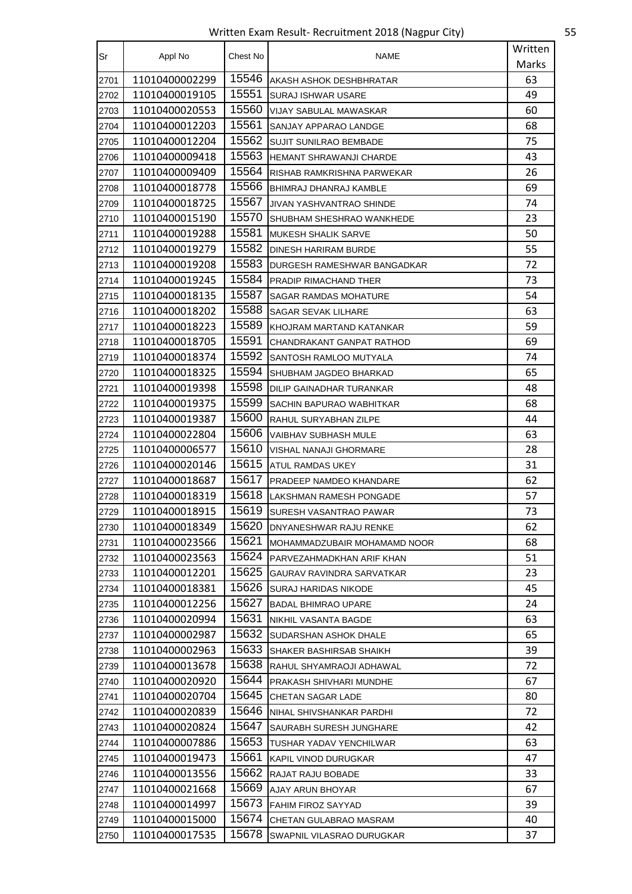Written Exam Result- Recruitment 2018 (Nagpur City) 55

| Sr   | Appl No        | Chest No | <b>NAME</b>                      | Written |
|------|----------------|----------|----------------------------------|---------|
|      |                |          |                                  | Marks   |
| 2701 | 11010400002299 | 15546    | AKASH ASHOK DESHBHRATAR          | 63      |
| 2702 | 11010400019105 | 15551    | <b>SURAJ ISHWAR USARE</b>        | 49      |
| 2703 | 11010400020553 | 15560    | <b>VIJAY SABULAL MAWASKAR</b>    | 60      |
| 2704 | 11010400012203 | 15561    | SANJAY APPARAO LANDGE            | 68      |
| 2705 | 11010400012204 | 15562    | <b>SUJIT SUNILRAO BEMBADE</b>    | 75      |
| 2706 | 11010400009418 | 15563    | <b>HEMANT SHRAWANJI CHARDE</b>   | 43      |
| 2707 | 11010400009409 | 15564    | RISHAB RAMKRISHNA PARWEKAR       | 26      |
| 2708 | 11010400018778 | 15566    | <b>BHIMRAJ DHANRAJ KAMBLE</b>    | 69      |
| 2709 | 11010400018725 | 15567    | JIVAN YASHVANTRAO SHINDE         | 74      |
| 2710 | 11010400015190 | 15570    | SHUBHAM SHESHRAO WANKHEDE        | 23      |
| 2711 | 11010400019288 | 15581    | <b>MUKESH SHALIK SARVE</b>       | 50      |
| 2712 | 11010400019279 | 15582    | <b>DINESH HARIRAM BURDE</b>      | 55      |
| 2713 | 11010400019208 | 15583    | DURGESH RAMESHWAR BANGADKAR      | 72      |
| 2714 | 11010400019245 | 15584    | PRADIP RIMACHAND THER            | 73      |
| 2715 | 11010400018135 | 15587    | <b>SAGAR RAMDAS MOHATURE</b>     | 54      |
| 2716 | 11010400018202 | 15588    | SAGAR SEVAK LILHARE              | 63      |
| 2717 | 11010400018223 | 15589    | KHOJRAM MARTAND KATANKAR         | 59      |
| 2718 | 11010400018705 | 15591    | CHANDRAKANT GANPAT RATHOD        | 69      |
| 2719 | 11010400018374 | 15592    | SANTOSH RAMLOO MUTYALA           | 74      |
| 2720 | 11010400018325 | 15594    | SHUBHAM JAGDEO BHARKAD           | 65      |
| 2721 | 11010400019398 | 15598    | DILIP GAINADHAR TURANKAR         | 48      |
| 2722 | 11010400019375 | 15599    | SACHIN BAPURAO WABHITKAR         | 68      |
| 2723 | 11010400019387 | 15600    | RAHUL SURYABHAN ZILPE            | 44      |
| 2724 | 11010400022804 | 15606    | VAIBHAV SUBHASH MULE             | 63      |
| 2725 | 11010400006577 | 15610    | VISHAL NANAJI GHORMARE           | 28      |
| 2726 | 11010400020146 | 15615    | ATUL RAMDAS UKEY                 | 31      |
| 2727 | 11010400018687 | 15617    | PRADEEP NAMDEO KHANDARE          | 62      |
| 2728 | 11010400018319 | 15618    | LAKSHMAN RAMESH PONGADE          | 57      |
| 2729 | 11010400018915 | 15619    | SURESH VASANTRAO PAWAR           | 73      |
| 2730 | 11010400018349 | 15620    | DNYANESHWAR RAJU RENKE           | 62      |
| 2731 | 11010400023566 | 15621    | MOHAMMADZUBAIR MOHAMAMD NOOR     | 68      |
| 2732 | 11010400023563 | 15624    | PARVEZAHMADKHAN ARIF KHAN        | 51      |
| 2733 | 11010400012201 | 15625    | <b>GAURAV RAVINDRA SARVATKAR</b> | 23      |
| 2734 | 11010400018381 | 15626    | <b>SURAJ HARIDAS NIKODE</b>      | 45      |
| 2735 | 11010400012256 | 15627    | <b>BADAL BHIMRAO UPARE</b>       | 24      |
| 2736 | 11010400020994 | 15631    | NIKHIL VASANTA BAGDE             | 63      |
| 2737 | 11010400002987 | 15632    | SUDARSHAN ASHOK DHALE            | 65      |
| 2738 | 11010400002963 | 15633    | SHAKER BASHIRSAB SHAIKH          | 39      |
| 2739 | 11010400013678 | 15638    | RAHUL SHYAMRAOJI ADHAWAL         | 72      |
| 2740 | 11010400020920 | 15644    | PRAKASH SHIVHARI MUNDHE          | 67      |
| 2741 | 11010400020704 | 15645    | CHETAN SAGAR LADE                | 80      |
| 2742 | 11010400020839 | 15646    | NIHAL SHIVSHANKAR PARDHI         | 72      |
| 2743 | 11010400020824 | 15647    | SAURABH SURESH JUNGHARE          | 42      |
| 2744 | 11010400007886 | 15653    | TUSHAR YADAV YENCHILWAR          | 63      |
| 2745 | 11010400019473 | 15661    | KAPIL VINOD DURUGKAR             | 47      |
| 2746 | 11010400013556 | 15662    | RAJAT RAJU BOBADE                | 33      |
| 2747 | 11010400021668 | 15669    | AJAY ARUN BHOYAR                 | 67      |
| 2748 | 11010400014997 | 15673    | <b>FAHIM FIROZ SAYYAD</b>        | 39      |
| 2749 | 11010400015000 | 15674    | CHETAN GULABRAO MASRAM           | 40      |
| 2750 | 11010400017535 | 15678    | SWAPNIL VILASRAO DURUGKAR        | 37      |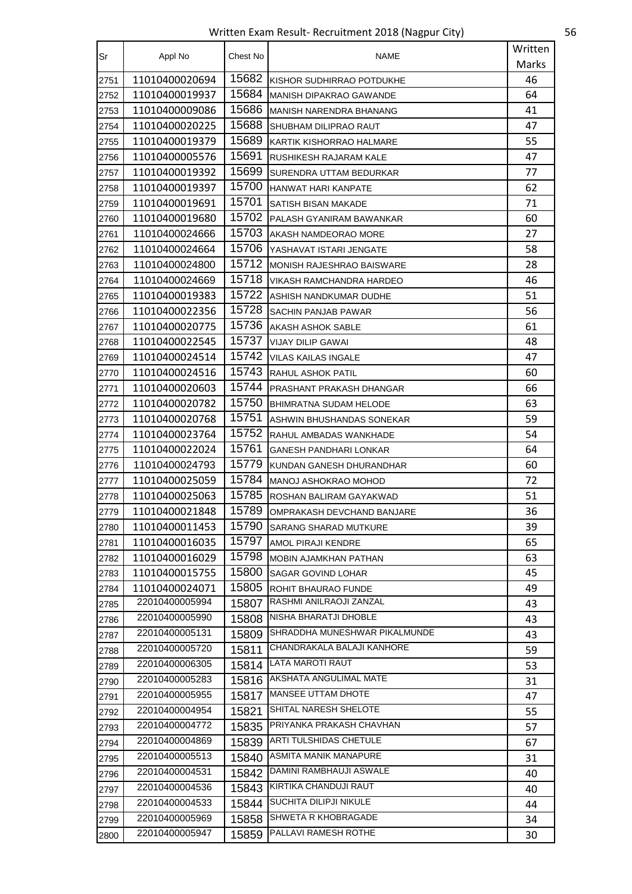Written Exam Result- Recruitment 2018 (Nagpur City) 56

| Sr   | Appl No        | Chest No | <b>NAME</b>                    | Written |
|------|----------------|----------|--------------------------------|---------|
|      |                |          |                                | Marks   |
| 2751 | 11010400020694 | 15682    | KISHOR SUDHIRRAO POTDUKHE      | 46      |
| 2752 | 11010400019937 | 15684    | <b>MANISH DIPAKRAO GAWANDE</b> | 64      |
| 2753 | 11010400009086 | 15686    | MANISH NARENDRA BHANANG        | 41      |
| 2754 | 11010400020225 | 15688    | SHUBHAM DILIPRAO RAUT          | 47      |
| 2755 | 11010400019379 | 15689    | KARTIK KISHORRAO HALMARE       | 55      |
| 2756 | 11010400005576 | 15691    | RUSHIKESH RAJARAM KALE         | 47      |
| 2757 | 11010400019392 | 15699    | SURENDRA UTTAM BEDURKAR        | 77      |
| 2758 | 11010400019397 | 15700    | HANWAT HARI KANPATE            | 62      |
| 2759 | 11010400019691 | 15701    | SATISH BISAN MAKADE            | 71      |
| 2760 | 11010400019680 | 15702    | PALASH GYANIRAM BAWANKAR       | 60      |
| 2761 | 11010400024666 | 15703    | AKASH NAMDEORAO MORE           | 27      |
| 2762 | 11010400024664 | 15706    | YASHAVAT ISTARI JENGATE        | 58      |
| 2763 | 11010400024800 | 15712    | MONISH RAJESHRAO BAISWARE      | 28      |
| 2764 | 11010400024669 | 15718    | VIKASH RAMCHANDRA HARDEO       | 46      |
| 2765 | 11010400019383 | 15722    | ASHISH NANDKUMAR DUDHE         | 51      |
| 2766 | 11010400022356 | 15728    | SACHIN PANJAB PAWAR            | 56      |
| 2767 | 11010400020775 | 15736    | AKASH ASHOK SABLE              | 61      |
| 2768 | 11010400022545 | 15737    | <b>VIJAY DILIP GAWAI</b>       | 48      |
| 2769 | 11010400024514 | 15742    | VILAS KAILAS INGALE            | 47      |
| 2770 | 11010400024516 | 15743    | RAHUL ASHOK PATIL              | 60      |
| 2771 | 11010400020603 | 15744    | PRASHANT PRAKASH DHANGAR       | 66      |
| 2772 | 11010400020782 | 15750    | <b>BHIMRATNA SUDAM HELODE</b>  | 63      |
| 2773 | 11010400020768 | 15751    | ASHWIN BHUSHANDAS SONEKAR      | 59      |
| 2774 | 11010400023764 | 15752    | RAHUL AMBADAS WANKHADE         | 54      |
| 2775 | 11010400022024 | 15761    | GANESH PANDHARI LONKAR         | 64      |
| 2776 | 11010400024793 | 15779    | KUNDAN GANESH DHURANDHAR       | 60      |
| 2777 | 11010400025059 | 15784    | IMANOJ ASHOKRAO MOHOD          | 72      |
| 2778 | 11010400025063 | 15785    | ROSHAN BALIRAM GAYAKWAD        | 51      |
| 2779 | 11010400021848 | 15789    | OMPRAKASH DEVCHAND BANJARE     | 36      |
| 2780 | 11010400011453 | 15790    | SARANG SHARAD MUTKURE          | 39      |
| 2781 | 11010400016035 | 15797    | AMOL PIRAJI KENDRE             | 65      |
| 2782 | 11010400016029 | 15798    | <b>MOBIN AJAMKHAN PATHAN</b>   | 63      |
| 2783 | 11010400015755 | 15800    | SAGAR GOVIND LOHAR             | 45      |
| 2784 | 11010400024071 | 15805    | <b>ROHIT BHAURAO FUNDE</b>     | 49      |
| 2785 | 22010400005994 | 15807    | RASHMI ANILRAOJI ZANZAL        | 43      |
| 2786 | 22010400005990 | 15808    | NISHA BHARATJI DHOBLE          | 43      |
| 2787 | 22010400005131 | 15809    | SHRADDHA MUNESHWAR PIKALMUNDE  | 43      |
| 2788 | 22010400005720 | 15811    | CHANDRAKALA BALAJI KANHORE     | 59      |
| 2789 | 22010400006305 | 15814    | LATA MAROTI RAUT               | 53      |
| 2790 | 22010400005283 |          | 15816   AKSHATA ANGULIMAL MATE | 31      |
| 2791 | 22010400005955 | 15817    | <b>MANSEE UTTAM DHOTE</b>      | 47      |
| 2792 | 22010400004954 | 15821    | SHITAL NARESH SHELOTE          | 55      |
| 2793 | 22010400004772 | 15835    | PRIYANKA PRAKASH CHAVHAN       | 57      |
| 2794 | 22010400004869 | 15839    | ARTI TULSHIDAS CHETULE         | 67      |
| 2795 | 22010400005513 | 15840    | ASMITA MANIK MANAPURE          | 31      |
| 2796 | 22010400004531 | 15842    | DAMINI RAMBHAUJI ASWALE        | 40      |
| 2797 | 22010400004536 |          | 15843 KIRTIKA CHANDUJI RAUT    | 40      |
| 2798 | 22010400004533 | 15844    | <b>SUCHITA DILIPJI NIKULE</b>  | 44      |
| 2799 | 22010400005969 | 15858    | SHWETA R KHOBRAGADE            | 34      |
| 2800 | 22010400005947 | 15859    | PALLAVI RAMESH ROTHE           | 30      |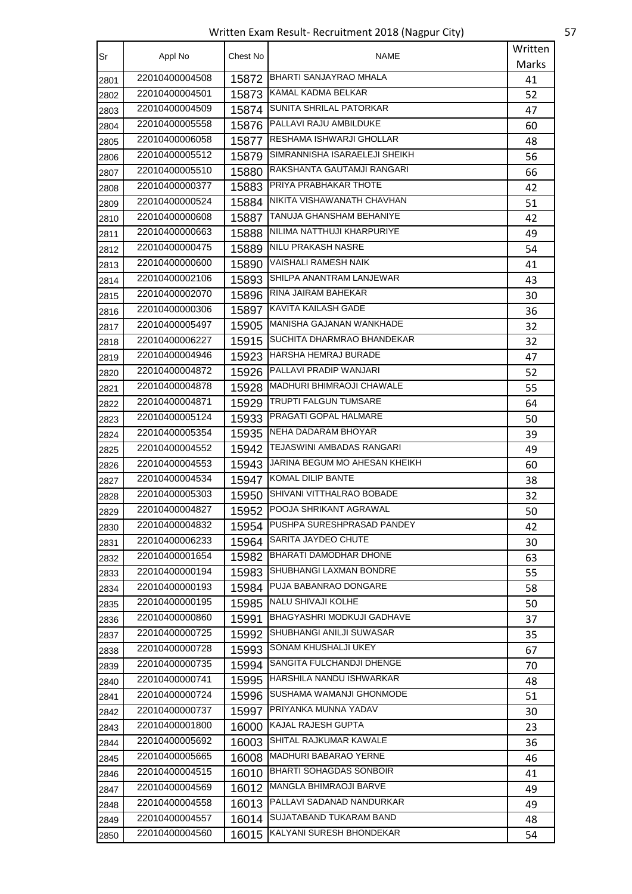Written Exam Result- Recruitment 2018 (Nagpur City) 57

| Sr   | Appl No        | Chest No | NAME                               | Written |
|------|----------------|----------|------------------------------------|---------|
|      |                |          |                                    | Marks   |
| 2801 | 22010400004508 | 15872    | <b>BHARTI SANJAYRAO MHALA</b>      | 41      |
| 2802 | 22010400004501 | 15873    | KAMAL KADMA BELKAR                 | 52      |
| 2803 | 22010400004509 | 15874    | SUNITA SHRILAL PATORKAR            | 47      |
| 2804 | 22010400005558 | 15876    | <b>PALLAVI RAJU AMBILDUKE</b>      | 60      |
| 2805 | 22010400006058 | 15877    | <b>RESHAMA ISHWARJI GHOLLAR</b>    | 48      |
| 2806 | 22010400005512 | 15879    | SIMRANNISHA ISARAELEJI SHEIKH      | 56      |
| 2807 | 22010400005510 | 15880    | RAKSHANTA GAUTAMJI RANGARI         | 66      |
| 2808 | 22010400000377 | 15883    | PRIYA PRABHAKAR THOTE              | 42      |
| 2809 | 22010400000524 | 15884    | NIKITA VISHAWANATH CHAVHAN         | 51      |
| 2810 | 22010400000608 | 15887    | TANUJA GHANSHAM BEHANIYE           | 42      |
| 2811 | 22010400000663 |          | 15888   NILIMA NATTHUJI KHARPURIYE | 49      |
| 2812 | 22010400000475 | 15889    | NILU PRAKASH NASRE                 | 54      |
| 2813 | 22010400000600 | 15890    | <b>VAISHALI RAMESH NAIK</b>        | 41      |
| 2814 | 22010400002106 | 15893    | SHILPA ANANTRAM LANJEWAR           | 43      |
| 2815 | 22010400002070 | 15896    | RINA JAIRAM BAHEKAR                | 30      |
| 2816 | 22010400000306 | 15897    | KAVITA KAILASH GADE                | 36      |
| 2817 | 22010400005497 | 15905    | MANISHA GAJANAN WANKHADE           | 32      |
| 2818 | 22010400006227 |          | 15915 SUCHITA DHARMRAO BHANDEKAR   | 32      |
| 2819 | 22010400004946 | 15923    | HARSHA HEMRAJ BURADE               | 47      |
| 2820 | 22010400004872 | 15926    | PALLAVI PRADIP WANJARI             | 52      |
| 2821 | 22010400004878 | 15928    | MADHURI BHIMRAOJI CHAWALE          | 55      |
| 2822 | 22010400004871 | 15929    | TRUPTI FALGUN TUMSARE              | 64      |
| 2823 | 22010400005124 | 15933    | <b>PRAGATI GOPAL HALMARE</b>       | 50      |
| 2824 | 22010400005354 |          | 15935 NEHA DADARAM BHOYAR          | 39      |
| 2825 | 22010400004552 | 15942    | TEJASWINI AMBADAS RANGARI          | 49      |
| 2826 | 22010400004553 | 15943    | JARINA BEGUM MO AHESAN KHEIKH      | 60      |
| 2827 | 22010400004534 | 15947    | KOMAL DILIP BANTE                  | 38      |
| 2828 | 22010400005303 | 15950    | SHIVANI VITTHALRAO BOBADE          | 32      |
| 2829 | 22010400004827 | 15952    | POOJA SHRIKANT AGRAWAL             | 50      |
| 2830 | 22010400004832 |          | 15954 PUSHPA SURESHPRASAD PANDEY   | 42      |
| 2831 | 22010400006233 |          | 15964 SARITA JAYDEO CHUTE          | 30      |
| 2832 | 22010400001654 |          | 15982 BHARATI DAMODHAR DHONE       | 63      |
| 2833 | 22010400000194 | 15983    | SHUBHANGI LAXMAN BONDRE            | 55      |
| 2834 | 22010400000193 | 15984    | PUJA BABANRAO DONGARE              | 58      |
| 2835 | 22010400000195 |          | 15985 NALU SHIVAJI KOLHE           | 50      |
| 2836 | 22010400000860 | 15991    | BHAGYASHRI MODKUJI GADHAVE         | 37      |
| 2837 | 22010400000725 |          | 15992 SHUBHANGI ANILJI SUWASAR     | 35      |
| 2838 | 22010400000728 |          | 15993 SONAM KHUSHALJI UKEY         | 67      |
| 2839 | 22010400000735 |          | 15994 SANGITA FULCHANDJI DHENGE    | 70      |
| 2840 | 22010400000741 | 15995    | HARSHILA NANDU ISHWARKAR           | 48      |
| 2841 | 22010400000724 | 15996    | SUSHAMA WAMANJI GHONMODE           | 51      |
| 2842 | 22010400000737 |          | 15997 PRIYANKA MUNNA YADAV         | 30      |
| 2843 | 22010400001800 | 16000    | KAJAL RAJESH GUPTA                 | 23      |
| 2844 | 22010400005692 |          | 16003 SHITAL RAJKUMAR KAWALE       | 36      |
| 2845 | 22010400005665 |          | 16008   MADHURI BABARAO YERNE      | 46      |
| 2846 | 22010400004515 | 16010    | <b>BHARTI SOHAGDAS SONBOIR</b>     | 41      |
| 2847 | 22010400004569 | 16012    | MANGLA BHIMRAOJI BARVE             | 49      |
| 2848 | 22010400004558 | 16013    | PALLAVI SADANAD NANDURKAR          | 49      |
| 2849 | 22010400004557 | 16014    | SUJATABAND TUKARAM BAND            | 48      |
| 2850 | 22010400004560 | 16015    | KALYANI SURESH BHONDEKAR           | 54      |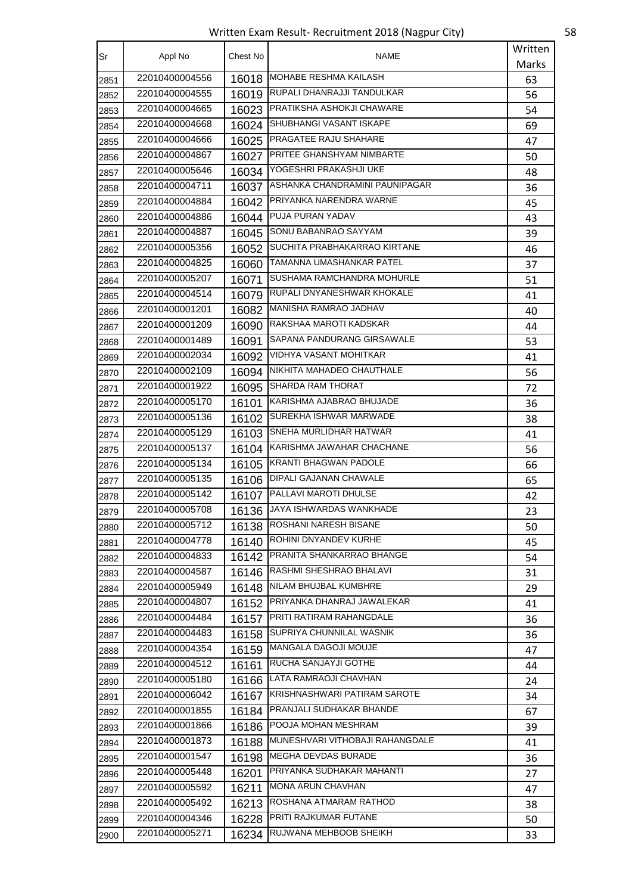Written Exam Result- Recruitment 2018 (Nagpur City) 58

| Sr   | Appl No        | Chest No | NAME                                  | Written |
|------|----------------|----------|---------------------------------------|---------|
|      |                |          |                                       | Marks   |
| 2851 | 22010400004556 | 16018    | MOHABE RESHMA KAILASH                 | 63      |
| 2852 | 22010400004555 | 16019    | RUPALI DHANRAJJI TANDULKAR            | 56      |
| 2853 | 22010400004665 | 16023    | <b>PRATIKSHA ASHOKJI CHAWARE</b>      | 54      |
| 2854 | 22010400004668 |          | 16024 SHUBHANGI VASANT ISKAPE         | 69      |
| 2855 | 22010400004666 |          | 16025 PRAGATEE RAJU SHAHARE           | 47      |
| 2856 | 22010400004867 | 16027    | <b>PRITEE GHANSHYAM NIMBARTE</b>      | 50      |
| 2857 | 22010400005646 | 16034    | YOGESHRI PRAKASHJI UKE                | 48      |
| 2858 | 22010400004711 | 16037    | ASHANKA CHANDRAMINI PAUNIPAGAR        | 36      |
| 2859 | 22010400004884 | 16042    | PRIYANKA NARENDRA WARNE               | 45      |
| 2860 | 22010400004886 |          | 16044 PUJA PURAN YADAV                | 43      |
| 2861 | 22010400004887 |          | 16045 SONU BABANRAO SAYYAM            | 39      |
| 2862 | 22010400005356 |          | 16052 SUCHITA PRABHAKARRAO KIRTANE    | 46      |
| 2863 | 22010400004825 | 16060    | TAMANNA UMASHANKAR PATEL              | 37      |
| 2864 | 22010400005207 | 16071    | SUSHAMA RAMCHANDRA MOHURLE            | 51      |
| 2865 | 22010400004514 | 16079    | RUPALI DNYANESHWAR KHOKALE            | 41      |
| 2866 | 22010400001201 |          | 16082 MANISHA RAMRAO JADHAV           | 40      |
| 2867 | 22010400001209 | 16090    | RAKSHAA MAROTI KADSKAR                | 44      |
| 2868 | 22010400001489 | 16091    | <b>SAPANA PANDURANG GIRSAWALE</b>     | 53      |
| 2869 | 22010400002034 | 16092    | VIDHYA VASANT MOHITKAR                | 41      |
| 2870 | 22010400002109 |          | 16094   NIKHITA MAHADEO CHAUTHALE     | 56      |
| 2871 | 22010400001922 |          | 16095 SHARDA RAM THORAT               | 72      |
| 2872 | 22010400005170 | 16101    | KARISHMA AJABRAO BHUJADE              | 36      |
| 2873 | 22010400005136 | 16102    | SUREKHA ISHWAR MARWADE                | 38      |
| 2874 | 22010400005129 |          | 16103 SNEHA MURLIDHAR HATWAR          | 41      |
| 2875 | 22010400005137 | 16104    | KARISHMA JAWAHAR CHACHANE             | 56      |
| 2876 | 22010400005134 | 16105    | KRANTI BHAGWAN PADOLE                 | 66      |
| 2877 | 22010400005135 | 16106    | DIPALI GAJANAN CHAWALE                | 65      |
| 2878 | 22010400005142 | 16107    | PALLAVI MAROTI DHULSE                 | 42      |
| 2879 | 22010400005708 | 16136    | JAYA ISHWARDAS WANKHADE               | 23      |
| 2880 | 22010400005712 |          | 16138 ROSHANI NARESH BISANE           | 50      |
| 2881 | 22010400004778 | 16140    | ROHINI DNYANDEV KURHE                 | 45      |
| 2882 | 22010400004833 |          | 16142 PRANITA SHANKARRAO BHANGE       | 54      |
| 2883 | 22010400004587 | 16146    | RASHMI SHESHRAO BHALAVI               | 31      |
| 2884 | 22010400005949 | 16148    | NILAM BHUJBAL KUMBHRE                 | 29      |
| 2885 | 22010400004807 |          | 16152 PRIYANKA DHANRAJ JAWALEKAR      | 41      |
| 2886 | 22010400004484 |          | 16157 PRITI RATIRAM RAHANGDALE        | 36      |
| 2887 | 22010400004483 |          | 16158 SUPRIYA CHUNNILAL WASNIK        | 36      |
| 2888 | 22010400004354 | 16159    | MANGALA DAGOJI MOUJE                  | 47      |
| 2889 | 22010400004512 | 16161    | RUCHA SANJAYJI GOTHE                  | 44      |
| 2890 | 22010400005180 |          | 16166 LATA RAMRAOJI CHAVHAN           | 24      |
| 2891 | 22010400006042 | 16167    | KRISHNASHWARI PATIRAM SAROTE          | 34      |
| 2892 | 22010400001855 |          | 16184 PRANJALI SUDHAKAR BHANDE        | 67      |
| 2893 | 22010400001866 | 16186    | <b>POOJA MOHAN MESHRAM</b>            | 39      |
| 2894 | 22010400001873 |          | 16188 MUNESHVARI VITHOBAJI RAHANGDALE | 41      |
| 2895 | 22010400001547 | 16198    | MEGHA DEVDAS BURADE                   | 36      |
| 2896 | 22010400005448 | 16201    | PRIYANKA SUDHAKAR MAHANTI             | 27      |
| 2897 | 22010400005592 | 16211    | MONA ARUN CHAVHAN                     | 47      |
| 2898 | 22010400005492 | 16213    | ROSHANA ATMARAM RATHOD                | 38      |
| 2899 | 22010400004346 |          | 16228 PRITI RAJKUMAR FUTANE           | 50      |
| 2900 | 22010400005271 | 16234    | RUJWANA MEHBOOB SHEIKH                | 33      |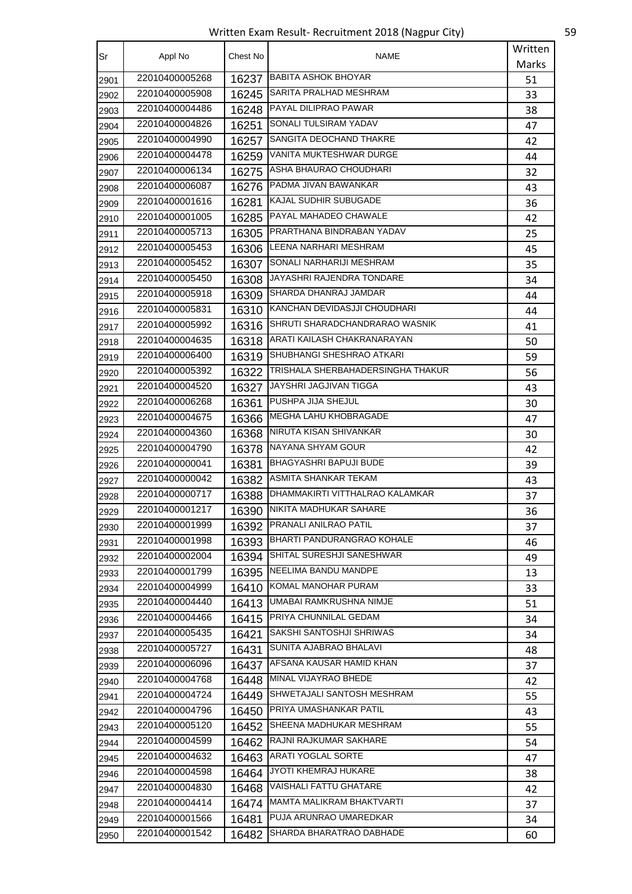Written Exam Result- Recruitment 2018 (Nagpur City) 59

| Sr   | Appl No        | Chest No | <b>NAME</b>                          | Written |
|------|----------------|----------|--------------------------------------|---------|
|      |                |          |                                      | Marks   |
| 2901 | 22010400005268 | 16237    | <b>BABITA ASHOK BHOYAR</b>           | 51      |
| 2902 | 22010400005908 | 16245    | SARITA PRALHAD MESHRAM               | 33      |
| 2903 | 22010400004486 | 16248    | PAYAL DILIPRAO PAWAR                 | 38      |
| 2904 | 22010400004826 | 16251    | SONALI TULSIRAM YADAV                | 47      |
| 2905 | 22010400004990 | 16257    | SANGITA DEOCHAND THAKRE              | 42      |
| 2906 | 22010400004478 | 16259    | <b>VANITA MUKTESHWAR DURGE</b>       | 44      |
| 2907 | 22010400006134 | 16275    | ASHA BHAURAO CHOUDHARI               | 32      |
| 2908 | 22010400006087 | 16276    | PADMA JIVAN BAWANKAR                 | 43      |
| 2909 | 22010400001616 | 16281    | KAJAL SUDHIR SUBUGADE                | 36      |
| 2910 | 22010400001005 | 16285    | PAYAL MAHADEO CHAWALE                | 42      |
| 2911 | 22010400005713 | 16305    | IPRARTHANA BINDRABAN YADAV           | 25      |
| 2912 | 22010400005453 | 16306    | LEENA NARHARI MESHRAM                | 45      |
| 2913 | 22010400005452 | 16307    | SONALI NARHARIJI MESHRAM             | 35      |
| 2914 | 22010400005450 | 16308    | JAYASHRI RAJENDRA TONDARE            | 34      |
| 2915 | 22010400005918 | 16309    | SHARDA DHANRAJ JAMDAR                | 44      |
| 2916 | 22010400005831 |          | 16310 KANCHAN DEVIDASJJI CHOUDHARI   | 44      |
| 2917 | 22010400005992 |          | 16316 SHRUTI SHARADCHANDRARAO WASNIK | 41      |
| 2918 | 22010400004635 | 16318    | ARATI KAILASH CHAKRANARAYAN          | 50      |
| 2919 | 22010400006400 | 16319    | SHUBHANGI SHESHRAO ATKARI            | 59      |
| 2920 | 22010400005392 | 16322    | TRISHALA SHERBAHADERSINGHA THAKUR    | 56      |
| 2921 | 22010400004520 | 16327    | JAYSHRI JAGJIVAN TIGGA               | 43      |
| 2922 | 22010400006268 | 16361    | PUSHPA JIJA SHEJUL                   | 30      |
| 2923 | 22010400004675 | 16366    | MEGHA LAHU KHOBRAGADE                | 47      |
| 2924 | 22010400004360 | 16368    | NIRUTA KISAN SHIVANKAR               | 30      |
| 2925 | 22010400004790 | 16378    | NAYANA SHYAM GOUR                    | 42      |
| 2926 | 22010400000041 | 16381    | <b>BHAGYASHRI BAPUJI BUDE</b>        | 39      |
| 2927 | 22010400000042 | 16382    | <b>ASMITA SHANKAR TEKAM</b>          | 43      |
| 2928 | 22010400000717 | 16388    | DHAMMAKIRTI VITTHALRAO KALAMKAR      | 37      |
| 2929 | 22010400001217 | 16390    | NIKITA MADHUKAR SAHARE               | 36      |
| 2930 | 22010400001999 | 16392    | PRANALI ANILRAO PATIL                | 37      |
| 2931 | 22010400001998 |          | 16393 BHARTI PANDURANGRAO KOHALE     | 46      |
| 2932 | 22010400002004 | 16394    | SHITAL SURESHJI SANESHWAR            | 49      |
| 2933 | 22010400001799 |          | 16395 NEELIMA BANDU MANDPE           | 13      |
| 2934 | 22010400004999 | 16410    | KOMAL MANOHAR PURAM                  | 33      |
| 2935 | 22010400004440 | 16413    | UMABAI RAMKRUSHNA NIMJE              | 51      |
| 2936 | 22010400004466 | 16415    | PRIYA CHUNNILAL GEDAM                | 34      |
| 2937 | 22010400005435 | 16421    | SAKSHI SANTOSHJI SHRIWAS             | 34      |
| 2938 | 22010400005727 | 16431    | SUNITA AJABRAO BHALAVI               | 48      |
| 2939 | 22010400006096 | 16437    | AFSANA KAUSAR HAMID KHAN             | 37      |
| 2940 | 22010400004768 | 16448    | MINAL VIJAYRAO BHEDE                 | 42      |
| 2941 | 22010400004724 | 16449    | SHWETAJALI SANTOSH MESHRAM           | 55      |
| 2942 | 22010400004796 |          | 16450 PRIYA UMASHANKAR PATIL         | 43      |
| 2943 | 22010400005120 | 16452    | SHEENA MADHUKAR MESHRAM              | 55      |
| 2944 | 22010400004599 | 16462    | RAJNI RAJKUMAR SAKHARE               | 54      |
| 2945 | 22010400004632 | 16463    | <b>ARATI YOGLAL SORTE</b>            | 47      |
| 2946 | 22010400004598 | 16464    | JYOTI KHEMRAJ HUKARE                 | 38      |
| 2947 | 22010400004830 | 16468    | VAISHALI FATTU GHATARE               | 42      |
| 2948 | 22010400004414 | 16474    | MAMTA MALIKRAM BHAKTVARTI            | 37      |
| 2949 | 22010400001566 | 16481    | PUJA ARUNRAO UMAREDKAR               | 34      |
| 2950 | 22010400001542 | 16482    | SHARDA BHARATRAO DABHADE             | 60      |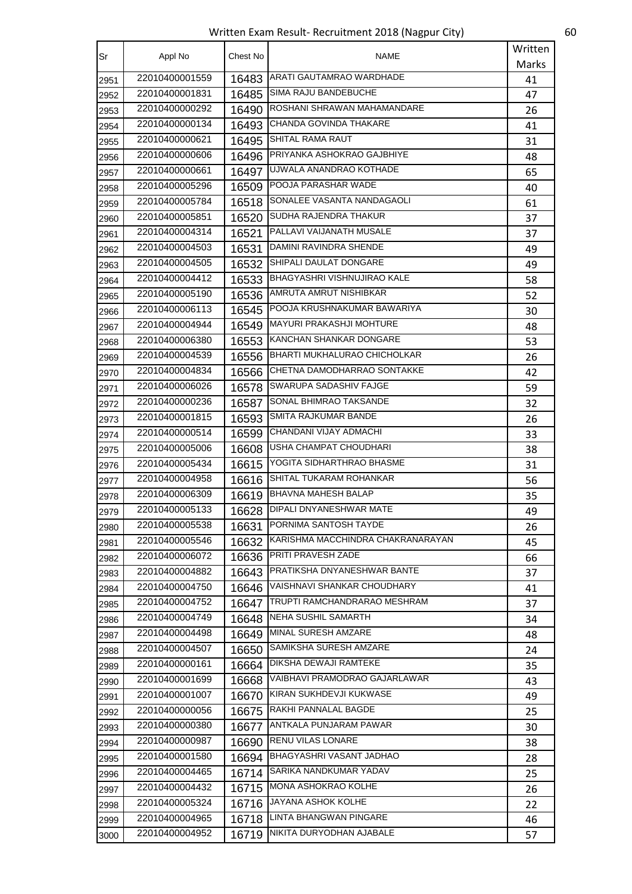Written Exam Result- Recruitment 2018 (Nagpur City) 60

| Sr   | Appl No        | Chest No | NAME                                    | Written |
|------|----------------|----------|-----------------------------------------|---------|
|      |                |          |                                         | Marks   |
| 2951 | 22010400001559 | 16483    | ARATI GAUTAMRAO WARDHADE                | 41      |
| 2952 | 22010400001831 |          | 16485 SIMA RAJU BANDEBUCHE              | 47      |
| 2953 | 22010400000292 | 16490    | ROSHANI SHRAWAN MAHAMANDARE             | 26      |
| 2954 | 22010400000134 | 16493    | <b>CHANDA GOVINDA THAKARE</b>           | 41      |
| 2955 | 22010400000621 | 16495    | SHITAL RAMA RAUT                        | 31      |
| 2956 | 22010400000606 | 16496    | <b>PRIYANKA ASHOKRAO GAJBHIYE</b>       | 48      |
| 2957 | 22010400000661 | 16497    | UJWALA ANANDRAO KOTHADE                 | 65      |
| 2958 | 22010400005296 | 16509    | <b>POOJA PARASHAR WADE</b>              | 40      |
| 2959 | 22010400005784 |          | 16518 SONALEE VASANTA NANDAGAOLI        | 61      |
| 2960 | 22010400005851 | 16520    | SUDHA RAJENDRA THAKUR                   | 37      |
| 2961 | 22010400004314 | 16521    | PALLAVI VAIJANATH MUSALE                | 37      |
| 2962 | 22010400004503 | 16531    | DAMINI RAVINDRA SHENDE                  | 49      |
| 2963 | 22010400004505 | 16532    | SHIPALI DAULAT DONGARE                  | 49      |
| 2964 | 22010400004412 |          | 16533   BHAGYASHRI VISHNUJIRAO KALE     | 58      |
| 2965 | 22010400005190 | 16536    | AMRUTA AMRUT NISHIBKAR                  | 52      |
| 2966 | 22010400006113 | 16545    | POOJA KRUSHNAKUMAR BAWARIYA             | 30      |
| 2967 | 22010400004944 | 16549    | <b>MAYURI PRAKASHJI MOHTURE</b>         | 48      |
| 2968 | 22010400006380 | 16553    | <b>IKANCHAN SHANKAR DONGARE</b>         | 53      |
| 2969 | 22010400004539 |          | 16556 BHARTI MUKHALURAO CHICHOLKAR      | 26      |
| 2970 | 22010400004834 | 16566    | CHETNA DAMODHARRAO SONTAKKE             | 42      |
| 2971 | 22010400006026 | 16578    | <b>SWARUPA SADASHIV FAJGE</b>           | 59      |
| 2972 | 22010400000236 | 16587    | <b>SONAL BHIMRAO TAKSANDE</b>           | 32      |
| 2973 | 22010400001815 | 16593    | SMITA RAJKUMAR BANDE                    | 26      |
| 2974 | 22010400000514 | 16599    | CHANDANI VIJAY ADMACHI                  | 33      |
| 2975 | 22010400005006 | 16608    | USHA CHAMPAT CHOUDHARI                  | 38      |
| 2976 | 22010400005434 | 16615    | YOGITA SIDHARTHRAO BHASME               | 31      |
| 2977 | 22010400004958 | 16616    | SHITAL TUKARAM ROHANKAR                 | 56      |
| 2978 | 22010400006309 | 16619    | <b>BHAVNA MAHESH BALAP</b>              | 35      |
| 2979 | 22010400005133 | 16628    | DIPALI DNYANESHWAR MATE                 | 49      |
| 2980 | 22010400005538 | 16631    | PORNIMA SANTOSH TAYDE                   | 26      |
| 2981 | 22010400005546 |          | 16632 KARISHMA MACCHINDRA CHAKRANARAYAN | 45      |
| 2982 | 22010400006072 | 16636    | <b>PRITI PRAVESH ZADE</b>               | 66      |
| 2983 | 22010400004882 |          | 16643 PRATIKSHA DNYANESHWAR BANTE       | 37      |
| 2984 | 22010400004750 | 16646    | VAISHNAVI SHANKAR CHOUDHARY             | 41      |
| 2985 | 22010400004752 | 16647    | TRUPTI RAMCHANDRARAO MESHRAM            | 37      |
| 2986 | 22010400004749 | 16648    | NEHA SUSHIL SAMARTH                     | 34      |
| 2987 | 22010400004498 | 16649    | MINAL SURESH AMZARE                     | 48      |
| 2988 | 22010400004507 | 16650    | SAMIKSHA SURESH AMZARE                  | 24      |
| 2989 | 22010400000161 | 16664    | DIKSHA DEWAJI RAMTEKE                   | 35      |
| 2990 | 22010400001699 | 16668    | VAIBHAVI PRAMODRAO GAJARLAWAR           | 43      |
| 2991 | 22010400001007 | 16670    | KIRAN SUKHDEVJI KUKWASE                 | 49      |
| 2992 | 22010400000056 | 16675    | RAKHI PANNALAL BAGDE                    | 25      |
| 2993 | 22010400000380 | 16677    | ANTKALA PUNJARAM PAWAR                  | 30      |
| 2994 | 22010400000987 | 16690    | RENU VILAS LONARE                       | 38      |
| 2995 | 22010400001580 | 16694    | BHAGYASHRI VASANT JADHAO                | 28      |
| 2996 | 22010400004465 |          | 16714 SARIKA NANDKUMAR YADAV            | 25      |
| 2997 | 22010400004432 |          | 16715 MONA ASHOKRAO KOLHE               | 26      |
| 2998 | 22010400005324 | 16716    | JAYANA ASHOK KOLHE                      | 22      |
|      | 22010400004965 | 16718    | LINTA BHANGWAN PINGARE                  | 46      |
| 2999 | 22010400004952 |          | NIKITA DURYODHAN AJABALE                |         |
| 3000 |                | 16719    |                                         | 57      |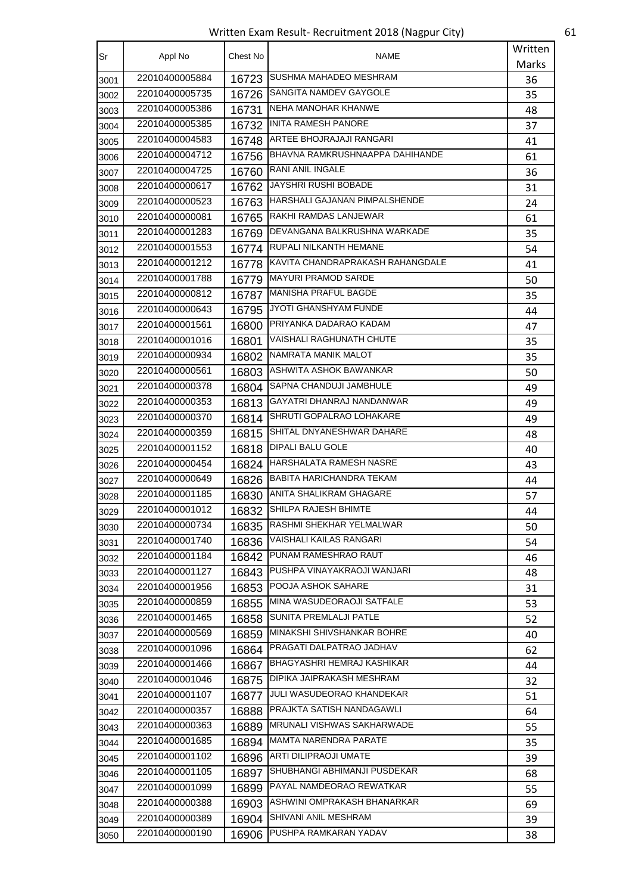Written Exam Result- Recruitment 2018 (Nagpur City) 61

| Sr   | Appl No                          | Chest No | <b>NAME</b>                                                | Written |
|------|----------------------------------|----------|------------------------------------------------------------|---------|
|      |                                  |          |                                                            | Marks   |
| 3001 | 22010400005884                   | 16723    | SUSHMA MAHADEO MESHRAM                                     | 36      |
| 3002 | 22010400005735                   | 16726    | SANGITA NAMDEV GAYGOLE                                     | 35      |
| 3003 | 22010400005386                   | 16731    | <b>NEHA MANOHAR KHANWE</b>                                 | 48      |
| 3004 | 22010400005385                   | 16732    | <b>INITA RAMESH PANORE</b>                                 | 37      |
| 3005 | 22010400004583                   | 16748    | ARTEE BHOJRAJAJI RANGARI                                   | 41      |
| 3006 | 22010400004712                   | 16756    | BHAVNA RAMKRUSHNAAPPA DAHIHANDE                            | 61      |
| 3007 | 22010400004725                   | 16760    | <b>RANI ANIL INGALE</b>                                    | 36      |
| 3008 | 22010400000617                   | 16762    | <b>JAYSHRI RUSHI BOBADE</b>                                | 31      |
| 3009 | 22010400000523                   | 16763    | HARSHALI GAJANAN PIMPALSHENDE                              | 24      |
| 3010 | 22010400000081                   | 16765    | RAKHI RAMDAS LANJEWAR                                      | 61      |
| 3011 | 22010400001283                   |          | 16769 PEVANGANA BALKRUSHNA WARKADE                         | 35      |
| 3012 | 22010400001553                   |          | 16774 RUPALI NILKANTH HEMANE                               | 54      |
| 3013 | 22010400001212                   |          | 16778 KAVITA CHANDRAPRAKASH RAHANGDALE                     | 41      |
| 3014 | 22010400001788                   | 16779    | <b>MAYURI PRAMOD SARDE</b>                                 | 50      |
| 3015 | 22010400000812                   | 16787    | <b>MANISHA PRAFUL BAGDE</b>                                | 35      |
| 3016 | 22010400000643                   | 16795    | JYOTI GHANSHYAM FUNDE                                      | 44      |
| 3017 | 22010400001561                   | 16800    | PRIYANKA DADARAO KADAM                                     | 47      |
| 3018 | 22010400001016                   | 16801    | VAISHALI RAGHUNATH CHUTE                                   | 35      |
| 3019 | 22010400000934                   |          | 16802 NAMRATA MANIK MALOT                                  | 35      |
| 3020 | 22010400000561                   | 16803    | ASHWITA ASHOK BAWANKAR                                     | 50      |
| 3021 | 22010400000378                   | 16804    | SAPNA CHANDUJI JAMBHULE                                    | 49      |
| 3022 | 22010400000353                   | 16813    | GAYATRI DHANRAJ NANDANWAR                                  | 49      |
| 3023 | 22010400000370                   | 16814    | SHRUTI GOPALRAO LOHAKARE                                   | 49      |
| 3024 | 22010400000359                   | 16815    | SHITAL DNYANESHWAR DAHARE                                  | 48      |
| 3025 | 22010400001152                   | 16818    | DIPALI BALU GOLE                                           | 40      |
| 3026 | 22010400000454                   | 16824    | HARSHALATA RAMESH NASRE                                    | 43      |
| 3027 | 22010400000649                   | 16826    | BABITA HARICHANDRA TEKAM                                   | 44      |
| 3028 | 22010400001185                   | 16830    | ANITA SHALIKRAM GHAGARE                                    | 57      |
| 3029 | 22010400001012                   | 16832    | <b>SHILPA RAJESH BHIMTE</b>                                | 44      |
| 3030 | 22010400000734                   | 16835    | RASHMI SHEKHAR YELMALWAR                                   | 50      |
|      | 22010400001740                   | 16836    | VAISHALI KAILAS RANGARI                                    | 54      |
| 3031 | 22010400001184                   | 16842    | PUNAM RAMESHRAO RAUT                                       | 46      |
| 3032 | 22010400001127                   | 16843    | PUSHPA VINAYAKRAOJI WANJARI                                | 48      |
| 3033 | 22010400001956                   | 16853    | POOJA ASHOK SAHARE                                         |         |
| 3034 | 22010400000859                   | 16855    | MINA WASUDEORAOJI SATFALE                                  | 31      |
| 3035 | 22010400001465                   | 16858    | SUNITA PREMLALJI PATLE                                     | 53      |
| 3036 | 22010400000569                   | 16859    | MINAKSHI SHIVSHANKAR BOHRE                                 | 52      |
| 3037 | 22010400001096                   |          | PRAGATI DALPATRAO JADHAV                                   | 40      |
| 3038 | 22010400001466                   | 16864    | BHAGYASHRI HEMRAJ KASHIKAR                                 | 62      |
| 3039 | 22010400001046                   | 16867    | DIPIKA JAIPRAKASH MESHRAM                                  | 44      |
| 3040 |                                  | 16875    | JULI WASUDEORAO KHANDEKAR                                  | 32      |
| 3041 | 22010400001107<br>22010400000357 | 16877    | PRAJKTA SATISH NANDAGAWLI                                  | 51      |
| 3042 |                                  | 16888    |                                                            | 64      |
| 3043 | 22010400000363                   | 16889    | MRUNALI VISHWAS SAKHARWADE<br><b>MAMTA NARENDRA PARATE</b> | 55      |
| 3044 | 22010400001685                   | 16894    | <b>ARTI DILIPRAOJI UMATE</b>                               | 35      |
| 3045 | 22010400001102                   | 16896    |                                                            | 39      |
| 3046 | 22010400001105                   | 16897    | SHUBHANGI ABHIMANJI PUSDEKAR                               | 68      |
| 3047 | 22010400001099                   | 16899    | PAYAL NAMDEORAO REWATKAR                                   | 55      |
| 3048 | 22010400000388                   | 16903    | ASHWINI OMPRAKASH BHANARKAR                                | 69      |
| 3049 | 22010400000389                   | 16904    | SHIVANI ANIL MESHRAM                                       | 39      |
| 3050 | 22010400000190                   | 16906    | PUSHPA RAMKARAN YADAV                                      | 38      |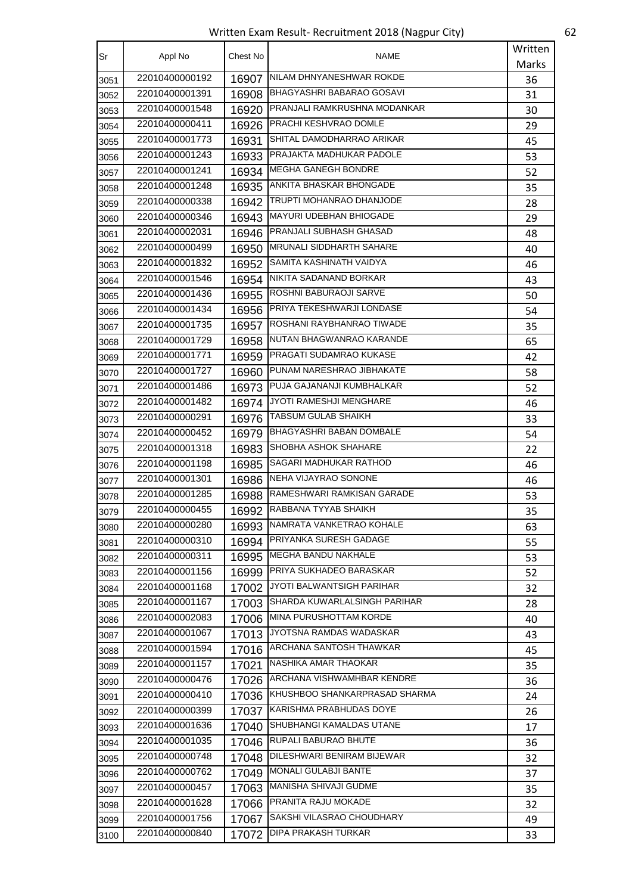Written Exam Result- Recruitment 2018 (Nagpur City) 62

| Sr   | Appl No        | Chest No | NAME                                | Written |
|------|----------------|----------|-------------------------------------|---------|
|      |                |          |                                     | Marks   |
| 3051 | 22010400000192 | 16907    | NILAM DHNYANESHWAR ROKDE            | 36      |
| 3052 | 22010400001391 | 16908    | BHAGYASHRI BABARAO GOSAVI           | 31      |
| 3053 | 22010400001548 | 16920    | <b>PRANJALI RAMKRUSHNA MODANKAR</b> | 30      |
| 3054 | 22010400000411 | 16926    | PRACHI KESHVRAO DOMLE               | 29      |
| 3055 | 22010400001773 | 16931    | SHITAL DAMODHARRAO ARIKAR           | 45      |
| 3056 | 22010400001243 | 16933    | PRAJAKTA MADHUKAR PADOLE            | 53      |
| 3057 | 22010400001241 |          | 16934 MEGHA GANEGH BONDRE           | 52      |
| 3058 | 22010400001248 | 16935    | <b>ANKITA BHASKAR BHONGADE</b>      | 35      |
| 3059 | 22010400000338 | 16942    | TRUPTI MOHANRAO DHANJODE            | 28      |
| 3060 | 22010400000346 | 16943    | <b>MAYURI UDEBHAN BHIOGADE</b>      | 29      |
| 3061 | 22010400002031 | 16946    | PRANJALI SUBHASH GHASAD             | 48      |
| 3062 | 22010400000499 | 16950    | <b>I</b> MRUNALI SIDDHARTH SAHARE   | 40      |
| 3063 | 22010400001832 | 16952    | SAMITA KASHINATH VAIDYA             | 46      |
| 3064 | 22010400001546 |          | 16954 NIKITA SADANAND BORKAR        | 43      |
| 3065 | 22010400001436 | 16955    | <b>ROSHNI BABURAOJI SARVE</b>       | 50      |
| 3066 | 22010400001434 | 16956    | <b>PRIYA TEKESHWARJI LONDASE</b>    | 54      |
| 3067 | 22010400001735 | 16957    | ROSHANI RAYBHANRAO TIWADE           | 35      |
| 3068 | 22010400001729 | 16958    | NUTAN BHAGWANRAO KARANDE            | 65      |
| 3069 | 22010400001771 | 16959    | PRAGATI SUDAMRAO KUKASE             | 42      |
| 3070 | 22010400001727 | 16960    | PUNAM NARESHRAO JIBHAKATE           | 58      |
| 3071 | 22010400001486 |          | 16973 PUJA GAJANANJI KUMBHALKAR     | 52      |
| 3072 | 22010400001482 | 16974    | <b>JYOTI RAMESHJI MENGHARE</b>      | 46      |
| 3073 | 22010400000291 | 16976    | <b>TABSUM GULAB SHAIKH</b>          | 33      |
| 3074 | 22010400000452 | 16979    | <b>BHAGYASHRI BABAN DOMBALE</b>     | 54      |
| 3075 | 22010400001318 | 16983    | <b>SHOBHA ASHOK SHAHARE</b>         | 22      |
| 3076 | 22010400001198 | 16985    | SAGARI MADHUKAR RATHOD              | 46      |
| 3077 | 22010400001301 | 16986    | NEHA VIJAYRAO SONONE                | 46      |
| 3078 | 22010400001285 | 16988    | RAMESHWARI RAMKISAN GARADE          | 53      |
| 3079 | 22010400000455 | 16992    | RABBANA TYYAB SHAIKH                | 35      |
| 3080 | 22010400000280 | 16993    | NAMRATA VANKETRAO KOHALE            | 63      |
| 3081 | 22010400000310 | 16994    | <b>PRIYANKA SURESH GADAGE</b>       | 55      |
| 3082 | 22010400000311 | 16995    | <b>MEGHA BANDU NAKHALE</b>          | 53      |
| 3083 | 22010400001156 | 16999    | PRIYA SUKHADEO BARASKAR             | 52      |
| 3084 | 22010400001168 | 17002    | JYOTI BALWANTSIGH PARIHAR           | 32      |
| 3085 | 22010400001167 | 17003    | SHARDA KUWARLALSINGH PARIHAR        | 28      |
| 3086 | 22010400002083 | 17006    | MINA PURUSHOTTAM KORDE              | 40      |
| 3087 | 22010400001067 | 17013    | JYOTSNA RAMDAS WADASKAR             | 43      |
| 3088 | 22010400001594 | 17016    | <b>ARCHANA SANTOSH THAWKAR</b>      | 45      |
| 3089 | 22010400001157 | 17021    | NASHIKA AMAR THAOKAR                | 35      |
| 3090 | 22010400000476 |          | 17026 ARCHANA VISHWAMHBAR KENDRE    | 36      |
| 3091 | 22010400000410 | 17036    | IKHUSHBOO SHANKARPRASAD SHARMA      | 24      |
| 3092 | 22010400000399 |          | 17037 KARISHMA PRABHUDAS DOYE       | 26      |
| 3093 | 22010400001636 | 17040    | SHUBHANGI KAMALDAS UTANE            | 17      |
| 3094 | 22010400001035 | 17046    | RUPALI BABURAO BHUTE                | 36      |
| 3095 | 22010400000748 | 17048    | <b>DILESHWARI BENIRAM BIJEWAR</b>   | 32      |
| 3096 | 22010400000762 | 17049    | <b>MONALI GULABJI BANTE</b>         | 37      |
| 3097 | 22010400000457 |          | 17063   MANISHA SHIVAJI GUDME       | 35      |
| 3098 | 22010400001628 | 17066    | PRANITA RAJU MOKADE                 | 32      |
| 3099 | 22010400001756 | 17067    | SAKSHI VILASRAO CHOUDHARY           | 49      |
| 3100 | 22010400000840 | 17072    | DIPA PRAKASH TURKAR                 | 33      |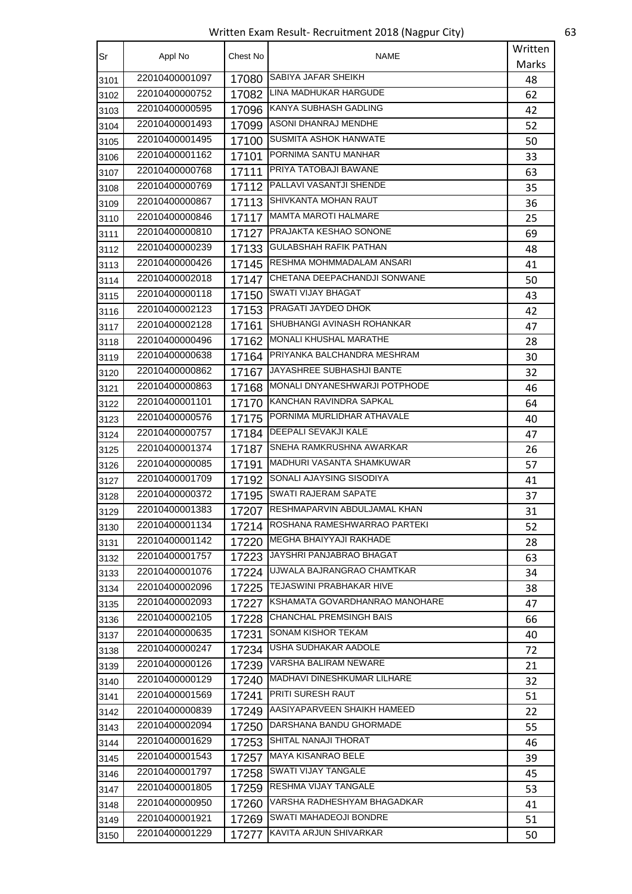Written Exam Result- Recruitment 2018 (Nagpur City) 63

| Sr   | Appl No        | Chest No | NAME                                | Written  |
|------|----------------|----------|-------------------------------------|----------|
|      |                |          |                                     | Marks    |
| 3101 | 22010400001097 | 17080    | <b>SABIYA JAFAR SHEIKH</b>          | 48       |
| 3102 | 22010400000752 | 17082    | LINA MADHUKAR HARGUDE               | 62       |
| 3103 | 22010400000595 | 17096    | KANYA SUBHASH GADLING               | 42       |
| 3104 | 22010400001493 | 17099    | ASONI DHANRAJ MENDHE                | 52       |
| 3105 | 22010400001495 | 17100    | <b>SUSMITA ASHOK HANWATE</b>        | 50       |
| 3106 | 22010400001162 | 17101    | PORNIMA SANTU MANHAR                | 33       |
| 3107 | 22010400000768 | 17111    | PRIYA TATOBAJI BAWANE               | 63       |
| 3108 | 22010400000769 |          | 17112 PALLAVI VASANTJI SHENDE       | 35       |
| 3109 | 22010400000867 | 17113    | SHIVKANTA MOHAN RAUT                | 36       |
| 3110 | 22010400000846 | 17117    | MAMTA MAROTI HALMARE                | 25       |
| 3111 | 22010400000810 | 17127    | PRAJAKTA KESHAO SONONE              | 69       |
| 3112 | 22010400000239 | 17133    | <b>GULABSHAH RAFIK PATHAN</b>       | 48       |
| 3113 | 22010400000426 |          | 17145 RESHMA MOHMMADALAM ANSARI     | 41       |
| 3114 | 22010400002018 | 17147    | CHETANA DEEPACHANDJI SONWANE        | 50       |
| 3115 | 22010400000118 | 17150    | SWATI VIJAY BHAGAT                  | 43       |
| 3116 | 22010400002123 | 17153    | PRAGATI JAYDEO DHOK                 | 42       |
| 3117 | 22010400002128 | 17161    | <b>SHUBHANGI AVINASH ROHANKAR</b>   | 47       |
| 3118 | 22010400000496 | 17162    | MONALI KHUSHAL MARATHE              | 28       |
| 3119 | 22010400000638 |          | 17164 PRIYANKA BALCHANDRA MESHRAM   | 30       |
| 3120 | 22010400000862 | 17167    | JAYASHREE SUBHASHJI BANTE           | 32       |
| 3121 | 22010400000863 |          | 17168 MONALI DNYANESHWARJI POTPHODE | 46       |
| 3122 | 22010400001101 | 17170    | KANCHAN RAVINDRA SAPKAL             | 64       |
| 3123 | 22010400000576 | 17175    | PORNIMA MURLIDHAR ATHAVALE          | 40       |
| 3124 | 22010400000757 | 17184    | DEEPALI SEVAKJI KALE                | 47       |
| 3125 | 22010400001374 | 17187    | SNEHA RAMKRUSHNA AWARKAR            | 26       |
| 3126 | 22010400000085 | 17191    | MADHURI VASANTA SHAMKUWAR           | 57       |
| 3127 | 22010400001709 | 17192    | SONALI AJAYSING SISODIYA            | 41       |
| 3128 | 22010400000372 | 17195    | SWATI RAJERAM SAPATE                | 37       |
| 3129 | 22010400001383 | 17207    | RESHMAPARVIN ABDULJAMAL KHAN        | 31       |
| 3130 | 22010400001134 | 17214    | ROSHANA RAMESHWARRAO PARTEKI        | 52       |
| 3131 | 22010400001142 | 17220    | MEGHA BHAIYYAJI RAKHADE             | 28       |
| 3132 | 22010400001757 | 17223    | JAYSHRI PANJABRAO BHAGAT            | 63       |
| 3133 | 22010400001076 | 17224    | UJWALA BAJRANGRAO CHAMTKAR          | 34       |
| 3134 | 22010400002096 | 17225    | TEJASWINI PRABHAKAR HIVE            | 38       |
| 3135 | 22010400002093 | 17227    | KSHAMATA GOVARDHANRAO MANOHARE      | 47       |
| 3136 | 22010400002105 | 17228    | CHANCHAL PREMSINGH BAIS             | 66       |
| 3137 | 22010400000635 | 17231    | SONAM KISHOR TEKAM                  | 40       |
| 3138 | 22010400000247 | 17234    | USHA SUDHAKAR AADOLE                | 72       |
| 3139 | 22010400000126 | 17239    | VARSHA BALIRAM NEWARE               | 21       |
| 3140 | 22010400000129 | 17240    | MADHAVI DINESHKUMAR LILHARE         | 32       |
| 3141 | 22010400001569 | 17241    | PRITI SURESH RAUT                   | 51       |
| 3142 | 22010400000839 | 17249    | AASIYAPARVEEN SHAIKH HAMEED         | 22       |
| 3143 | 22010400002094 | 17250    | DARSHANA BANDU GHORMADE             | 55       |
| 3144 | 22010400001629 | 17253    | SHITAL NANAJI THORAT                | 46       |
| 3145 | 22010400001543 |          | 17257   MAYA KISANRAO BELE          | 39       |
|      | 22010400001797 | 17258    | SWATI VIJAY TANGALE                 | 45       |
| 3146 | 22010400001805 | 17259    | RESHMA VIJAY TANGALE                |          |
| 3147 | 22010400000950 | 17260    | VARSHA RADHESHYAM BHAGADKAR         | 53<br>41 |
| 3148 | 22010400001921 | 17269    | SWATI MAHADEOJI BONDRE              | 51       |
| 3149 | 22010400001229 |          | KAVITA ARJUN SHIVARKAR              |          |
| 3150 |                | 17277    |                                     | 50       |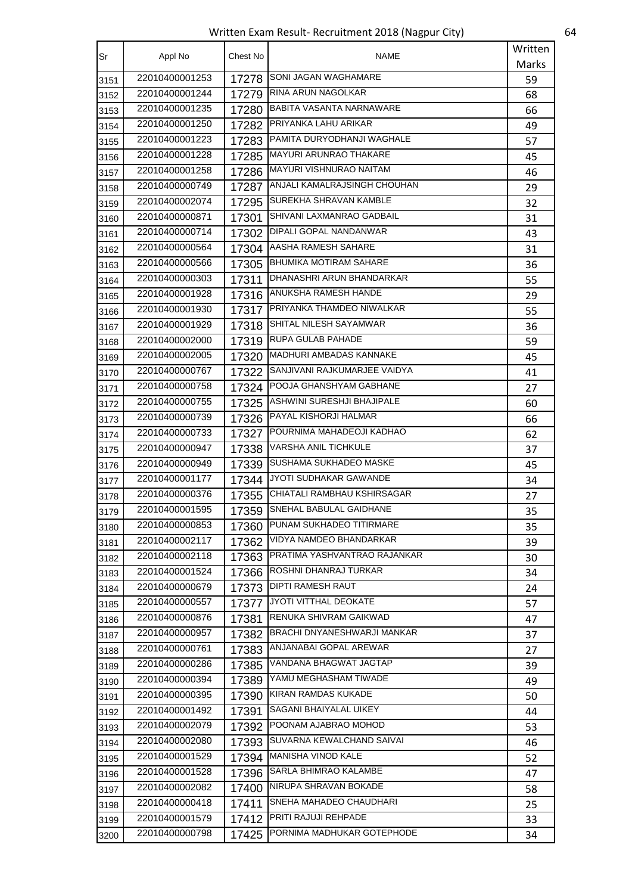Written Exam Result- Recruitment 2018 (Nagpur City) 64

| Sr   | Appl No        | Chest No | NAME                               | Written |
|------|----------------|----------|------------------------------------|---------|
|      |                |          |                                    | Marks   |
| 3151 | 22010400001253 | 17278    | SONI JAGAN WAGHAMARE               | 59      |
| 3152 | 22010400001244 | 17279    | <b>RINA ARUN NAGOLKAR</b>          | 68      |
| 3153 | 22010400001235 | 17280    | BABITA VASANTA NARNAWARE           | 66      |
| 3154 | 22010400001250 | 17282    | PRIYANKA LAHU ARIKAR               | 49      |
| 3155 | 22010400001223 |          | 17283 PAMITA DURYODHANJI WAGHALE   | 57      |
| 3156 | 22010400001228 |          | 17285   MAYURI ARUNRAO THAKARE     | 45      |
| 3157 | 22010400001258 | 17286    | MAYURI VISHNURAO NAITAM            | 46      |
| 3158 | 22010400000749 | 17287    | ANJALI KAMALRAJSINGH CHOUHAN       | 29      |
| 3159 | 22010400002074 | 17295    | SUREKHA SHRAVAN KAMBLE             | 32      |
| 3160 | 22010400000871 | 17301    | SHIVANI LAXMANRAO GADBAIL          | 31      |
| 3161 | 22010400000714 |          | 17302 DIPALI GOPAL NANDANWAR       | 43      |
| 3162 | 22010400000564 | 17304    | AASHA RAMESH SAHARE                | 31      |
| 3163 | 22010400000566 | 17305    | <b>BHUMIKA MOTIRAM SAHARE</b>      | 36      |
| 3164 | 22010400000303 | 17311    | DHANASHRI ARUN BHANDARKAR          | 55      |
| 3165 | 22010400001928 | 17316    | <b>ANUKSHA RAMESH HANDE</b>        | 29      |
| 3166 | 22010400001930 | 17317    | PRIYANKA THAMDEO NIWALKAR          | 55      |
| 3167 | 22010400001929 |          | 17318 SHITAL NILESH SAYAMWAR       | 36      |
| 3168 | 22010400002000 | 17319    | <b>RUPA GULAB PAHADE</b>           | 59      |
| 3169 | 22010400002005 | 17320    | MADHURI AMBADAS KANNAKE            | 45      |
| 3170 | 22010400000767 | 17322    | SANJIVANI RAJKUMARJEE VAIDYA       | 41      |
| 3171 | 22010400000758 |          | 17324 POOJA GHANSHYAM GABHANE      | 27      |
| 3172 | 22010400000755 | 17325    | ASHWINI SURESHJI BHAJIPALE         | 60      |
| 3173 | 22010400000739 |          | 17326 PAYAL KISHORJI HALMAR        | 66      |
| 3174 | 22010400000733 |          | 17327 POURNIMA MAHADEOJI KADHAO    | 62      |
| 3175 | 22010400000947 | 17338    | <b>VARSHA ANIL TICHKULE</b>        | 37      |
| 3176 | 22010400000949 | 17339    | SUSHAMA SUKHADEO MASKE             | 45      |
| 3177 | 22010400001177 | 17344    | JYOTI SUDHAKAR GAWANDE             | 34      |
| 3178 | 22010400000376 | 17355    | CHIATALI RAMBHAU KSHIRSAGAR        | 27      |
| 3179 | 22010400001595 | 17359    | SNEHAL BABULAL GAIDHANE            | 35      |
| 3180 | 22010400000853 | 17360    | PUNAM SUKHADEO TITIRMARE           | 35      |
| 3181 | 22010400002117 | 17362    | VIDYA NAMDEO BHANDARKAR            | 39      |
| 3182 | 22010400002118 |          | 17363 PRATIMA YASHVANTRAO RAJANKAR | 30      |
| 3183 | 22010400001524 | 17366    | ROSHNI DHANRAJ TURKAR              | 34      |
| 3184 | 22010400000679 | 17373    | <b>DIPTI RAMESH RAUT</b>           | 24      |
| 3185 | 22010400000557 | 17377    | JYOTI VITTHAL DEOKATE              | 57      |
| 3186 | 22010400000876 | 17381    | RENUKA SHIVRAM GAIKWAD             | 47      |
| 3187 | 22010400000957 |          | 17382 BRACHI DNYANESHWARJI MANKAR  | 37      |
| 3188 | 22010400000761 | 17383    | ANJANABAI GOPAL AREWAR             | 27      |
| 3189 | 22010400000286 | 17385    | VANDANA BHAGWAT JAGTAP             | 39      |
| 3190 | 22010400000394 | 17389    | YAMU MEGHASHAM TIWADE              | 49      |
| 3191 | 22010400000395 | 17390    | KIRAN RAMDAS KUKADE                | 50      |
| 3192 | 22010400001492 | 17391    | SAGANI BHAIYALAL UIKEY             | 44      |
| 3193 | 22010400002079 |          | 17392 POONAM AJABRAO MOHOD         | 53      |
| 3194 | 22010400002080 |          | 17393 SUVARNA KEWALCHAND SAIVAI    | 46      |
| 3195 | 22010400001529 | 17394    | MANISHA VINOD KALE                 | 52      |
| 3196 | 22010400001528 | 17396    | SARLA BHIMRAO KALAMBE              | 47      |
| 3197 | 22010400002082 |          | 17400 NIRUPA SHRAVAN BOKADE        | 58      |
| 3198 | 22010400000418 | 17411    | SNEHA MAHADEO CHAUDHARI            | 25      |
| 3199 | 22010400001579 |          | 17412 PRITI RAJUJI REHPADE         | 33      |
| 3200 | 22010400000798 | 17425    | PORNIMA MADHUKAR GOTEPHODE         | 34      |
|      |                |          |                                    |         |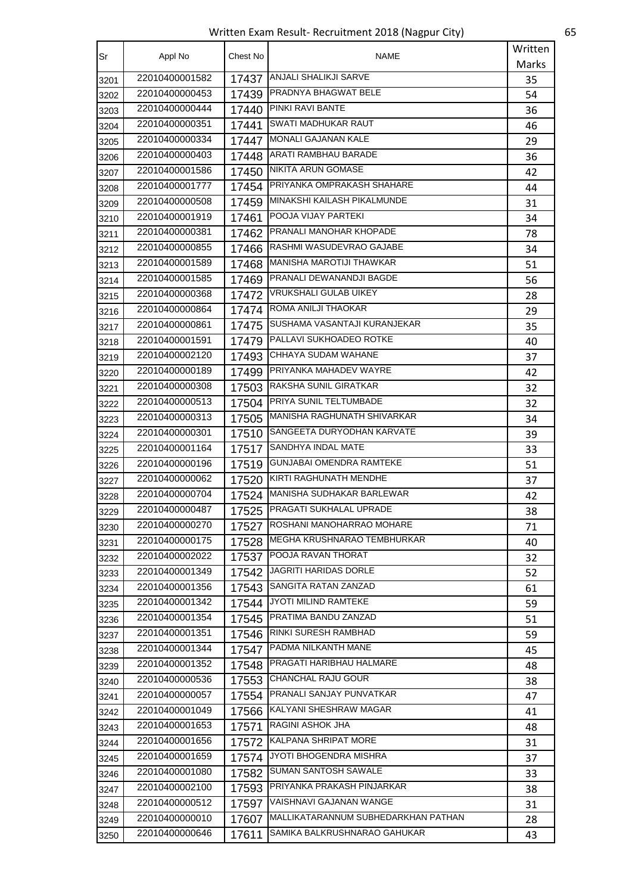Written Exam Result- Recruitment 2018 (Nagpur City) 65

| Sr   | Appl No        | Chest No | <b>NAME</b>                         | Written |
|------|----------------|----------|-------------------------------------|---------|
|      |                |          |                                     | Marks   |
| 3201 | 22010400001582 | 17437    | ANJALI SHALIKJI SARVE               | 35      |
| 3202 | 22010400000453 |          | 17439 PRADNYA BHAGWAT BELE          | 54      |
| 3203 | 22010400000444 | 17440    | PINKI RAVI BANTE                    | 36      |
| 3204 | 22010400000351 | 17441    | <b>SWATI MADHUKAR RAUT</b>          | 46      |
| 3205 | 22010400000334 | 17447    | MONALI GAJANAN KALE                 | 29      |
| 3206 | 22010400000403 |          | 17448   ARATI RAMBHAU BARADE        | 36      |
| 3207 | 22010400001586 | 17450    | NIKITA ARUN GOMASE                  | 42      |
| 3208 | 22010400001777 | 17454    | <b>PRIYANKA OMPRAKASH SHAHARE</b>   | 44      |
| 3209 | 22010400000508 |          | 17459 MINAKSHI KAILASH PIKALMUNDE   | 31      |
| 3210 | 22010400001919 | 17461    | POOJA VIJAY PARTEKI                 | 34      |
| 3211 | 22010400000381 |          | 17462 PRANALI MANOHAR KHOPADE       | 78      |
| 3212 | 22010400000855 | 17466    | RASHMI WASUDEVRAO GAJABE            | 34      |
| 3213 | 22010400001589 | 17468    | MANISHA MAROTIJI THAWKAR            | 51      |
| 3214 | 22010400001585 | 17469    | <b>PRANALI DEWANANDJI BAGDE</b>     | 56      |
| 3215 | 22010400000368 | 17472    | VRUKSHALI GULAB UIKEY               | 28      |
| 3216 | 22010400000864 |          | 17474 ROMA ANILJI THAOKAR           | 29      |
| 3217 | 22010400000861 |          | 17475 SUSHAMA VASANTAJI KURANJEKAR  | 35      |
| 3218 | 22010400001591 |          | 17479 PALLAVI SUKHOADEO ROTKE       | 40      |
| 3219 | 22010400002120 | 17493    | CHHAYA SUDAM WAHANE                 | 37      |
| 3220 | 22010400000189 | 17499    | <b>PRIYANKA MAHADEV WAYRE</b>       | 42      |
| 3221 | 22010400000308 |          | 17503 RAKSHA SUNIL GIRATKAR         | 32      |
| 3222 | 22010400000513 | 17504    | PRIYA SUNIL TELTUMBADE              | 32      |
| 3223 | 22010400000313 |          | 17505   MANISHA RAGHUNATH SHIVARKAR | 34      |
| 3224 | 22010400000301 | 17510    | SANGEETA DURYODHAN KARVATE          | 39      |
| 3225 | 22010400001164 | 17517    | <b>SANDHYA INDAL MATE</b>           | 33      |
| 3226 | 22010400000196 | 17519    | <b>GUNJABAI OMENDRA RAMTEKE</b>     | 51      |
| 3227 | 22010400000062 | 17520    | KIRTI RAGHUNATH MENDHE              | 37      |
| 3228 | 22010400000704 | 17524    | MANISHA SUDHAKAR BARLEWAR           | 42      |
| 3229 | 22010400000487 | 17525    | PRAGATI SUKHALAL UPRADE             | 38      |
| 3230 | 22010400000270 | 17527    | ROSHANI MANOHARRAO MOHARE           | 71      |
| 3231 | 22010400000175 | 17528    | MEGHA KRUSHNARAO TEMBHURKAR         | 40      |
| 3232 | 22010400002022 | 17537    | POOJA RAVAN THORAT                  | 32      |
| 3233 | 22010400001349 | 17542    | JAGRITI HARIDAS DORLE               | 52      |
| 3234 | 22010400001356 | 17543    | SANGITA RATAN ZANZAD                | 61      |
| 3235 | 22010400001342 | 17544    | JYOTI MILIND RAMTEKE                | 59      |
| 3236 | 22010400001354 | 17545    | PRATIMA BANDU ZANZAD                | 51      |
| 3237 | 22010400001351 | 17546    | RINKI SURESH RAMBHAD                | 59      |
| 3238 | 22010400001344 | 17547    | PADMA NILKANTH MANE                 | 45      |
| 3239 | 22010400001352 | 17548    | PRAGATI HARIBHAU HALMARE            | 48      |
| 3240 | 22010400000536 | 17553    | CHANCHAL RAJU GOUR                  | 38      |
| 3241 | 22010400000057 | 17554    | PRANALI SANJAY PUNVATKAR            | 47      |
| 3242 | 22010400001049 |          | 17566 KALYANI SHESHRAW MAGAR        | 41      |
| 3243 | 22010400001653 | 17571    | RAGINI ASHOK JHA                    | 48      |
| 3244 | 22010400001656 | 17572    | KALPANA SHRIPAT MORE                | 31      |
| 3245 | 22010400001659 | 17574    | JYOTI BHOGENDRA MISHRA              | 37      |
| 3246 | 22010400001080 | 17582    | SUMAN SANTOSH SAWALE                | 33      |
| 3247 | 22010400002100 |          | 17593 PRIYANKA PRAKASH PINJARKAR    | 38      |
| 3248 | 22010400000512 | 17597    | VAISHNAVI GAJANAN WANGE             | 31      |
| 3249 | 22010400000010 | 17607    | MALLIKATARANNUM SUBHEDARKHAN PATHAN | 28      |
| 3250 | 22010400000646 | 17611    | SAMIKA BALKRUSHNARAO GAHUKAR        | 43      |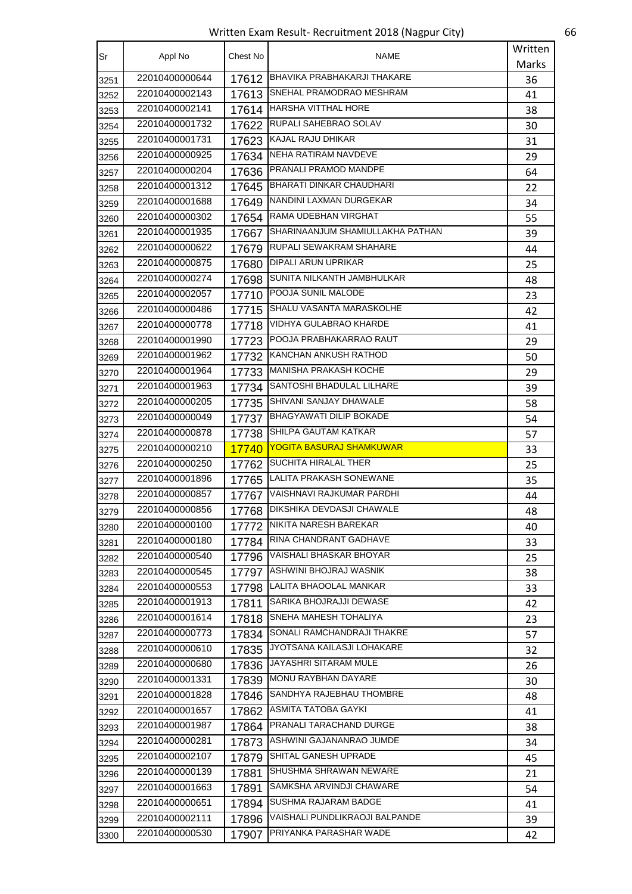Written Exam Result- Recruitment 2018 (Nagpur City) 66

| Sr   | Appl No        | Chest No | NAME                                   | Written |
|------|----------------|----------|----------------------------------------|---------|
|      |                |          |                                        | Marks   |
| 3251 | 22010400000644 | 17612    | <b>BHAVIKA PRABHAKARJI THAKARE</b>     | 36      |
| 3252 | 22010400002143 | 17613    | SNEHAL PRAMODRAO MESHRAM               | 41      |
| 3253 | 22010400002141 | 17614    | <b>HARSHA VITTHAL HORE</b>             | 38      |
| 3254 | 22010400001732 | 17622    | RUPALI SAHEBRAO SOLAV                  | 30      |
| 3255 | 22010400001731 | 17623    | KAJAL RAJU DHIKAR                      | 31      |
| 3256 | 22010400000925 | 17634    | <b>NEHA RATIRAM NAVDEVE</b>            | 29      |
| 3257 | 22010400000204 | 17636    | <b>PRANALI PRAMOD MANDPE</b>           | 64      |
| 3258 | 22010400001312 | 17645    | <b>BHARATI DINKAR CHAUDHARI</b>        | 22      |
| 3259 | 22010400001688 | 17649    | NANDINI LAXMAN DURGEKAR                | 34      |
| 3260 | 22010400000302 | 17654    | RAMA UDEBHAN VIRGHAT                   | 55      |
| 3261 | 22010400001935 |          | 17667 SHARINAANJUM SHAMIULLAKHA PATHAN | 39      |
| 3262 | 22010400000622 | 17679    | <b>RUPALI SEWAKRAM SHAHARE</b>         | 44      |
| 3263 | 22010400000875 | 17680    | <b>DIPALI ARUN UPRIKAR</b>             | 25      |
| 3264 | 22010400000274 | 17698    | <b>I</b> SUNITA NILKANTH JAMBHULKAR    | 48      |
| 3265 | 22010400002057 | 17710    | POOJA SUNIL MALODE                     | 23      |
| 3266 | 22010400000486 | 17715    | SHALU VASANTA MARASKOLHE               | 42      |
| 3267 | 22010400000778 | 17718    | VIDHYA GULABRAO KHARDE                 | 41      |
| 3268 | 22010400001990 | 17723    | POOJA PRABHAKARRAO RAUT                | 29      |
| 3269 | 22010400001962 | 17732    | KANCHAN ANKUSH RATHOD                  | 50      |
| 3270 | 22010400001964 |          | 17733 MANISHA PRAKASH KOCHE            | 29      |
| 3271 | 22010400001963 |          | 17734 SANTOSHI BHADULAL LILHARE        | 39      |
| 3272 | 22010400000205 | 17735    | SHIVANI SANJAY DHAWALE                 | 58      |
| 3273 | 22010400000049 | 17737    | BHAGYAWATI DILIP BOKADE                | 54      |
| 3274 | 22010400000878 | 17738    | SHILPA GAUTAM KATKAR                   | 57      |
| 3275 | 22010400000210 | 17740    | <b>YOGITA BASURAJ SHAMKUWAR</b>        | 33      |
| 3276 | 22010400000250 | 17762    | SUCHITA HIRALAL THER                   | 25      |
| 3277 | 22010400001896 | 17765    | LALITA PRAKASH SONEWANE                | 35      |
| 3278 | 22010400000857 | 17767    | VAISHNAVI RAJKUMAR PARDHI              | 44      |
| 3279 | 22010400000856 | 17768    | <b>DIKSHIKA DEVDASJI CHAWALE</b>       | 48      |
| 3280 | 22010400000100 | 17772    | NIKITA NARESH BAREKAR                  | 40      |
| 3281 | 22010400000180 | 17784    | RINA CHANDRANT GADHAVE                 | 33      |
| 3282 | 22010400000540 | 17796    | VAISHALI BHASKAR BHOYAR                | 25      |
| 3283 | 22010400000545 | 17797    | ASHWINI BHOJRAJ WASNIK                 | 38      |
| 3284 | 22010400000553 | 17798    | LALITA BHAOOLAL MANKAR                 | 33      |
| 3285 | 22010400001913 | 17811    | SARIKA BHOJRAJJI DEWASE                | 42      |
| 3286 | 22010400001614 | 17818    | SNEHA MAHESH TOHALIYA                  | 23      |
| 3287 | 22010400000773 |          | 17834 SONALI RAMCHANDRAJI THAKRE       | 57      |
| 3288 | 22010400000610 | 17835    | JYOTSANA KAILASJI LOHAKARE             | 32      |
| 3289 | 22010400000680 | 17836    | JAYASHRI SITARAM MULE                  | 26      |
| 3290 | 22010400001331 | 17839    | MONU RAYBHAN DAYARE                    | 30      |
| 3291 | 22010400001828 | 17846    | SANDHYA RAJEBHAU THOMBRE               | 48      |
| 3292 | 22010400001657 | 17862    | ASMITA TATOBA GAYKI                    | 41      |
| 3293 | 22010400001987 | 17864    | PRANALI TARACHAND DURGE                | 38      |
| 3294 | 22010400000281 |          | 17873 ASHWINI GAJANANRAO JUMDE         | 34      |
| 3295 | 22010400002107 | 17879    | SHITAL GANESH UPRADE                   | 45      |
| 3296 | 22010400000139 | 17881    | SHUSHMA SHRAWAN NEWARE                 | 21      |
| 3297 | 22010400001663 | 17891    | SAMKSHA ARVINDJI CHAWARE               | 54      |
| 3298 | 22010400000651 | 17894    | SUSHMA RAJARAM BADGE                   | 41      |
| 3299 | 22010400002111 | 17896    | VAISHALI PUNDLIKRAOJI BALPANDE         | 39      |
|      | 22010400000530 |          | PRIYANKA PARASHAR WADE                 |         |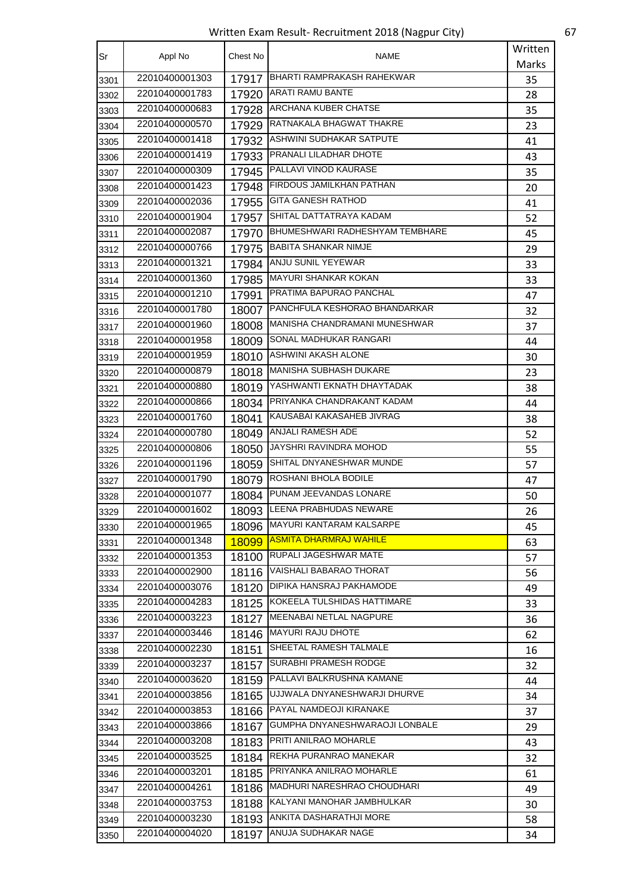Written Exam Result- Recruitment 2018 (Nagpur City) 67

| Sr   | Appl No        | Chest No | NAME                                   | Written |
|------|----------------|----------|----------------------------------------|---------|
|      |                |          |                                        | Marks   |
| 3301 | 22010400001303 | 17917    | BHARTI RAMPRAKASH RAHEKWAR             | 35      |
| 3302 | 22010400001783 | 17920    | <b>ARATI RAMU BANTE</b>                | 28      |
| 3303 | 22010400000683 |          | 17928   ARCHANA KUBER CHATSE           | 35      |
| 3304 | 22010400000570 | 17929    | RATNAKALA BHAGWAT THAKRE               | 23      |
| 3305 | 22010400001418 |          | 17932   ASHWINI SUDHAKAR SATPUTE       | 41      |
| 3306 | 22010400001419 | 17933    | <b>IPRANALI LILADHAR DHOTE</b>         | 43      |
| 3307 | 22010400000309 | 17945    | PALLAVI VINOD KAURASE                  | 35      |
| 3308 | 22010400001423 | 17948    | <b>FIRDOUS JAMILKHAN PATHAN</b>        | 20      |
| 3309 | 22010400002036 | 17955    | <b>GITA GANESH RATHOD</b>              | 41      |
| 3310 | 22010400001904 |          | 17957 SHITAL DATTATRAYA KADAM          | 52      |
| 3311 | 22010400002087 | 17970    | <b>BHUMESHWARI RADHESHYAM TEMBHARE</b> | 45      |
| 3312 | 22010400000766 | 17975    | <b>BABITA SHANKAR NIMJE</b>            | 29      |
| 3313 | 22010400001321 | 17984    | <b>ANJU SUNIL YEYEWAR</b>              | 33      |
| 3314 | 22010400001360 | 17985    | <b>MAYURI SHANKAR KOKAN</b>            | 33      |
| 3315 | 22010400001210 | 17991    | <b>PRATIMA BAPURAO PANCHAL</b>         | 47      |
| 3316 | 22010400001780 |          | 18007 PANCHFULA KESHORAO BHANDARKAR    | 32      |
| 3317 | 22010400001960 | 18008    | MANISHA CHANDRAMANI MUNESHWAR          | 37      |
| 3318 | 22010400001958 | 18009    | <b>SONAL MADHUKAR RANGARI</b>          | 44      |
| 3319 | 22010400001959 | 18010    | ASHWINI AKASH ALONE                    | 30      |
| 3320 | 22010400000879 | 18018    | MANISHA SUBHASH DUKARE                 | 23      |
| 3321 | 22010400000880 | 18019    | YASHWANTI EKNATH DHAYTADAK             | 38      |
| 3322 | 22010400000866 |          | 18034 PRIYANKA CHANDRAKANT KADAM       | 44      |
| 3323 | 22010400001760 | 18041    | KAUSABAI KAKASAHEB JIVRAG              | 38      |
| 3324 | 22010400000780 | 18049    | <b>ANJALI RAMESH ADE</b>               | 52      |
| 3325 | 22010400000806 | 18050    | JAYSHRI RAVINDRA MOHOD                 | 55      |
| 3326 | 22010400001196 | 18059    | SHITAL DNYANESHWAR MUNDE               | 57      |
| 3327 | 22010400001790 | 18079    | ROSHANI BHOLA BODILE                   | 47      |
| 3328 | 22010400001077 |          | 18084 PUNAM JEEVANDAS LONARE           | 50      |
| 3329 | 22010400001602 | 18093    | LEENA PRABHUDAS NEWARE                 | 26      |
| 3330 | 22010400001965 | 18096    | MAYURI KANTARAM KALSARPE               | 45      |
| 3331 | 22010400001348 | 18099    | <b>ASMITA DHARMRAJ WAHILE</b>          | 63      |
| 3332 | 22010400001353 | 18100    | <b>RUPALI JAGESHWAR MATE</b>           | 57      |
| 3333 | 22010400002900 | 18116    | VAISHALI BABARAO THORAT                | 56      |
| 3334 | 22010400003076 | 18120    | <b>DIPIKA HANSRAJ PAKHAMODE</b>        | 49      |
| 3335 | 22010400004283 |          | 18125 KOKEELA TULSHIDAS HATTIMARE      | 33      |
| 3336 | 22010400003223 | 18127    | MEENABAI NETLAL NAGPURE                | 36      |
| 3337 | 22010400003446 |          | 18146 MAYURI RAJU DHOTE                | 62      |
| 3338 | 22010400002230 | 18151    | SHEETAL RAMESH TALMALE                 | 16      |
| 3339 | 22010400003237 | 18157    | SURABHI PRAMESH RODGE                  | 32      |
| 3340 | 22010400003620 | 18159    | PALLAVI BALKRUSHNA KAMANE              | 44      |
| 3341 | 22010400003856 | 18165    | UJJWALA DNYANESHWARJI DHURVE           | 34      |
| 3342 | 22010400003853 |          | 18166 PAYAL NAMDEOJI KIRANAKE          | 37      |
| 3343 | 22010400003866 | 18167    | GUMPHA DNYANESHWARAOJI LONBALE         | 29      |
| 3344 | 22010400003208 | 18183    | <b>PRITI ANILRAO MOHARLE</b>           | 43      |
| 3345 | 22010400003525 | 18184    | REKHA PURANRAO MANEKAR                 | 32      |
| 3346 | 22010400003201 | 18185    | PRIYANKA ANILRAO MOHARLE               | 61      |
| 3347 | 22010400004261 |          | 18186   MADHURI NARESHRAO CHOUDHARI    | 49      |
| 3348 | 22010400003753 | 18188    | KALYANI MANOHAR JAMBHULKAR             | 30      |
| 3349 | 22010400003230 | 18193    | ANKITA DASHARATHJI MORE                | 58      |
| 3350 | 22010400004020 | 18197    | ANUJA SUDHAKAR NAGE                    | 34      |
|      |                |          |                                        |         |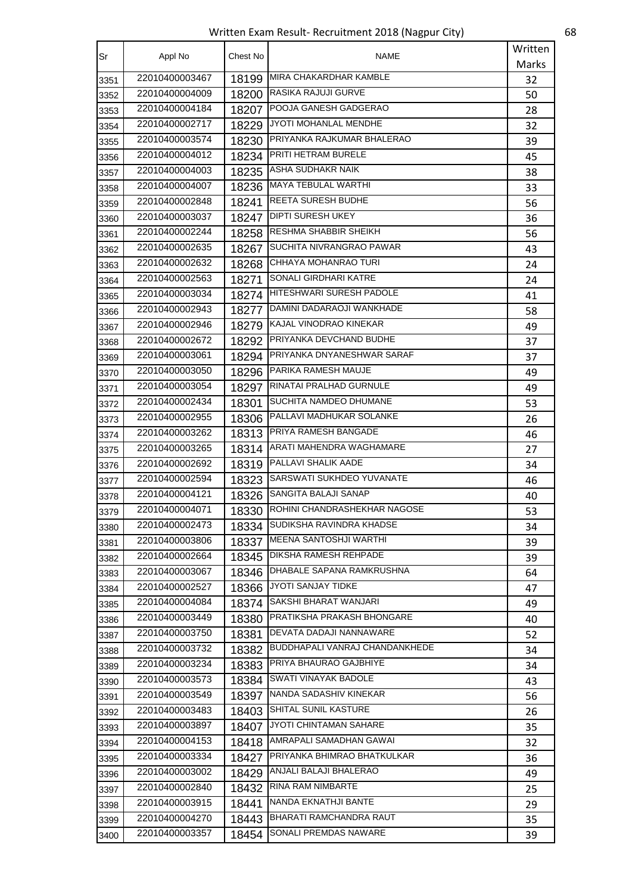Written Exam Result- Recruitment 2018 (Nagpur City) 68

| Sr   | Appl No        | Chest No | NAME                                 | Written |
|------|----------------|----------|--------------------------------------|---------|
|      |                |          |                                      | Marks   |
| 3351 | 22010400003467 | 18199    | MIRA CHAKARDHAR KAMBLE               | 32      |
| 3352 | 22010400004009 | 18200    | <b>RASIKA RAJUJI GURVE</b>           | 50      |
| 3353 | 22010400004184 | 18207    | POOJA GANESH GADGERAO                | 28      |
| 3354 | 22010400002717 | 18229    | <b>JYOTI MOHANLAL MENDHE</b>         | 32      |
| 3355 | 22010400003574 | 18230    | <b>PRIYANKA RAJKUMAR BHALERAO</b>    | 39      |
| 3356 | 22010400004012 | 18234    | <b>PRITI HETRAM BURELE</b>           | 45      |
| 3357 | 22010400004003 |          | 18235   ASHA SUDHAKR NAIK            | 38      |
| 3358 | 22010400004007 |          | 18236   MAYA TEBULAL WARTHI          | 33      |
| 3359 | 22010400002848 | 18241    | <b>REETA SURESH BUDHE</b>            | 56      |
| 3360 | 22010400003037 | 18247    | <b>DIPTI SURESH UKEY</b>             | 36      |
| 3361 | 22010400002244 | 18258    | <b>RESHMA SHABBIR SHEIKH</b>         | 56      |
| 3362 | 22010400002635 | 18267    | <b>SUCHITA NIVRANGRAO PAWAR</b>      | 43      |
| 3363 | 22010400002632 | 18268    | CHHAYA MOHANRAO TURI                 | 24      |
| 3364 | 22010400002563 | 18271    | <b>SONALI GIRDHARI KATRE</b>         | 24      |
| 3365 | 22010400003034 |          | 18274   HITESHWARI SURESH PADOLE     | 41      |
| 3366 | 22010400002943 |          | 18277 DAMINI DADARAOJI WANKHADE      | 58      |
| 3367 | 22010400002946 | 18279    | <b>KAJAL VINODRAO KINEKAR</b>        | 49      |
| 3368 | 22010400002672 | 18292    | <b>PRIYANKA DEVCHAND BUDHE</b>       | 37      |
| 3369 | 22010400003061 |          | 18294 PRIYANKA DNYANESHWAR SARAF     | 37      |
| 3370 | 22010400003050 |          | 18296 PARIKA RAMESH MAUJE            | 49      |
| 3371 | 22010400003054 |          | 18297   RINATAI PRALHAD GURNULE      | 49      |
| 3372 | 22010400002434 | 18301    | SUCHITA NAMDEO DHUMANE               | 53      |
| 3373 | 22010400002955 | 18306    | PALLAVI MADHUKAR SOLANKE             | 26      |
| 3374 | 22010400003262 | 18313    | <b>PRIYA RAMESH BANGADE</b>          | 46      |
| 3375 | 22010400003265 | 18314    | ARATI MAHENDRA WAGHAMARE             | 27      |
| 3376 | 22010400002692 | 18319    | PALLAVI SHALIK AADE                  | 34      |
| 3377 | 22010400002594 | 18323    | <b>SARSWATI SUKHDEO YUVANATE</b>     | 46      |
| 3378 | 22010400004121 | 18326    | SANGITA BALAJI SANAP                 | 40      |
| 3379 | 22010400004071 | 18330    | ROHINI CHANDRASHEKHAR NAGOSE         | 53      |
| 3380 | 22010400002473 | 18334    | SUDIKSHA RAVINDRA KHADSE             | 34      |
| 3381 | 22010400003806 |          | 18337   MEENA SANTOSHJI WARTHI       | 39      |
| 3382 | 22010400002664 |          | 18345   DIKSHA RAMESH REHPADE        | 39      |
| 3383 | 22010400003067 |          | 18346   DHABALE SAPANA RAMKRUSHNA    | 64      |
| 3384 | 22010400002527 | 18366    | <b>JYOTI SANJAY TIDKE</b>            | 47      |
| 3385 | 22010400004084 | 18374    | SAKSHI BHARAT WANJARI                | 49      |
| 3386 | 22010400003449 | 18380    | PRATIKSHA PRAKASH BHONGARE           | 40      |
| 3387 | 22010400003750 | 18381    | DEVATA DADAJI NANNAWARE              | 52      |
| 3388 | 22010400003732 |          | 18382 BUDDHAPALI VANRAJ CHANDANKHEDE | 34      |
| 3389 | 22010400003234 | 18383    | <b>PRIYA BHAURAO GAJBHIYE</b>        | 34      |
| 3390 | 22010400003573 |          | 18384 SWATI VINAYAK BADOLE           | 43      |
| 3391 | 22010400003549 |          | 18397   NANDA SADASHIV KINEKAR       | 56      |
| 3392 | 22010400003483 | 18403    | SHITAL SUNIL KASTURE                 | 26      |
| 3393 | 22010400003897 |          | 18407 JYOTI CHINTAMAN SAHARE         | 35      |
| 3394 | 22010400004153 | 18418    | AMRAPALI SAMADHAN GAWAI              | 32      |
| 3395 | 22010400003334 |          | 18427 PRIYANKA BHIMRAO BHATKULKAR    | 36      |
| 3396 | 22010400003002 | 18429    | ANJALI BALAJI BHALERAO               | 49      |
| 3397 | 22010400002840 |          | 18432 RINA RAM NIMBARTE              | 25      |
| 3398 | 22010400003915 | 18441    | NANDA EKNATHJI BANTE                 | 29      |
| 3399 | 22010400004270 | 18443    | BHARATI RAMCHANDRA RAUT              | 35      |
| 3400 | 22010400003357 | 18454    | SONALI PREMDAS NAWARE                | 39      |
|      |                |          |                                      |         |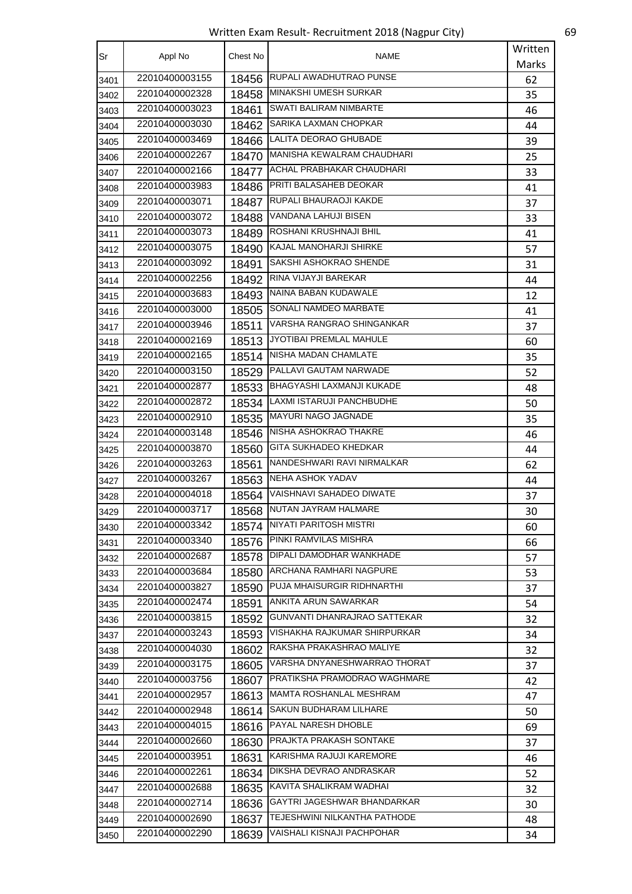Written Exam Result- Recruitment 2018 (Nagpur City) 69

| Sr   | Appl No        | Chest No | NAME                                | Written |
|------|----------------|----------|-------------------------------------|---------|
|      |                |          |                                     | Marks   |
| 3401 | 22010400003155 | 18456    | RUPALI AWADHUTRAO PUNSE             | 62      |
| 3402 | 22010400002328 | 18458    | MINAKSHI UMESH SURKAR               | 35      |
| 3403 | 22010400003023 | 18461    | <b>SWATI BALIRAM NIMBARTE</b>       | 46      |
| 3404 | 22010400003030 | 18462    | <b>SARIKA LAXMAN CHOPKAR</b>        | 44      |
| 3405 | 22010400003469 | 18466    | LALITA DEORAO GHUBADE               | 39      |
| 3406 | 22010400002267 | 18470    | <b>MANISHA KEWALRAM CHAUDHARI</b>   | 25      |
| 3407 | 22010400002166 | 18477    | ACHAL PRABHAKAR CHAUDHARI           | 33      |
| 3408 | 22010400003983 | 18486    | PRITI BALASAHEB DEOKAR              | 41      |
| 3409 | 22010400003071 | 18487    | RUPALI BHAURAOJI KAKDE              | 37      |
| 3410 | 22010400003072 | 18488    | VANDANA LAHUJI BISEN                | 33      |
| 3411 | 22010400003073 | 18489    | ROSHANI KRUSHNAJI BHIL              | 41      |
| 3412 | 22010400003075 | 18490    | <b>KAJAL MANOHARJI SHIRKE</b>       | 57      |
| 3413 | 22010400003092 | 18491    | SAKSHI ASHOKRAO SHENDE              | 31      |
| 3414 | 22010400002256 | 18492    | RINA VIJAYJI BAREKAR                | 44      |
| 3415 | 22010400003683 | 18493    | NAINA BABAN KUDAWALE                | 12      |
| 3416 | 22010400003000 |          | 18505 SONALI NAMDEO MARBATE         | 41      |
| 3417 | 22010400003946 | 18511    | VARSHA RANGRAO SHINGANKAR           | 37      |
| 3418 | 22010400002169 | 18513    | <b>JYOTIBAI PREMLAL MAHULE</b>      | 60      |
| 3419 | 22010400002165 | 18514    | NISHA MADAN CHAMLATE                | 35      |
| 3420 | 22010400003150 | 18529    | PALLAVI GAUTAM NARWADE              | 52      |
| 3421 | 22010400002877 | 18533    | BHAGYASHI LAXMANJI KUKADE           | 48      |
| 3422 | 22010400002872 | 18534    | LAXMI ISTARUJI PANCHBUDHE           | 50      |
| 3423 | 22010400002910 | 18535    | MAYURI NAGO JAGNADE                 | 35      |
| 3424 | 22010400003148 |          | 18546 NISHA ASHOKRAO THAKRE         | 46      |
| 3425 | 22010400003870 |          | 18560 GITA SUKHADEO KHEDKAR         | 44      |
| 3426 | 22010400003263 | 18561    | NANDESHWARI RAVI NIRMALKAR          | 62      |
| 3427 | 22010400003267 | 18563    | <b>NEHA ASHOK YADAV</b>             | 44      |
| 3428 | 22010400004018 | 18564    | <b>VAISHNAVI SAHADEO DIWATE</b>     | 37      |
| 3429 | 22010400003717 | 18568    | NUTAN JAYRAM HALMARE                | 30      |
| 3430 | 22010400003342 |          | 18574   NIYATI PARITOSH MISTRI      | 60      |
| 3431 | 22010400003340 | 18576    | PINKI RAMVILAS MISHRA               | 66      |
| 3432 | 22010400002687 |          | 18578   DIPALI DAMODHAR WANKHADE    | 57      |
| 3433 | 22010400003684 | 18580    | <b>ARCHANA RAMHARI NAGPURE</b>      | 53      |
| 3434 | 22010400003827 | 18590    | PUJA MHAISURGIR RIDHNARTHI          | 37      |
| 3435 | 22010400002474 | 18591    | ANKITA ARUN SAWARKAR                | 54      |
| 3436 | 22010400003815 | 18592    | <b>GUNVANTI DHANRAJRAO SATTEKAR</b> | 32      |
| 3437 | 22010400003243 | 18593    | VISHAKHA RAJKUMAR SHIRPURKAR        | 34      |
| 3438 | 22010400004030 | 18602    | RAKSHA PRAKASHRAO MALIYE            | 32      |
| 3439 | 22010400003175 | 18605    | VARSHA DNYANESHWARRAO THORAT        | 37      |
| 3440 | 22010400003756 | 18607    | PRATIKSHA PRAMODRAO WAGHMARE        | 42      |
| 3441 | 22010400002957 | 18613    | MAMTA ROSHANLAL MESHRAM             | 47      |
| 3442 | 22010400002948 |          | 18614 SAKUN BUDHARAM LILHARE        | 50      |
| 3443 | 22010400004015 | 18616    | <b>PAYAL NARESH DHOBLE</b>          | 69      |
| 3444 | 22010400002660 | 18630    | <b>PRAJKTA PRAKASH SONTAKE</b>      | 37      |
| 3445 | 22010400003951 | 18631    | KARISHMA RAJUJI KAREMORE            | 46      |
| 3446 | 22010400002261 | 18634    | DIKSHA DEVRAO ANDRASKAR             | 52      |
| 3447 | 22010400002688 |          | 18635 KAVITA SHALIKRAM WADHAI       | 32      |
| 3448 | 22010400002714 | 18636    | GAYTRI JAGESHWAR BHANDARKAR         | 30      |
| 3449 | 22010400002690 | 18637    | TEJESHWINI NILKANTHA PATHODE        | 48      |
| 3450 | 22010400002290 | 18639    | VAISHALI KISNAJI PACHPOHAR          | 34      |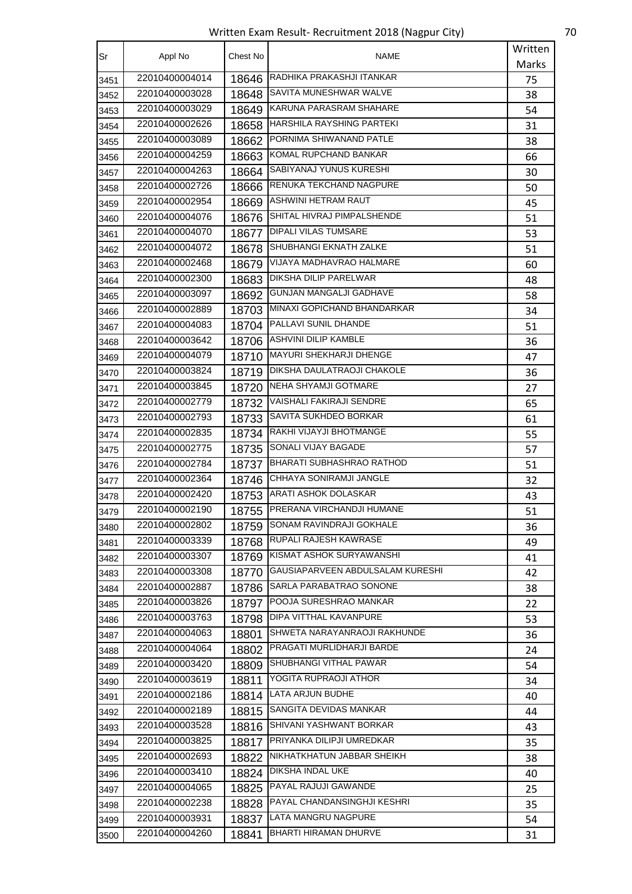Written Exam Result- Recruitment 2018 (Nagpur City) 70

| Sr   | Appl No        | Chest No | NAME                              | Written |
|------|----------------|----------|-----------------------------------|---------|
|      |                |          |                                   | Marks   |
| 3451 | 22010400004014 | 18646    | RADHIKA PRAKASHJI ITANKAR         | 75      |
| 3452 | 22010400003028 | 18648    | SAVITA MUNESHWAR WALVE            | 38      |
| 3453 | 22010400003029 | 18649    | KARUNA PARASRAM SHAHARE           | 54      |
| 3454 | 22010400002626 | 18658    | HARSHILA RAYSHING PARTEKI         | 31      |
| 3455 | 22010400003089 |          | 18662 PORNIMA SHIWANAND PATLE     | 38      |
| 3456 | 22010400004259 |          | 18663 KOMAL RUPCHAND BANKAR       | 66      |
| 3457 | 22010400004263 | 18664    | SABIYANAJ YUNUS KURESHI           | 30      |
| 3458 | 22010400002726 | 18666    | RENUKA TEKCHAND NAGPURE           | 50      |
| 3459 | 22010400002954 | 18669    | ASHWINI HETRAM RAUT               | 45      |
| 3460 | 22010400004076 | 18676    | SHITAL HIVRAJ PIMPALSHENDE        | 51      |
| 3461 | 22010400004070 | 18677    | <b>DIPALI VILAS TUMSARE</b>       | 53      |
| 3462 | 22010400004072 | 18678    | SHUBHANGI EKNATH ZALKE            | 51      |
| 3463 | 22010400002468 | 18679    | VIJAYA MADHAVRAO HALMARE          | 60      |
| 3464 | 22010400002300 | 18683    | DIKSHA DILIP PARELWAR             | 48      |
| 3465 | 22010400003097 | 18692    | <b>GUNJAN MANGALJI GADHAVE</b>    | 58      |
| 3466 | 22010400002889 |          | 18703 MINAXI GOPICHAND BHANDARKAR | 34      |
| 3467 | 22010400004083 | 18704    | PALLAVI SUNIL DHANDE              | 51      |
| 3468 | 22010400003642 |          | 18706   ASHVINI DILIP KAMBLE      | 36      |
| 3469 | 22010400004079 | 18710    | <b>MAYURI SHEKHARJI DHENGE</b>    | 47      |
| 3470 | 22010400003824 | 18719    | <b>DIKSHA DAULATRAOJI CHAKOLE</b> | 36      |
| 3471 | 22010400003845 | 18720    | NEHA SHYAMJI GOTMARE              | 27      |
| 3472 | 22010400002779 | 18732    | VAISHALI FAKIRAJI SENDRE          | 65      |
| 3473 | 22010400002793 | 18733    | <b>SAVITA SUKHDEO BORKAR</b>      | 61      |
| 3474 | 22010400002835 |          | 18734 RAKHI VIJAYJI BHOTMANGE     | 55      |
| 3475 | 22010400002775 |          | 18735 SONALI VIJAY BAGADE         | 57      |
| 3476 | 22010400002784 | 18737    | <b>BHARATI SUBHASHRAO RATHOD</b>  | 51      |
| 3477 | 22010400002364 | 18746    | CHHAYA SONIRAMJI JANGLE           | 32      |
| 3478 | 22010400002420 | 18753    | ARATI ASHOK DOLASKAR              | 43      |
| 3479 | 22010400002190 | 18755    | PRERANA VIRCHANDJI HUMANE         | 51      |
| 3480 | 22010400002802 | 18759    | SONAM RAVINDRAJI GOKHALE          | 36      |
| 3481 | 22010400003339 |          | 18768 RUPALI RAJESH KAWRASE       | 49      |
| 3482 | 22010400003307 |          | 18769 KISMAT ASHOK SURYAWANSHI    | 41      |
| 3483 | 22010400003308 | 18770    | GAUSIAPARVEEN ABDULSALAM KURESHI  | 42      |
| 3484 | 22010400002887 | 18786    | SARLA PARABATRAO SONONE           | 38      |
| 3485 | 22010400003826 | 18797    | <b>POOJA SURESHRAO MANKAR</b>     | 22      |
| 3486 | 22010400003763 | 18798    | <b>DIPA VITTHAL KAVANPURE</b>     | 53      |
| 3487 | 22010400004063 | 18801    | SHWETA NARAYANRAOJI RAKHUNDE      | 36      |
| 3488 | 22010400004064 | 18802    | PRAGATI MURLIDHARJI BARDE         | 24      |
| 3489 | 22010400003420 | 18809    | SHUBHANGI VITHAL PAWAR            | 54      |
| 3490 | 22010400003619 | 18811    | YOGITA RUPRAOJI ATHOR             | 34      |
| 3491 | 22010400002186 | 18814    | LATA ARJUN BUDHE                  | 40      |
| 3492 | 22010400002189 | 18815    | SANGITA DEVIDAS MANKAR            | 44      |
| 3493 | 22010400003528 | 18816    | SHIVANI YASHWANT BORKAR           | 43      |
| 3494 | 22010400003825 |          | 18817 PRIYANKA DILIPJI UMREDKAR   | 35      |
| 3495 | 22010400002693 | 18822    | NIKHATKHATUN JABBAR SHEIKH        | 38      |
| 3496 | 22010400003410 |          | 18824 DIKSHA INDAL UKE            | 40      |
| 3497 | 22010400004065 | 18825    | <b>PAYAL RAJUJI GAWANDE</b>       | 25      |
| 3498 | 22010400002238 | 18828    | PAYAL CHANDANSINGHJI KESHRI       | 35      |
| 3499 | 22010400003931 | 18837    | LATA MANGRU NAGPURE               | 54      |
| 3500 | 22010400004260 | 18841    | BHARTI HIRAMAN DHURVE             | 31      |
|      |                |          |                                   |         |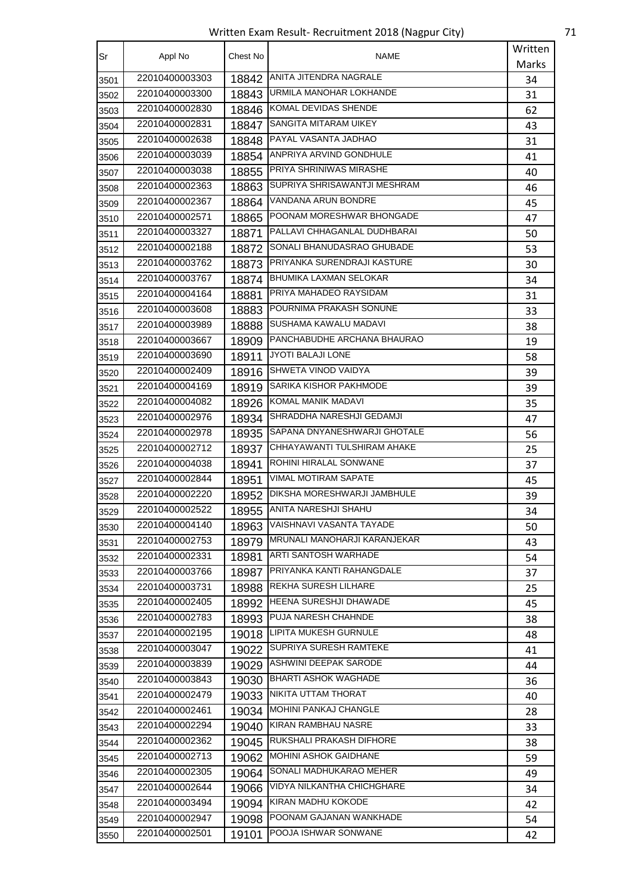Written Exam Result- Recruitment 2018 (Nagpur City) 71

| Sr   | Appl No        | Chest No | <b>NAME</b>                    | Written |
|------|----------------|----------|--------------------------------|---------|
|      |                |          |                                | Marks   |
| 3501 | 22010400003303 | 18842    | ANITA JITENDRA NAGRALE         | 34      |
| 3502 | 22010400003300 | 18843    | URMILA MANOHAR LOKHANDE        | 31      |
| 3503 | 22010400002830 | 18846    | KOMAL DEVIDAS SHENDE           | 62      |
| 3504 | 22010400002831 | 18847    | SANGITA MITARAM UIKEY          | 43      |
| 3505 | 22010400002638 | 18848    | PAYAL VASANTA JADHAO           | 31      |
| 3506 | 22010400003039 | 18854    | ANPRIYA ARVIND GONDHULE        | 41      |
| 3507 | 22010400003038 | 18855    | <b>PRIYA SHRINIWAS MIRASHE</b> | 40      |
| 3508 | 22010400002363 | 18863    | SUPRIYA SHRISAWANTJI MESHRAM   | 46      |
| 3509 | 22010400002367 | 18864    | VANDANA ARUN BONDRE            | 45      |
| 3510 | 22010400002571 | 18865    | POONAM MORESHWAR BHONGADE      | 47      |
| 3511 | 22010400003327 | 18871    | PALLAVI CHHAGANLAL DUDHBARAI   | 50      |
| 3512 | 22010400002188 | 18872    | SONALI BHANUDASRAO GHUBADE     | 53      |
| 3513 | 22010400003762 | 18873    | PRIYANKA SURENDRAJI KASTURE    | 30      |
| 3514 | 22010400003767 | 18874    | <b>BHUMIKA LAXMAN SELOKAR</b>  | 34      |
| 3515 | 22010400004164 | 18881    | PRIYA MAHADEO RAYSIDAM         | 31      |
| 3516 | 22010400003608 | 18883    | POURNIMA PRAKASH SONUNE        | 33      |
| 3517 | 22010400003989 | 18888    | SUSHAMA KAWALU MADAVI          | 38      |
| 3518 | 22010400003667 | 18909    | PANCHABUDHE ARCHANA BHAURAO    | 19      |
| 3519 | 22010400003690 | 18911    | JYOTI BALAJI LONE              | 58      |
| 3520 | 22010400002409 | 18916    | <b>SHWETA VINOD VAIDYA</b>     | 39      |
| 3521 | 22010400004169 | 18919    | SARIKA KISHOR PAKHMODE         | 39      |
| 3522 | 22010400004082 | 18926    | KOMAL MANIK MADAVI             | 35      |
| 3523 | 22010400002976 | 18934    | SHRADDHA NARESHJI GEDAMJI      | 47      |
| 3524 | 22010400002978 | 18935    | SAPANA DNYANESHWARJI GHOTALE   | 56      |
| 3525 | 22010400002712 | 18937    | CHHAYAWANTI TULSHIRAM AHAKE    | 25      |
| 3526 | 22010400004038 | 18941    | ROHINI HIRALAL SONWANE         | 37      |
| 3527 | 22010400002844 | 18951    | <b>VIMAL MOTIRAM SAPATE</b>    | 45      |
| 3528 | 22010400002220 | 18952    | DIKSHA MORESHWARJI JAMBHULE    | 39      |
| 3529 | 22010400002522 | 18955    | ANITA NARESHJI SHAHU           | 34      |
| 3530 | 22010400004140 | 18963    | VAISHNAVI VASANTA TAYADE       | 50      |
| 3531 | 22010400002753 | 18979    | MRUNALI MANOHARJI KARANJEKAR   | 43      |
| 3532 | 22010400002331 | 18981    | <b>ARTI SANTOSH WARHADE</b>    | 54      |
| 3533 | 22010400003766 | 18987    | PRIYANKA KANTI RAHANGDALE      | 37      |
| 3534 | 22010400003731 | 18988    | REKHA SURESH LILHARE           | 25      |
| 3535 | 22010400002405 |          | 18992   HEENA SURESHJI DHAWADE | 45      |
| 3536 | 22010400002783 | 18993    | PUJA NARESH CHAHNDE            | 38      |
| 3537 | 22010400002195 |          | 19018 LIPITA MUKESH GURNULE    | 48      |
| 3538 | 22010400003047 |          | 19022 SUPRIYA SURESH RAMTEKE   | 41      |
| 3539 | 22010400003839 | 19029    | ASHWINI DEEPAK SARODE          | 44      |
| 3540 | 22010400003843 | 19030    | <b>BHARTI ASHOK WAGHADE</b>    | 36      |
| 3541 | 22010400002479 | 19033    | NIKITA UTTAM THORAT            | 40      |
| 3542 | 22010400002461 |          | 19034 MOHINI PANKAJ CHANGLE    | 28      |
| 3543 | 22010400002294 | 19040    | KIRAN RAMBHAU NASRE            | 33      |
| 3544 | 22010400002362 | 19045    | RUKSHALI PRAKASH DIFHORE       | 38      |
| 3545 | 22010400002713 | 19062    | MOHINI ASHOK GAIDHANE          | 59      |
| 3546 | 22010400002305 | 19064    | SONALI MADHUKARAO MEHER        | 49      |
| 3547 | 22010400002644 | 19066    | VIDYA NILKANTHA CHICHGHARE     | 34      |
| 3548 | 22010400003494 | 19094    | KIRAN MADHU KOKODE             | 42      |
| 3549 | 22010400002947 | 19098    | POONAM GAJANAN WANKHADE        | 54      |
| 3550 | 22010400002501 | 19101    | POOJA ISHWAR SONWANE           | 42      |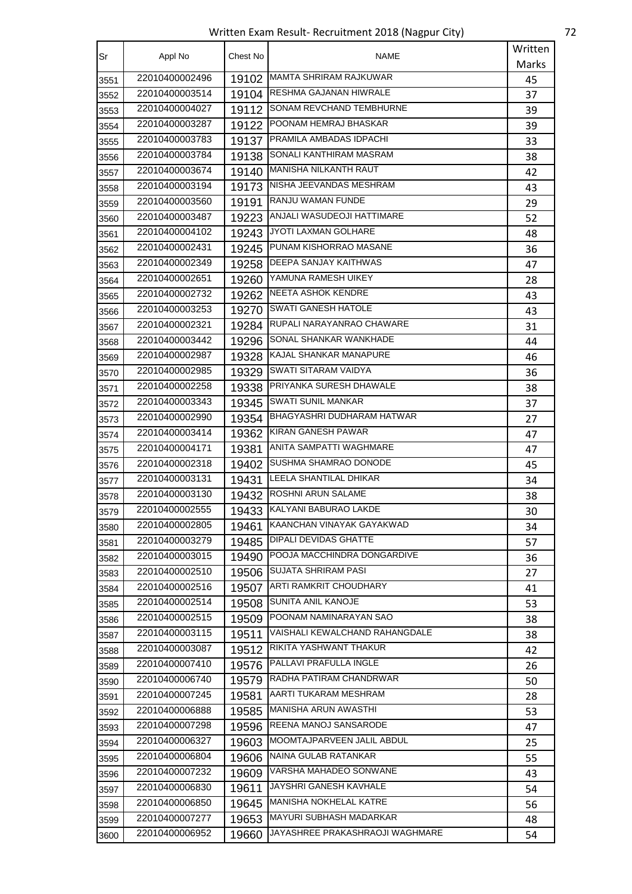Written Exam Result- Recruitment 2018 (Nagpur City) 72

| Sr   | Appl No        | Chest No | NAME                              | Written |
|------|----------------|----------|-----------------------------------|---------|
|      |                |          |                                   | Marks   |
| 3551 | 22010400002496 | 19102    | <b>MAMTA SHRIRAM RAJKUWAR</b>     | 45      |
| 3552 | 22010400003514 | 19104    | RESHMA GAJANAN HIWRALE            | 37      |
| 3553 | 22010400004027 | 19112    | SONAM REVCHAND TEMBHURNE          | 39      |
| 3554 | 22010400003287 | 19122    | POONAM HEMRAJ BHASKAR             | 39      |
| 3555 | 22010400003783 | 19137    | PRAMILA AMBADAS IDPACHI           | 33      |
| 3556 | 22010400003784 | 19138    | SONALI KANTHIRAM MASRAM           | 38      |
| 3557 | 22010400003674 |          | 19140 MANISHA NILKANTH RAUT       | 42      |
| 3558 | 22010400003194 | 19173    | NISHA JEEVANDAS MESHRAM           | 43      |
| 3559 | 22010400003560 | 19191    | RANJU WAMAN FUNDE                 | 29      |
| 3560 | 22010400003487 | 19223    | ANJALI WASUDEOJI HATTIMARE        | 52      |
| 3561 | 22010400004102 | 19243    | JYOTI LAXMAN GOLHARE              | 48      |
| 3562 | 22010400002431 |          | 19245 PUNAM KISHORRAO MASANE      | 36      |
| 3563 | 22010400002349 | 19258    | <b>DEEPA SANJAY KAITHWAS</b>      | 47      |
| 3564 | 22010400002651 | 19260    | YAMUNA RAMESH UIKEY               | 28      |
| 3565 | 22010400002732 | 19262    | <b>NEETA ASHOK KENDRE</b>         | 43      |
| 3566 | 22010400003253 | 19270    | SWATI GANESH HATOLE               | 43      |
| 3567 | 22010400002321 |          | 19284 RUPALI NARAYANRAO CHAWARE   | 31      |
| 3568 | 22010400003442 | 19296    | SONAL SHANKAR WANKHADE            | 44      |
| 3569 | 22010400002987 | 19328    | KAJAL SHANKAR MANAPURE            | 46      |
| 3570 | 22010400002985 | 19329    | SWATI SITARAM VAIDYA              | 36      |
| 3571 | 22010400002258 | 19338    | PRIYANKA SURESH DHAWALE           | 38      |
| 3572 | 22010400003343 | 19345    | SWATI SUNIL MANKAR                | 37      |
| 3573 | 22010400002990 | 19354    | BHAGYASHRI DUDHARAM HATWAR        | 27      |
| 3574 | 22010400003414 | 19362    | <b>KIRAN GANESH PAWAR</b>         | 47      |
| 3575 | 22010400004171 | 19381    | ANITA SAMPATTI WAGHMARE           | 47      |
| 3576 | 22010400002318 | 19402    | SUSHMA SHAMRAO DONODE             | 45      |
| 3577 | 22010400003131 | 19431    | LEELA SHANTILAL DHIKAR            | 34      |
| 3578 | 22010400003130 | 19432    | ROSHNI ARUN SALAME                | 38      |
| 3579 | 22010400002555 | 19433    | KALYANI BABURAO LAKDE             | 30      |
| 3580 | 22010400002805 | 19461    | KAANCHAN VINAYAK GAYAKWAD         | 34      |
| 3581 | 22010400003279 | 19485    | <b>DIPALI DEVIDAS GHATTE</b>      | 57      |
| 3582 | 22010400003015 |          | 19490 POOJA MACCHINDRA DONGARDIVE | 36      |
| 3583 | 22010400002510 | 19506    | <b>SUJATA SHRIRAM PASI</b>        | 27      |
| 3584 | 22010400002516 | 19507    | ARTI RAMKRIT CHOUDHARY            | 41      |
| 3585 | 22010400002514 | 19508    | SUNITA ANIL KANOJE                | 53      |
| 3586 | 22010400002515 | 19509    | POONAM NAMINARAYAN SAO            | 38      |
| 3587 | 22010400003115 | 19511    | VAISHALI KEWALCHAND RAHANGDALE    | 38      |
| 3588 | 22010400003087 | 19512    | RIKITA YASHWANT THAKUR            | 42      |
| 3589 | 22010400007410 | 19576    | PALLAVI PRAFULLA INGLE            | 26      |
| 3590 | 22010400006740 | 19579    | RADHA PATIRAM CHANDRWAR           | 50      |
| 3591 | 22010400007245 | 19581    | AARTI TUKARAM MESHRAM             | 28      |
| 3592 | 22010400006888 | 19585    | <b>MANISHA ARUN AWASTHI</b>       | 53      |
| 3593 | 22010400007298 | 19596    | REENA MANOJ SANSARODE             | 47      |
| 3594 | 22010400006327 | 19603    | MOOMTAJPARVEEN JALIL ABDUL        | 25      |
| 3595 | 22010400006804 | 19606    | NAINA GULAB RATANKAR              | 55      |
| 3596 | 22010400007232 | 19609    | VARSHA MAHADEO SONWANE            | 43      |
| 3597 | 22010400006830 | 19611    | JAYSHRI GANESH KAVHALE            | 54      |
| 3598 | 22010400006850 | 19645    | MANISHA NOKHELAL KATRE            | 56      |
| 3599 | 22010400007277 | 19653    | MAYURI SUBHASH MADARKAR           | 48      |
| 3600 | 22010400006952 | 19660    | JAYASHREE PRAKASHRAOJI WAGHMARE   | 54      |
|      |                |          |                                   |         |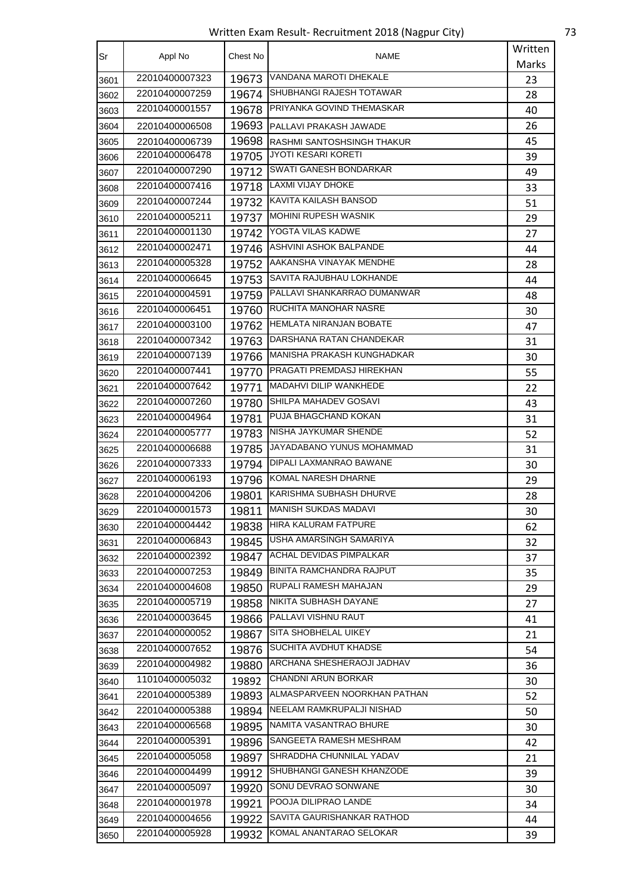Written Exam Result- Recruitment 2018 (Nagpur City) 73

| Sr   | Appl No        | Chest No | <b>NAME</b>                     | Written |
|------|----------------|----------|---------------------------------|---------|
|      |                |          |                                 | Marks   |
| 3601 | 22010400007323 | 19673    | VANDANA MAROTI DHEKALE          | 23      |
| 3602 | 22010400007259 | 19674    | SHUBHANGI RAJESH TOTAWAR        | 28      |
| 3603 | 22010400001557 | 19678    | PRIYANKA GOVIND THEMASKAR       | 40      |
| 3604 | 22010400006508 | 19693    | <b>IPALLAVI PRAKASH JAWADE</b>  | 26      |
| 3605 | 22010400006739 | 19698    | IRASHMI SANTOSHSINGH THAKUR     | 45      |
| 3606 | 22010400006478 | 19705    | JYOTI KESARI KORETI             | 39      |
| 3607 | 22010400007290 | 19712    | SWATI GANESH BONDARKAR          | 49      |
| 3608 | 22010400007416 | 19718    | LAXMI VIJAY DHOKE               | 33      |
| 3609 | 22010400007244 | 19732    | <b>KAVITA KAILASH BANSOD</b>    | 51      |
| 3610 | 22010400005211 | 19737    | MOHINI RUPESH WASNIK            | 29      |
| 3611 | 22010400001130 | 19742    | YOGTA VILAS KADWE               | 27      |
| 3612 | 22010400002471 | 19746    | <b>ASHVINI ASHOK BALPANDE</b>   | 44      |
| 3613 | 22010400005328 | 19752    | AAKANSHA VINAYAK MENDHE         | 28      |
| 3614 | 22010400006645 | 19753    | SAVITA RAJUBHAU LOKHANDE        | 44      |
| 3615 | 22010400004591 | 19759    | PALLAVI SHANKARRAO DUMANWAR     | 48      |
| 3616 | 22010400006451 | 19760    | <b>RUCHITA MANOHAR NASRE</b>    | 30      |
| 3617 | 22010400003100 | 19762    | HEMLATA NIRANJAN BOBATE         | 47      |
| 3618 | 22010400007342 | 19763    | DARSHANA RATAN CHANDEKAR        | 31      |
| 3619 | 22010400007139 | 19766    | MANISHA PRAKASH KUNGHADKAR      | 30      |
| 3620 | 22010400007441 | 19770    | PRAGATI PREMDASJ HIREKHAN       | 55      |
| 3621 | 22010400007642 | 19771    | <b>MADAHVI DILIP WANKHEDE</b>   | 22      |
| 3622 | 22010400007260 | 19780    | SHILPA MAHADEV GOSAVI           | 43      |
| 3623 | 22010400004964 | 19781    | PUJA BHAGCHAND KOKAN            | 31      |
| 3624 | 22010400005777 | 19783    | NISHA JAYKUMAR SHENDE           | 52      |
| 3625 | 22010400006688 | 19785    | JAYADABANO YUNUS MOHAMMAD       | 31      |
| 3626 | 22010400007333 | 19794    | DIPALI LAXMANRAO BAWANE         | 30      |
| 3627 | 22010400006193 | 19796    | <b>KOMAL NARESH DHARNE</b>      | 29      |
| 3628 | 22010400004206 | 19801    | KARISHMA SUBHASH DHURVE         | 28      |
| 3629 | 22010400001573 | 19811    | <b>MANISH SUKDAS MADAVI</b>     | 30      |
| 3630 | 22010400004442 | 19838    | HIRA KALURAM FATPURE            | 62      |
| 3631 | 22010400006843 | 19845    | USHA AMARSINGH SAMARIYA         | 32      |
| 3632 | 22010400002392 | 19847    | <b>ACHAL DEVIDAS PIMPALKAR</b>  | 37      |
| 3633 | 22010400007253 | 19849    | <b>BINITA RAMCHANDRA RAJPUT</b> | 35      |
| 3634 | 22010400004608 | 19850    | RUPALI RAMESH MAHAJAN           | 29      |
| 3635 | 22010400005719 | 19858    | NIKITA SUBHASH DAYANE           | 27      |
| 3636 | 22010400003645 | 19866    | PALLAVI VISHNU RAUT             | 41      |
| 3637 | 22010400000052 | 19867    | <b>SITA SHOBHELAL UIKEY</b>     | 21      |
| 3638 | 22010400007652 | 19876    | SUCHITA AVDHUT KHADSE           | 54      |
| 3639 | 22010400004982 | 19880    | ARCHANA SHESHERAOJI JADHAV      | 36      |
| 3640 | 11010400005032 | 19892    | <b>CHANDNI ARUN BORKAR</b>      | 30      |
| 3641 | 22010400005389 | 19893    | ALMASPARVEEN NOORKHAN PATHAN    | 52      |
| 3642 | 22010400005388 | 19894    | NEELAM RAMKRUPALJI NISHAD       | 50      |
| 3643 | 22010400006568 |          | 19895   NAMITA VASANTRAO BHURE  | 30      |
| 3644 | 22010400005391 | 19896    | SANGEETA RAMESH MESHRAM         | 42      |
| 3645 | 22010400005058 | 19897    | SHRADDHA CHUNNILAL YADAV        | 21      |
| 3646 | 22010400004499 | 19912    | SHUBHANGI GANESH KHANZODE       | 39      |
| 3647 | 22010400005097 | 19920    | SONU DEVRAO SONWANE             | 30      |
| 3648 | 22010400001978 | 19921    | POOJA DILIPRAO LANDE            | 34      |
| 3649 | 22010400004656 | 19922    | SAVITA GAURISHANKAR RATHOD      | 44      |
| 3650 | 22010400005928 | 19932    | KOMAL ANANTARAO SELOKAR         | 39      |
|      |                |          |                                 |         |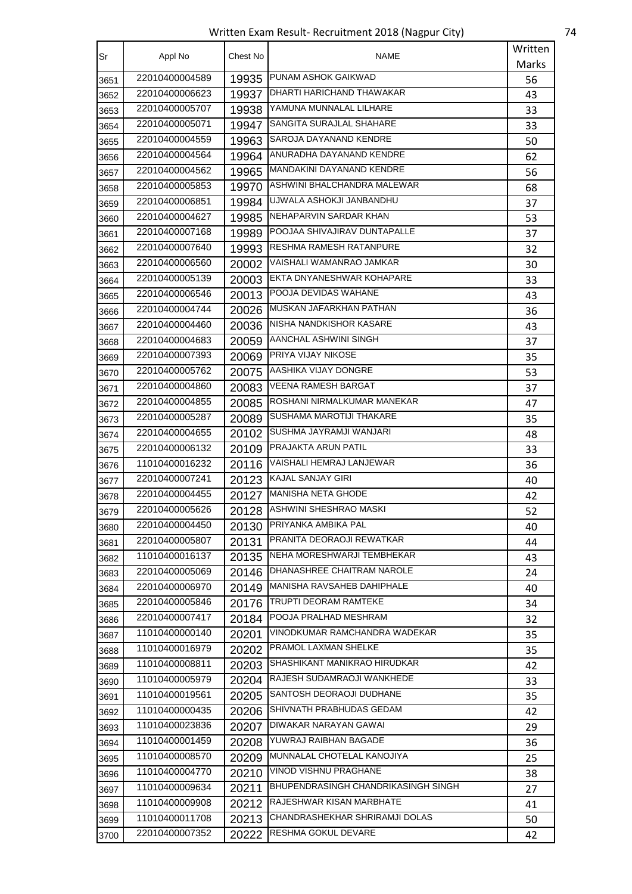Written Exam Result- Recruitment 2018 (Nagpur City) 74

| Sr           | Appl No        | Chest No | <b>NAME</b>                                | Written |
|--------------|----------------|----------|--------------------------------------------|---------|
|              |                |          |                                            | Marks   |
| 3651         | 22010400004589 | 19935    | PUNAM ASHOK GAIKWAD                        | 56      |
| 3652         | 22010400006623 | 19937    | DHARTI HARICHAND THAWAKAR                  | 43      |
| 3653         | 22010400005707 | 19938    | YAMUNA MUNNALAL LILHARE                    | 33      |
| 3654         | 22010400005071 | 19947    | SANGITA SURAJLAL SHAHARE                   | 33      |
| 3655         | 22010400004559 | 19963    | SAROJA DAYANAND KENDRE                     | 50      |
| 3656         | 22010400004564 | 19964    | ANURADHA DAYANAND KENDRE                   | 62      |
| 3657         | 22010400004562 | 19965    | MANDAKINI DAYANAND KENDRE                  | 56      |
| 3658         | 22010400005853 | 19970    | ASHWINI BHALCHANDRA MALEWAR                | 68      |
| 3659         | 22010400006851 | 19984    | UJWALA ASHOKJI JANBANDHU                   | 37      |
| 3660         | 22010400004627 | 19985    | NEHAPARVIN SARDAR KHAN                     | 53      |
| 3661         | 22010400007168 | 19989    | POOJAA SHIVAJIRAV DUNTAPALLE               | 37      |
| 3662         | 22010400007640 | 19993    | RESHMA RAMESH RATANPURE                    | 32      |
| 3663         | 22010400006560 | 20002    | VAISHALI WAMANRAO JAMKAR                   | 30      |
| 3664         | 22010400005139 | 20003    | EKTA DNYANESHWAR KOHAPARE                  | 33      |
| 3665         | 22010400006546 | 20013    | POOJA DEVIDAS WAHANE                       | 43      |
| 3666         | 22010400004744 | 20026    | MUSKAN JAFARKHAN PATHAN                    | 36      |
| 3667         | 22010400004460 | 20036    | NISHA NANDKISHOR KASARE                    | 43      |
| 3668         | 22010400004683 | 20059    | AANCHAL ASHWINI SINGH                      | 37      |
| 3669         | 22010400007393 | 20069    | PRIYA VIJAY NIKOSE                         | 35      |
| 3670         | 22010400005762 | 20075    | AASHIKA VIJAY DONGRE                       | 53      |
| 3671         | 22010400004860 | 20083    | <b>VEENA RAMESH BARGAT</b>                 | 37      |
| 3672         | 22010400004855 | 20085    | ROSHANI NIRMALKUMAR MANEKAR                | 47      |
| 3673         | 22010400005287 | 20089    | <b>SUSHAMA MAROTIJI THAKARE</b>            | 35      |
| 3674         | 22010400004655 | 20102    | SUSHMA JAYRAMJI WANJARI                    | 48      |
| 3675         | 22010400006132 | 20109    | <b>PRAJAKTA ARUN PATIL</b>                 | 33      |
| 3676         | 11010400016232 | 20116    | VAISHALI HEMRAJ LANJEWAR                   | 36      |
| 3677         | 22010400007241 | 20123    | KAJAL SANJAY GIRI                          | 40      |
| 3678         | 22010400004455 |          | 20127 MANISHA NETA GHODE                   | 42      |
| 3679         | 22010400005626 | 20128    | ASHWINI SHESHRAO MASKI                     | 52      |
| 3680         | 22010400004450 | 20130    | PRIYANKA AMBIKA PAL                        | 40      |
| 3681         | 22010400005807 | 20131    | PRANITA DEORAOJI REWATKAR                  | 44      |
| 3682         | 11010400016137 | 20135    | NEHA MORESHWARJI TEMBHEKAR                 | 43      |
| 3683         | 22010400005069 | 20146    | DHANASHREE CHAITRAM NAROLE                 | 24      |
| 3684         | 22010400006970 | 20149    | MANISHA RAVSAHEB DAHIPHALE                 | 40      |
| 3685         | 22010400005846 | 20176    | TRUPTI DEORAM RAMTEKE                      | 34      |
| 3686         | 22010400007417 | 20184    | POOJA PRALHAD MESHRAM                      | 32      |
| 3687         | 11010400000140 | 20201    | VINODKUMAR RAMCHANDRA WADEKAR              | 35      |
| 3688         | 11010400016979 | 20202    | PRAMOL LAXMAN SHELKE                       | 35      |
| 3689         | 11010400008811 | 20203    | SHASHIKANT MANIKRAO HIRUDKAR               | 42      |
| 3690         | 11010400005979 | 20204    | RAJESH SUDAMRAOJI WANKHEDE                 | 33      |
| 3691         | 11010400019561 | 20205    | SANTOSH DEORAOJI DUDHANE                   | 35      |
| 3692         | 11010400000435 | 20206    | SHIVNATH PRABHUDAS GEDAM                   | 42      |
| 3693         | 11010400023836 | 20207    | DIWAKAR NARAYAN GAWAI                      | 29      |
| 3694         | 11010400001459 | 20208    | YUWRAJ RAIBHAN BAGADE                      | 36      |
| 3695         | 11010400008570 | 20209    | MUNNALAL CHOTELAL KANOJIYA                 | 25      |
| 3696         | 11010400004770 | 20210    | VINOD VISHNU PRAGHANE                      | 38      |
|              | 11010400009634 | 20211    | <b>BHUPENDRASINGH CHANDRIKASINGH SINGH</b> | 27      |
| 3697<br>3698 | 11010400009908 | 20212    | RAJESHWAR KISAN MARBHATE                   | 41      |
| 3699         | 11010400011708 | 20213    | CHANDRASHEKHAR SHRIRAMJI DOLAS             | 50      |
|              | 22010400007352 | 20222    | RESHMA GOKUL DEVARE                        |         |
| 3700         |                |          |                                            | 42      |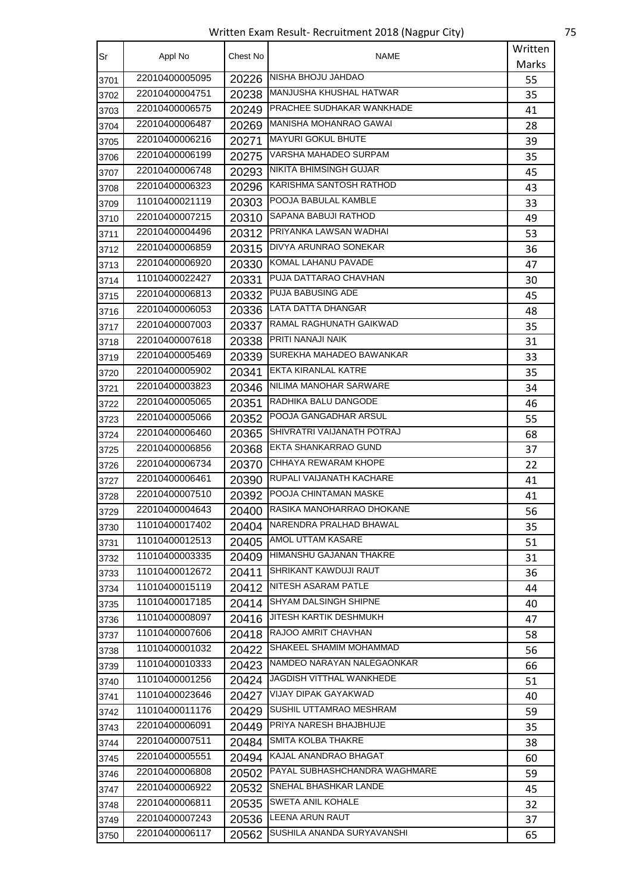Written Exam Result- Recruitment 2018 (Nagpur City) 75

| Sr   | Appl No        | Chest No | NAME                             | Written |
|------|----------------|----------|----------------------------------|---------|
|      |                |          |                                  | Marks   |
| 3701 | 22010400005095 | 20226    | NISHA BHOJU JAHDAO               | 55      |
| 3702 | 22010400004751 |          | 20238 MANJUSHA KHUSHAL HATWAR    | 35      |
| 3703 | 22010400006575 | 20249    | <b>PRACHEE SUDHAKAR WANKHADE</b> | 41      |
| 3704 | 22010400006487 | 20269    | MANISHA MOHANRAO GAWAI           | 28      |
| 3705 | 22010400006216 | 20271    | <b>MAYURI GOKUL BHUTE</b>        | 39      |
| 3706 | 22010400006199 | 20275    | VARSHA MAHADEO SURPAM            | 35      |
| 3707 | 22010400006748 |          | 20293   NIKITA BHIMSINGH GUJAR   | 45      |
| 3708 | 22010400006323 | 20296    | IKARISHMA SANTOSH RATHOD         | 43      |
| 3709 | 11010400021119 |          | 20303 POOJA BABULAL KAMBLE       | 33      |
| 3710 | 22010400007215 | 20310    | SAPANA BABUJI RATHOD             | 49      |
| 3711 | 22010400004496 | 20312    | PRIYANKA LAWSAN WADHAI           | 53      |
| 3712 | 22010400006859 | 20315    | <b>IDIVYA ARUNRAO SONEKAR</b>    | 36      |
| 3713 | 22010400006920 | 20330    | KOMAL LAHANU PAVADE              | 47      |
| 3714 | 11010400022427 | 20331    | PUJA DATTARAO CHAVHAN            | 30      |
| 3715 | 22010400006813 | 20332    | <b>PUJA BABUSING ADE</b>         | 45      |
| 3716 | 22010400006053 | 20336    | <b>LATA DATTA DHANGAR</b>        | 48      |
| 3717 | 22010400007003 | 20337    | RAMAL RAGHUNATH GAIKWAD          | 35      |
| 3718 | 22010400007618 | 20338    | <b>PRITI NANAJI NAIK</b>         | 31      |
| 3719 | 22010400005469 | 20339    | SUREKHA MAHADEO BAWANKAR         | 33      |
| 3720 | 22010400005902 | 20341    | <b>EKTA KIRANLAL KATRE</b>       | 35      |
| 3721 | 22010400003823 |          | 20346 NILIMA MANOHAR SARWARE     | 34      |
| 3722 | 22010400005065 | 20351    | RADHIKA BALU DANGODE             | 46      |
| 3723 | 22010400005066 | 20352    | POOJA GANGADHAR ARSUL            | 55      |
| 3724 | 22010400006460 | 20365    | SHIVRATRI VAIJANATH POTRAJ       | 68      |
| 3725 | 22010400006856 | 20368    | <b>EKTA SHANKARRAO GUND</b>      | 37      |
| 3726 | 22010400006734 | 20370    | CHHAYA REWARAM KHOPE             | 22      |
| 3727 | 22010400006461 | 20390    | RUPALI VAIJANATH KACHARE         | 41      |
| 3728 | 22010400007510 | 20392    | <b>POOJA CHINTAMAN MASKE</b>     | 41      |
| 3729 | 22010400004643 | 20400    | RASIKA MANOHARRAO DHOKANE        | 56      |
| 3730 | 11010400017402 | 20404    | NARENDRA PRALHAD BHAWAL          | 35      |
| 3731 | 11010400012513 | 20405    | <b>AMOL UTTAM KASARE</b>         | 51      |
| 3732 | 11010400003335 | 20409    | <b>HIMANSHU GAJANAN THAKRE</b>   | 31      |
| 3733 | 11010400012672 | 20411    | SHRIKANT KAWDUJI RAUT            | 36      |
| 3734 | 11010400015119 | 20412    | NITESH ASARAM PATLE              | 44      |
| 3735 | 11010400017185 | 20414    | <b>SHYAM DALSINGH SHIPNE</b>     | 40      |
| 3736 | 11010400008097 | 20416    | JITESH KARTIK DESHMUKH           | 47      |
| 3737 | 11010400007606 | 20418    | RAJOO AMRIT CHAVHAN              | 58      |
| 3738 | 11010400001032 | 20422    | SHAKEEL SHAMIM MOHAMMAD          | 56      |
| 3739 | 11010400010333 | 20423    | NAMDEO NARAYAN NALEGAONKAR       | 66      |
| 3740 | 11010400001256 | 20424    | JAGDISH VITTHAL WANKHEDE         | 51      |
| 3741 | 11010400023646 | 20427    | <b>VIJAY DIPAK GAYAKWAD</b>      | 40      |
| 3742 | 11010400011176 | 20429    | <b>SUSHIL UTTAMRAO MESHRAM</b>   | 59      |
| 3743 | 22010400006091 | 20449    | PRIYA NARESH BHAJBHUJE           | 35      |
| 3744 | 22010400007511 | 20484    | SMITA KOLBA THAKRE               | 38      |
| 3745 | 22010400005551 |          | 20494 KAJAL ANANDRAO BHAGAT      | 60      |
| 3746 | 22010400006808 | 20502    | PAYAL SUBHASHCHANDRA WAGHMARE    | 59      |
| 3747 | 22010400006922 | 20532    | <b>SNEHAL BHASHKAR LANDE</b>     | 45      |
| 3748 | 22010400006811 | 20535    | SWETA ANIL KOHALE                | 32      |
| 3749 | 22010400007243 | 20536    | <b>LEENA ARUN RAUT</b>           | 37      |
| 3750 | 22010400006117 | 20562    | SUSHILA ANANDA SURYAVANSHI       | 65      |